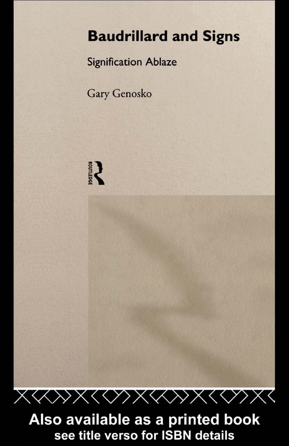## **Baudrillard and Signs**

**Signification Ablaze** 

**Gary Genosko** 





### Also available as a printed book see title verso for ISBN details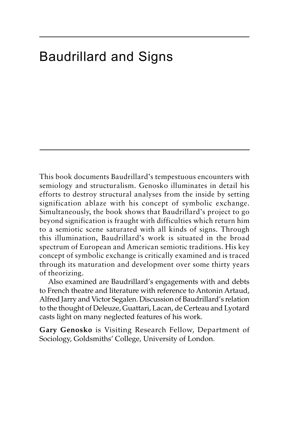### Baudrillard and Signs

This book documents Baudrillard's tempestuous encounters with semiology and structuralism. Genosko illuminates in detail his efforts to destroy structural analyses from the inside by setting signification ablaze with his concept of symbolic exchange. Simultaneously, the book shows that Baudrillard's project to go beyond signification is fraught with difficulties which return him to a semiotic scene saturated with all kinds of signs. Through this illumination, Baudrillard's work is situated in the broad spectrum of European and American semiotic traditions. His key concept of symbolic exchange is critically examined and is traced through its maturation and development over some thirty years of theorizing.

Also examined are Baudrillard's engagements with and debts to French theatre and literature with reference to Antonin Artaud, Alfred Jarry and Victor Segalen. Discussion of Baudrillard's relation to the thought of Deleuze, Guattari, Lacan, de Certeau and Lyotard casts light on many neglected features of his work.

**Gary Genosko** is Visiting Research Fellow, Department of Sociology, Goldsmiths' College, University of London.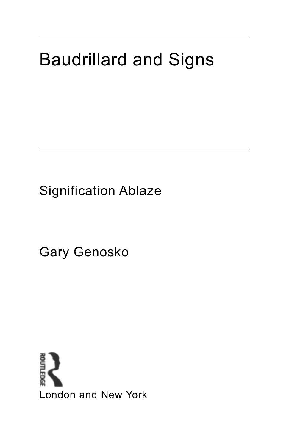# Baudrillard and Signs

Signification Ablaze

Gary Genosko

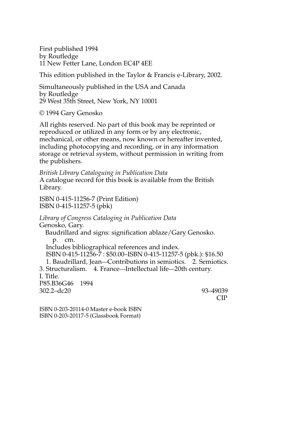First published 1994 by Routledge 11 New Fetter Lane, London EC4P 4EE

This edition published in the Taylor & Francis e-Library, 2002.

Simultaneously published in the USA and Canada by Routledge 29 West 35th Street, New York, NY 10001

© 1994 Gary Genosko

All rights reserved. No part of this book may be reprinted or reproduced or utilized in any form or by any electronic, mechanical, or other means, now known or hereafter invented, including photocopying and recording, or in any information storage or retrieval system, without permission in writing from the publishers.

*British Library Cataloguing in Publication Data* A catalogue record for this book is available from the British Library.

ISBN 0-415-11256-7 (Print Edition) ISBN 0-415-11257-5 (pbk)

*Library of Congress Cataloging in Publication Data* Genosko, Gary. Baudrillard and signs: signification ablaze/Gary Genosko. p. cm. Includes bibliographical references and index. ISBN 0-415-11256-7 : \$50.00–ISBN 0-415-11257-5 (pbk.): \$16.50 1. Baudrillard, Jean—Contributions in semiotics. 2. Semiotics. 3. Structuralism. 4. France—Intellectual life—20th century. I. Title. P85.B36G46 1994 302.2–dc20 93–49039 CIP

ISBN 0-203-20114-0 Master e-book ISBN ISBN 0-203-20117-5 (Glassbook Format)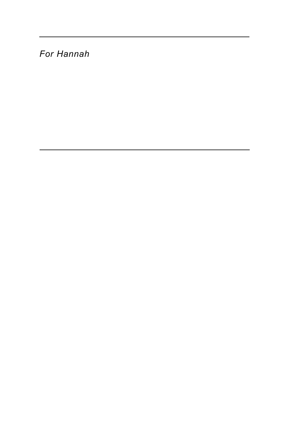#### *For Hannah*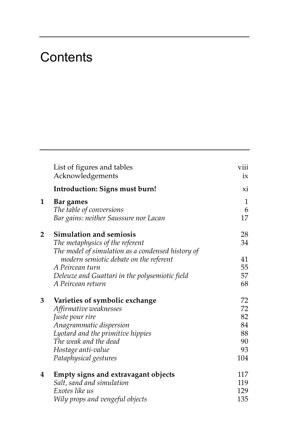## **Contents**

|   | List of figures and tables<br>Acknowledgements    | viii<br>ix |
|---|---------------------------------------------------|------------|
|   | Introduction: Signs must burn!                    | xi         |
| 1 | Bar games                                         | 1          |
|   | The table of conversions                          | 6          |
|   | Bar gains: neither Saussure nor Lacan             | 17         |
| 2 | Simulation and semiosis                           | 28         |
|   | The metaphysics of the referent                   | 34         |
|   | The model of simulation as a condensed history of |            |
|   | modern semiotic debate on the referent            | 41         |
|   | A Peircean turn                                   | 55         |
|   | Deleuze and Guattari in the polysemiotic field    | 57         |
|   | A Peircean return                                 | 68         |
| 3 | Varieties of symbolic exchange                    | 72         |
|   | Affirmative weaknesses                            | 72         |
|   | Juste pour rire                                   | 82         |
|   | Anagrammatic dispersion                           | 84         |
|   | Lyotard and the primitive hippies                 | 88         |
|   | The weak and the dead                             | 90         |
|   | Hostage anti-value                                | 93         |
|   | Pataphysical gestures                             | 104        |
| 4 | Empty signs and extravagant objects               | 117        |
|   | Salt, sand and simulation                         | 119        |
|   | Exotes like us                                    | 129        |
|   | Wily props and vengeful objects                   | 135        |
|   |                                                   |            |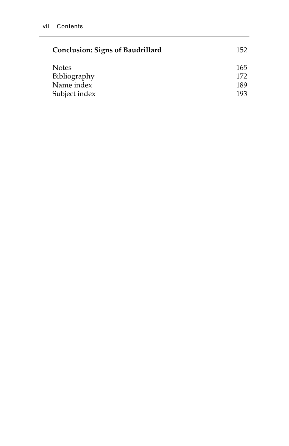| <b>Conclusion: Signs of Baudrillard</b> | 152 |
|-----------------------------------------|-----|
| <b>Notes</b>                            | 165 |
| Bibliography                            | 172 |
| Name index                              | 189 |
| Subject index                           | 193 |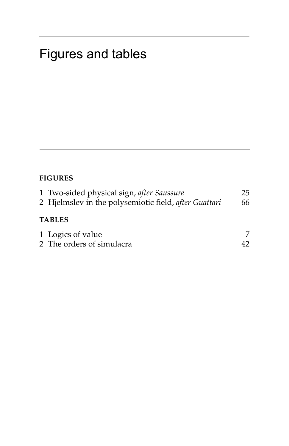## Figures and tables

#### **FIGURES**

| 1 Two-sided physical sign, after Saussure             | 25 |  |  |  |  |
|-------------------------------------------------------|----|--|--|--|--|
| 2 Hjelmslev in the polysemiotic field, after Guattari | 66 |  |  |  |  |
| <b>TABLES</b>                                         |    |  |  |  |  |
| 1 Logics of value                                     |    |  |  |  |  |
| 2 The orders of simulacra                             | 42 |  |  |  |  |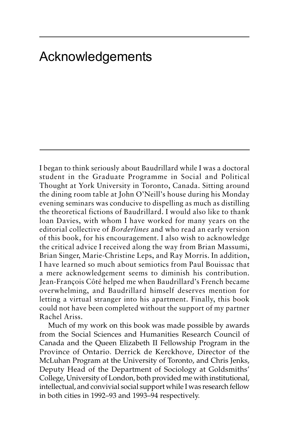### Acknowledgements

I began to think seriously about Baudrillard while I was a doctoral student in the Graduate Programme in Social and Political Thought at York University in Toronto, Canada. Sitting around the dining room table at John O'Neill's house during his Monday evening seminars was conducive to dispelling as much as distilling the theoretical fictions of Baudrillard. I would also like to thank loan Davies, with whom I have worked for many years on the editorial collective of *Borderlines* and who read an early version of this book, for his encouragement. I also wish to acknowledge the critical advice I received along the way from Brian Massumi, Brian Singer, Marie-Christine Leps, and Ray Morris. In addition, I have learned so much about semiotics from Paul Bouissac that a mere acknowledgement seems to diminish his contribution. Jean-François Côté helped me when Baudrillard's French became overwhelming, and Baudrillard himself deserves mention for letting a virtual stranger into his apartment. Finally, this book could not have been completed without the support of my partner Rachel Ariss.

Much of my work on this book was made possible by awards from the Social Sciences and Humanities Research Council of Canada and the Queen Elizabeth II Fellowship Program in the Province of Ontario. Derrick de Kerckhove, Director of the McLuhan Program at the University of Toronto, and Chris Jenks, Deputy Head of the Department of Sociology at Goldsmiths' College, University of London, both provided me with institutional, intellectual, and convivial social support while I was research fellow in both cities in 1992–93 and 1993–94 respectively.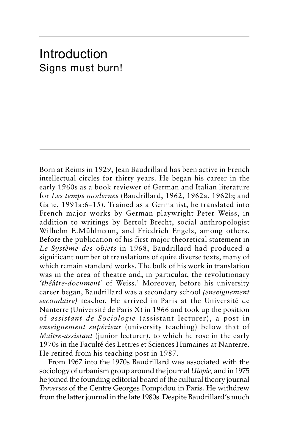### Introduction Signs must burn!

Born at Reims in 1929, Jean Baudrillard has been active in French intellectual circles for thirty years. He began his career in the early 1960s as a book reviewer of German and Italian literature for *Les temps modernes* (Baudrillard, 1962, 1962a, 1962b; and Gane, 1991a:6–15). Trained as a Germanist, he translated into French major works by German playwright Peter Weiss, in addition to writings by Bertolt Brecht, social anthropologist Wilhelm E.Mühlmann, and Friedrich Engels, among others. Before the publication of his first major theoretical statement in *Le Système des objets* in 1968, Baudrillard had produced a significant number of translations of quite diverse texts, many of which remain standard works. The bulk of his work in translation was in the area of theatre and, in particular, the revolutionary 'théâtre-document' of Weiss.<sup>1</sup> Moreover, before his university career began, Baudrillard was a secondary school *(enseignement secondaire)* teacher. He arrived in Paris at the Université de Nanterre (Université de Paris X) in 1966 and took up the position of *assistant de Sociologie* (assistant lecturer), a post in *enseignement supérieur* (university teaching) below that of *Maître-assistant* (junior lecturer), to which he rose in the early 1970s in the Faculté des Lettres et Sciences Humaines at Nanterre. He retired from his teaching post in 1987.

From 1967 into the 1970s Baudrillard was associated with the sociology of urbanism group around the journal *Utopie,* and in 1975 he joined the founding editorial board of the cultural theory journal *Traverses* of the Centre Georges Pompidou in Paris. He withdrew from the latter journal in the late 1980s. Despite Baudrillard's much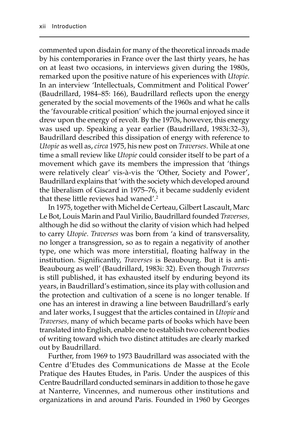commented upon disdain for many of the theoretical inroads made by his contemporaries in France over the last thirty years, he has on at least two occasions, in interviews given during the 1980s, remarked upon the positive nature of his experiences with *Utopie*. In an interview 'Intellectuals, Commitment and Political Power' (Baudrillard, 1984–85: 166), Baudrillard reflects upon the energy generated by the social movements of the 1960s and what he calls the 'favourable critical position' which the journal enjoyed since it drew upon the energy of revolt. By the 1970s, however, this energy was used up. Speaking a year earlier (Baudrillard, 1983i:32–3), Baudrillard described this dissipation of energy with reference to *Utopie* as well as, *circa* 1975, his new post on *Traverses*. While at one time a small review like *Utopie* could consider itself to be part of a movement which gave its members the impression that 'things were relatively clear' vis-à-vis the 'Other, Society and Power', Baudrillard explains that 'with the society which developed around the liberalism of Giscard in 1975–76, it became suddenly evident that these little reviews had waned'.<sup>2</sup>

In 1975, together with Michel de Certeau, Gilbert Lascault, Marc Le Bot, Louis Marin and Paul Virilio, Baudrillard founded *Traverses,* although he did so without the clarity of vision which had helped to carry *Utopie*. *Traverses* was born from 'a kind of transversality, no longer a transgression, so as to regain a negativity of another type, one which was more interstitial, floating halfway in the institution. Significantly, *Traverses* is Beaubourg. But it is anti-Beaubourg as well' (Baudrillard, 1983i: 32). Even though *Traverses* is still published, it has exhausted itself by enduring beyond its years, in Baudrillard's estimation, since its play with collusion and the protection and cultivation of a scene is no longer tenable. If one has an interest in drawing a line between Baudrillard's early and later works, I suggest that the articles contained in *Utopie* and *Traverses,* many of which became parts of books which have been translated into English, enable one to establish two coherent bodies of writing toward which two distinct attitudes are clearly marked out by Baudrillard.

Further, from 1969 to 1973 Baudrillard was associated with the Centre d'Etudes des Communications de Masse at the Ecole Pratique des Hautes Etudes, in Paris. Under the auspices of this Centre Baudrillard conducted seminars in addition to those he gave at Nanterre, Vincennes, and numerous other institutions and organizations in and around Paris. Founded in 1960 by Georges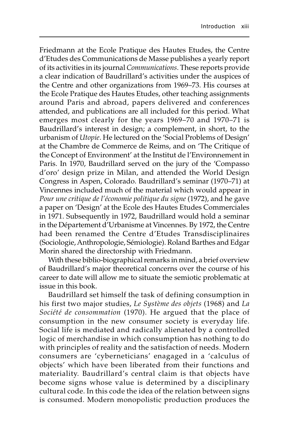Friedmann at the Ecole Pratique des Hautes Etudes, the Centre d'Etudes des Communications de Masse publishes a yearly report of its activities in its journal *Communications*. These reports provide a clear indication of Baudrillard's activities under the auspices of the Centre and other organizations from 1969–73. His courses at the Ecole Pratique des Hautes Etudes, other teaching assignments around Paris and abroad, papers delivered and conferences attended, and publications are all included for this period. What emerges most clearly for the years 1969–70 and 1970–71 is Baudrillard's interest in design; a complement, in short, to the urbanism of *Utopie*. He lectured on the 'Social Problems of Design' at the Chambre de Commerce de Reims, and on 'The Critique of the Concept of Environment' at the Institut de l'Environnement in Paris. In 1970, Baudrillard served on the jury of the 'Compasso d'oro' design prize in Milan, and attended the World Design Congress in Aspen, Colorado. Baudrillard's seminar (1970–71) at Vincennes included much of the material which would appear in *Pour une critique de l'économie politique du signe* (1972), and he gave a paper on 'Design' at the Ecole des Hautes Etudes Commerciales in 1971. Subsequently in 1972, Baudrillard would hold a seminar in the Département d'Urbanisme at Vincennes. By 1972, the Centre had been renamed the Centre d'Etudes Transdisciplinaires (Sociologie, Anthropologie, Sémiologie). Roland Barthes and Edgar Morin shared the directorship with Friedmann.

With these biblio-biographical remarks in mind, a brief overview of Baudrillard's major theoretical concerns over the course of his career to date will allow me to situate the semiotic problematic at issue in this book.

Baudrillard set himself the task of defining consumption in his first two major studies, *Le Système des objets* (1968) and *La Société de consommation* (1970). He argued that the place of consumption in the new consumer society is everyday life. Social life is mediated and radically alienated by a controlled logic of merchandise in which consumption has nothing to do with principles of reality and the satisfaction of needs. Modern consumers are 'cyberneticians' enagaged in a 'calculus of objects' which have been liberated from their functions and materiality. Baudrillard's central claim is that objects have become signs whose value is determined by a disciplinary cultural code. In this code the idea of the relation between signs is consumed. Modern monopolistic production produces the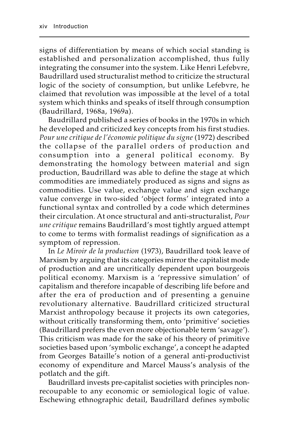signs of differentiation by means of which social standing is established and personalization accomplished, thus fully integrating the consumer into the system. Like Henri Lefebvre, Baudrillard used structuralist method to criticize the structural logic of the society of consumption, but unlike Lefebvre, he claimed that revolution was impossible at the level of a total system which thinks and speaks of itself through consumption (Baudrillard, 1968a, 1969a).

Baudrillard published a series of books in the 1970s in which he developed and criticized key concepts from his first studies. *Pour une critique de l'économie politique du signe* (1972) described the collapse of the parallel orders of production and consumption into a general political economy. By demonstrating the homology between material and sign production, Baudrillard was able to define the stage at which commodities are immediately produced as signs and signs as commodities. Use value, exchange value and sign exchange value converge in two-sided 'object forms' integrated into a functional syntax and controlled by a code which determines their circulation. At once structural and anti-structuralist, *Pour une critique* remains Baudrillard's most tightly argued attempt to come to terms with formalist readings of signification as a symptom of repression.

In *Le Miroir de la production* (1973), Baudrillard took leave of Marxism by arguing that its categories mirror the capitalist mode of production and are uncritically dependent upon bourgeois political economy. Marxism is a 'repressive simulation' of capitalism and therefore incapable of describing life before and after the era of production and of presenting a genuine revolutionary alternative. Baudrillard criticized structural Marxist anthropology because it projects its own categories, without critically transforming them, onto 'primitive' societies (Baudrillard prefers the even more objectionable term 'savage'). This criticism was made for the sake of his theory of primitive societies based upon 'symbolic exchange', a concept he adapted from Georges Bataille's notion of a general anti-productivist economy of expenditure and Marcel Mauss's analysis of the potlatch and the gift.

Baudrillard invests pre-capitalist societies with principles nonrecoupable to any economic or semiological logic of value. Eschewing ethnographic detail, Baudrillard defines symbolic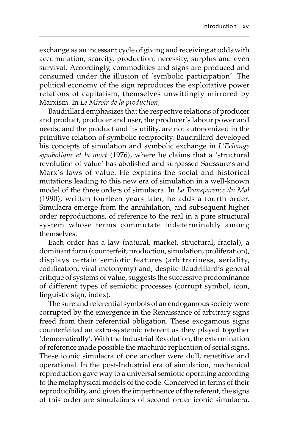exchange as an incessant cycle of giving and receiving at odds with accumulation, scarcity, production, necessity, surplus and even survival. Accordingly, commodities and signs are produced and consumed under the illusion of 'symbolic participation'. The political economy of the sign reproduces the exploitative power relations of capitalism, themselves unwittingly mirrored by Marxism. In *Le Miroir de la production,*

Baudrillard emphasizes that the respective relations of producer and product, producer and user, the producer's labour power and needs, and the product and its utility, are not autonomized in the primitive relation of symbolic reciprocity. Baudrillard developed his concepts of simulation and symbolic exchange in *L'Echange symbolique et la mort* (1976), where he claims that a 'structural revolution of value' has abolished and surpassed Saussure's and Marx's laws of value. He explains the social and historical mutations leading to this new era of simulation in a well-known model of the three orders of simulacra. In *La Transparence du Mal* (1990), written fourteen years later, he adds a fourth order. Simulacra emerge from the annihilation, and subsequent higher order reproductions, of reference to the real in a pure structural system whose terms commutate indeterminably among themselves.

Each order has a law (natural, market, structural, fractal), a dominant form (counterfeit, production, simulation, proliferation), displays certain semiotic features (arbitrariness, seriality, codification, viral metonymy) and, despite Baudrillard's general critique of systems of value, suggests the successive predominance of different types of semiotic processes (corrupt symbol, icon, linguistic sign, index).

The sure and referential symbols of an endogamous society were corrupted by the emergence in the Renaissance of arbitrary signs freed from their referential obligation. These exogamous signs counterfeited an extra-systemic referent as they played together 'democratically'. With the Industrial Revolution, the extermination of reference made possible the machinic replication of serial signs. These iconic simulacra of one another were dull, repetitive and operational. In the post-Industrial era of simulation, mechanical reproduction gave way to a universal semiotic operating according to the metaphysical models of the code. Conceived in terms of their reproducibility, and given the impertinence of the referent, the signs of this order are simulations of second order iconic simulacra.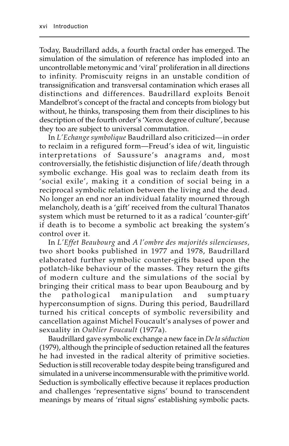Today, Baudrillard adds, a fourth fractal order has emerged. The simulation of the simulation of reference has imploded into an uncontrollable metonymic and 'viral' proliferation in all directions to infinity. Promiscuity reigns in an unstable condition of transsignification and transversal contamination which erases all distinctions and differences. Baudrillard exploits Benoit Mandelbrot's concept of the fractal and concepts from biology but without, he thinks, transposing them from their disciplines to his description of the fourth order's 'Xerox degree of culture', because they too are subject to universal commutation.

In *L'Echange symbolique* Baudrillard also criticized—in order to reclaim in a refigured form—Freud's idea of wit, linguistic interpretations of Saussure's anagrams and, most controversially, the fetishistic disjunction of life/death through symbolic exchange. His goal was to reclaim death from its 'social exile', making it a condition of social being in a reciprocal symbolic relation between the living and the dead. No longer an end nor an individual fatality mourned through melancholy, death is a 'gift' received from the cultural Thanatos system which must be returned to it as a radical 'counter-gift' if death is to become a symbolic act breaking the system's control over it.

In *L'Effet Beaubourg* and *A l'ombre des majorités silencieuses,* two short books published in 1977 and 1978, Baudrillard elaborated further symbolic counter-gifts based upon the potlatch-like behaviour of the masses. They return the gifts of modern culture and the simulations of the social by bringing their critical mass to bear upon Beaubourg and by the pathological manipulation and sumptuary hyperconsumption of signs. During this period, Baudrillard turned his critical concepts of symbolic reversibility and cancellation against Michel Foucault's analyses of power and sexuality in *Oublier Foucault* (1977a).

Baudrillard gave symbolic exchange a new face in *De la séduction* (1979), although the principle of seduction retained all the features he had invested in the radical alterity of primitive societies. Seduction is still recoverable today despite being transfigured and simulated in a universe incommensurable with the primitive world. Seduction is symbolically effective because it replaces production and challenges 'representative signs' bound to transcendent meanings by means of 'ritual signs' establishing symbolic pacts.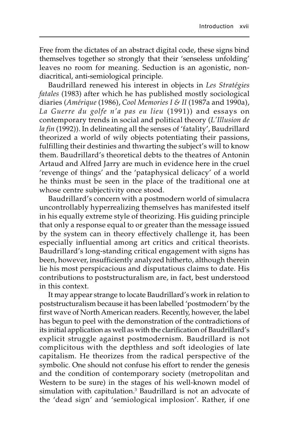Free from the dictates of an abstract digital code, these signs bind themselves together so strongly that their 'senseless unfolding' leaves no room for meaning. Seduction is an agonistic, nondiacritical, anti-semiological principle.

Baudrillard renewed his interest in objects in *Les Stratégies fatales* (1983) after which he has published mostly sociological diaries (*Amérique* (1986), *Cool Memories I & II* (1987a and 1990a), *La Guerre du golfe n'a pas eu lieu* (1991)) and essays on contemporary trends in social and political theory (*L'Illusion de la fin* (1992)). In delineating all the senses of 'fatality', Baudrillard theorized a world of wily objects potentiating their passions, fulfilling their destinies and thwarting the subject's will to know them. Baudrillard's theoretical debts to the theatres of Antonin Artaud and Alfred Jarry are much in evidence here in the cruel 'revenge of things' and the 'pataphysical delicacy' of a world he thinks must be seen in the place of the traditional one at whose centre subjectivity once stood.

Baudrillard's concern with a postmodern world of simulacra uncontrollably hyperrealizing themselves has manifested itself in his equally extreme style of theorizing. His guiding principle that only a response equal to or greater than the message issued by the system can in theory effectively challenge it, has been especially influential among art critics and critical theorists. Baudrillard's long-standing critical engagement with signs has been, however, insufficiently analyzed hitherto, although therein lie his most perspicacious and disputatious claims to date. His contributions to poststructuralism are, in fact, best understood in this context.

It may appear strange to locate Baudrillard's work in relation to poststructuralism because it has been labelled 'postmodern' by the first wave of North American readers. Recently, however, the label has begun to peel with the demonstration of the contradictions of its initial application as well as with the clarification of Baudrillard's explicit struggle against postmodernism. Baudrillard is not complicitous with the depthless and soft ideologies of late capitalism. He theorizes from the radical perspective of the symbolic. One should not confuse his effort to render the genesis and the condition of contemporary society (metropolitan and Western to be sure) in the stages of his well-known model of simulation with capitulation.<sup>3</sup> Baudrillard is not an advocate of the 'dead sign' and 'semiological implosion'. Rather, if one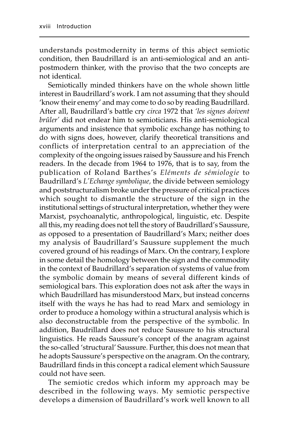understands postmodernity in terms of this abject semiotic condition, then Baudrillard is an anti-semiological and an antipostmodern thinker, with the proviso that the two concepts are not identical.

Semiotically minded thinkers have on the whole shown little interest in Baudrillard's work. I am not assuming that they should 'know their enemy' and may come to do so by reading Baudrillard. After all, Baudrillard's battle cry *circa* 1972 that *'les signes doivent brûler'* did not endear him to semioticians. His anti-semiological arguments and insistence that symbolic exchange has nothing to do with signs does, however, clarify theoretical transitions and conflicts of interpretation central to an appreciation of the complexity of the ongoing issues raised by Saussure and his French readers. In the decade from 1964 to 1976, that is to say, from the publication of Roland Barthes's *Eléments de sémiologie* to Baudrillard's *L'Echange symbolique,* the divide between semiology and poststructuralism broke under the pressure of critical practices which sought to dismantle the structure of the sign in the institutional settings of structural interpretation, whether they were Marxist, psychoanalytic, anthropological, linguistic, etc. Despite all this, my reading does not tell the story of Baudrillard's Saussure, as opposed to a presentation of Baudrillard's Marx; neither does my analysis of Baudrillard's Saussure supplement the much covered ground of his readings of Marx. On the contrary, I explore in some detail the homology between the sign and the commodity in the context of Baudrillard's separation of systems of value from the symbolic domain by means of several different kinds of semiological bars. This exploration does not ask after the ways in which Baudrillard has misunderstood Marx, but instead concerns itself with the ways he has had to read Marx and semiology in order to produce a homology within a structural analysis which is also deconstructable from the perspective of the symbolic. In addition, Baudrillard does not reduce Saussure to his structural linguistics. He reads Saussure's concept of the anagram against the so-called 'structural' Saussure. Further, this does not mean that he adopts Saussure's perspective on the anagram. On the contrary, Baudrillard finds in this concept a radical element which Saussure could not have seen.

The semiotic credos which inform my approach may be described in the following ways. My semiotic perspective develops a dimension of Baudrillard's work well known to all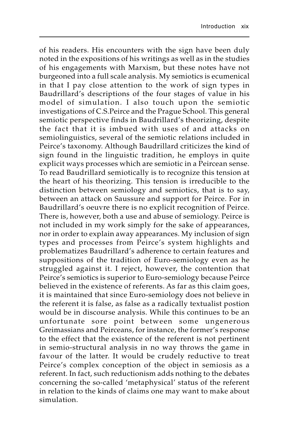of his readers. His encounters with the sign have been duly noted in the expositions of his writings as well as in the studies of his engagements with Marxism, but these notes have not burgeoned into a full scale analysis. My semiotics is ecumenical in that I pay close attention to the work of sign types in Baudrillard's descriptions of the four stages of value in his model of simulation. I also touch upon the semiotic investigations of C.S.Peirce and the Prague School. This general semiotic perspective finds in Baudrillard's theorizing, despite the fact that it is imbued with uses of and attacks on semiolinguistics, several of the semiotic relations included in Peirce's taxonomy. Although Baudrillard criticizes the kind of sign found in the linguistic tradition, he employs in quite explicit ways processes which are semiotic in a Peircean sense. To read Baudrillard semiotically is to recognize this tension at the heart of his theorizing. This tension is irreducible to the distinction between semiology and semiotics, that is to say, between an attack on Saussure and support for Peirce. For in Baudrillard's oeuvre there is no explicit recognition of Peirce. There is, however, both a use and abuse of semiology. Peirce is not included in my work simply for the sake of appearances, nor in order to explain away appearances. My inclusion of sign types and processes from Peirce's system highlights and problematizes Baudrillard's adherence to certain features and suppositions of the tradition of Euro-semiology even as he struggled against it. I reject, however, the contention that Peirce's semiotics is superior to Euro-semiology because Peirce believed in the existence of referents. As far as this claim goes, it is maintained that since Euro-semiology does not believe in the referent it is false, as false as a radically textualist postion would be in discourse analysis. While this continues to be an unfortunate sore point between some ungenerous Greimassians and Peirceans, for instance, the former's response to the effect that the existence of the referent is not pertinent in semio-structural analysis in no way throws the game in favour of the latter. It would be crudely reductive to treat Peirce's complex conception of the object in semiosis as a referent. In fact, such reductionism adds nothing to the debates concerning the so-called 'metaphysical' status of the referent in relation to the kinds of claims one may want to make about simulation.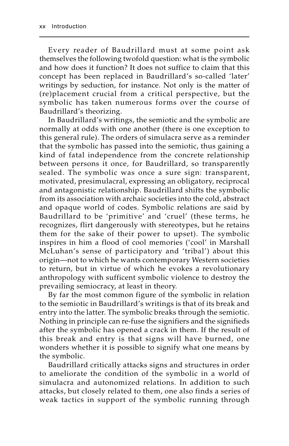Every reader of Baudrillard must at some point ask themselves the following twofold question: what is the symbolic and how does it function? It does not suffice to claim that this concept has been replaced in Baudrillard's so-called 'later' writings by seduction, for instance. Not only is the matter of (re)placement crucial from a critical perspective, but the symbolic has taken numerous forms over the course of Baudrillard's theorizing.

In Baudrillard's writings, the semiotic and the symbolic are normally at odds with one another (there is one exception to this general rule). The orders of simulacra serve as a reminder that the symbolic has passed into the semiotic, thus gaining a kind of fatal independence from the concrete relationship between persons it once, for Baudrillard, so transparently sealed. The symbolic was once a sure sign: transparent, motivated, presimulacral, expressing an obligatory, reciprocal and antagonistic relationship. Baudrillard shifts the symbolic from its association with archaic societies into the cold, abstract and opaque world of codes. Symbolic relations are said by Baudrillard to be 'primitive' and 'cruel' (these terms, he recognizes, flirt dangerously with stereotypes, but he retains them for the sake of their power to upset). The symbolic inspires in him a flood of cool memories ('cool' in Marshall McLuhan's sense of participatory and 'tribal') about this origin—not to which he wants contemporary Western societies to return, but in virtue of which he evokes a revolutionary anthropology with sufficent symbolic violence to destroy the prevailing semiocracy, at least in theory.

By far the most common figure of the symbolic in relation to the semiotic in Baudrillard's writings is that of its break and entry into the latter. The symbolic breaks through the semiotic. Nothing in principle can re-fuse the signifiers and the signifieds after the symbolic has opened a crack in them. If the result of this break and entry is that signs will have burned, one wonders whether it is possible to signify what one means by the symbolic.

Baudrillard critically attacks signs and structures in order to ameliorate the condition of the symbolic in a world of simulacra and autonomized relations. In addition to such attacks, but closely related to them, one also finds a series of weak tactics in support of the symbolic running through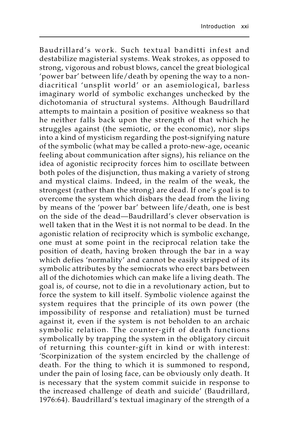Baudrillard's work. Such textual banditti infest and destabilize magisterial systems. Weak strokes, as opposed to strong, vigorous and robust blows, cancel the great biological 'power bar' between life/death by opening the way to a nondiacritical 'unsplit world' or an asemiological, barless imaginary world of symbolic exchanges unchecked by the dichotomania of structural systems. Although Baudrillard attempts to maintain a position of positive weakness so that he neither falls back upon the strength of that which he struggles against (the semiotic, or the economic), nor slips into a kind of mysticism regarding the post-signifying nature of the symbolic (what may be called a proto-new-age, oceanic feeling about communication after signs), his reliance on the idea of agonistic reciprocity forces him to oscillate between both poles of the disjunction, thus making a variety of strong and mystical claims. Indeed, in the realm of the weak, the strongest (rather than the strong) are dead. If one's goal is to overcome the system which disbars the dead from the living by means of the 'power bar' between life/death, one is best on the side of the dead—Baudrillard's clever observation is well taken that in the West it is not normal to be dead. In the agonistic relation of reciprocity which is symbolic exchange, one must at some point in the reciprocal relation take the position of death, having broken through the bar in a way which defies 'normality' and cannot be easily stripped of its symbolic attributes by the semiocrats who erect bars between all of the dichotomies which can make life a living death. The goal is, of course, not to die in a revolutionary action, but to force the system to kill itself. Symbolic violence against the system requires that the principle of its own power (the impossibility of response and retaliation) must be turned against it, even if the system is not beholden to an archaic symbolic relation. The counter-gift of death functions symbolically by trapping the system in the obligatory circuit of returning this counter-gift in kind or with interest: 'Scorpinization of the system encircled by the challenge of death. For the thing to which it is summoned to respond, under the pain of losing face, can be obviously only death. It is necessary that the system commit suicide in response to the increased challenge of death and suicide' (Baudrillard, 1976:64). Baudrillard's textual imaginary of the strength of a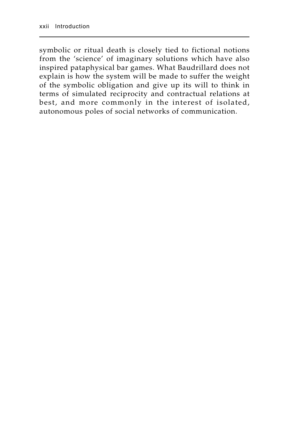symbolic or ritual death is closely tied to fictional notions from the 'science' of imaginary solutions which have also inspired pataphysical bar games. What Baudrillard does not explain is how the system will be made to suffer the weight of the symbolic obligation and give up its will to think in terms of simulated reciprocity and contractual relations at best, and more commonly in the interest of isolated, autonomous poles of social networks of communication.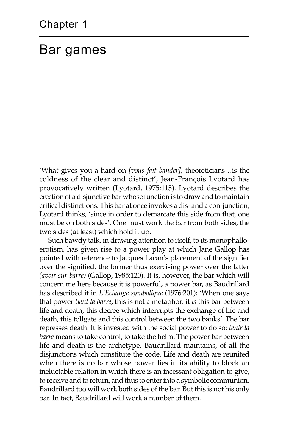#### Bar games

'What gives you a hard on *[vous fait bander],* theoreticians…is the coldness of the clear and distinct', Jean-François Lyotard has provocatively written (Lyotard, 1975:115). Lyotard describes the erection of a disjunctive bar whose function is to draw and to maintain critical distinctions. This bar at once invokes a dis- and a con-junction, Lyotard thinks, 'since in order to demarcate this side from that, one must be on both sides'. One must work the bar from both sides, the two sides (at least) which hold it up.

Such bawdy talk, in drawing attention to itself, to its monophalloerotism, has given rise to a power play at which Jane Gallop has pointed with reference to Jacques Lacan's placement of the signifier over the signified, the former thus exercising power over the latter *(avoir sur barre)* (Gallop, 1985:120). It is, however, the bar which will concern me here because it is powerful, a power bar, as Baudrillard has described it in *L'Echange symbolique* (1976:201): 'When one says that power *tient la barre*, this is not a metaphor: it *is* this bar between life and death, this decree which interrupts the exchange of life and death, this tollgate and this control between the two banks'. The bar represses death. It is invested with the social power to do so; *tenir la barre* means to take control, to take the helm. The power bar between life and death is the archetype, Baudrillard maintains, of all the disjunctions which constitute the code. Life and death are reunited when there is no bar whose power lies in its ability to block an ineluctable relation in which there is an incessant obligation to give, to receive and to return, and thus to enter into a symbolic communion. Baudrillard too will work both sides of the bar. But this is not his only bar. In fact, Baudrillard will work a number of them.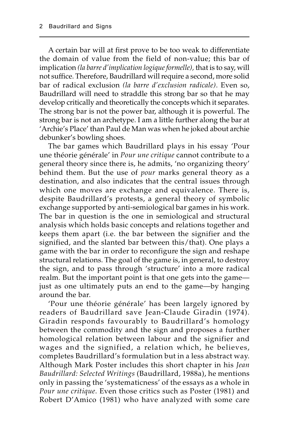A certain bar will at first prove to be too weak to differentiate the domain of value from the field of non-value; this bar of implication *(la barre d'implication logique formelle),* that is to say, will not suffice. Therefore, Baudrillard will require a second, more solid bar of radical exclusion *(la barre d'exclusion radicale)*. Even so, Baudrillard will need to straddle this strong bar so that he may develop critically and theoretically the concepts which it separates. The strong bar is not the power bar, although it is powerful. The strong bar is not an archetype. I am a little further along the bar at 'Archie's Place' than Paul de Man was when he joked about archie debunker's bowling shoes.

The bar games which Baudrillard plays in his essay 'Pour une théorie générale' in *Pour une critique* cannot contribute to a general theory since there is, he admits, 'no organizing theory' behind them. But the use of *pour* marks general theory as a destination, and also indicates that the central issues through which one moves are exchange and equivalence. There is, despite Baudrillard's protests, a general theory of symbolic exchange supported by anti-semiological bar games in his work. The bar in question is the one in semiological and structural analysis which holds basic concepts and relations together and keeps them apart (i.e. the bar between the signifier and the signified, and the slanted bar between this/that). One plays a game with the bar in order to reconfigure the sign and reshape structural relations. The goal of the game is, in general, to destroy the sign, and to pass through 'structure' into a more radical realm. But the important point is that one gets into the game just as one ultimately puts an end to the game—by hanging around the bar.

'Pour une théorie générale' has been largely ignored by readers of Baudrillard save Jean-Claude Giradin (1974). Giradin responds favourably to Baudrillard's homology between the commodity and the sign and proposes a further homological relation between labour and the signifier and wages and the signified, a relation which, he believes, completes Baudrillard's formulation but in a less abstract way. Although Mark Poster includes this short chapter in his *Jean Baudrillard: Selected Writings* (Baudrillard, 1988a), he mentions only in passing the 'systematicness' of the essays as a whole in *Pour une critique*. Even those critics such as Poster (1981) and Robert D'Amico (1981) who have analyzed with some care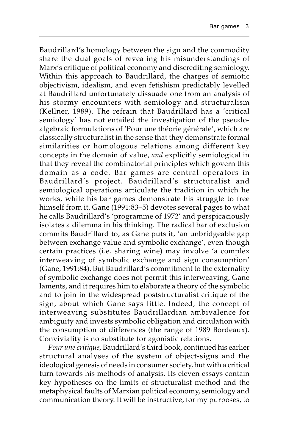Baudrillard's homology between the sign and the commodity share the dual goals of revealing his misunderstandings of Marx's critique of political economy and discrediting semiology. Within this approach to Baudrillard, the charges of semiotic objectivism, idealism, and even fetishism predictably levelled at Baudrillard unfortunately dissuade one from an analysis of his stormy encounters with semiology and structuralism (Kellner, 1989). The refrain that Baudrillard has a 'critical semiology' has not entailed the investigation of the pseudoalgebraic formulations of 'Pour une théorie générale', which are classically structuralist in the sense that they demonstrate formal similarities or homologous relations among different key concepts in the domain of value, *and* explicitly semiological in that they reveal the combinatorial principles which govern this domain as a code. Bar games are central operators in Baudrillard's project. Baudrillard's structuralist and semiological operations articulate the tradition in which he works, while his bar games demonstrate his struggle to free himself from it. Gane (1991:83–5) devotes several pages to what he calls Baudrillard's 'programme of 1972' and perspicaciously isolates a dilemma in his thinking. The radical bar of exclusion commits Baudrillard to, as Gane puts it, 'an unbridgeable gap between exchange value and symbolic exchange', even though certain practices (i.e. sharing wine) may involve 'a complex interweaving of symbolic exchange and sign consumption' (Gane, 1991:84). But Baudrillard's commitment to the externality of symbolic exchange does not permit this interweaving, Gane laments, and it requires him to elaborate a theory of the symbolic and to join in the widespread poststructuralist critique of the sign, about which Gane says little. Indeed, the concept of interweaving substitutes Baudrillardian ambivalence for ambiguity and invests symbolic obligation and circulation with the consumption of differences (the range of 1989 Bordeaux). Conviviality is no substitute for agonistic relations.

*Pour une critique,* Baudrillard's third book, continued his earlier structural analyses of the system of object-signs and the ideological genesis of needs in consumer society, but with a critical turn towards his methods of analysis. Its eleven essays contain key hypotheses on the limits of structuralist method and the metaphysical faults of Marxian political economy, semiology and communication theory. It will be instructive, for my purposes, to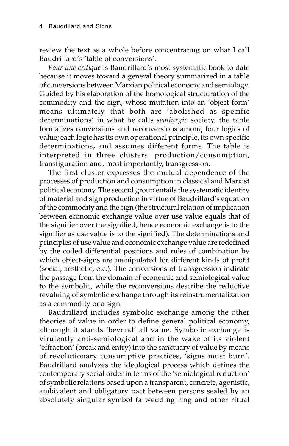review the text as a whole before concentrating on what I call Baudrillard's 'table of conversions'.

*Pour une critique* is Baudrillard's most systematic book to date because it moves toward a general theory summarized in a table of conversions between Marxian political economy and semiology. Guided by his elaboration of the homological structuration of the commodity and the sign, whose mutation into an 'object form' means ultimately that both are 'abolished as specific determinations' in what he calls *semiurgic* society, the table formalizes conversions and reconversions among four logics of value; each logic has its own operational principle, its own specific determinations, and assumes different forms. The table is interpreted in three clusters: production/consumption, transfiguration and, most importantly, transgression.

The first cluster expresses the mutual dependence of the processes of production and consumption in classical and Marxist political economy. The second group entails the systematic identity of material and sign production in virtue of Baudrillard's equation of the commodity and the sign (the structural relation of implication between economic exchange value over use value equals that of the signifier over the signified, hence economic exchange is to the signifier as use value is to the signified). The determinations and principles of use value and economic exchange value are redefined by the coded differential positions and rules of combination by which object-signs are manipulated for different kinds of profit (social, aesthetic, etc.). The conversions of transgression indicate the passage from the domain of economic and semiological value to the symbolic, while the reconversions describe the reductive revaluing of symbolic exchange through its reinstrumentalization as a commodity or a sign.

Baudrillard includes symbolic exchange among the other theories of value in order to define general political economy, although it stands 'beyond' all value. Symbolic exchange is virulently anti-semiological and in the wake of its violent 'effraction' (break and entry) into the sanctuary of value by means of revolutionary consumptive practices, 'signs must burn'. Baudrillard analyzes the ideological process which defines the contemporary social order in terms of the 'semiological reduction' of symbolic relations based upon a transparent, concrete, agonistic, ambivalent and obligatory pact between persons sealed by an absolutely singular symbol (a wedding ring and other ritual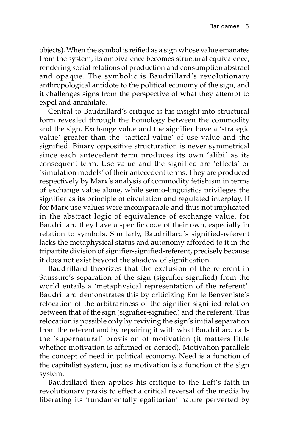objects). When the symbol is reified as a sign whose value emanates from the system, its ambivalence becomes structural equivalence, rendering social relations of production and consumption abstract and opaque. The symbolic is Baudrillard's revolutionary anthropological antidote to the political economy of the sign, and it challenges signs from the perspective of what they attempt to expel and annihilate.

Central to Baudrillard's critique is his insight into structural form revealed through the homology between the commodity and the sign. Exchange value and the signifier have a 'strategic value' greater than the 'tactical value' of use value and the signified. Binary oppositive structuration is never symmetrical since each antecedent term produces its own 'alibi' as its consequent term. Use value and the signified are 'effects' or 'simulation models' of their antecedent terms. They are produced respectively by Marx's analysis of commodity fetishism in terms of exchange value alone, while semio-linguistics privileges the signifier as its principle of circulation and regulated interplay. If for Marx use values were incomparable and thus not implicated in the abstract logic of equivalence of exchange value, for Baudrillard they have a specific code of their own, especially in relation to symbols. Similarly, Baudrillard's signified-referent lacks the metaphysical status and autonomy afforded to it in the tripartite division of signifier-signified-referent, precisely because it does not exist beyond the shadow of signification.

Baudrillard theorizes that the exclusion of the referent in Saussure's separation of the sign (signifier-signified) from the world entails a 'metaphysical representation of the referent'. Baudrillard demonstrates this by criticizing Emile Benveniste's relocation of the arbitrariness of the signifier-signified relation between that of the sign (signifier-signified) and the referent. This relocation is possible only by reviving the sign's initial separation from the referent and by repairing it with what Baudrillard calls the 'supernatural' provision of motivation (it matters little whether motivation is affirmed or denied). Motivation parallels the concept of need in political economy. Need is a function of the capitalist system, just as motivation is a function of the sign system.

Baudrillard then applies his critique to the Left's faith in revolutionary praxis to effect a critical reversal of the media by liberating its 'fundamentally egalitarian' nature perverted by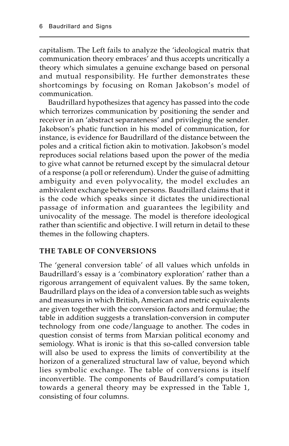capitalism. The Left fails to analyze the 'ideological matrix that communication theory embraces' and thus accepts uncritically a theory which simulates a genuine exchange based on personal and mutual responsibility. He further demonstrates these shortcomings by focusing on Roman Jakobson's model of communication.

Baudrillard hypothesizes that agency has passed into the code which terrorizes communication by positioning the sender and receiver in an 'abstract separateness' and privileging the sender. Jakobson's phatic function in his model of communication, for instance, is evidence for Baudrillard of the distance between the poles and a critical fiction akin to motivation. Jakobson's model reproduces social relations based upon the power of the media to give what cannot be returned except by the simulacral detour of a response (a poll or referendum). Under the guise of admitting ambiguity and even polyvocality, the model excludes an ambivalent exchange between persons. Baudrillard claims that it is the code which speaks since it dictates the unidirectional passage of information and guarantees the legibility and univocality of the message. The model is therefore ideological rather than scientific and objective. I will return in detail to these themes in the following chapters.

#### **THE TABLE OF CONVERSIONS**

The 'general conversion table' of all values which unfolds in Baudrillard's essay is a 'combinatory exploration' rather than a rigorous arrangement of equivalent values. By the same token, Baudrillard plays on the idea of a conversion table such as weights and measures in which British, American and metric equivalents are given together with the conversion factors and formulae; the table in addition suggests a translation-conversion in computer technology from one code/language to another. The codes in question consist of terms from Marxian political economy and semiology. What is ironic is that this so-called conversion table will also be used to express the limits of convertibility at the horizon of a generalized structural law of value, beyond which lies symbolic exchange. The table of conversions is itself inconvertible. The components of Baudrillard's computation towards a general theory may be expressed in the Table 1, consisting of four columns.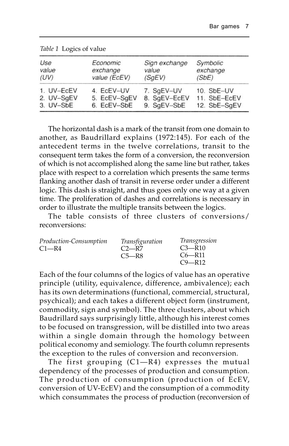| Use        | Economic     | Sign exchange | Symbolic     |
|------------|--------------|---------------|--------------|
| value      | exchange     | value         | exchange     |
| (UV)       | value (EcEV) | (SqEV)        | (SbE)        |
| 1. UV-EcEV | 4. EcEV-UV   | 7. SqEV-UV    | 10. SbE-UV   |
| 2. UV-SgEV | 5. EcEV-SgEV | 8. SgEV-EcEV  | 11. SbE-EcEV |
| 3. UV-SbE  | 6. EcEV-SbE  | 9. SqEV-SbE   | 12. SbE-SgEV |

*Table 1* Logics of value

The horizontal dash is a mark of the transit from one domain to another, as Baudrillard explains (1972:145). For each of the antecedent terms in the twelve correlations, transit to the consequent term takes the form of a conversion, the reconversion of which is not accomplished along the same line but rather, takes place with respect to a correlation which presents the same terms flanking another dash of transit in reverse order under a different logic. This dash is straight, and thus goes only one way at a given time. The proliferation of dashes and correlations is necessary in order to illustrate the multiple transits between the logics.

The table consists of three clusters of conversions/ reconversions:

| Production-Consumption | <b>Transfiguration</b> | Transgression |
|------------------------|------------------------|---------------|
| C1—R4                  | $C2-R7$                | $C3$ —R10     |
|                        | $C5-R8$                | $C6 - R11$    |
|                        |                        | $C9 - R12$    |

Each of the four columns of the logics of value has an operative principle (utility, equivalence, difference, ambivalence); each has its own determinations (functional, commercial, structural, psychical); and each takes a different object form (instrument, commodity, sign and symbol). The three clusters, about which Baudrillard says surprisingly little, although his interest comes to be focused on transgression, will be distilled into two areas within a single domain through the homology between political economy and semiology. The fourth column represents the exception to the rules of conversion and reconversion.

The first grouping (C1—R4) expresses the mutual dependency of the processes of production and consumption. The production of consumption (production of EcEV, conversion of UV-EcEV) and the consumption of a commodity which consummates the process of production (reconversion of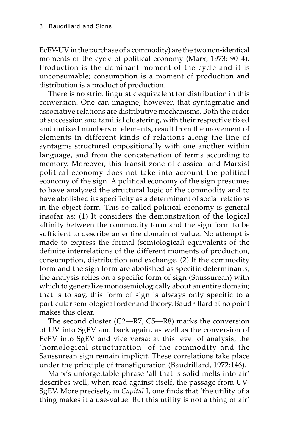EcEV-UV in the purchase of a commodity) are the two non-identical moments of the cycle of political economy (Marx, 1973: 90–4). Production is the dominant moment of the cycle and it is unconsumable; consumption is a moment of production and distribution is a product of production.

There is no strict linguistic equivalent for distribution in this conversion. One can imagine, however, that syntagmatic and associative relations are distributive mechanisms. Both the order of succession and familial clustering, with their respective fixed and unfixed numbers of elements, result from the movement of elements in different kinds of relations along the line of syntagms structured oppositionally with one another within language, and from the concatenation of terms according to memory. Moreover, this transit zone of classical and Marxist political economy does not take into account the political economy of the sign. A political economy of the sign presumes to have analyzed the structural logic of the commodity and to have abolished its specificity as a determinant of social relations in the object form. This so-called political economy is general insofar as: (1) It considers the demonstration of the logical affinity between the commodity form and the sign form to be sufficient to describe an entire domain of value. No attempt is made to express the formal (semiological) equivalents of the definite interrelations of the different moments of production, consumption, distribution and exchange. (2) If the commodity form and the sign form are abolished as specific determinants, the analysis relies on a specific form of sign (Saussurean) with which to generalize monosemiologically about an entire domain; that is to say, this form of sign is always only specific to a particular semiological order and theory. Baudrillard at no point makes this clear.

The second cluster (C2—R7; C5—R8) marks the conversion of UV into SgEV and back again, as well as the conversion of EcEV into SgEV and vice versa; at this level of analysis, the 'homological structuration' of the commodity and the Saussurean sign remain implicit. These correlations take place under the principle of transfiguration (Baudrillard, 1972:146).

Marx's unforgettable phrase 'all that is solid melts into air' describes well, when read against itself, the passage from UV-SgEV. More precisely, in *Capital* I, one finds that 'the utility of a thing makes it a use-value. But this utility is not a thing of air'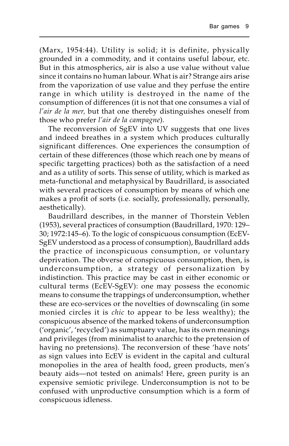(Marx, 1954:44). Utility is solid; it is definite, physically grounded in a commodity, and it contains useful labour, etc. But in this atmospherics, air is also a use value without value since it contains no human labour. What is air? Strange airs arise from the vaporization of use value and they perfuse the entire range in which utility is destroyed in the name of the consumption of differences (it is not that one consumes a vial of *l'air de la mer,* but that one thereby distinguishes oneself from those who prefer *l'air de la campagne*).

The reconversion of SgEV into UV suggests that one lives and indeed breathes in a system which produces culturally significant differences. One experiences the consumption of certain of these differences (those which reach one by means of specific targetting practices) both as the satisfaction of a need and as a utility of sorts. This sense of utility, which is marked as meta-functional and metaphysical by Baudrillard, is associated with several practices of consumption by means of which one makes a profit of sorts (i.e. socially, professionally, personally, aesthetically).

Baudrillard describes, in the manner of Thorstein Veblen (1953), several practices of consumption (Baudrillard, 1970: 129– 30; 1972:145–6). To the logic of conspicuous consumption (EcEV-SgEV understood as a process of consumption), Baudrillard adds the practice of inconspicuous consumption, or voluntary deprivation. The obverse of conspicuous consumption, then, is underconsumption, a strategy of personalization by indistinction. This practice may be cast in either economic or cultural terms (EcEV-SgEV): one may possess the economic means to consume the trappings of underconsumption, whether these are eco-services or the novelties of downscaling (in some monied circles it is *chic* to appear to be less wealthy); the conspicuous absence of the marked tokens of underconsumption ('organic', 'recycled') as sumptuary value, has its own meanings and privileges (from minimalist to anarchic to the pretension of having no pretensions). The reconversion of these 'have nots' as sign values into EcEV is evident in the capital and cultural monopolies in the area of health food, green products, men's beauty aids—not tested on animals! Here, green purity is an expensive semiotic privilege. Underconsumption is not to be confused with unproductive consumption which is a form of conspicuous idleness.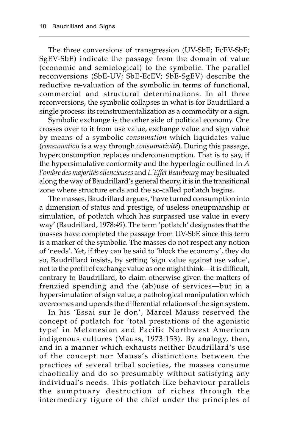The three conversions of transgression (UV-SbE; EcEV-SbE; SgEV-SbE) indicate the passage from the domain of value (economic and semiological) to the symbolic. The parallel reconversions (SbE-UV; SbE-EcEV; SbE-SgEV) describe the reductive re-valuation of the symbolic in terms of functional, commercial and structural determinations. In all three reconversions, the symbolic collapses in what is for Baudrillard a single process: its reinstrumentalization as a commodity or a sign.

Symbolic exchange is the other side of political economy. One crosses over to it from use value, exchange value and sign value by means of a symbolic *consumation* which liquidates value (*consumation* is a way through *consumativité*). During this passage, hyperconsumption replaces underconsumption. That is to say, if the hypersimulative conformity and the hyperlogic outlined in *A l'ombre des majorités silencieuses* and *L'Effet Beaubourg* may be situated along the way of Baudrillard's general theory, it is in the transitional zone where structure ends and the so-called potlatch begins.

The masses, Baudrillard argues, 'have turned consumption into a dimension of status and prestige, of useless oneupmanship or simulation, of potlatch which has surpassed use value in every way' (Baudrillard, 1978:49). The term 'potlatch' designates that the masses have completed the passage from UV-SbE since this term is a marker of the symbolic. The masses do not respect any notion of 'needs'. Yet, if they can be said to 'block the economy', they do so, Baudrillard insists, by setting 'sign value against use value', not to the profit of exchange value as one might think—it is difficult, contrary to Baudrillard, to claim otherwise given the matters of frenzied spending and the (ab)use of services—but in a hypersimulation of sign value, a pathological manipulation which overcomes and upends the differential relations of the sign system.

In his 'Essai sur le don', Marcel Mauss reserved the concept of potlatch for 'total prestations of the agonistic type' in Melanesian and Pacific Northwest American indigenous cultures (Mauss, 1973:153). By analogy, then, and in a manner which exhausts neither Baudrillard's use of the concept nor Mauss's distinctions between the practices of several tribal societies, the masses consume chaotically and do so presumably without satisfying any individual's needs. This potlatch-like behaviour parallels the sumptuary destruction of riches through the intermediary figure of the chief under the principles of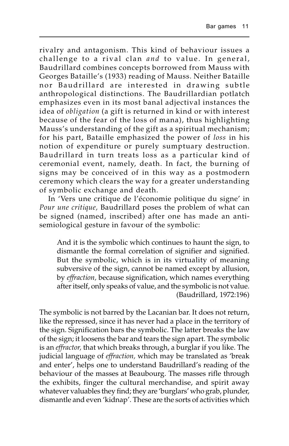rivalry and antagonism. This kind of behaviour issues a challenge to a rival clan *and* to value. In general, Baudrillard combines concepts borrowed from Mauss with Georges Bataille's (1933) reading of Mauss. Neither Bataille nor Baudrillard are interested in drawing subtle anthropological distinctions. The Baudrillardian potlatch emphasizes even in its most banal adjectival instances the idea of *obligation* (a gift is returned in kind or with interest because of the fear of the loss of mana), thus highlighting Mauss's understanding of the gift as a spiritual mechanism; for his part, Bataille emphasized the power of *loss* in his notion of expenditure or purely sumptuary destruction. Baudrillard in turn treats loss as a particular kind of ceremonial event, namely, death. In fact, the burning of signs may be conceived of in this way as a postmodern ceremony which clears the way for a greater understanding of symbolic exchange and death.

In 'Vers une critique de l'économie politique du signe' in *Pour une critique,* Baudrillard poses the problem of what can be signed (named, inscribed) after one has made an antisemiological gesture in favour of the symbolic:

And it is the symbolic which continues to haunt the sign, to dismantle the formal correlation of signifier and signified. But the symbolic, which is in its virtuality of meaning subversive of the sign, cannot be named except by allusion, by *effraction,* because signification, which names everything after itself, only speaks of value, and the symbolic is not value. (Baudrillard, 1972:196)

The symbolic is not barred by the Lacanian bar. It does not return, like the repressed, since it has never had a place in the territory of the sign. Signification bars the symbolic. The latter breaks the law of the sign; it loosens the bar and tears the sign apart. The symbolic is an *effractor,* that which breaks through, a burglar if you like. The judicial language of *effraction,* which may be translated as 'break and enter', helps one to understand Baudrillard's reading of the behaviour of the masses at Beaubourg. The masses rifle through the exhibits, finger the cultural merchandise, and spirit away whatever valuables they find; they are 'burglars' who grab, plunder, dismantle and even 'kidnap'. These are the sorts of activities which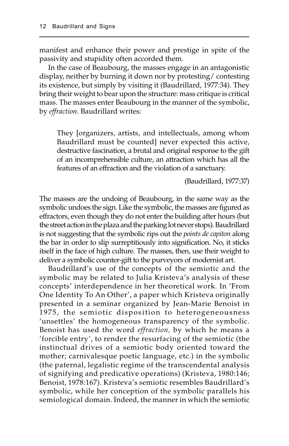manifest and enhance their power and prestige in spite of the passivity and stupidity often accorded them.

In the case of Beaubourg, the masses engage in an antagonistic display, neither by burning it down nor by protesting/ contesting its existence, but simply by visiting it (Baudrillard, 1977:34). They bring their weight to bear upon the structure: mass critique is critical mass. The masses enter Beaubourg in the manner of the symbolic, by *effraction*. Baudrillard writes:

They [organizers, artists, and intellectuals, among whom Baudrillard must be counted] never expected this active, destructive fascination, a brutal and original response to the gift of an incomprehensible culture, an attraction which has all the features of an effraction and the violation of a sanctuary.

(Baudrillard, 1977:37)

The masses are the undoing of Beaubourg, in the same way as the symbolic undoes the sign. Like the symbolic, the masses are figured as effractors, even though they do not enter the building after hours (but the street action in the plaza and the parking lot never stops). Baudrillard is not suggesting that the symbolic rips out the *points de capiton* along the bar in order to slip surreptitiously into signification. No, it sticks itself in the face of high culture. The masses, then, use their weight to deliver a symbolic counter-gift to the purveyors of modernist art.

Baudrillard's use of the concepts of the semiotic and the symbolic may be related to Julia Kristeva's analysis of these concepts' interdependence in her theoretical work. In 'From One Identity To An Other', a paper which Kristeva originally presented in a seminar organized by Jean-Marie Benoist in 1975, the semiotic disposition to heterogeneousness 'unsettles' the homogeneous transparency of the symbolic. Benoist has used the word *effraction,* by which he means a 'forcible entry', to render the resurfacing of the semiotic (the instinctual drives of a semiotic body oriented toward the mother; carnivalesque poetic language, etc.) in the symbolic (the paternal, legalistic regime of the transcendental analysis of signifying and predicative operations) (Kristeva, 1980:146; Benoist, 1978:167). Kristeva's semiotic resembles Baudrillard's symbolic, while her conception of the symbolic parallels his semiological domain. Indeed, the manner in which the semiotic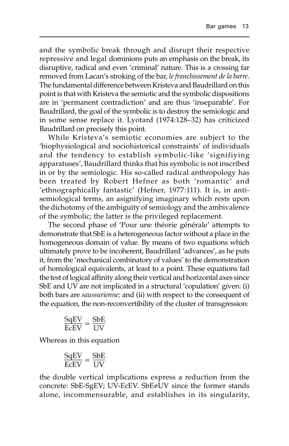and the symbolic break through and disrupt their respective repressive and legal dominions puts an emphasis on the break, its disruptive, radical and even 'criminal' nature. This is a crossing far removed from Lacan's stroking of the bar, *le franchissement de la barre*. The fundamental difference between Kristeva and Baudrillard on this point is that with Kristeva the semiotic and the symbolic dispositions are in 'permanent contradiction' and are thus 'inseparable'. For Baudrillard, the goal of the symbolic is to destroy the semiologic and in some sense replace it. Lyotard (1974:128–32) has criticized Baudrillard on precisely this point.

While Kristeva's semiotic economies are subject to the 'biophysiological and sociohistorical constraints' of individuals and the tendency to establish symbolic-like 'signifiying apparatuses', Baudrillard thinks that his symbolic is not inscribed in or by the semiologic. His so-called radical anthropology has been treated by Robert Hefner as both 'romantic' and 'ethnographically fantastic' (Hefner, 1977:111). It is, in antisemiological terms, an asignifying imaginary which rests upon the dichotomy of the ambiguity of semiology and the ambivalence of the symbolic; the latter is the privileged replacement.

The second phase of 'Pour une théorie générale' attempts to demonstrate that SbE is a heterogeneous factor without a place in the homogeneous domain of value. By means of two equations which ultimately prove to be incoherent, Baudrillard 'advances', as he puts it, from the 'mechanical combinatory of values' to the demonstration of homological equivalents, at least to a point. These equations fail the test of logical affinity along their vertical and horizontal axes since SbE and UV are not implicated in a structural 'copulation' given: (i) both bars are *saussurienne;* and (ii) with respect to the consequent of the equation, the non-reconvertibility of the cluster of transgression:

$$
\frac{SqEV}{EcEV} = \frac{SbE}{UV}
$$

Whereas in this equation

$$
\frac{SqEV}{EcEV} = \frac{SbE}{UV}
$$

the double vertical implications express a reduction from the concrete: SbE-SgEV; UV-EcEV. SbE≠UV since the former stands alone, incommensurable, and establishes in its singularity,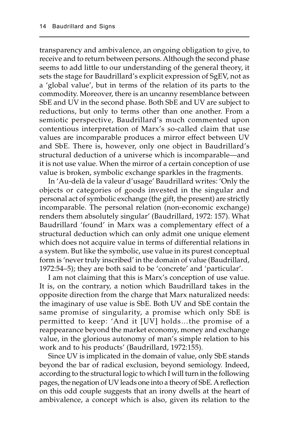transparency and ambivalence, an ongoing obligation to give, to receive and to return between persons. Although the second phase seems to add little to our understanding of the general theory, it sets the stage for Baudrillard's explicit expression of SgEV, not as a 'global value', but in terms of the relation of its parts to the commodity. Moreover, there is an uncanny resemblance between SbE and UV in the second phase. Both SbE and UV are subject to reductions, but only to terms other than one another. From a semiotic perspective, Baudrillard's much commented upon contentious interpretation of Marx's so-called claim that use values are incomparable produces a mirror effect between UV and SbE. There is, however, only one object in Baudrillard's structural deduction of a universe which is incomparable—and it is not use value. When the mirror of a certain conception of use value is broken, symbolic exchange sparkles in the fragments.

In 'Au-delà de la valeur d'usage' Baudrillard writes: 'Only the objects or categories of goods invested in the singular and personal act of symbolic exchange (the gift, the present) are strictly incomparable. The personal relation (non-economic exchange) renders them absolutely singular' (Baudrillard, 1972: 157). What Baudrillard 'found' in Marx was a complementary effect of a structural deduction which can only admit one unique element which does not acquire value in terms of differential relations in a system. But like the symbolic, use value in its purest conceptual form is 'never truly inscribed' in the domain of value (Baudrillard, 1972:54–5); they are both said to be 'concrete' and 'particular'.

I am not claiming that this is Marx's conception of use value. It is, on the contrary, a notion which Baudrillard takes in the opposite direction from the charge that Marx naturalized needs: the imaginary of use value is SbE. Both UV and SbE contain the same promise of singularity, a promise which only SbE is permitted to keep: 'And it [UV] holds…the promise of a reappearance beyond the market economy, money and exchange value, in the glorious autonomy of man's simple relation to his work and to his products' (Baudrillard, 1972:155).

Since UV is implicated in the domain of value, only SbE stands beyond the bar of radical exclusion, beyond semiology. Indeed, according to the structural logic to which I will turn in the following pages, the negation of UV leads one into a theory of SbE. A reflection on this odd couple suggests that an irony dwells at the heart of ambivalence, a concept which is also, given its relation to the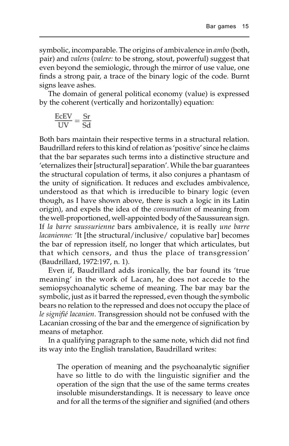symbolic, incomparable. The origins of ambivalence in *ambo* (both, pair) and *valens* (*valere:* to be strong, stout, powerful) suggest that even beyond the semiologic, through the mirror of use value, one finds a strong pair, a trace of the binary logic of the code. Burnt signs leave ashes.

The domain of general political economy (value) is expressed by the coherent (vertically and horizontally) equation:

$$
\frac{EcEV}{UV} = \frac{Sr}{Sd}
$$

Both bars maintain their respective terms in a structural relation. Baudrillard refers to this kind of relation as 'positive' since he claims that the bar separates such terms into a distinctive structure and 'eternalizes their [structural] separation'. While the bar guarantees the structural copulation of terms, it also conjures a phantasm of the unity of signification. It reduces and excludes ambivalence, understood as that which is irreducible to binary logic (even though, as I have shown above, there is such a logic in its Latin origin), and expels the idea of the *consumation* of meaning from the well-proportioned, well-appointed body of the Saussurean sign. If *la barre saussurienne* bars ambivalence, it is really *une barre lacanienne:* 'It [the structural/inclusive/ copulative bar] becomes the bar of repression itself, no longer that which articulates, but that which censors, and thus the place of transgression' (Baudrillard, 1972:197, n. 1).

Even if, Baudrillard adds ironically, the bar found its 'true meaning' in the work of Lacan, he does not accede to the semiopsychoanalytic scheme of meaning. The bar may bar the symbolic, just as it barred the repressed, even though the symbolic bears no relation to the repressed and does not occupy the place of *le signifié lacanien*. Transgression should not be confused with the Lacanian crossing of the bar and the emergence of signification by means of metaphor.

In a qualifying paragraph to the same note, which did not find its way into the English translation, Baudrillard writes:

The operation of meaning and the psychoanalytic signifier have so little to do with the linguistic signifier and the operation of the sign that the use of the same terms creates insoluble misunderstandings. It is necessary to leave once and for all the terms of the signifier and signified (and others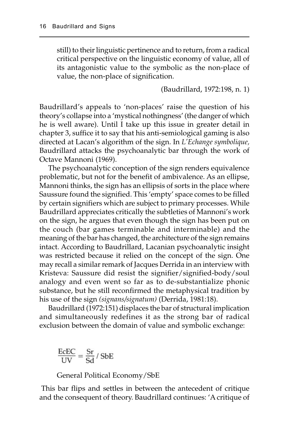still) to their linguistic pertinence and to return, from a radical critical perspective on the linguistic economy of value, all of its antagonistic value to the symbolic as the non-place of value, the non-place of signification.

(Baudrillard, 1972:198, n. 1)

Baudrillard's appeals to 'non-places' raise the question of his theory's collapse into a 'mystical nothingness' (the danger of which he is well aware). Until I take up this issue in greater detail in chapter 3, suffice it to say that his anti-semiological gaming is also directed at Lacan's algorithm of the sign. In *L'Echange symbolique,* Baudrillard attacks the psychoanalytic bar through the work of Octave Mannoni (1969).

The psychoanalytic conception of the sign renders equivalence problematic, but not for the benefit of ambivalence. As an ellipse, Mannoni thinks, the sign has an ellipsis of sorts in the place where Saussure found the signified. This 'empty' space comes to be filled by certain signifiers which are subject to primary processes. While Baudrillard appreciates critically the subtleties of Mannoni's work on the sign, he argues that even though the sign has been put on the couch (bar games terminable and interminable) and the meaning of the bar has changed, the architecture of the sign remains intact. According to Baudrillard, Lacanian psychoanalytic insight was restricted because it relied on the concept of the sign. One may recall a similar remark of Jacques Derrida in an interview with Kristeva: Saussure did resist the signifier/signified-body/soul analogy and even went so far as to de-substantialize phonic substance, but he still reconfirmed the metaphysical tradition by his use of the sign *(signans/signatum)* (Derrida, 1981:18).

Baudrillard (1972:151) displaces the bar of structural implication and simultaneously redefines it as the strong bar of radical exclusion between the domain of value and symbolic exchange:

 $\frac{\text{EcEC}}{\text{UV}} = \frac{\text{Sr}}{\text{Sd}}$  / SbE

General Political Economy/SbE

 This bar flips and settles in between the antecedent of critique and the consequent of theory. Baudrillard continues: 'A critique of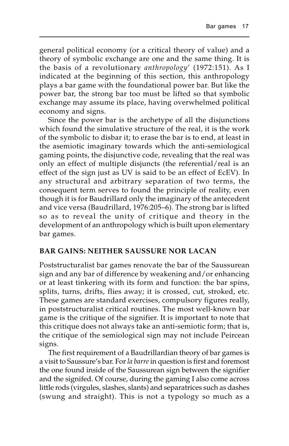general political economy (or a critical theory of value) and a theory of symbolic exchange are one and the same thing. It is the basis of a revolutionary *anthropology*' (1972:151). As I indicated at the beginning of this section, this anthropology plays a bar game with the foundational power bar. But like the power bar, the strong bar too must be lifted so that symbolic exchange may assume its place, having overwhelmed political economy and signs.

Since the power bar is the archetype of all the disjunctions which found the simulative structure of the real, it is the work of the symbolic to disbar it; to erase the bar is to end, at least in the asemiotic imaginary towards which the anti-semiological gaming points, the disjunctive code, revealing that the real was only an effect of multiple disjuncts (the referential/real is an effect of the sign just as UV is said to be an effect of EcEV). In any structural and arbitrary separation of two terms, the consequent term serves to found the principle of reality, even though it is for Baudrillard only the imaginary of the antecedent and vice versa (Baudrillard, 1976:205–6). The strong bar is lifted so as to reveal the unity of critique and theory in the development of an anthropology which is built upon elementary bar games.

# **BAR GAINS: NEITHER SAUSSURE NOR LACAN**

Poststructuralist bar games renovate the bar of the Saussurean sign and any bar of difference by weakening and/or enhancing or at least tinkering with its form and function: the bar spins, splits, turns, drifts, flies away; it is crossed, cut, stroked, etc. These games are standard exercises, compulsory figures really, in poststructuralist critical routines. The most well-known bar game is the critique of the signifier. It is important to note that this critique does not always take an anti-semiotic form; that is, the critique of the semiological sign may not include Peircean signs.

The first requirement of a Baudrillardian theory of bar games is a visit to Saussure's bar. For *la barre* in question is first and foremost the one found inside of the Saussurean sign between the signifier and the signifed. Of course, during the gaming I also come across little rods (virgules, slashes, slants) and separatrices such as dashes (swung and straight). This is not a typology so much as a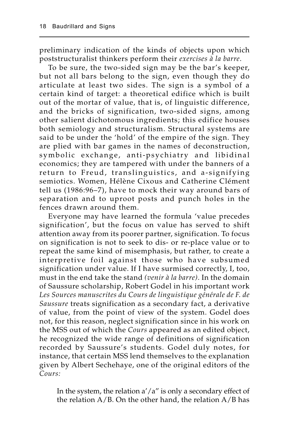preliminary indication of the kinds of objects upon which poststructuralist thinkers perform their *exercises à la barre*.

To be sure, the two-sided sign may be the bar's keeper, but not all bars belong to the sign, even though they do articulate at least two sides. The sign is a symbol of a certain kind of target: a theoretical edifice which is built out of the mortar of value, that is, of linguistic difference, and the bricks of signification, two-sided signs, among other salient dichotomous ingredients; this edifice houses both semiology and structuralism. Structural systems are said to be under the 'hold' of the empire of the sign. They are plied with bar games in the names of deconstruction, symbolic exchange, anti-psychiatry and libidinal economics; they are tampered with under the banners of a return to Freud, translinguistics, and a-signifying semiotics. Women, Hélène Cixous and Catherine Clément tell us (1986:96–7), have to mock their way around bars of separation and to uproot posts and punch holes in the fences drawn around them.

Everyone may have learned the formula 'value precedes signification', but the focus on value has served to shift attention away from its poorer partner, signification. To focus on signification is not to seek to dis- or re-place value or to repeat the same kind of misemphasis, but rather, to create a interpretive foil against those who have subsumed signification under value. If I have surmised correctly, I, too, must in the end take the stand *(venir à la barre)*. In the domain of Saussure scholarship, Robert Godel in his important work *Les Sources manuscrites du Cours de linguistique générale de F. de Saussure* treats signification as a secondary fact, a derivative of value, from the point of view of the system. Godel does not, for this reason, neglect signification since in his work on the MSS out of which the *Cours* appeared as an edited object, he recognized the wide range of definitions of signification recorded by Saussure's students. Godel duly notes, for instance, that certain MSS lend themselves to the explanation given by Albert Sechehaye, one of the original editors of the *Cours:*

In the system, the relation  $a'/a''$  is only a secondary effect of the relation  $A/B$ . On the other hand, the relation  $A/B$  has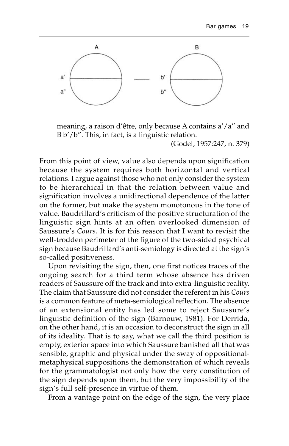

meaning, a raison d'être, only because A contains a'/a" and B b'/b". This, in fact, is a linguistic relation.

(Godel, 1957:247, n. 379)

From this point of view, value also depends upon signification because the system requires both horizontal and vertical relations. I argue against those who not only consider the system to be hierarchical in that the relation between value and signification involves a unidirectional dependence of the latter on the former, but make the system monotonous in the tone of value. Baudrillard's criticism of the positive structuration of the linguistic sign hints at an often overlooked dimension of Saussure's *Cours*. It is for this reason that I want to revisit the well-trodden perimeter of the figure of the two-sided psychical sign because Baudrillard's anti-semiology is directed at the sign's so-called positiveness.

Upon revisiting the sign, then, one first notices traces of the ongoing search for a third term whose absence has driven readers of Saussure off the track and into extra-linguistic reality. The claim that Saussure did not consider the referent in his *Cours* is a common feature of meta-semiological reflection. The absence of an extensional entity has led some to reject Saussure's linguistic definition of the sign (Barnouw, 1981). For Derrida, on the other hand, it is an occasion to deconstruct the sign in all of its ideality. That is to say, what we call the third position is empty, exterior space into which Saussure banished all that was sensible, graphic and physical under the sway of oppositionalmetaphysical suppositions the demonstration of which reveals for the grammatologist not only how the very constitution of the sign depends upon them, but the very impossibility of the sign's full self-presence in virtue of them.

From a vantage point on the edge of the sign, the very place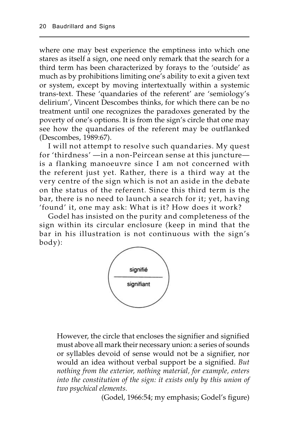where one may best experience the emptiness into which one stares as itself a sign, one need only remark that the search for a third term has been characterized by forays to the 'outside' as much as by prohibitions limiting one's ability to exit a given text or system, except by moving intertextually within a systemic trans-text. These 'quandaries of the referent' are 'semiology's delirium', Vincent Descombes thinks, for which there can be no treatment until one recognizes the paradoxes generated by the poverty of one's options. It is from the sign's circle that one may see how the quandaries of the referent may be outflanked (Descombes, 1989:67).

I will not attempt to resolve such quandaries. My quest for 'thirdness' —in a non-Peircean sense at this juncture is a flanking manoeuvre since I am not concerned with the referent just yet. Rather, there is a third way at the very centre of the sign which is not an aside in the debate on the status of the referent. Since this third term is the bar, there is no need to launch a search for it; yet, having 'found' it, one may ask: What is it? How does it work?

Godel has insisted on the purity and completeness of the sign within its circular enclosure (keep in mind that the bar in his illustration is not continuous with the sign's body):



However, the circle that encloses the signifier and signified must above all mark their necessary union: a series of sounds or syllables devoid of sense would not be a signifier, nor would an idea without verbal support be a signified. *But nothing from the exterior, nothing material, for example, enters into the constitution of the sign: it exists only by this union of two psychical elements.*

(Godel, 1966:54; my emphasis; Godel's figure)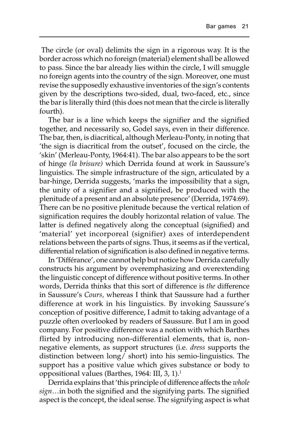The circle (or oval) delimits the sign in a rigorous way. It is the border across which no foreign (material) element shall be allowed to pass. Since the bar already lies within the circle, I will smuggle no foreign agents into the country of the sign. Moreover, one must revise the supposedly exhaustive inventories of the sign's contents given by the descriptions two-sided, dual, two-faced, etc., since the bar is literally third (this does not mean that the circle is literally fourth).

The bar is a line which keeps the signifier and the signified together, and necessarily so, Godel says, even in their difference. The bar, then, is diacritical, although Merleau-Ponty, in noting that 'the sign is diacritical from the outset', focused on the circle, the 'skin' (Merleau-Ponty, 1964:41). The bar also appears to be the sort of hinge *(la brisure)* which Derrida found at work in Saussure's linguistics. The simple infrastructure of the sign, articulated by a bar-hinge, Derrida suggests, 'marks the impossibility that a sign, the unity of a signifier and a signified, be produced with the plenitude of a present and an absolute presence' (Derrida, 1974:69). There can be no positive plenitude because the vertical relation of signification requires the doubly horizontal relation of value. The latter is defined negatively along the conceptual (signified) and 'material' yet incorporeal (signifier) axes of interdependent relations between the parts of signs. Thus, it seems as if the vertical, differential relation of signification is also defined in negative terms.

In 'Différance', one cannot help but notice how Derrida carefully constructs his argument by overemphasizing and overextending the linguistic concept of difference without positive terms. In other words, Derrida thinks that this sort of difference is *the* difference in Saussure's *Cours,* whereas I think that Saussure had a further difference at work in his linguistics. By invoking Saussure's conception of positive difference, I admit to taking advantage of a puzzle often overlooked by readers of Saussure. But I am in good company. For positive difference was a notion with which Barthes flirted by introducing non-differential elements, that is, nonnegative elements, as support structures (i.e. *dress* supports the distinction between long/ short) into his semio-linguistics. The support has a positive value which gives substance or body to oppositional values (Barthes, 1964: III, 3, 1).1

Derrida explains that 'this principle of difference affects the *whole sign*…in both the signified and the signifying parts. The signified aspect is the concept, the ideal sense. The signifying aspect is what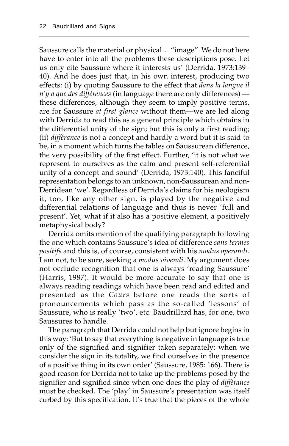Saussure calls the material or physical… "image". We do not here have to enter into all the problems these descriptions pose. Let us only cite Saussure where it interests us' (Derrida, 1973:139– 40). And he does just that, in his own interest, producing two effects: (i) by quoting Saussure to the effect that *dans la langue il n'y a que des différences* (in language there are only differences) these differences, although they seem to imply positive terms, are for Saussure *at first glance* without them—we are led along with Derrida to read this as a general principle which obtains in the differential unity of the sign; but this is only a first reading; (ii) *différance* is not a concept and hardly a word but it is said to be, in a moment which turns the tables on Saussurean difference, the very possibility of the first effect. Further, 'it is not what we represent to ourselves as the calm and present self-referential unity of a concept and sound' (Derrida, 1973:140). This fanciful representation belongs to an unknown, non-Saussurean and non-Derridean 'we'. Regardless of Derrida's claims for his neologism it, too, like any other sign, is played by the negative and differential relations of language and thus is never 'full and present'. Yet, what if it also has a positive element, a positively metaphysical body?

Derrida omits mention of the qualifying paragraph following the one which contains Saussure's idea of difference *sans termes positifs* and this is, of course, consistent with his *modus operandi*. I am not, to be sure, seeking a *modus vivendi*. My argument does not occlude recognition that one is always 'reading Saussure' (Harris, 1987). It would be more accurate to say that one is always reading readings which have been read and edited and presented as the *Cours* before one reads the sorts of pronouncements which pass as the so-called 'lessons' of Saussure, who is really 'two', etc. Baudrillard has, for one, two Saussures to handle.

The paragraph that Derrida could not help but ignore begins in this way: 'But to say that everything is negative in language is true only of the signified and signifier taken separately: when we consider the sign in its totality, we find ourselves in the presence of a positive thing in its own order' (Saussure, 1985: 166). There is good reason for Derrida not to take up the problems posed by the signifier and signified since when one does the play of *différance* must be checked. The 'play' in Saussure's presentation was itself curbed by this specification. It's true that the pieces of the whole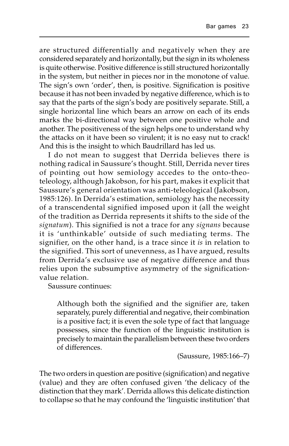are structured differentially and negatively when they are considered separately and horizontally, but the sign in its wholeness is quite otherwise. Positive difference is still structured horizontally in the system, but neither in pieces nor in the monotone of value. The sign's own 'order', then, is positive. Signification is positive because it has not been invaded by negative difference, which is to say that the parts of the sign's body are positively separate. Still, a single horizontal line which bears an arrow on each of its ends marks the bi-directional way between one positive whole and another. The positiveness of the sign helps one to understand why the attacks on it have been so virulent; it is no easy nut to crack! And this is the insight to which Baudrillard has led us.

I do not mean to suggest that Derrida believes there is nothing radical in Saussure's thought. Still, Derrida never tires of pointing out how semiology accedes to the onto-theoteleology, although Jakobson, for his part, makes it explicit that Saussure's general orientation was anti-teleological (Jakobson, 1985:126). In Derrida's estimation, semiology has the necessity of a transcendental signified imposed upon it (all the weight of the tradition as Derrida represents it shifts to the side of the *signatum*). This signified is not a trace for any *signans* because it is 'unthinkable' outside of such mediating terms. The signifier, on the other hand, is a trace since it *is* in relation to the signified. This sort of unevenness, as I have argued, results from Derrida's exclusive use of negative difference and thus relies upon the subsumptive asymmetry of the significationvalue relation.

Saussure continues:

Although both the signified and the signifier are, taken separately, purely differential and negative, their combination is a positive fact; it is even the sole type of fact that language possesses, since the function of the linguistic institution is precisely to maintain the parallelism between these two orders of differences.

(Saussure, 1985:166–7)

The two orders in question are positive (signification) and negative (value) and they are often confused given 'the delicacy of the distinction that they mark'. Derrida allows this delicate distinction to collapse so that he may confound the 'linguistic institution' that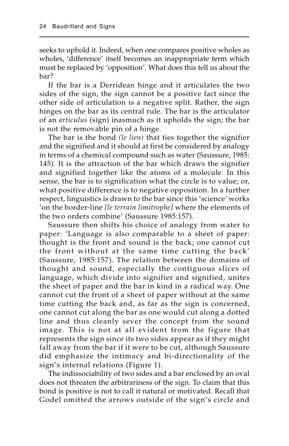seeks to uphold it. Indeed, when one compares positive wholes as wholes, 'difference' itself becomes an inappropriate term which must be replaced by 'opposition'. What does this tell us about the bar?

If the bar is a Derridean hinge and it articulates the two sides of the sign, the sign cannot be a positive fact since the other side of articulation is a negative split. Rather, the sign hinges on the bar as its central rule. The bar is the articulator of an *articulus* (sign) inasmuch as it upholds the sign; the bar is not the removable pin of a hinge.

The bar is the bond *(le lien)* that ties together the signifier and the signified and it should at first be considered by analogy in terms of a chemical compound such as water (Saussure, 1985: 145). It is the attraction of the bar which draws the signifier and signified together like the atoms of a molecule. In this sense, the bar is to signification what the circle is to value; or, what positive difference is to negative opposition. In a further respect, linguistics is drawn to the bar since this 'science' works 'on the border-line *[le terrain limitrophe]* where the elements of the two orders combine' (Saussure 1985:157).

Saussure then shifts his choice of analogy from water to paper: 'Language is also comparable to a sheet of paper: thought is the front and sound is the back; one cannot cut the front without at the same time cutting the back' (Saussure, 1985:157). The relation between the domains of thought and sound, especially the contiguous slices of language, which divide into signifier and signified, unites the sheet of paper and the bar in kind in a radical way. One cannot cut the front of a sheet of paper without at the same time cutting the back and, as far as the sign is concerned, one cannot cut along the bar as one would cut along a dotted line and thus cleanly sever the concept from the sound image. This is not at all evident from the figure that represents the sign since its two sides appear as if they might fall away from the bar if it were to be cut, although Saussure did emphasize the intimacy and bi-directionality of the sign's internal relations (Figure 1).

The indissociability of two sides and a bar enclosed by an oval does not threaten the arbitrariness of the sign. To claim that this bond is positive is not to call it natural or motivated. Recall that Godel omitted the arrows outside of the sign's circle and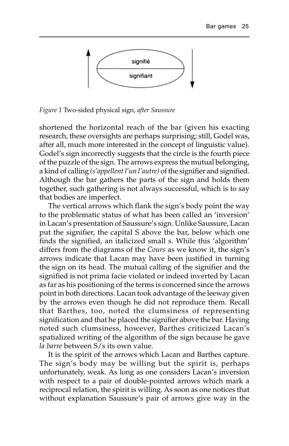

*Figure 1* Two-sided physical sign, *after Saussure*

shortened the horizontal reach of the bar (given his exacting research, these oversights are perhaps surprising; still, Godel was, after all, much more interested in the concept of linguistic value). Godel's sign incorrectly suggests that the circle is the fourth piece of the puzzle of the sign. The arrows express the mutual belonging, a kind of calling *(s'appellent l'un l'autre)* of the signifier and signified. Although the bar gathers the parts of the sign and holds them together, such gathering is not always successful, which is to say that bodies are imperfect.

The vertical arrows which flank the sign's body point the way to the problematic status of what has been called an 'inversion' in Lacan's presentation of Saussure's sign. Unlike Saussure, Lacan put the signifier, the capital S above the bar, below which one finds the signified, an italicized small s. While this 'algorithm' differs from the diagrams of the *Cours* as we know it, the sign's arrows indicate that Lacan may have been justified in turning the sign on its head. The mutual calling of the signifier and the signified is not prima facie violated or indeed inverted by Lacan as far as his positioning of the terms is concerned since the arrows point in both directions. Lacan took advantage of the leeway given by the arrows even though he did not reproduce them. Recall that Barthes, too, noted the clumsiness of representing signification and that he placed the signifier above the bar. Having noted such clumsiness, however, Barthes criticized Lacan's spatialized writing of the algorithm of the sign because he gave *la barre* between S/s its own value.

It is the spirit of the arrows which Lacan and Barthes capture. The sign's body may be willing but the spirit is, perhaps unfortunately, weak. As long as one considers Lacan's inversion with respect to a pair of double-pointed arrows which mark a reciprocal relation, the spirit is willing. As soon as one notices that without explanation Saussure's pair of arrows give way in the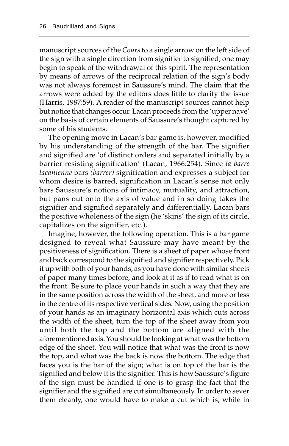manuscript sources of the *Cours* to a single arrow on the left side of the sign with a single direction from signifier to signified, one may begin to speak of the withdrawal of this spirit. The representation by means of arrows of the reciprocal relation of the sign's body was not always foremost in Saussure's mind. The claim that the arrows were added by the editors does little to clarify the issue (Harris, 1987:59). A reader of the manuscript sources cannot help but notice that changes occur. Lacan proceeds from the 'upper nave' on the basis of certain elements of Saussure's thought captured by some of his students.

The opening move in Lacan's bar game is, however, modified by his understanding of the strength of the bar. The signifier and signified are 'of distinct orders and separated initially by a barrier resisting signification' (Lacan, 1966:254). Since *la barre lacanienne* bars *(barrer)* signification and expresses a subject for whom desire is barred, signification in Lacan's sense not only bars Saussure's notions of intimacy, mutuality, and attraction, but pans out onto the axis of value and in so doing takes the signifier and signified separately and differentially. Lacan bars the positive wholeness of the sign (he 'skins' the sign of its circle, capitalizes on the signifier, etc.).

Imagine, however, the following operation. This is a bar game designed to reveal what Saussure may have meant by the positiveness of signification. There is a sheet of paper whose front and back correspond to the signified and signifier respectively. Pick it up with both of your hands, as you have done with similar sheets of paper many times before, and look at it as if to read what is on the front. Be sure to place your hands in such a way that they are in the same position across the width of the sheet, and more or less in the centre of its respective vertical sides. Now, using the position of your hands as an imaginary horizontal axis which cuts across the width of the sheet, turn the top of the sheet away from you until both the top and the bottom are aligned with the aforementioned axis. You should be looking at what was the bottom edge of the sheet. You will notice that what was the front is now the top, and what was the back is now the bottom. The edge that faces you is the bar of the sign; what is on top of the bar is the signified and below it is the signifier. This is how Saussure's figure of the sign must be handled if one is to grasp the fact that the signifier and the signified are cut simultaneously. In order to sever them cleanly, one would have to make a cut which is, while in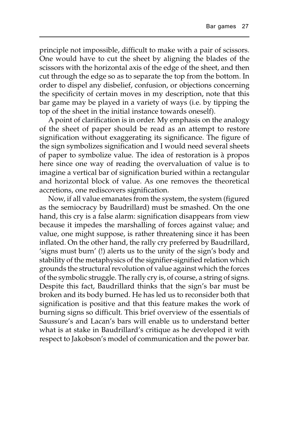principle not impossible, difficult to make with a pair of scissors. One would have to cut the sheet by aligning the blades of the scissors with the horizontal axis of the edge of the sheet, and then cut through the edge so as to separate the top from the bottom. In order to dispel any disbelief, confusion, or objections concerning the specificity of certain moves in my description, note that this bar game may be played in a variety of ways (i.e. by tipping the top of the sheet in the initial instance towards oneself).

A point of clarification is in order. My emphasis on the analogy of the sheet of paper should be read as an attempt to restore signification without exaggerating its significance. The figure of the sign symbolizes signification and I would need several sheets of paper to symbolize value. The idea of restoration is à propos here since one way of reading the overvaluation of value is to imagine a vertical bar of signification buried within a rectangular and horizontal block of value. As one removes the theoretical accretions, one rediscovers signification.

Now, if all value emanates from the system, the system (figured as the semiocracy by Baudrillard) must be smashed. On the one hand, this cry is a false alarm: signification disappears from view because it impedes the marshalling of forces against value; and value, one might suppose, is rather threatening since it has been inflated. On the other hand, the rally cry preferred by Baudrillard, 'signs must burn' (!) alerts us to the unity of the sign's body and stability of the metaphysics of the signifier-signified relation which grounds the structural revolution of value against which the forces of the symbolic struggle. The rally cry is, of course, a string of signs. Despite this fact, Baudrillard thinks that the sign's bar must be broken and its body burned. He has led us to reconsider both that signification is positive and that this feature makes the work of burning signs so difficult. This brief overview of the essentials of Saussure's and Lacan's bars will enable us to understand better what is at stake in Baudrillard's critique as he developed it with respect to Jakobson's model of communication and the power bar.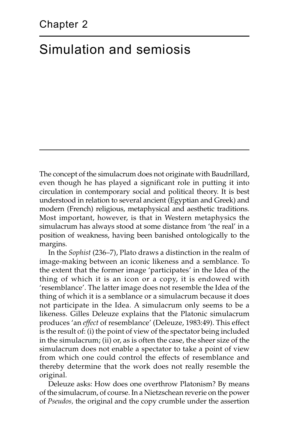# Simulation and semiosis

The concept of the simulacrum does not originate with Baudrillard, even though he has played a significant role in putting it into circulation in contemporary social and political theory. It is best understood in relation to several ancient (Egyptian and Greek) and modern (French) religious, metaphysical and aesthetic traditions. Most important, however, is that in Western metaphysics the simulacrum has always stood at some distance from 'the real' in a position of weakness, having been banished ontologically to the margins.

In the *Sophist* (236–7), Plato draws a distinction in the realm of image-making between an iconic likeness and a semblance. To the extent that the former image 'participates' in the Idea of the thing of which it is an icon or a copy, it is endowed with 'resemblance'. The latter image does not resemble the Idea of the thing of which it is a semblance or a simulacrum because it does not participate in the Idea. A simulacrum only seems to be a likeness. Gilles Deleuze explains that the Platonic simulacrum produces 'an *effect* of resemblance' (Deleuze, 1983:49). This effect is the result of: (i) the point of view of the spectator being included in the simulacrum; (ii) or, as is often the case, the sheer size of the simulacrum does not enable a spectator to take a point of view from which one could control the effects of resemblance and thereby determine that the work does not really resemble the original.

Deleuze asks: How does one overthrow Platonism? By means of the simulacrum, of course. In a Nietzschean reverie on the power of *Pseudos,* the original and the copy crumble under the assertion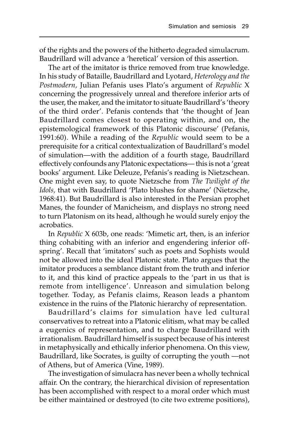of the rights and the powers of the hitherto degraded simulacrum. Baudrillard will advance a 'heretical' version of this assertion.

The art of the imitator is thrice removed from true knowledge. In his study of Bataille, Baudrillard and Lyotard, *Heterology and the Postmodern,* Julian Pefanis uses Plato's argument of *Republic* X concerning the progressively unreal and therefore inferior arts of the user, the maker, and the imitator to situate Baudrillard's 'theory of the third order'. Pefanis contends that 'the thought of Jean Baudrillard comes closest to operating within, and on, the epistemological framework of this Platonic discourse' (Pefanis, 1991:60). While a reading of the *Republic* would seem to be a prerequisite for a critical contextualization of Baudrillard's model of simulation—with the addition of a fourth stage, Baudrillard effectively confounds any Platonic expectations— this is not a 'great books' argument. Like Deleuze, Pefanis's reading is Nietzschean. One might even say, to quote Nietzsche from *The Twilight of the Idols,* that with Baudrillard 'Plato blushes for shame' (Nietzsche, 1968:41). But Baudrillard is also interested in the Persian prophet Manes, the founder of Manicheism, and displays no strong need to turn Platonism on its head, although he would surely enjoy the acrobatics.

In *Republic* X 603b, one reads: 'Mimetic art, then, is an inferior thing cohabiting with an inferior and engendering inferior offspring'. Recall that 'imitators' such as poets and Sophists would not be allowed into the ideal Platonic state. Plato argues that the imitator produces a semblance distant from the truth and inferior to it, and this kind of practice appeals to the 'part in us that is remote from intelligence'. Unreason and simulation belong together. Today, as Pefanis claims, Reason leads a phantom existence in the ruins of the Platonic hierarchy of representation.

Baudrillard's claims for simulation have led cultural conservatives to retreat into a Platonic elitism, what may be called a eugenics of representation, and to charge Baudrillard with irrationalism. Baudrillard himself is suspect because of his interest in metaphysically and ethically inferior phenomena. On this view, Baudrillard, like Socrates, is guilty of corrupting the youth —not of Athens, but of America (Vine, 1989).

The investigation of simulacra has never been a wholly technical affair. On the contrary, the hierarchical division of representation has been accomplished with respect to a moral order which must be either maintained or destroyed (to cite two extreme positions),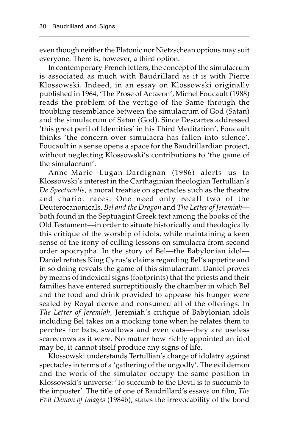even though neither the Platonic nor Nietzschean options may suit everyone. There is, however, a third option.

In contemporary French letters, the concept of the simulacrum is associated as much with Baudrillard as it is with Pierre Klossowski. Indeed, in an essay on Klossowski originally published in 1964, 'The Prose of Actaeon', Michel Foucault (1988) reads the problem of the vertigo of the Same through the troubling resemblance between the simulacrum of God (Satan) and the simulacrum of Satan (God). Since Descartes addressed 'this great peril of Identities' in his Third Meditation', Foucault thinks 'the concern over simulacra has fallen into silence'. Foucault in a sense opens a space for the Baudrillardian project, without neglecting Klossowski's contributions to 'the game of the simulacrum'.

Anne-Marie Lugan-Dardignan (1986) alerts us to Klossowski's interest in the Carthaginian theologian Tertullian's *De Spectaculis,* a moral treatise on spectacles such as the theatre and chariot races. One need only recall two of the Deuterocanonicals, *Bel and the Dragon* and *The Letter of Jeremiah* both found in the Septuagint Greek text among the books of the Old Testament—in order to situate historically and theologically this critique of the worship of idols, while maintaining a keen sense of the irony of culling lessons on simulacra from second order apocrypha. In the story of Bel—the Babylonian idol— Daniel refutes King Cyrus's claims regarding Bel's appetite and in so doing reveals the game of this simulacrum. Daniel proves by means of indexical signs (footprints) that the priests and their families have entered surreptitiously the chamber in which Bel and the food and drink provided to appease his hunger were sealed by Royal decree and consumed all of the offerings. In *The Letter of Jeremiah,* Jeremiah's critique of Babylonian idols including Bel takes on a mocking tone when he relates them to perches for bats, swallows and even cats—they are useless scarecrows as it were. No matter how richly appointed an idol may be, it cannot itself produce any signs of life.

Klossowski understands Tertullian's charge of idolatry against spectacles in terms of a 'gathering of the ungodly'. The evil demon and the work of the simulator occupy the same position in Klossowski's universe: 'To succumb to the Devil is to succumb to the imposter'. The title of one of Baudrillard's essays on film, *The Evil Demon of Images* (1984b), states the irrevocability of the bond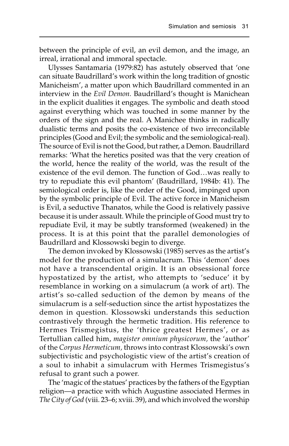between the principle of evil, an evil demon, and the image, an irreal, irrational and immoral spectacle.

Ulysses Santamaria (1979:82) has astutely observed that 'one can situate Baudrillard's work within the long tradition of gnostic Manicheism', a matter upon which Baudrillard commented in an interview in the *Evil Demon.* Baudrillard's thought is Manichean in the explicit dualities it engages. The symbolic and death stood against everything which was touched in some manner by the orders of the sign and the real. A Manichee thinks in radically dualistic terms and posits the co-existence of two irreconcilable principles (Good and Evil; the symbolic and the semiological-real). The source of Evil is not the Good, but rather, a Demon. Baudrillard remarks: 'What the heretics posited was that the very creation of the world, hence the reality of the world, was the result of the existence of the evil demon. The function of God…was really to try to repudiate this evil phantom' (Baudrillard, 1984b: 41). The semiological order is, like the order of the Good, impinged upon by the symbolic principle of Evil. The active force in Manicheism is Evil, a seductive Thanatos, while the Good is relatively passive because it is under assault. While the principle of Good must try to repudiate Evil, it may be subtly transformed (weakened) in the process. It is at this point that the parallel demonologies of Baudrillard and Klossowski begin to diverge.

The demon invoked by Klossowski (1985) serves as the artist's model for the production of a simulacrum. This 'demon' does not have a transcendental origin. It is an obsessional force hypostatized by the artist, who attempts to 'seduce' it by resemblance in working on a simulacrum (a work of art). The artist's so-called seduction of the demon by means of the simulacrum is a self-seduction since the artist hypostatizes the demon in question. Klossowski understands this seduction contrastively through the hermetic tradition. His reference to Hermes Trismegistus, the 'thrice greatest Hermes', or as Tertullian called him, *magister omnium physicorum,* the 'author' of the *Corpus Hermeticum,* throws into contrast Klossowski's own subjectivistic and psychologistic view of the artist's creation of a soul to inhabit a simulacrum with Hermes Trismegistus's refusal to grant such a power.

The 'magic of the statues' practices by the fathers of the Egyptian religion—a practice with which Augustine associated Hermes in *The City of God* (viii. 23–6; xviii. 39), and which involved the worship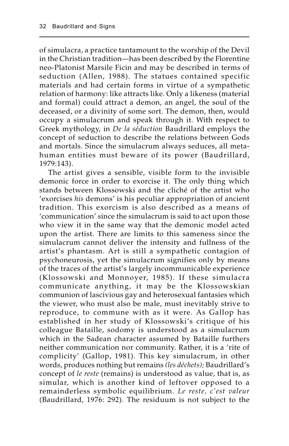of simulacra, a practice tantamount to the worship of the Devil in the Christian tradition—has been described by the Florentine neo-Platonist Marsile Ficin and may be described in terms of seduction (Allen, 1988). The statues contained specific materials and had certain forms in virtue of a sympathetic relation of harmony: like attracts like. Only a likeness (material and formal) could attract a demon, an angel, the soul of the deceased, or a divinity of some sort. The demon, then, would occupy a simulacrum and speak through it. With respect to Greek mythology, in *De la séduction* Baudrillard employs the concept of seduction to describe the relations between Gods and mortals. Since the simulacrum always seduces, all metahuman entities must beware of its power (Baudrillard, 1979:143).

The artist gives a sensible, visible form to the invisible demonic force in order to exorcise it. The only thing which stands between Klossowski and the cliché of the artist who 'exorcises *his* demons' is his peculiar appropriation of ancient tradition. This exorcism is also described as a means of 'communication' since the simulacrum is said to act upon those who view it in the same way that the demonic model acted upon the artist. There are limits to this sameness since the simulacrum cannot deliver the intensity and fullness of the artist's phantasm. Art is still a sympathetic contagion of psychoneurosis, yet the simulacrum signifies only by means of the traces of the artist's largely incommunicable experience (Klossowski and Monnoyer, 1985). If these simulacra communicate anything, it may be the Klossowskian communion of lascivious gay and heterosexual fantasies which the viewer, who must also be male, must inevitably strive to reproduce, to commune with as it were. As Gallop has established in her study of Klossowski's critique of his colleague Bataille, sodomy is understood as a simulacrum which in the Sadean character assumed by Bataille furthers neither communication nor community. Rather, it is a 'rite of complicity' (Gallop, 1981). This key simulacrum, in other words, produces nothing but remains *(les déchets);* Baudrillard's concept of *le reste* (remains) is understood as value, that is, as simular, which is another kind of leftover opposed to a remainderless symbolic equilibrium. *Le reste, c'est valeur* (Baudrillard, 1976: 292). The residuum is not subject to the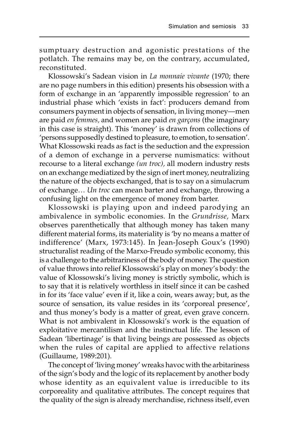sumptuary destruction and agonistic prestations of the potlatch. The remains may be, on the contrary, accumulated, reconstituted.

Klossowski's Sadean vision in *La monnaie vivante* (1970; there are no page numbers in this edition) presents his obsession with a form of exchange in an 'apparently impossible regression' to an industrial phase which 'exists in fact': producers demand from consumers payment in objects of sensation, in living money—men are paid *en femmes,* and women are paid *en garçons* (the imaginary in this case is straight). This 'money' is drawn from collections of 'persons supposedly destined to pleasure, to emotion, to sensation'. What Klossowski reads as fact is the seduction and the expression of a demon of exchange in a perverse numismatics: without recourse to a literal exchange *(un troc),* all modern industry rests on an exchange mediatized by the sign of inert money, neutralizing the nature of the objects exchanged, that is to say on a simulacrum of exchange… *Un troc* can mean barter and exchange, throwing a confusing light on the emergence of money from barter.

Klossowski is playing upon and indeed parodying an ambivalence in symbolic economies. In the *Grundrisse,* Marx observes parenthetically that although money has taken many different material forms, its materiality is 'by no means a matter of indifference' (Marx, 1973:145). In Jean-Joseph Goux's (1990) structuralist reading of the Marxo-Freudo symbolic economy, this is a challenge to the arbitrariness of the body of money. The question of value throws into relief Klossowski's play on money's body: the value of Klossowski's living money is strictly symbolic, which is to say that it is relatively worthless in itself since it can be cashed in for its 'face value' even if it, like a coin, wears away; but, as the source of sensation, its value resides in its 'corporeal presence', and thus money's body is a matter of great, even grave concern. What is not ambivalent in Klossowski's work is the equation of exploitative mercantilism and the instinctual life. The lesson of Sadean 'libertinage' is that living beings are possessed as objects when the rules of capital are applied to affective relations (Guillaume, 1989:201).

The concept of 'living money' wreaks havoc with the arbitariness of the sign's body and the logic of its replacement by another body whose identity as an equivalent value is irreducible to its corporeality and qualitative attributes. The concept requires that the quality of the sign is already merchandise, richness itself, even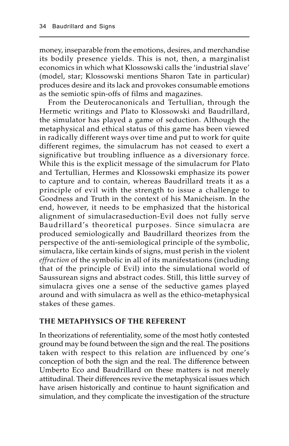money, inseparable from the emotions, desires, and merchandise its bodily presence yields. This is not, then, a marginalist economics in which what Klossowski calls the 'industrial slave' (model, star; Klossowski mentions Sharon Tate in particular) produces desire and its lack and provokes consumable emotions as the semiotic spin-offs of films and magazines.

From the Deuterocanonicals and Tertullian, through the Hermetic writings and Plato to Klossowski and Baudrillard, the simulator has played a game of seduction. Although the metaphysical and ethical status of this game has been viewed in radically different ways over time and put to work for quite different regimes, the simulacrum has not ceased to exert a significative but troubling influence as a diversionary force. While this is the explicit message of the simulacrum for Plato and Tertullian, Hermes and Klossowski emphasize its power to capture and to contain, whereas Baudrillard treats it as a principle of evil with the strength to issue a challenge to Goodness and Truth in the context of his Manicheism. In the end, however, it needs to be emphasized that the historical alignment of simulacraseduction-Evil does not fully serve Baudrillard's theoretical purposes. Since simulacra are produced semiologically and Baudrillard theorizes from the perspective of the anti-semiological principle of the symbolic, simulacra, like certain kinds of signs, must perish in the violent *effraction* of the symbolic in all of its manifestations (including that of the principle of Evil) into the simulational world of Saussurean signs and abstract codes. Still, this little survey of simulacra gives one a sense of the seductive games played around and with simulacra as well as the ethico-metaphysical stakes of these games.

### **THE METAPHYSICS OF THE REFERENT**

In theorizations of referentiality, some of the most hotly contested ground may be found between the sign and the real. The positions taken with respect to this relation are influenced by one's conception of both the sign and the real. The difference between Umberto Eco and Baudrillard on these matters is not merely attitudinal. Their differences revive the metaphysical issues which have arisen historically and continue to haunt signification and simulation, and they complicate the investigation of the structure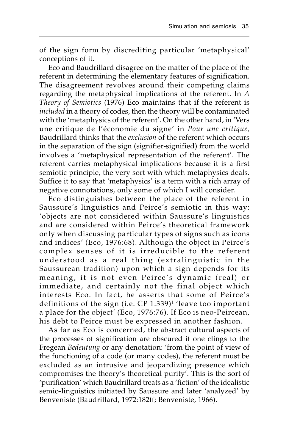of the sign form by discrediting particular 'metaphysical' conceptions of it.

Eco and Baudrillard disagree on the matter of the place of the referent in determining the elementary features of signification. The disagreement revolves around their competing claims regarding the metaphysical implications of the referent. In *A Theory of Semiotics* (1976) Eco maintains that if the referent is *included* in a theory of codes, then the theory will be contaminated with the 'metaphysics of the referent'. On the other hand, in 'Vers une critique de l'économie du signe' in *Pour une critique,* Baudrillard thinks that the *exclusion* of the referent which occurs in the separation of the sign (signifier-signified) from the world involves a 'metaphysical representation of the referent'. The referent carries metaphysical implications because it is a first semiotic principle, the very sort with which metaphysics deals. Suffice it to say that 'metaphysics' is a term with a rich array of negative connotations, only some of which I will consider.

Eco distinguishes between the place of the referent in Saussure's linguistics and Peirce's semiotic in this way: 'objects are not considered within Saussure's linguistics and are considered within Peirce's theoretical framework only when discussing particular types of signs such as icons and indices' (Eco, 1976:68). Although the object in Peirce's complex senses of it is irreducible to the referent understood as a real thing (extralinguistic in the Saussurean tradition) upon which a sign depends for its meaning, it is not even Peirce's dynamic (real) or immediate, and certainly not the final object which interests Eco. In fact, he asserts that some of Peirce's definitions of the sign (i.e. CP 1:339)<sup>1</sup> 'leave too important a place for the object' (Eco, 1976:76). If Eco is neo-Peircean, his debt to Peirce must be expressed in another fashion.

As far as Eco is concerned, the abstract cultural aspects of the processes of signification are obscured if one clings to the Fregean *Bedeutung* or any denotation: 'from the point of view of the functioning of a code (or many codes), the referent must be excluded as an intrusive and jeopardizing presence which compromises the theory's theoretical purity'. This is the sort of 'purification' which Baudrillard treats as a 'fiction' of the idealistic semio-linguistics initiated by Saussure and later 'analyzed' by Benveniste (Baudrillard, 1972:182ff; Benveniste, 1966).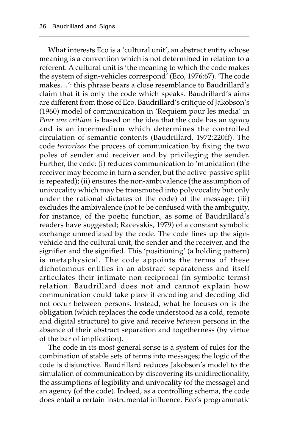What interests Eco is a 'cultural unit', an abstract entity whose meaning is a convention which is not determined in relation to a referent. A cultural unit is 'the meaning to which the code makes the system of sign-vehicles correspond' (Eco, 1976:67). 'The code makes…': this phrase bears a close resemblance to Baudrillard's claim that it is only the code which speaks. Baudrillard's aims are different from those of Eco. Baudrillard's critique of Jakobson's (1960) model of communication in 'Requiem pour les media' in *Pour une critique* is based on the idea that the code has an *agency* and is an intermedium which determines the controlled circulation of semantic contents (Baudrillard, 1972:220ff). The code *terrorizes* the process of communication by fixing the two poles of sender and receiver and by privileging the sender. Further, the code: (i) reduces communication to 'munication (the receiver may become in turn a sender, but the active-passive split is repeated); (ii) ensures the non-ambivalence (the assumption of univocality which may be transmuted into polyvocality but only under the rational dictates of the code) of the message; (iii) excludes the ambivalence (not to be confused with the ambiguity, for instance, of the poetic function, as some of Baudrillard's readers have suggested; Racevskis, 1979) of a constant symbolic exchange unmediated by the code. The code lines up the signvehicle and the cultural unit, the sender and the receiver, and the signifier and the signified. This 'positioning' (a holding pattern) is metaphysical. The code appoints the terms of these dichotomous entities in an abstract separateness and itself articulates their intimate non-reciprocal (in symbolic terms) relation. Baudrillard does not and cannot explain how communication could take place if encoding and decoding did not occur between persons. Instead, what he focuses on is the obligation (which replaces the code understood as a cold, remote and digital structure) to give and receive *between* persons in the absence of their abstract separation and togetherness (by virtue of the bar of implication).

The code in its most general sense is a system of rules for the combination of stable sets of terms into messages; the logic of the code is disjunctive. Baudrillard reduces Jakobson's model to the simulation of communication by discovering its unidirectionality, the assumptions of legibility and univocality (of the message) and an agency (of the code). Indeed, as a controlling schema, the code does entail a certain instrumental influence. Eco's programmatic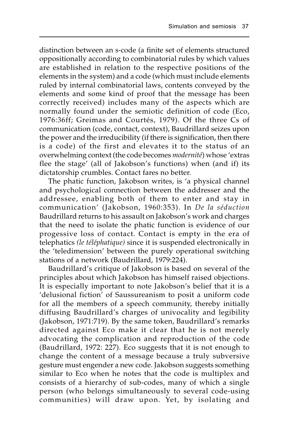distinction between an s-code (a finite set of elements structured oppositionally according to combinatorial rules by which values are established in relation to the respective positions of the elements in the system) and a code (which must include elements ruled by internal combinatorial laws, contents conveyed by the elements and some kind of proof that the message has been correctly received) includes many of the aspects which are normally found under the semiotic definition of code (Eco, 1976:36ff; Greimas and Courtés, 1979). Of the three Cs of communication (code, contact, context), Baudrillard seizes upon the power and the irreducibility (if there is signification, then there is a code) of the first and elevates it to the status of an overwhelming context (the code becomes *modernité*) whose 'extras flee the stage' (all of Jakobson's functions) when (and if) its dictatorship crumbles. Contact fares no better.

The phatic function, Jakobson writes, is 'a physical channel and psychological connection between the addresser and the addressee, enabling both of them to enter and stay in communication' (Jakobson, 1960:353). In *De la séduction* Baudrillard returns to his assault on Jakobson's work and charges that the need to isolate the phatic function is evidence of our progessive loss of contact. Contact is empty in the era of telephatics *(le téléphatique)* since it is suspended electronically in the 'teledimension' between the purely operational switching stations of a network (Baudrillard, 1979:224).

Baudrillard's critique of Jakobson is based on several of the principles about which Jakobson has himself raised objections. It is especially important to note Jakobson's belief that it is a 'delusional fiction' of Saussureanism to posit a uniform code for all the members of a speech community, thereby initially diffusing Baudrillard's charges of univocality and legibility (Jakobson, 1971:719). By the same token, Baudrillard's remarks directed against Eco make it clear that he is not merely advocating the complication and reproduction of the code (Baudrillard, 1972: 227). Eco suggests that it is not enough to change the content of a message because a truly subversive gesture must engender a new code. Jakobson suggests something similar to Eco when he notes that the code is multiplex and consists of a hierarchy of sub-codes, many of which a single person (who belongs simultaneously to several code-using communities) will draw upon. Yet, by isolating and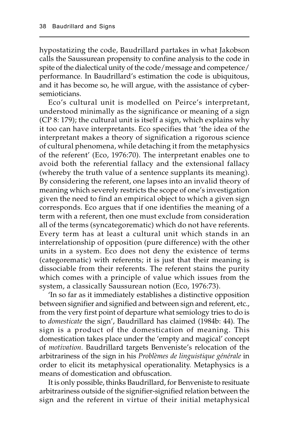hypostatizing the code, Baudrillard partakes in what Jakobson calls the Saussurean propensity to confine analysis to the code in spite of the dialectical unity of the code/message and competence/ performance. In Baudrillard's estimation the code is ubiquitous, and it has become so, he will argue, with the assistance of cybersemioticians.

Eco's cultural unit is modelled on Peirce's interpretant, understood minimally as the significance or meaning of a sign (CP 8: 179); the cultural unit is itself a sign, which explains why it too can have interpretants. Eco specifies that 'the idea of the interpretant makes a theory of signification a rigorous science of cultural phenomena, while detaching it from the metaphysics of the referent' (Eco, 1976:70). The interpretant enables one to avoid both the referential fallacy and the extensional fallacy (whereby the truth value of a sentence supplants its meaning). By considering the referent, one lapses into an invalid theory of meaning which severely restricts the scope of one's investigation given the need to find an empirical object to which a given sign corresponds. Eco argues that if one identifies the meaning of a term with a referent, then one must exclude from consideration all of the terms (syncategorematic) which do not have referents. Every term has at least a cultural unit which stands in an interrelationship of opposition (pure difference) with the other units in a system. Eco does not deny the existence of terms (categorematic) with referents; it is just that their meaning is dissociable from their referents. The referent stains the purity which comes with a principle of value which issues from the system, a classically Saussurean notion (Eco, 1976:73).

'In so far as it immediately establishes a distinctive opposition between signifier and signified and between sign and referent, etc., from the very first point of departure what semiology tries to do is to *domesticate* the sign', Baudrillard has claimed (1984b: 44). The sign is a product of the domestication of meaning. This domestication takes place under the 'empty and magical' concept of *motivation*. Baudrillard targets Benveniste's relocation of the arbitrariness of the sign in his *Problèmes de linguistique générale* in order to elicit its metaphysical operationality. Metaphysics is a means of domestication and obfuscation.

It is only possible, thinks Baudrillard, for Benveniste to resituate arbitrariness outside of the signifier-signified relation between the sign and the referent in virtue of their initial metaphysical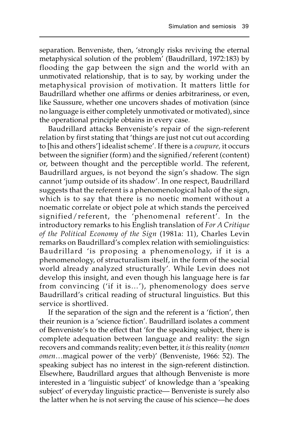separation. Benveniste, then, 'strongly risks reviving the eternal metaphysical solution of the problem' (Baudrillard, 1972:183) by flooding the gap between the sign and the world with an unmotivated relationship, that is to say, by working under the metaphysical provision of motivation. It matters little for Baudrillard whether one affirms or denies arbitrariness, or even, like Saussure, whether one uncovers shades of motivation (since no language is either completely unmotivated or motivated), since the operational principle obtains in every case.

Baudrillard attacks Benveniste's repair of the sign-referent relation by first stating that 'things are just not cut out according to [his and others'] idealist scheme'. If there is a *coupure,* it occurs between the signifier (form) and the signified/referent (content) or, between thought and the perceptible world. The referent, Baudrillard argues, is not beyond the sign's shadow. The sign cannot 'jump outside of its shadow'. In one respect, Baudrillard suggests that the referent is a phenomenological halo of the sign, which is to say that there is no noetic moment without a noematic correlate or object pole at which stands the perceived signified/referent, the 'phenomenal referent'. In the introductory remarks to his English translation of *For A Critique of the Political Economy of the Sign* (1981a: 11), Charles Levin remarks on Baudrillard's complex relation with semiolinguistics: Baudrillard 'is proposing a phenomenology, if it is a phenomenology, of structuralism itself, in the form of the social world already analyzed structurally'. While Levin does not develop this insight, and even though his language here is far from convincing ('if it is…'), phenomenology does serve Baudrillard's critical reading of structural linguistics. But this service is shortlived.

If the separation of the sign and the referent is a 'fiction', then their reunion is a 'science fiction'. Baudrillard isolates a comment of Benveniste's to the effect that 'for the speaking subject, there is complete adequation between language and reality: the sign recovers and commands reality; even better, it *is* this reality (*nomen omen*…magical power of the verb)' (Benveniste, 1966: 52). The speaking subject has no interest in the sign-referent distinction. Elsewhere, Baudrillard argues that although Benveniste is more interested in a 'linguistic subject' of knowledge than a 'speaking subject' of everyday linguistic practice— Benveniste is surely also the latter when he is not serving the cause of his science—he does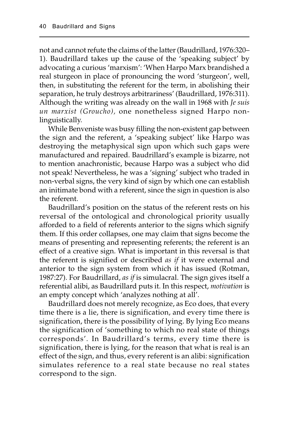not and cannot refute the claims of the latter (Baudrillard, 1976:320– 1). Baudrillard takes up the cause of the 'speaking subject' by advocating a curious 'marxism': 'When Harpo Marx brandished a real sturgeon in place of pronouncing the word 'sturgeon', well, then, in substituting the referent for the term, in abolishing their separation, he truly destroys arbitrariness' (Baudrillard, 1976:311). Although the writing was already on the wall in 1968 with *Je suis un marxist (Groucho),* one nonetheless signed Harpo nonlinguistically.

While Benveniste was busy filling the non-existent gap between the sign and the referent, a 'speaking subject' like Harpo was destroying the metaphysical sign upon which such gaps were manufactured and repaired. Baudrillard's example is bizarre, not to mention anachronistic, because Harpo was a subject who did not speak! Nevertheless, he was a 'signing' subject who traded in non-verbal signs, the very kind of sign by which one can establish an initimate bond with a referent, since the sign in question is also the referent.

Baudrillard's position on the status of the referent rests on his reversal of the ontological and chronological priority usually afforded to a field of referents anterior to the signs which signify them. If this order collapses, one may claim that signs become the means of presenting and representing referents; the referent is an effect of a creative sign. What is important in this reversal is that the referent is signified or described *as if* it were external and anterior to the sign system from which it has issued (Rotman, 1987:27). For Baudrillard, *as if* is simulacral. The sign gives itself a referential alibi, as Baudrillard puts it. In this respect, *motivation* is an empty concept which 'analyzes nothing at all'.

Baudrillard does not merely recognize, as Eco does, that every time there is a lie, there is signification, and every time there is signification, there is the possibility of lying. By lying Eco means the signification of 'something to which no real state of things corresponds'. In Baudrillard's terms, every time there is signification, there is lying, for the reason that what is real is an effect of the sign, and thus, every referent is an alibi: signification simulates reference to a real state because no real states correspond to the sign.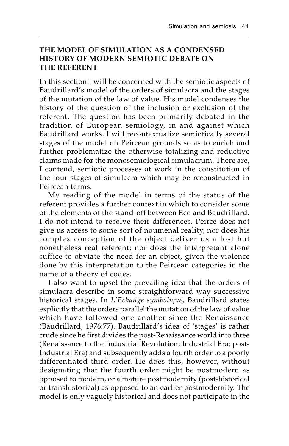# **THE MODEL OF SIMULATION AS A CONDENSED HISTORY OF MODERN SEMIOTIC DEBATE ON THE REFERENT**

In this section I will be concerned with the semiotic aspects of Baudrillard's model of the orders of simulacra and the stages of the mutation of the law of value. His model condenses the history of the question of the inclusion or exclusion of the referent. The question has been primarily debated in the tradition of European semiology, in and against which Baudrillard works. I will recontextualize semiotically several stages of the model on Peircean grounds so as to enrich and further problematize the otherwise totalizing and reductive claims made for the monosemiological simulacrum. There are, I contend, semiotic processes at work in the constitution of the four stages of simulacra which may be reconstructed in Peircean terms.

My reading of the model in terms of the status of the referent provides a further context in which to consider some of the elements of the stand-off between Eco and Baudrillard. I do not intend to resolve their differences. Peirce does not give us access to some sort of noumenal reality, nor does his complex conception of the object deliver us a lost but nonetheless real referent; nor does the interpretant alone suffice to obviate the need for an object, given the violence done by this interpretation to the Peircean categories in the name of a theory of codes.

I also want to upset the prevailing idea that the orders of simulacra describe in some straightforward way successive historical stages. In *L'Echange symbolique,* Baudrillard states explicitly that the orders parallel the mutation of the law of value which have followed one another since the Renaissance (Baudrillard, 1976:77). Baudrillard's idea of 'stages' is rather crude since he first divides the post-Renaissance world into three (Renaissance to the Industrial Revolution; Industrial Era; post-Industrial Era) and subsequently adds a fourth order to a poorly differentiated third order. He does this, however, without designating that the fourth order might be postmodern as opposed to modern, or a mature postmodernity (post-historical or transhistorical) as opposed to an earlier postmodernity. The model is only vaguely historical and does not participate in the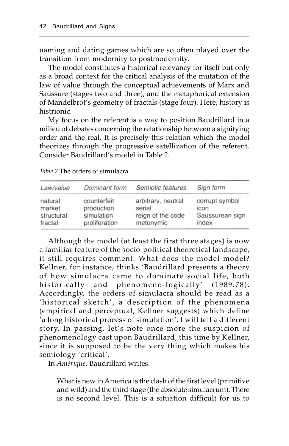naming and dating games which are so often played over the transition from modernity to postmodernity.

The model constitutes a historical relevancy for itself but only as a broad context for the critical analysis of the mutation of the law of value through the conceptual achievements of Marx and Saussure (stages two and three), and the metaphorical extension of Mandelbrot's geometry of fractals (stage four). Here, history is histrionic.

My focus on the referent is a way to position Baudrillard in a milieu of debates concerning the relationship between a signifying order and the real. It is precisely this relation which the model theorizes through the progressive satellization of the referent. Consider Baudrillard's model in Table 2.

| Law/value  | Dominant form | Semiotic features  | Sign form       |
|------------|---------------|--------------------|-----------------|
| natural    | counterfeit   | arbitrary, neutral | corrupt symbol  |
| market     | production    | serial             | icon            |
| structural | simulation    | reign of the code  | Saussurean sign |
| fractal    | proliferation | metonymic          | index           |

*Table 2* The orders of simulacra

Although the model (at least the first three stages) is now a familiar feature of the socio-political theoretical landscape, it still requires comment. What does the model model? Kellner, for instance, thinks 'Baudrillard presents a theory of how simulacra came to dominate social life, both historically and phenomeno-logically' (1989:78). Accordingly, the orders of simulacra should be read as a 'historical sketch', a description of the phenomena (empirical and perceptual, Kellner suggests) which define 'a long historical process of simulation'. I will tell a different story. In passing, let's note once more the suspicion of phenomenology cast upon Baudrillard, this time by Kellner, since it is supposed to be the very thing which makes his semiology 'critical'.

In *Amérique,* Baudrillard writes:

What is new in America is the clash of the first level (primitive and wild) and the third stage (the absolute simulacrum). There is no second level. This is a situation difficult for us to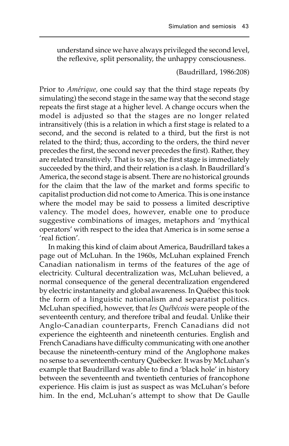understand since we have always privileged the second level, the reflexive, split personality, the unhappy consciousness.

#### (Baudrillard, 1986:208)

Prior to *Amérique,* one could say that the third stage repeats (by simulating) the second stage in the same way that the second stage repeats the first stage at a higher level. A change occurs when the model is adjusted so that the stages are no longer related intransitively (this is a relation in which a first stage is related to a second, and the second is related to a third, but the first is not related to the third; thus, according to the orders, the third never precedes the first, the second never precedes the first). Rather, they are related transitively. That is to say, the first stage is immediately succeeded by the third, and their relation is a clash. In Baudrillard's America, the second stage is absent. There are no historical grounds for the claim that the law of the market and forms specific to capitalist production did not come to America. This is one instance where the model may be said to possess a limited descriptive valency. The model does, however, enable one to produce suggestive combinations of images, metaphors and 'mythical operators' with respect to the idea that America is in some sense a 'real fiction'.

In making this kind of claim about America, Baudrillard takes a page out of McLuhan. In the 1960s, McLuhan explained French Canadian nationalism in terms of the features of the age of electricity. Cultural decentralization was, McLuhan believed, a normal consequence of the general decentralization engendered by electric instantaneity and global awareness. In Québec this took the form of a linguistic nationalism and separatist politics. McLuhan specified, however, that *les Québécois* were people of the seventeenth century, and therefore tribal and feudal. Unlike their Anglo-Canadian counterparts, French Canadians did not experience the eighteenth and nineteenth centuries. English and French Canadians have difficulty communicating with one another because the nineteenth-century mind of the Anglophone makes no sense to a seventeenth-century Québecker. It was by McLuhan's example that Baudrillard was able to find a 'black hole' in history between the seventeenth and twentieth centuries of francophone experience. His claim is just as suspect as was McLuhan's before him. In the end, McLuhan's attempt to show that De Gaulle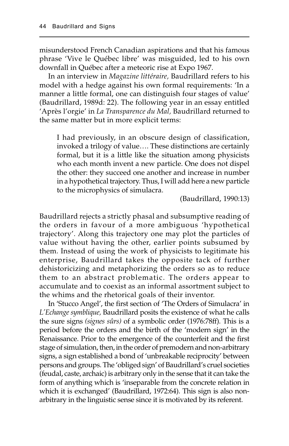misunderstood French Canadian aspirations and that his famous phrase 'Vive le Québec libre' was misguided, led to his own downfall in Québec after a meteoric rise at Expo 1967.

In an interview in *Magazine littéraire,* Baudrillard refers to his model with a hedge against his own formal requirements: 'In a manner a little formal, one can distinguish four stages of value' (Baudrillard, 1989d: 22). The following year in an essay entitled 'Après l'orgie' in *La Transparence du Mal,* Baudrillard returned to the same matter but in more explicit terms:

I had previously, in an obscure design of classification, invoked a trilogy of value…. These distinctions are certainly formal, but it is a little like the situation among physicists who each month invent a new particle. One does not dispel the other: they succeed one another and increase in number in a hypothetical trajectory. Thus, I will add here a new particle to the microphysics of simulacra.

(Baudrillard, 1990:13)

Baudrillard rejects a strictly phasal and subsumptive reading of the orders in favour of a more ambiguous 'hypothetical trajectory'. Along this trajectory one may plot the particles of value without having the other, earlier points subsumed by them. Instead of using the work of physicists to legitimate his enterprise, Baudrillard takes the opposite tack of further dehistoricizing and metaphorizing the orders so as to reduce them to an abstract problematic. The orders appear to accumulate and to coexist as an informal assortment subject to the whims and the rhetorical goals of their inventor.

In 'Stucco Angel', the first section of 'The Orders of Simulacra' in *L'Echange symblique,* Baudrillard posits the existence of what he calls the sure signs *(signes sûrs)* of a symbolic order (1976:78ff). This is a period before the orders and the birth of the 'modern sign' in the Renaissance. Prior to the emergence of the counterfeit and the first stage of simulation, then, in the order of premodern and non-arbitrary signs, a sign established a bond of 'unbreakable reciprocity' between persons and groups. The 'obliged sign' of Baudrillard's cruel societies (feudal, caste, archaic) is arbitrary only in the sense that it can take the form of anything which is 'inseparable from the concrete relation in which it is exchanged' (Baudrillard, 1972:64). This sign is also nonarbitrary in the linguistic sense since it is motivated by its referent.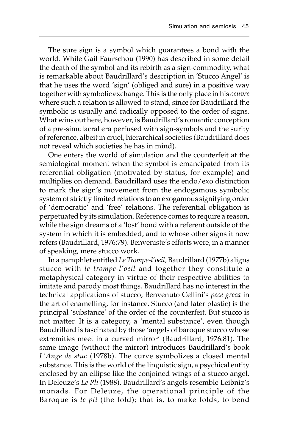The sure sign is a symbol which guarantees a bond with the world. While Gail Faurschou (1990) has described in some detail the death of the symbol and its rebirth as a sign-commodity, what is remarkable about Baudrillard's description in 'Stucco Angel' is that he uses the word 'sign' (obliged and sure) in a positive way together with symbolic exchange. This is the only place in his *oeuvre* where such a relation is allowed to stand, since for Baudrillard the symbolic is usually and radically opposed to the order of signs. What wins out here, however, is Baudrillard's romantic conception of a pre-simulacral era perfused with sign-symbols and the surity of reference, albeit in cruel, hierarchical societies (Baudrillard does not reveal which societies he has in mind).

One enters the world of simulation and the counterfeit at the semiological moment when the symbol is emancipated from its referential obligation (motivated by status, for example) and multiplies on demand. Baudrillard uses the endo/exo distinction to mark the sign's movement from the endogamous symbolic system of strictly limited relations to an exogamous signifying order of 'democratic' and 'free' relations. The referential obligation is perpetuated by its simulation. Reference comes to require a reason, while the sign dreams of a 'lost' bond with a referent outside of the system in which it is embedded, and to whose other signs it now refers (Baudrillard, 1976:79). Benveniste's efforts were, in a manner of speaking, mere stucco work.

In a pamphlet entitled *Le Trompe-l'oeil,* Baudrillard (1977b) aligns stucco with *le trompe-l'oeil* and together they constitute a metaphysical category in virtue of their respective abilities to imitate and parody most things. Baudrillard has no interest in the technical applications of stucco, Benvenuto Cellini's *pece greca* in the art of enamelling, for instance. Stucco (and later plastic) is the principal 'substance' of the order of the counterfeit. But stucco is not matter. It is a category, a 'mental substance', even though Baudrillard is fascinated by those 'angels of baroque stucco whose extremities meet in a curved mirror' (Baudrillard, 1976:81). The same image (without the mirror) introduces Baudrillard's book *L'Ange de stuc* (1978b). The curve symbolizes a closed mental substance. This is the world of the linguistic sign, a psychical entity enclosed by an ellipse like the conjoined wings of a stucco angel. In Deleuze's *Le Pli* (1988), Baudrillard's angels resemble Leibniz's monads. For Deleuze, the operational principle of the Baroque is *le pli* (the fold); that is, to make folds, to bend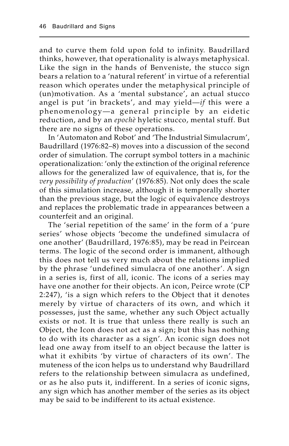and to curve them fold upon fold to infinity. Baudrillard thinks, however, that operationality is always metaphysical. Like the sign in the hands of Benveniste, the stucco sign bears a relation to a 'natural referent' in virtue of a referential reason which operates under the metaphysical principle of (un)motivation. As a 'mental substance', an actual stucco angel is put 'in brackets', and may yield—*if* this were a phenomenology—a general principle by an eidetic reduction, and by an *epochè* hyletic stucco, mental stuff. But there are no signs of these operations.

In 'Automaton and Robot' and 'The Industrial Simulacrum', Baudrillard (1976:82–8) moves into a discussion of the second order of simulation. The corrupt symbol totters in a machinic operationalization: 'only the extinction of the original reference allows for the generalized law of equivalence, that is, for the *very possibility of production*' (1976:85). Not only does the scale of this simulation increase, although it is temporally shorter than the previous stage, but the logic of equivalence destroys and replaces the problematic trade in appearances between a counterfeit and an original.

The 'serial repetition of the same' in the form of a 'pure series' whose objects 'become the undefined simulacra of one another' (Baudrillard, 1976:85), may be read in Peircean terms. The logic of the second order is immanent, although this does not tell us very much about the relations implied by the phrase 'undefined simulacra of one another'. A sign in a series is, first of all, iconic. The icons of a series may have one another for their objects. An icon, Peirce wrote (CP 2:247), 'is a sign which refers to the Object that it denotes merely by virtue of characters of its own, and which it possesses, just the same, whether any such Object actually exists or not. It is true that unless there really is such an Object, the Icon does not act as a sign; but this has nothing to do with its character as a sign'. An iconic sign does not lead one away from itself to an object because the latter is what it exhibits 'by virtue of characters of its own'. The muteness of the icon helps us to understand why Baudrillard refers to the relationship between simulacra as undefined, or as he also puts it, indifferent. In a series of iconic signs, any sign which has another member of the series as its object may be said to be indifferent to its actual existence.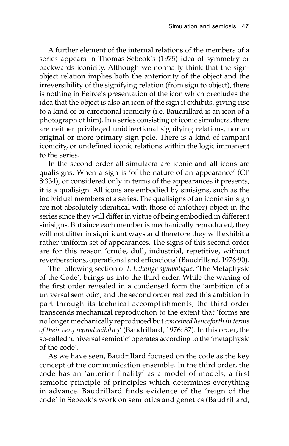A further element of the internal relations of the members of a series appears in Thomas Sebeok's (1975) idea of symmetry or backwards iconicity. Although we normally think that the signobject relation implies both the anteriority of the object and the irreversibility of the signifying relation (from sign to object), there is nothing in Peirce's presentation of the icon which precludes the idea that the object is also an icon of the sign it exhibits, giving rise to a kind of bi-directional iconicity (i.e. Baudrillard is an icon of a photograph of him). In a series consisting of iconic simulacra, there are neither privileged unidirectional signifying relations, nor an original or more primary sign pole. There is a kind of rampant iconicity, or undefined iconic relations within the logic immanent to the series.

In the second order all simulacra are iconic and all icons are qualisigns. When a sign is 'of the nature of an appearance' (CP 8:334), or considered only in terms of the appearances it presents, it is a qualisign. All icons are embodied by sinisigns, such as the individual members of a series. The qualisigns of an iconic sinisign are not absolutely idenitical with those of an(other) object in the series since they will differ in virtue of being embodied in different sinisigns. But since each member is mechanically reproduced, they will not differ in significant ways and therefore they will exhibit a rather uniform set of appearances. The signs of this second order are for this reason 'crude, dull, industrial, repetitive, without reverberations, operational and efficacious' (Baudrillard, 1976:90).

The following section of *L'Echange symbolique,* 'The Metaphysic of the Code', brings us into the third order. While the waning of the first order revealed in a condensed form the 'ambition of a universal semiotic', and the second order realized this ambition in part through its technical accomplishments, the third order transcends mechanical reproduction to the extent that 'forms are no longer mechanically reproduced but *conceived henceforth in terms of their very reproducibility*' (Baudrillard, 1976: 87). In this order, the so-called 'universal semiotic' operates according to the 'metaphysic of the code'.

As we have seen, Baudrillard focused on the code as the key concept of the communication ensemble. In the third order, the code has an 'anterior finality' as a model of models, a first semiotic principle of principles which determines everything in advance. Baudrillard finds evidence of the 'reign of the code' in Sebeok's work on semiotics and genetics (Baudrillard,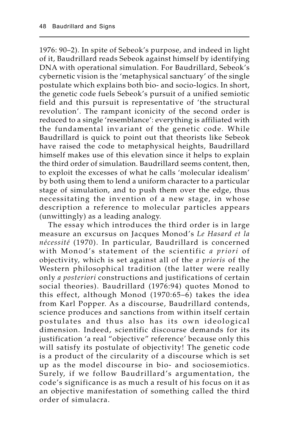1976: 90–2). In spite of Sebeok's purpose, and indeed in light of it, Baudrillard reads Sebeok against himself by identifying DNA with operational simulation. For Baudrillard, Sebeok's cybernetic vision is the 'metaphysical sanctuary' of the single postulate which explains both bio- and socio-logics. In short, the genetic code fuels Sebeok's pursuit of a unified semiotic field and this pursuit is representative of 'the structural revolution'. The rampant iconicity of the second order is reduced to a single 'resemblance': everything is affiliated with the fundamental invariant of the genetic code. While Baudrillard is quick to point out that theorists like Sebeok have raised the code to metaphysical heights, Baudrillard himself makes use of this elevation since it helps to explain the third order of simulation. Baudrillard seems content, then, to exploit the excesses of what he calls 'molecular idealism' by both using them to lend a uniform character to a particular stage of simulation, and to push them over the edge, thus necessitating the invention of a new stage, in whose description a reference to molecular particles appears (unwittingly) as a leading analogy.

The essay which introduces the third order is in large measure an excursus on Jacques Monod's *Le Hasard et la nécessité* (1970). In particular, Baudrillard is concerned with Monod's statement of the scientific *a priori* of objectivity, which is set against all of the *a prioris* of the Western philosophical tradition (the latter were really only *a posteriori* constructions and justifications of certain social theories). Baudrillard (1976:94) quotes Monod to this effect, although Monod  $(1970:65-6)$  takes the idea from Karl Popper. As a discourse, Baudrillard contends, science produces and sanctions from within itself certain postulates and thus also has its own ideological dimension. Indeed, scientific discourse demands for its justification 'a real "objective" reference' because only this will satisfy its postulate of objectivity! The genetic code is a product of the circularity of a discourse which is set up as the model discourse in bio- and sociosemiotics. Surely, if we follow Baudrillard's argumentation, the code's significance is as much a result of his focus on it as an objective manifestation of something called the third order of simulacra.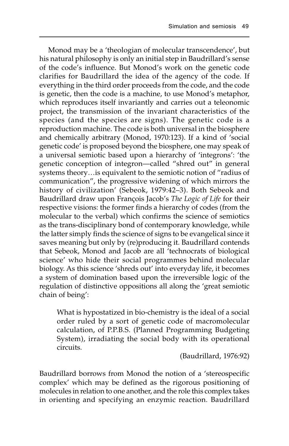Monod may be a 'theologian of molecular transcendence', but his natural philosophy is only an initial step in Baudrillard's sense of the code's influence. But Monod's work on the genetic code clarifies for Baudrillard the idea of the agency of the code. If everything in the third order proceeds from the code, and the code is genetic, then the code is a machine, to use Monod's metaphor, which reproduces itself invariantly and carries out a teleonomic project, the transmission of the invariant characteristics of the species (and the species are signs). The genetic code is a reproduction machine. The code is both universal in the biosphere and chemically arbitrary (Monod, 1970:123). If a kind of 'social genetic code' is proposed beyond the biosphere, one may speak of a universal semiotic based upon a hierarchy of 'integrons': 'the genetic conception of integron—called "shred out" in general systems theory…is equivalent to the semiotic notion of "radius of communication", the progressive widening of which mirrors the history of civilization' (Sebeok, 1979:42–3). Both Sebeok and Baudrillard draw upon François Jacob's *The Logic of Life* for their respective visions: the former finds a hierarchy of codes (from the molecular to the verbal) which confirms the science of semiotics as the trans-disciplinary bond of contemporary knowledge, while the latter simply finds the science of signs to be evangelical since it saves meaning but only by (re)producing it. Baudrillard contends that Sebeok, Monod and Jacob are all 'technocrats of biological science' who hide their social programmes behind molecular biology. As this science 'shreds out' into everyday life, it becomes a system of domination based upon the irreversible logic of the regulation of distinctive oppositions all along the 'great semiotic chain of being':

What is hypostatized in bio-chemistry is the ideal of a social order ruled by a sort of genetic code of macromolecular calculation, of P.P.B.S. (Planned Programming Budgeting System), irradiating the social body with its operational circuits.

(Baudrillard, 1976:92)

Baudrillard borrows from Monod the notion of a 'stereospecific complex' which may be defined as the rigorous positioning of molecules in relation to one another, and the role this complex takes in orienting and specifying an enzymic reaction. Baudrillard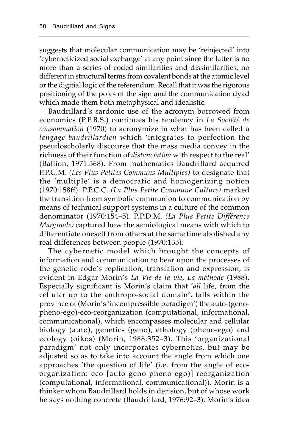suggests that molecular communication may be 'reinjected' into 'cyberneticized social exchange' at any point since the latter is no more than a series of coded similarities and dissimilarities, no different in structural terms from covalent bonds at the atomic level or the digitial logic of the referendum. Recall that it was the rigorous positioning of the poles of the sign and the communication dyad which made them both metaphysical and idealistic.

Baudrillard's sardonic use of the acronym borrowed from economics (P.P.B.S.) continues his tendency in *La Société de consommation* (1970) to acronymize in what has been called a *langage baudrillardien* which 'integrates to perfection the pseudoscholarly discourse that the mass media convey in the richness of their function of *distanciation* with respect to the real' (Ballion, 1971:568). From mathematics Baudrillard acquired P.P.C.M. *(Les Plus Petites Communs Multiples)* to designate that the 'multiple' is a democratic and homogenizing notion (1970:158ff). P.P.C.C. *(La Plus Petite Commune Culture)* marked the transition from symbolic communion to communication by means of technical support systems in a culture of the common denominator (1970:154–5). P.P.D.M. *(La Plus Petite Différence Marginale)* captured how the semiological means with which to differentiate oneself from others at the same time abolished any real differences between people (1970:135).

The cybernetic model which brought the concepts of information and communication to bear upon the processes of the genetic code's replication, translation and expression, is evident in Edgar Morin's *La Vie de la vie, La méthode* (1988). Especially significant is Morin's claim that '*all* life, from the cellular up to the anthropo-social domain', falls within the province of (Morin's 'incompressible paradigm') the auto-(genopheno-ego)-eco-reorganization (computational, informational, communicational), which encompasses molecular and cellular biology (auto), genetics (geno), ethology (pheno-ego) and ecology (oikos) (Morin, 1988:352–3). This 'organizational paradigm' not only incorporates cybernetics, but may be adjusted so as to take into account the angle from which one approaches 'the question of life' (i.e. from the angle of ecoorganization: eco [auto-geno-pheno-ego)]-reorganization (computational, informational, communicational)). Morin is a thinker whom Baudrillard holds in derision, but of whose work he says nothing concrete (Baudrillard, 1976:92–3). Morin's idea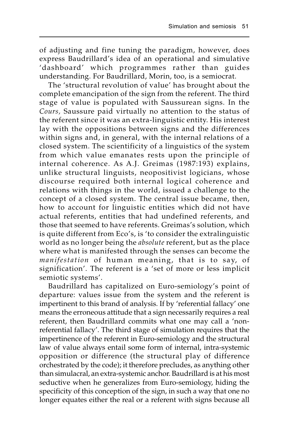of adjusting and fine tuning the paradigm, however, does express Baudrillard's idea of an operational and simulative 'dashboard' which programmes rather than guides understanding. For Baudrillard, Morin, too, is a semiocrat.

The 'structural revolution of value' has brought about the complete emancipation of the sign from the referent. The third stage of value is populated with Saussurean signs. In the *Cours,* Saussure paid virtually no attention to the status of the referent since it was an extra-linguistic entity. His interest lay with the oppositions between signs and the differences within signs and, in general, with the internal relations of a closed system. The scientificity of a linguistics of the system from which value emanates rests upon the principle of internal coherence. As A.J. Greimas (1987:193) explains, unlike structural linguists, neopositivist logicians, whose discourse required both internal logical coherence and relations with things in the world, issued a challenge to the concept of a closed system. The central issue became, then, how to account for linguistic entities which did not have actual referents, entities that had undefined referents, and those that seemed to have referents. Greimas's solution, which is quite different from Eco's, is 'to consider the extralinguistic world as no longer being the *absolute* referent, but as the place where what is manifested through the senses can become the *manifestation* of human meaning, that is to say, of signification'. The referent is a 'set of more or less implicit semiotic systems'.

Baudrillard has capitalized on Euro-semiology's point of departure: values issue from the system and the referent is impertinent to this brand of analysis. If by 'referential fallacy' one means the erroneous attitude that a sign necessarily requires a real referent, then Baudrillard commits what one may call a 'nonreferential fallacy'. The third stage of simulation requires that the impertinence of the referent in Euro-semiology and the structural law of value always entail some form of internal, intra-systemic opposition or difference (the structural play of difference orchestrated by the code); it therefore precludes, as anything other than simulacral, an extra-systemic anchor. Baudrillard is at his most seductive when he generalizes from Euro-semiology, hiding the specificity of this conception of the sign, in such a way that one no longer equates either the real or a referent with signs because all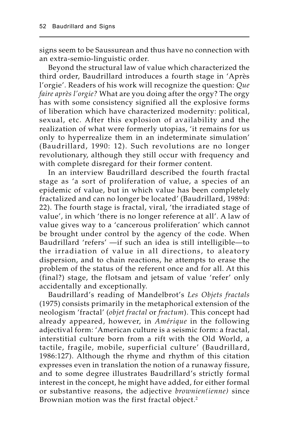signs seem to be Saussurean and thus have no connection with an extra-semio-linguistic order.

Beyond the structural law of value which characterized the third order, Baudrillard introduces a fourth stage in 'Après l'orgie'. Readers of his work will recognize the question: *Que faire après l'orgie?* What are you doing after the orgy? The orgy has with some consistency signified all the explosive forms of liberation which have characterized modernity: political, sexual, etc. After this explosion of availability and the realization of what were formerly utopias, 'it remains for us only to hyperrealize them in an indeterminate simulation' (Baudrillard, 1990: 12). Such revolutions are no longer revolutionary, although they still occur with frequency and with complete disregard for their former content.

In an interview Baudrillard described the fourth fractal stage as 'a sort of proliferation of value, a species of an epidemic of value, but in which value has been completely fractalized and can no longer be located' (Baudrillard, 1989d: 22). The fourth stage is fractal, viral, 'the irradiated stage of value', in which 'there is no longer reference at all'. A law of value gives way to a 'cancerous proliferation' which cannot be brought under control by the agency of the code. When Baudrillard 'refers' —if such an idea is still intelligible—to the irradiation of value in all directions, to aleatory dispersion, and to chain reactions, he attempts to erase the problem of the status of the referent once and for all. At this (final?) stage, the flotsam and jetsam of value 'refer' only accidentally and exceptionally.

Baudrillard's reading of Mandelbrot's *Les Objets fractals* (1975) consists primarily in the metaphorical extension of the neologism 'fractal' (*objet fractal* or *fractum*). This concept had already appeared, however, in *Amérique* in the following adjectival form: 'American culture is a seismic form: a fractal, interstitial culture born from a rift with the Old World, a tactile, fragile, mobile, superficial culture' (Baudrillard, 1986:127). Although the rhyme and rhythm of this citation expresses even in translation the notion of a runaway fissure, and to some degree illustrates Baudrillard's strictly formal interest in the concept, he might have added, for either formal or substantive reasons, the adjective *brownien(ienne)* since Brownian motion was the first fractal object.<sup>2</sup>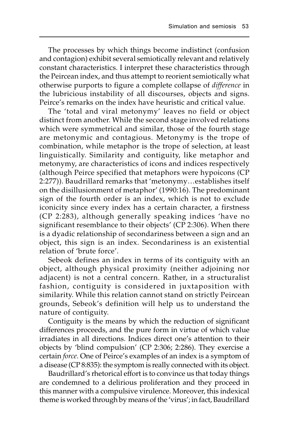The processes by which things become indistinct (confusion and contagion) exhibit several semiotically relevant and relatively constant characteristics. I interpret these characteristics through the Peircean index, and thus attempt to reorient semiotically what otherwise purports to figure a complete collapse of *difference* in the lubricious instability of all discourses, objects and signs. Peirce's remarks on the index have heuristic and critical value.

The 'total and viral metonymy' leaves no field or object distinct from another. While the second stage involved relations which were symmetrical and similar, those of the fourth stage are metonymic and contagious. Metonymy is the trope of combination, while metaphor is the trope of selection, at least linguistically. Similarity and contiguity, like metaphor and metonymy, are characteristics of icons and indices respectively (although Peirce specified that metaphors were hypoicons (CP 2:277)). Baudrillard remarks that 'metonymy…establishes itself on the disillusionment of metaphor' (1990:16). The predominant sign of the fourth order is an index, which is not to exclude iconicity since every index has a certain character, a firstness (CP 2:283), although generally speaking indices 'have no significant resemblance to their objects' (CP 2:306). When there is a dyadic relationship of secondariness between a sign and an object, this sign is an index. Secondariness is an existential relation of 'brute force'.

Sebeok defines an index in terms of its contiguity with an object, although physical proximity (neither adjoining nor adjacent) is not a central concern. Rather, in a structuralist fashion, contiguity is considered in juxtaposition with similarity. While this relation cannot stand on strictly Peircean grounds, Sebeok's definition will help us to understand the nature of contiguity.

Contiguity is the means by which the reduction of significant differences proceeds, and the pure form in virtue of which value irradiates in all directions. Indices direct one's attention to their objects by 'blind compulsion' (CP 2:306; 2:286). They exercise a certain *force*. One of Peirce's examples of an index is a symptom of a disease (CP 8:835): the symptom is really connected with its object.

Baudrillard's rhetorical effort is to convince us that today things are condemned to a delirious proliferation and they proceed in this manner with a compulsive virulence. Moreover, this indexical theme is worked through by means of the 'virus'; in fact, Baudrillard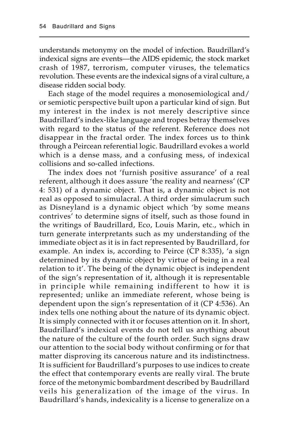understands metonymy on the model of infection. Baudrillard's indexical signs are events—the AIDS epidemic, the stock market crash of 1987, terrorism, computer viruses, the telematics revolution. These events are the indexical signs of a viral culture, a disease ridden social body.

Each stage of the model requires a monosemiological and/ or semiotic perspective built upon a particular kind of sign. But my interest in the index is not merely descriptive since Baudrillard's index-like language and tropes betray themselves with regard to the status of the referent. Reference does not disappear in the fractal order. The index forces us to think through a Peircean referential logic. Baudrillard evokes a world which is a dense mass, and a confusing mess, of indexical collisions and so-called infections.

The index does not 'furnish positive assurance' of a real referent, although it does assure 'the reality and nearness' (CP 4: 531) of a dynamic object. That is, a dynamic object is not real as opposed to simulacral. A third order simulacrum such as Disneyland is a dynamic object which 'by some means contrives' to determine signs of itself, such as those found in the writings of Baudrillard, Eco, Louis Marin, etc., which in turn generate interpretants such as my understanding of the immediate object as it is in fact represented by Baudrillard, for example. An index is, according to Peirce (CP 8:335), 'a sign determined by its dynamic object by virtue of being in a real relation to it'. The being of the dynamic object is independent of the sign's representation of it, although it is representable in principle while remaining indifferent to how it is represented; unlike an immediate referent, whose being is dependent upon the sign's representation of it (CP 4:536). An index tells one nothing about the nature of its dynamic object. It is simply connected with it or focuses attention on it. In short, Baudrillard's indexical events do not tell us anything about the nature of the culture of the fourth order. Such signs draw our attention to the social body without confirming or for that matter disproving its cancerous nature and its indistinctness. It is sufficient for Baudrillard's purposes to use indices to create the effect that contemporary events are really viral. The brute force of the metonymic bombardment described by Baudrillard veils his generalization of the image of the virus. In Baudrillard's hands, indexicality is a license to generalize on a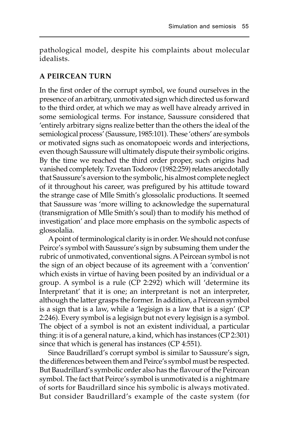pathological model, despite his complaints about molecular idealists.

### **A PEIRCEAN TURN**

In the first order of the corrupt symbol, we found ourselves in the presence of an arbitrary, unmotivated sign which directed us forward to the third order, at which we may as well have already arrived in some semiological terms. For instance, Saussure considered that 'entirely arbitrary signs realize better than the others the ideal of the semiological process' (Saussure, 1985:101). These 'others' are symbols or motivated signs such as onomatopoeic words and interjections, even though Saussure will ultimately dispute their symbolic origins. By the time we reached the third order proper, such origins had vanished completely. Tzvetan Todorov (1982:259) relates anecdotally that Saussure's aversion to the symbolic, his almost complete neglect of it throughout his career, was prefigured by his attitude toward the strange case of Mlle Smith's glossolalic productions. It seemed that Saussure was 'more willing to acknowledge the supernatural (transmigration of Mlle Smith's soul) than to modify his method of investigation' and place more emphasis on the symbolic aspects of glossolalia.

A point of terminological clarity is in order. We should not confuse Peirce's symbol with Saussure's sign by subsuming them under the rubric of unmotivated, conventional signs. A Peircean symbol is not the sign of an object because of its agreement with a 'convention' which exists in virtue of having been posited by an individual or a group. A symbol is a rule (CP 2:292) which will 'determine its Interpretant' that it is one; an interpretant is not an interpreter, although the latter grasps the former. In addition, a Peircean symbol is a sign that is a law, while a 'legisign is a law that is a sign' (CP 2:246). Every symbol is a legisign but not every legisign is a symbol. The object of a symbol is not an existent individual, a particular thing: it is of a general nature, a kind, which has instances (CP 2:301) since that which is general has instances (CP 4:551).

Since Baudrillard's corrupt symbol is similar to Saussure's sign, the differences between them and Peirce's symbol must be respected. But Baudrillard's symbolic order also has the flavour of the Peircean symbol. The fact that Peirce's symbol is unmotivated is a nightmare of sorts for Baudrillard since his symbolic is always motivated. But consider Baudrillard's example of the caste system (for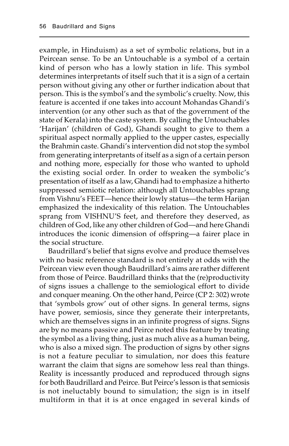example, in Hinduism) as a set of symbolic relations, but in a Peircean sense. To be an Untouchable is a symbol of a certain kind of person who has a lowly station in life. This symbol determines interpretants of itself such that it is a sign of a certain person without giving any other or further indication about that person. This is the symbol's and the symbolic's cruelty. Now, this feature is accented if one takes into account Mohandas Ghandi's intervention (or any other such as that of the government of the state of Kerala) into the caste system. By calling the Untouchables 'Harijan' (children of God), Ghandi sought to give to them a spiritual aspect normally applied to the upper castes, especially the Brahmin caste. Ghandi's intervention did not stop the symbol from generating interpretants of itself as a sign of a certain person and nothing more, especially for those who wanted to uphold the existing social order. In order to weaken the symbolic's presentation of itself as a law, Ghandi had to emphasize a hitherto suppressed semiotic relation: although all Untouchables sprang from Vishnu's FEET—hence their lowly status—the term Harijan emphasized the indexicality of this relation. The Untouchables sprang from VISHNU'S feet, and therefore they deserved, as children of God, like any other children of God—and here Ghandi introduces the iconic dimension of offspring—a fairer place in the social structure.

Baudrillard's belief that signs evolve and produce themselves with no basic reference standard is not entirely at odds with the Peircean view even though Baudrillard's aims are rather different from those of Peirce. Baudrillard thinks that the (re)productivity of signs issues a challenge to the semiological effort to divide and conquer meaning. On the other hand, Peirce (CP 2: 302) wrote that 'symbols grow' out of other signs. In general terms, signs have power, semiosis, since they generate their interpretants, which are themselves signs in an infinite progress of signs. Signs are by no means passive and Peirce noted this feature by treating the symbol as a living thing, just as much alive as a human being, who is also a mixed sign. The production of signs by other signs is not a feature peculiar to simulation, nor does this feature warrant the claim that signs are somehow less real than things. Reality is incessantly produced and reproduced through signs for both Baudrillard and Peirce. But Peirce's lesson is that semiosis is not ineluctably bound to simulation; the sign is in itself multiform in that it is at once engaged in several kinds of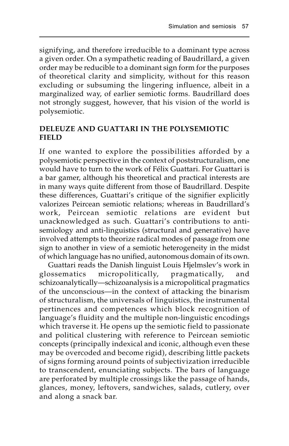signifying, and therefore irreducible to a dominant type across a given order. On a sympathetic reading of Baudrillard, a given order may be reducible to a dominant sign form for the purposes of theoretical clarity and simplicity, without for this reason excluding or subsuming the lingering influence, albeit in a marginalized way, of earlier semiotic forms. Baudrillard does not strongly suggest, however, that his vision of the world is polysemiotic.

## **DELEUZE AND GUATTARI IN THE POLYSEMIOTIC FIELD**

If one wanted to explore the possibilities afforded by a polysemiotic perspective in the context of poststructuralism, one would have to turn to the work of Félix Guattari. For Guattari is a bar gamer, although his theoretical and practical interests are in many ways quite different from those of Baudrillard. Despite these differences, Guattari's critique of the signifier explicitly valorizes Peircean semiotic relations; whereas in Baudrillard's work, Peircean semiotic relations are evident but unacknowledged as such. Guattari's contributions to antisemiology and anti-linguistics (structural and generative) have involved attempts to theorize radical modes of passage from one sign to another in view of a semiotic heterogeneity in the midst of which language has no unified, autonomous domain of its own.

Guattari reads the Danish linguist Louis Hjelmslev's work in glossematics micropolitically, pragmatically, and schizoanalytically—schizoanalysis is a micropolitical pragmatics of the unconscious—in the context of attacking the binarism of structuralism, the universals of linguistics, the instrumental pertinences and competences which block recognition of language's fluidity and the multiple non-linguistic encodings which traverse it. He opens up the semiotic field to passionate and political clustering with reference to Peircean semiotic concepts (principally indexical and iconic, although even these may be overcoded and become rigid), describing little packets of signs forming around points of subjectivization irreducible to transcendent, enunciating subjects. The bars of language are perforated by multiple crossings like the passage of hands, glances, money, leftovers, sandwiches, salads, cutlery, over and along a snack bar.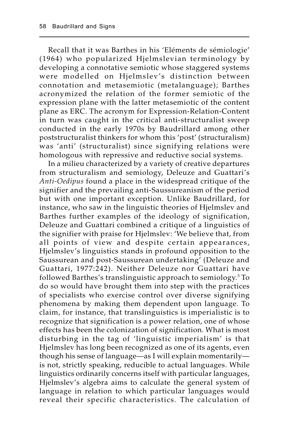Recall that it was Barthes in his 'Eléments de sémiologie' (1964) who popularized Hjelmslevian terminology by developing a connotative semiotic whose staggered systems were modelled on Hjelmslev's distinction between connotation and metasemiotic (metalanguage); Barthes acronymized the relation of the former semiotic of the expression plane with the latter metasemiotic of the content plane as ERC. The acronym for Expression-Relation-Content in turn was caught in the critical anti-structuralist sweep conducted in the early 1970s by Baudrillard among other poststructuralist thinkers for whom this 'post' (structuralism) was 'anti' (structuralist) since signifying relations were homologous with repressive and reductive social systems.

In a milieu characterized by a variety of creative departures from structuralism and semiology, Deleuze and Guattari's *Anti-Oedipus* found a place in the widespread critique of the signifier and the prevailing anti-Saussureanism of the period but with one important exception. Unlike Baudrillard, for instance, who saw in the linguistic theories of Hjelmslev and Barthes further examples of the ideology of signification, Deleuze and Guattari combined a critique of a linguistics of the signifier with praise for Hjelmslev: 'We believe that, from all points of view and despite certain appearances, Hjelmslev's linguistics stands in profound opposition to the Saussurean and post-Saussurean undertaking' (Deleuze and Guattari, 1977:242). Neither Deleuze nor Guattari have followed Barthes's translinguistic approach to semiology.3 To do so would have brought them into step with the practices of specialists who exercise control over diverse signifying phenomena by making them dependent upon language. To claim, for instance, that translinguistics is imperialistic is to recognize that signification is a power relation, one of whose effects has been the colonization of signification. What is most disturbing in the tag of 'linguistic imperialism' is that Hjelmslev has long been recognized as one of its agents, even though his sense of language—as I will explain momentarily is not, strictly speaking, reducible to actual languages. While linguistics ordinarily concerns itself with particular languages, Hjelmslev's algebra aims to calculate the general system of language in relation to which particular languages would reveal their specific characteristics. The calculation of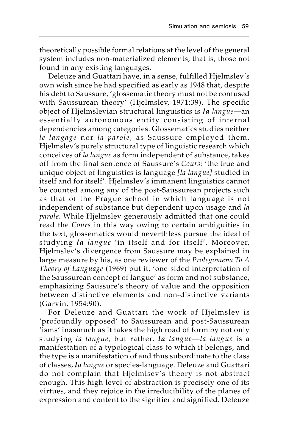theoretically possible formal relations at the level of the general system includes non-materialized elements, that is, those not found in any existing languages.

Deleuze and Guattari have, in a sense, fulfilled Hjelmslev's own wish since he had specified as early as 1948 that, despite his debt to Saussure, 'glossematic theory must not be confused with Saussurean theory' (Hjelmslev, 1971:39). The specific object of Hjelmslevian structural linguistics is *la langue*—an essentially autonomous entity consisting of internal dependencies among categories. Glossematics studies neither *le langage* nor *la parole,* as Saussure employed them. Hjelmslev's purely structural type of linguistic research which conceives of *la langue* as form independent of substance, takes off from the final sentence of Saussure's *Cours:* 'the true and unique object of linguistics is language *[la langue]* studied in itself and for itself'. Hjelmslev's immanent linguistics cannot be counted among any of the post-Saussurean projects such as that of the Prague school in which language is not independent of substance but dependent upon usage and *la parole*. While Hjelmslev generously admitted that one could read the *Cours* in this way owing to certain ambiguities in the text, glossematics would neverthless pursue the ideal of studying *la langue* 'in itself and for itself'. Moreover, Hjelmslev's divergence from Saussure may be explained in large measure by his, as one reviewer of the *Prolegomena To A Theory of Language* (1969) put it, 'one-sided interpretation of the Saussurean concept of langue' as form and not substance, emphasizing Saussure's theory of value and the opposition between distinctive elements and non-distinctive variants (Garvin, 1954:90).

For Deleuze and Guattari the work of Hjelmslev is 'profoundly opposed' to Saussurean and post-Saussurean 'isms' inasmuch as it takes the high road of form by not only studying *la langue,* but rather, *la langue—la langue* is a manifestation of a typological class to which it belongs, and the type is a manifestation of and thus subordinate to the class of classes, *la langue* or species-language. Deleuze and Guattari do not complain that Hjelmlsev's theory is not abstract enough. This high level of abstraction is precisely one of its virtues, and they rejoice in the irreducibility of the planes of expression and content to the signifier and signified. Deleuze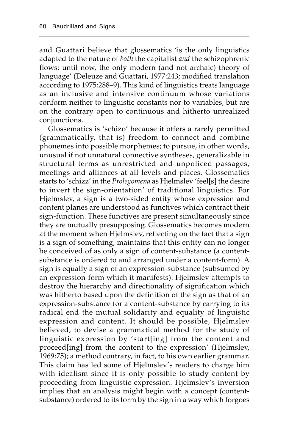and Guattari believe that glossematics 'is the only linguistics adapted to the nature of *both* the capitalist *and* the schizophrenic flows: until now, the only modern (and not archaic) theory of language' (Deleuze and Guattari, 1977:243; modified translation according to 1975:288–9). This kind of linguistics treats language as an inclusive and intensive continuum whose variations conform neither to linguistic constants nor to variables, but are on the contrary open to continuous and hitherto unrealized conjunctions.

Glossematics is 'schizo' because it offers a rarely permitted (grammatically, that is) freedom to connect and combine phonemes into possible morphemes; to pursue, in other words, unusual if not unnatural connective syntheses, generalizable in structural terms as unrestricted and unpoliced passages, meetings and alliances at all levels and places. Glossematics starts to 'schizz' in the *Prolegomena* as Hjelmslev 'feel[s] the desire to invert the sign-orientation' of traditional linguistics. For Hjelmslev, a sign is a two-sided entity whose expression and content planes are understood as functives which contract their sign-function. These functives are present simultaneously since they are mutually presupposing. Glossematics becomes modern at the moment when Hjelmslev, reflecting on the fact that a sign is a sign of something, maintains that this entity can no longer be conceived of as only a sign of content-substance (a contentsubstance is ordered to and arranged under a content-form). A sign is equally a sign of an expression-substance (subsumed by an expression-form which it manifests). Hjelmslev attempts to destroy the hierarchy and directionality of signification which was hitherto based upon the definition of the sign as that of an expression-substance for a content-substance by carrying to its radical end the mutual solidarity and equality of linguistic expression and content. It should be possible, Hjelmslev believed, to devise a grammatical method for the study of linguistic expression by 'start[ing] from the content and proceed[ing] from the content to the expression' (Hjelmslev, 1969:75); a method contrary, in fact, to his own earlier grammar. This claim has led some of Hjelmslev's readers to charge him with idealism since it is only possible to study content by proceeding from linguistic expression. Hjelmslev's inversion implies that an analysis might begin with a concept (contentsubstance) ordered to its form by the sign in a way which forgoes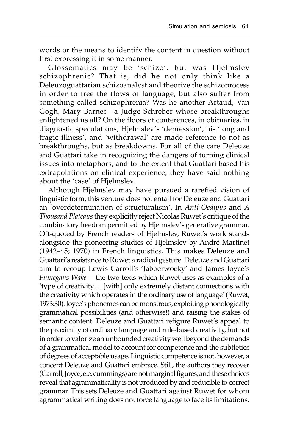words or the means to identify the content in question without first expressing it in some manner.

Glossematics may be 'schizo', but was Hjelmslev schizophrenic? That is, did he not only think like a Deleuzoguattarian schizoanalyst and theorize the schizoprocess in order to free the flows of language, but also suffer from something called schizophrenia? Was he another Artaud, Van Gogh, Mary Barnes—a Judge Schreber whose breakthroughs enlightened us all? On the floors of conferences, in obituaries, in diagnostic speculations, Hjelmslev's 'depression', his 'long and tragic illness', and 'withdrawal' are made reference to not as breakthroughs, but as breakdowns. For all of the care Deleuze and Guattari take in recognizing the dangers of turning clinical issues into metaphors, and to the extent that Guattari based his extrapolations on clinical experience, they have said nothing about the 'case' of Hjelmslev.

Although Hjelmslev may have pursued a rarefied vision of linguistic form, this venture does not entail for Deleuze and Guattari an 'overdetermination of structuralism'. In *Anti-Oedipus* and *A Thousand Plateaus* they explicitly reject Nicolas Ruwet's critique of the combinatory freedom permitted by Hjelmslev's generative grammar. Oft-quoted by French readers of Hjelmslev, Ruwet's work stands alongside the pioneering studies of Hjelmslev by André Martinet (1942–45; 1970) in French linguistics. This makes Deleuze and Guattari's resistance to Ruwet a radical gesture. Deleuze and Guattari aim to recoup Lewis Carroll's 'Jabberwocky' and James Joyce's *Finnegans Wake* —the two texts which Ruwet uses as examples of a 'type of creativity… [with] only extremely distant connections with the creativity which operates in the ordinary use of language' (Ruwet, 1973:30). Joyce's phonemes can be monstrous, exploiting phonologically grammatical possibilities (and otherwise!) and raising the stakes of semantic content. Deleuze and Guattari refigure Ruwet's appeal to the proximity of ordinary language and rule-based creativity, but not in order to valorize an unbounded creativity well beyond the demands of a grammatical model to account for competence and the subtleties of degrees of acceptable usage. Linguistic competence is not, however, a concept Deleuze and Guattari embrace. Still, the authors they recover (Carroll, Joyce, e.e. cummings) are not marginal figures, and these choices reveal that agrammaticality is not produced by and reducible to correct grammar. This sets Deleuze and Guattari against Ruwet for whom agrammatical writing does not force language to face its limitations.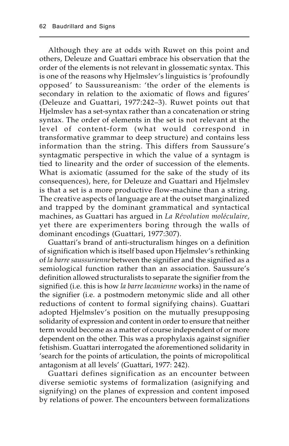Although they are at odds with Ruwet on this point and others, Deleuze and Guattari embrace his observation that the order of the elements is not relevant in glossematic syntax. This is one of the reasons why Hjelmslev's linguistics is 'profoundly opposed' to Saussureanism: 'the order of the elements is secondary in relation to the axiomatic of flows and figures' (Deleuze and Guattari, 1977:242–3). Ruwet points out that Hjelmslev has a set-syntax rather than a concatenation or string syntax. The order of elements in the set is not relevant at the level of content-form (what would correspond in transformative grammar to deep structure) and contains less information than the string. This differs from Saussure's syntagmatic perspective in which the value of a syntagm is tied to linearity and the order of succession of the elements. What is axiomatic (assumed for the sake of the study of its consequences), here, for Deleuze and Guattari and Hjelmslev is that a set is a more productive flow-machine than a string. The creative aspects of language are at the outset marginalized and trapped by the dominant grammatical and syntactical machines, as Guattari has argued in *La Révolution moléculaire,* yet there are experimenters boring through the walls of dominant encodings (Guattari, 1977:307).

Guattari's brand of anti-structuralism hinges on a definition of signification which is itself based upon Hjelmslev's rethinking of *la barre saussurienne* between the signifier and the signified as a semiological function rather than an association. Saussure's definition allowed structuralists to separate the signifier from the signified (i.e. this is how *la barre lacanienne* works) in the name of the signifier (i.e. a postmodern metonymic slide and all other reductions of content to formal signifying chains). Guattari adopted Hjelmslev's position on the mutually presupposing solidarity of expression and content in order to ensure that neither term would become as a matter of course independent of or more dependent on the other. This was a prophylaxis against signifier fetishism. Guattari interrogated the aforementioned solidarity in 'search for the points of articulation, the points of micropolitical antagonism at all levels' (Guattari, 1977: 242).

Guattari defines signification as an encounter between diverse semiotic systems of formalization (asignifying and signifying) on the planes of expression and content imposed by relations of power. The encounters between formalizations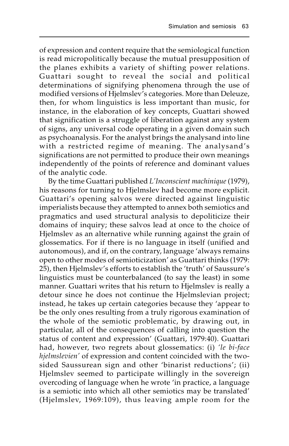of expression and content require that the semiological function is read micropolitically because the mutual presupposition of the planes exhibits a variety of shifting power relations. Guattari sought to reveal the social and political determinations of signifying phenomena through the use of modified versions of Hjelmslev's categories. More than Deleuze, then, for whom linguistics is less important than music, for instance, in the elaboration of key concepts, Guattari showed that signification is a struggle of liberation against any system of signs, any universal code operating in a given domain such as psychoanalysis. For the analyst brings the analysand into line with a restricted regime of meaning. The analysand's significations are not permitted to produce their own meanings independently of the points of reference and dominant values of the analytic code.

By the time Guattari published *L'Inconscient machinique* (1979), his reasons for turning to Hjelmslev had become more explicit. Guattari's opening salvos were directed against linguistic imperialists because they attempted to annex both semiotics and pragmatics and used structural analysis to depoliticize their domains of inquiry; these salvos lead at once to the choice of Hjelmslev as an alternative while running against the grain of glossematics. For if there is no language in itself (unified and autonomous), and if, on the contrary, language 'always remains open to other modes of semioticization' as Guattari thinks (1979: 25), then Hjelmslev's efforts to establish the 'truth' of Saussure's linguistics must be counterbalanced (to say the least) in some manner. Guattari writes that his return to Hjelmslev is really a detour since he does not continue the Hjelmslevian project; instead, he takes up certain categories because they 'appear to be the only ones resulting from a truly rigorous examination of the whole of the semiotic problematic, by drawing out, in particular, all of the consequences of calling into question the status of content and expression' (Guattari, 1979:40). Guattari had, however, two regrets about glossematics: (i) *'le bi-face hjelmslevien'* of expression and content coincided with the twosided Saussurean sign and other 'binarist reductions'; (ii) Hjelmslev seemed to participate willingly in the sovereign overcoding of language when he wrote 'in practice, a language is a semiotic into which all other semiotics may be translated' (Hjelmslev, 1969:109), thus leaving ample room for the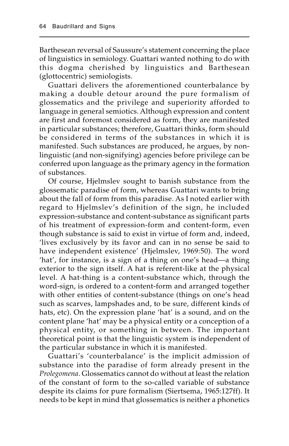Barthesean reversal of Saussure's statement concerning the place of linguistics in semiology. Guattari wanted nothing to do with this dogma cherished by linguistics and Barthesean (glottocentric) semiologists.

Guattari delivers the aforementioned counterbalance by making a double detour around the pure formalism of glossematics and the privilege and superiority afforded to language in general semiotics. Although expression and content are first and foremost considered as form, they are manifested in particular substances; therefore, Guattari thinks, form should be considered in terms of the substances in which it is manifested. Such substances are produced, he argues, by nonlinguistic (and non-signifying) agencies before privilege can be conferred upon language as the primary agency in the formation of substances.

Of course, Hjelmslev sought to banish substance from the glossematic paradise of form, whereas Guattari wants to bring about the fall of form from this paradise. As I noted earlier with regard to Hjelmslev's definition of the sign, he included expression-substance and content-substance as significant parts of his treatment of expression-form and content-form, even though substance is said to exist in virtue of form and, indeed, 'lives exclusively by its favor and can in no sense be said to have independent existence' (Hjelmslev, 1969:50). The word 'hat', for instance, is a sign of a thing on one's head—a thing exterior to the sign itself. A hat is referent-like at the physical level. A hat-thing is a content-substance which, through the word-sign, is ordered to a content-form and arranged together with other entities of content-substance (things on one's head such as scarves, lampshades and, to be sure, different kinds of hats, etc). On the expression plane 'hat' is a sound, and on the content plane 'hat' may be a physical entity or a conception of a physical entity, or something in between. The important theoretical point is that the linguistic system is independent of the particular substance in which it is manifested.

Guattari's 'counterbalance' is the implicit admission of substance into the paradise of form already present in the *Prolegomena*. Glossematics cannot do without at least the relation of the constant of form to the so-called variable of substance despite its claims for pure formalism (Siertsema, 1965:127ff). It needs to be kept in mind that glossematics is neither a phonetics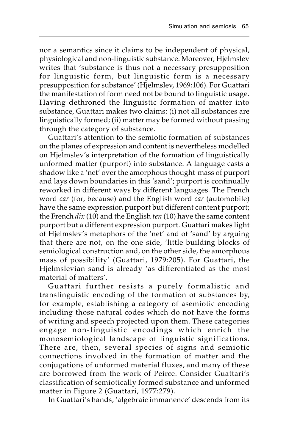nor a semantics since it claims to be independent of physical, physiological and non-linguistic substance. Moreover, Hjelmslev writes that 'substance is thus not a necessary presupposition for linguistic form, but linguistic form is a necessary presupposition for substance' (Hjelmslev, 1969:106). For Guattari the manifestation of form need not be bound to linguistic usage. Having dethroned the linguistic formation of matter into substance, Guattari makes two claims: (i) not all substances are linguistically formed; (ii) matter may be formed without passing through the category of substance.

Guattari's attention to the semiotic formation of substances on the planes of expression and content is nevertheless modelled on Hjelmslev's interpretation of the formation of linguistically unformed matter (purport) into substance. A language casts a shadow like a 'net' over the amorphous thought-mass of purport and lays down boundaries in this 'sand'; purport is continually reworked in different ways by different languages. The French word *car* (for, because) and the English word *car* (automobile) have the same expression purport but different content purport; the French *dix* (10) and the English *ten* (10) have the same content purport but a different expression purport. Guattari makes light of Hjelmslev's metaphors of the 'net' and of 'sand' by arguing that there are not, on the one side, 'little building blocks of semiological construction and, on the other side, the amorphous mass of possibility' (Guattari, 1979:205). For Guattari, the Hjelmslevian sand is already 'as differentiated as the most material of matters'.

Guattari further resists a purely formalistic and translinguistic encoding of the formation of substances by, for example, establishing a category of asemiotic encoding including those natural codes which do not have the forms of writing and speech projected upon them. These categories engage non-linguistic encodings which enrich the monosemiological landscape of linguistic significations. There are, then, several species of signs and semiotic connections involved in the formation of matter and the conjugations of unformed material fluxes, and many of these are borrowed from the work of Peirce. Consider Guattari's classification of semiotically formed substance and unformed matter in Figure 2 (Guattari, 1977:279).

In Guattari's hands, 'algebraic immanence' descends from its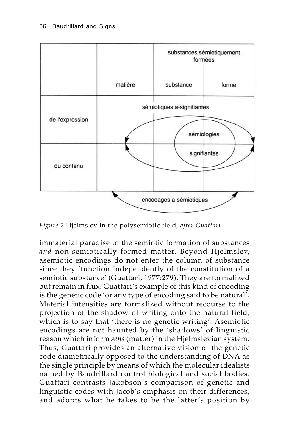

*Figure 2* Hjelmslev in the polysemiotic field, *after Guattari*

immaterial paradise to the semiotic formation of substances *and* non-semiotically formed matter. Beyond Hjelmslev, asemiotic encodings do not enter the column of substance since they 'function independently of the constitution of a semiotic substance' (Guattari, 1977:279). They are formalized but remain in flux. Guattari's example of this kind of encoding is the genetic code 'or any type of encoding said to be natural'. Material intensities are formalized without recourse to the projection of the shadow of writing onto the natural field, which is to say that 'there is no genetic writing'. Asemiotic encodings are not haunted by the 'shadows' of linguistic reason which inform *sens* (matter) in the Hjelmslevian system. Thus, Guattari provides an alternative vision of the genetic code diametrically opposed to the understanding of DNA as the single principle by means of which the molecular idealists named by Baudrillard control biological and social bodies. Guattari contrasts Jakobson's comparison of genetic and linguistic codes with Jacob's emphasis on their differences, and adopts what he takes to be the latter's position by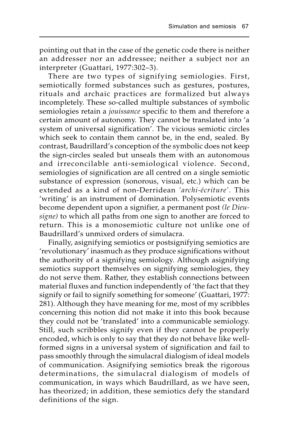pointing out that in the case of the genetic code there is neither an addresser nor an addressee; neither a subject nor an interpreter (Guattari, 1977:302–3).

There are two types of signifying semiologies. First, semiotically formed substances such as gestures, postures, rituals and archaic practices are formalized but always incompletely. These so-called multiple substances of symbolic semiologies retain a *jouissance* specific to them and therefore a certain amount of autonomy. They cannot be translated into 'a system of universal signification'. The vicious semiotic circles which seek to contain them cannot be, in the end, sealed. By contrast, Baudrillard's conception of the symbolic does not keep the sign-circles sealed but unseals them with an autonomous and irreconcilable anti-semiological violence. Second, semiologies of signification are all centred on a single semiotic substance of expression (sonorous, visual, etc.) which can be extended as a kind of non-Derridean *'archi-écriture'*. This 'writing' is an instrument of domination. Polysemiotic events become dependent upon a signifier, a permanent post *(le Dieusigne)* to which all paths from one sign to another are forced to return. This is a monosemiotic culture not unlike one of Baudrillard's unmixed orders of simulacra.

Finally, asignifying semiotics or postsignifying semiotics are 'revolutionary' inasmuch as they produce significations without the authority of a signifying semiology. Although asignifying semiotics support themselves on signifying semiologies, they do not serve them. Rather, they establish connections between material fluxes and function independently of 'the fact that they signify or fail to signify something for someone' (Guattari, 1977: 281). Although they have meaning for me, most of my scribbles concerning this notion did not make it into this book because they could not be 'translated' into a communicable semiology. Still, such scribbles signify even if they cannot be properly encoded, which is only to say that they do not behave like wellformed signs in a universal system of signification and fail to pass smoothly through the simulacral dialogism of ideal models of communication. Asignifying semiotics break the rigorous determinations, the simulacral dialogism of models of communication, in ways which Baudrillard, as we have seen, has theorized; in addition, these semiotics defy the standard definitions of the sign.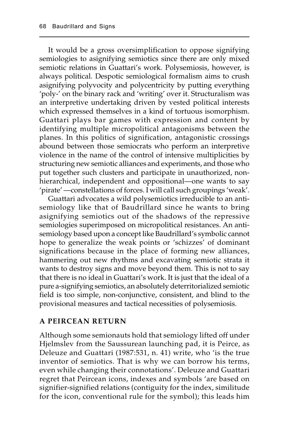It would be a gross oversimplification to oppose signifying semiologies to asignifying semiotics since there are only mixed semiotic relations in Guattari's work. Polysemiosis, however, is always political. Despotic semiological formalism aims to crush asignifying polyvocity and polycentricity by putting everything 'poly-' on the binary rack and 'writing' over it. Structuralism was an interpretive undertaking driven by vested political interests which expressed themselves in a kind of tortuous isomorphism. Guattari plays bar games with expression and content by identifying multiple micropolitical antagonisms between the planes. In this politics of signification, antagonistic crossings abound between those semiocrats who perform an interpretive violence in the name of the control of intensive multiplicities by structuring new semiotic alliances and experiments, and those who put together such clusters and participate in unauthorized, nonhierarchical, independent and oppositional—one wants to say 'pirate' —constellations of forces. I will call such groupings 'weak'.

Guattari advocates a wild polysemiotics irreducible to an antisemiology like that of Baudrillard since he wants to bring asignifying semiotics out of the shadows of the repressive semiologies superimposed on micropolitical resistances. An antisemiology based upon a concept like Baudrillard's symbolic cannot hope to generalize the weak points or 'schizzes' of dominant significations because in the place of forming new alliances, hammering out new rhythms and excavating semiotic strata it wants to destroy signs and move beyond them. This is not to say that there is no ideal in Guattari's work. It is just that the ideal of a pure a-signifying semiotics, an absolutely deterritorialized semiotic field is too simple, non-conjunctive, consistent, and blind to the provisional measures and tactical necessities of polysemiosis.

### **A PEIRCEAN RETURN**

Although some semionauts hold that semiology lifted off under Hjelmslev from the Saussurean launching pad, it is Peirce, as Deleuze and Guattari (1987:531, n. 41) write, who 'is the true inventor of semiotics. That is why we can borrow his terms, even while changing their connotations'. Deleuze and Guattari regret that Peircean icons, indexes and symbols 'are based on signifier-signified relations (contiguity for the index, similitude for the icon, conventional rule for the symbol); this leads him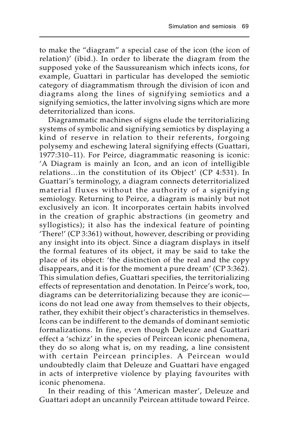to make the "diagram" a special case of the icon (the icon of relation)' (ibid.). In order to liberate the diagram from the supposed yoke of the Saussureanism which infects icons, for example, Guattari in particular has developed the semiotic category of diagrammatism through the division of icon and diagrams along the lines of signifying semiotics and a signifying semiotics, the latter involving signs which are more deterritorialized than icons.

Diagrammatic machines of signs elude the territorializing systems of symbolic and signifying semiotics by displaying a kind of reserve in relation to their referents, forgoing polysemy and eschewing lateral signifying effects (Guattari, 1977:310–11). For Peirce, diagrammatic reasoning is iconic: 'A Diagram is mainly an Icon, and an icon of intelligible relations…in the constitution of its Object' (CP 4:531). In Guattari's terminology, a diagram connects deterritorialized material fluxes without the authority of a signifying semiology. Returning to Peirce, a diagram is mainly but not exclusively an icon. It incorporates certain habits involved in the creation of graphic abstractions (in geometry and syllogistics); it also has the indexical feature of pointing 'There!' (CP 3:361) without, however, describing or providing any insight into its object. Since a diagram displays in itself the formal features of its object, it may be said to take the place of its object: 'the distinction of the real and the copy disappears, and it is for the moment a pure dream' (CP 3:362). This simulation defies, Guattari specifies, the territorializing effects of representation and denotation. In Peirce's work, too, diagrams can be deterritorializing because they are iconic icons do not lead one away from themselves to their objects, rather, they exhibit their object's characteristics in themselves. Icons can be indifferent to the demands of dominant semiotic formalizations. In fine, even though Deleuze and Guattari effect a 'schizz' in the species of Peircean iconic phenomena, they do so along what is, on my reading, a line consistent with certain Peircean principles. A Peircean would undoubtedly claim that Deleuze and Guattari have engaged in acts of interpretive violence by playing favourites with iconic phenomena.

In their reading of this 'American master', Deleuze and Guattari adopt an uncannily Peircean attitude toward Peirce.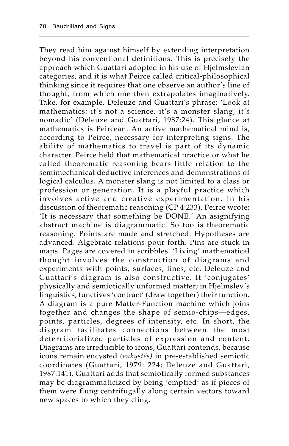They read him against himself by extending interpretation beyond his conventional definitions. This is precisely the approach which Guattari adopted in his use of Hjelmslevian categories, and it is what Peirce called critical-philosophical thinking since it requires that one observe an author's line of thought, from which one then extrapolates imaginatively. Take, for example, Deleuze and Guattari's phrase: 'Look at mathematics: it's not a science, it's a monster slang, it's nomadic' (Deleuze and Guattari, 1987:24). This glance at mathematics is Peircean. An active mathematical mind is, according to Peirce, necessary for interpreting signs. The ability of mathematics to travel is part of its dynamic character. Peirce held that mathematical practice or what he called theorematic reasoning bears little relation to the semimechanical deductive inferences and demonstrations of logical calculus. A monster slang is not limited to a class or profession or generation. It is a playful practice which involves active and creative experimentation. In his discussion of theorematic reasoning (CP 4:233), Peirce wrote: 'It is necessary that something be DONE.' An asignifying abstract machine is diagrammatic. So too is theorematic reasoning. Points are made and stretched. Hypotheses are advanced. Algebraic relations pour forth. Pins are stuck in maps. Pages are covered in scribbles. 'Living' mathematical thought involves the construction of diagrams and experiments with points, surfaces, lines, etc. Deleuze and Guattari's diagram is also constructive. It 'conjugates' physically and semiotically unformed matter; in Hjelmslev's linguistics, functives 'contract' (draw together) their function. A diagram is a pure Matter-Function machine which joins together and changes the shape of semio-chips—edges, points, particles, degrees of intensity, etc. In short, the diagram facilitates connections between the most deterritorialized particles of expression and content. Diagrams are irreducible to icons, Guattari contends, because icons remain encysted *(enkystés)* in pre-established semiotic coordinates (Guattari, 1979: 224; Deleuze and Guattari, 1987:141). Guattari adds that semiotically formed substances may be diagrammaticized by being 'emptied' as if pieces of them were flung centrifugally along certain vectors toward new spaces to which they cling.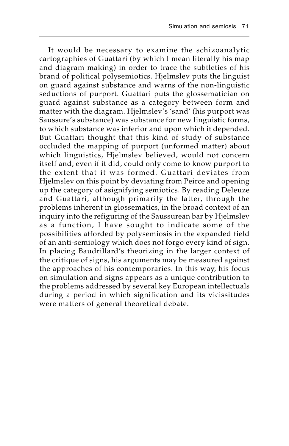It would be necessary to examine the schizoanalytic cartographies of Guattari (by which I mean literally his map and diagram making) in order to trace the subtleties of his brand of political polysemiotics. Hjelmslev puts the linguist on guard against substance and warns of the non-linguistic seductions of purport. Guattari puts the glossematician on guard against substance as a category between form and matter with the diagram. Hjelmslev's 'sand' (his purport was Saussure's substance) was substance for new linguistic forms, to which substance was inferior and upon which it depended. But Guattari thought that this kind of study of substance occluded the mapping of purport (unformed matter) about which linguistics, Hjelmslev believed, would not concern itself and, even if it did, could only come to know purport to the extent that it was formed. Guattari deviates from Hjelmslev on this point by deviating from Peirce and opening up the category of asignifying semiotics. By reading Deleuze and Guattari, although primarily the latter, through the problems inherent in glossematics, in the broad context of an inquiry into the refiguring of the Saussurean bar by Hjelmslev as a function, I have sought to indicate some of the possibilities afforded by polysemiosis in the expanded field of an anti-semiology which does not forgo every kind of sign. In placing Baudrillard's theorizing in the larger context of the critique of signs, his arguments may be measured against the approaches of his contemporaries. In this way, his focus on simulation and signs appears as a unique contribution to the problems addressed by several key European intellectuals during a period in which signification and its vicissitudes were matters of general theoretical debate.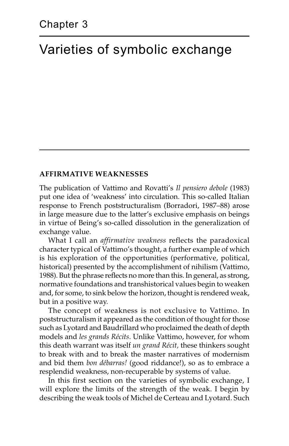# Varieties of symbolic exchange

### **AFFIRMATIVE WEAKNESSES**

The publication of Vattimo and Rovatti's *Il pensiero debole* (1983) put one idea of 'weakness' into circulation. This so-called Italian response to French poststructuralism (Borradori, 1987–88) arose in large measure due to the latter's exclusive emphasis on beings in virtue of Being's so-called dissolution in the generalization of exchange value.

What I call an *affirmative weakness* reflects the paradoxical character typical of Vattimo's thought, a further example of which is his exploration of the opportunities (performative, political, historical) presented by the accomplishment of nihilism (Vattimo, 1988). But the phrase reflects no more than this. In general, as strong, normative foundations and transhistorical values begin to weaken and, for some, to sink below the horizon, thought is rendered weak, but in a positive way.

The concept of weakness is not exclusive to Vattimo. In poststructuralism it appeared as the condition of thought for those such as Lyotard and Baudrillard who proclaimed the death of depth models and *les grands Récits*. Unlike Vattimo, however, for whom this death warrant was itself *un grand Récit,* these thinkers sought to break with and to break the master narratives of modernism and bid them *bon débarras!* (good riddance!), so as to embrace a resplendid weakness, non-recuperable by systems of value.

In this first section on the varieties of symbolic exchange, I will explore the limits of the strength of the weak. I begin by describing the weak tools of Michel de Certeau and Lyotard. Such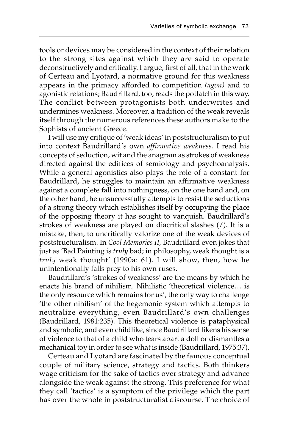tools or devices may be considered in the context of their relation to the strong sites against which they are said to operate deconstructively and critically. I argue, first of all, that in the work of Certeau and Lyotard, a normative ground for this weakness appears in the primacy afforded to competition *(agon)* and to agonistic relations; Baudrillard, too, reads the potlatch in this way. The conflict between protagonists both underwrites and undermines weakness. Moreover, a tradition of the weak reveals itself through the numerous references these authors make to the Sophists of ancient Greece.

I will use my critique of 'weak ideas' in poststructuralism to put into context Baudrillard's own *affirmative weakness*. I read his concepts of seduction, wit and the anagram as strokes of weakness directed against the edifices of semiology and psychoanalysis. While a general agonistics also plays the role of a constant for Baudrillard, he struggles to maintain an affirmative weakness against a complete fall into nothingness, on the one hand and, on the other hand, he unsuccessfully attempts to resist the seductions of a strong theory which establishes itself by occupying the place of the opposing theory it has sought to vanquish. Baudrillard's strokes of weakness are played on diacritical slashes (/). It is a mistake, then, to uncritically valorize one of the weak devices of poststructuralism. In *Cool Memories II,* Baudrillard even jokes that just as 'Bad Painting is *truly* bad; in philosophy, weak thought is a *truly* weak thought' (1990a: 61). I will show, then, how he unintentionally falls prey to his own ruses.

Baudrillard's 'strokes of weakness' are the means by which he enacts his brand of nihilism. Nihilistic 'theoretical violence… is the only resource which remains for us', the only way to challenge 'the other nihilism' of the hegemonic system which attempts to neutralize everything, even Baudrillard's own challenges (Baudrillard, 1981:235). This theoretical violence is pataphysical and symbolic, and even childlike, since Baudrillard likens his sense of violence to that of a child who tears apart a doll or dismantles a mechanical toy in order to see what is inside (Baudrillard, 1975:37).

Certeau and Lyotard are fascinated by the famous conceptual couple of military science, strategy and tactics. Both thinkers wage criticism for the sake of tactics over strategy and advance alongside the weak against the strong. This preference for what they call 'tactics' is a symptom of the privilege which the part has over the whole in poststructuralist discourse. The choice of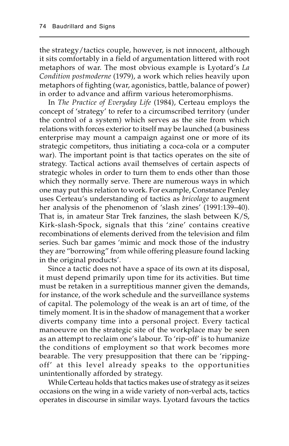the strategy/tactics couple, however, is not innocent, although it sits comfortably in a field of argumentation littered with root metaphors of war. The most obvious example is Lyotard's *La Condition postmoderne* (1979), a work which relies heavily upon metaphors of fighting (war, agonistics, battle, balance of power) in order to advance and affirm various heteromorphisms.

In *The Practice of Everyday Life* (1984), Certeau employs the concept of 'strategy' to refer to a circumscribed territory (under the control of a system) which serves as the site from which relations with forces exterior to itself may be launched (a business enterprise may mount a campaign against one or more of its strategic competitors, thus initiating a coca-cola or a computer war). The important point is that tactics operates on the site of strategy. Tactical actions avail themselves of certain aspects of strategic wholes in order to turn them to ends other than those which they normally serve. There are numerous ways in which one may put this relation to work. For example, Constance Penley uses Certeau's understanding of tactics as *bricolage* to augment her analysis of the phenomenon of 'slash zines' (1991:139–40). That is, in amateur Star Trek fanzines, the slash between K/S, Kirk-slash-Spock, signals that this 'zine' contains creative recombinations of elements derived from the television and film series. Such bar games 'mimic and mock those of the industry they are "borrowing" from while offering pleasure found lacking in the original products'.

Since a tactic does not have a space of its own at its disposal, it must depend primarily upon time for its activities. But time must be retaken in a surreptitious manner given the demands, for instance, of the work schedule and the surveillance systems of capital. The polemology of the weak is an art of time, of the timely moment. It is in the shadow of management that a worker diverts company time into a personal project. Every tactical manoeuvre on the strategic site of the workplace may be seen as an attempt to reclaim one's labour. To 'rip-off' is to humanize the conditions of employment so that work becomes more bearable. The very presupposition that there can be 'rippingoff' at this level already speaks to the opportunities unintentionally afforded by strategy.

While Certeau holds that tactics makes use of strategy as it seizes occasions on the wing in a wide variety of non-verbal acts, tactics operates in discourse in similar ways. Lyotard favours the tactics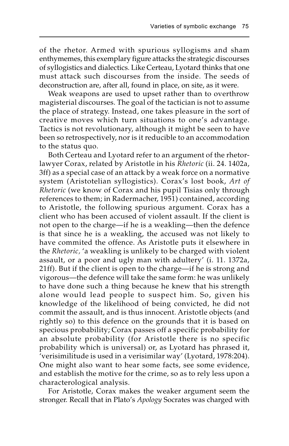of the rhetor. Armed with spurious syllogisms and sham enthymemes, this exemplary figure attacks the strategic discourses of syllogistics and dialectics. Like Certeau, Lyotard thinks that one must attack such discourses from the inside. The seeds of deconstruction are, after all, found in place, on site, as it were.

Weak weapons are used to upset rather than to overthrow magisterial discourses. The goal of the tactician is not to assume the place of strategy. Instead, one takes pleasure in the sort of creative moves which turn situations to one's advantage. Tactics is not revolutionary, although it might be seen to have been so retrospectively, nor is it reducible to an accommodation to the status quo.

Both Certeau and Lyotard refer to an argument of the rhetorlawyer Corax, related by Aristotle in his *Rhetoric* (ii. 24. 1402a, 3ff) as a special case of an attack by a weak force on a normative system (Aristotelian syllogistics). Corax's lost book, *Art of Rhetoric* (we know of Corax and his pupil Tisias only through references to them; in Radermacher, 1951) contained, according to Aristotle, the following spurious argument. Corax has a client who has been accused of violent assault. If the client is not open to the charge—if he is a weakling—then the defence is that since he is a weakling, the accused was not likely to have commited the offence. As Aristotle puts it elsewhere in the *Rhetoric,* 'a weakling is unlikely to be charged with violent assault, or a poor and ugly man with adultery' (i. 11. 1372a, 21ff). But if the client is open to the charge—if he is strong and vigorous—the defence will take the same form: he was unlikely to have done such a thing because he knew that his strength alone would lead people to suspect him. So, given his knowledge of the likelihood of being convicted, he did not commit the assault, and is thus innocent. Aristotle objects (and rightly so) to this defence on the grounds that it is based on specious probability; Corax passes off a specific probability for an absolute probability (for Aristotle there is no specific probability which is universal) or, as Lyotard has phrased it,  $\epsilon$  verisimilitude is used in a verisimilar way' (Lyotard, 1978:204). One might also want to hear some facts, see some evidence, and establish the motive for the crime, so as to rely less upon a characterological analysis.

For Aristotle, Corax makes the weaker argument seem the stronger. Recall that in Plato's *Apology* Socrates was charged with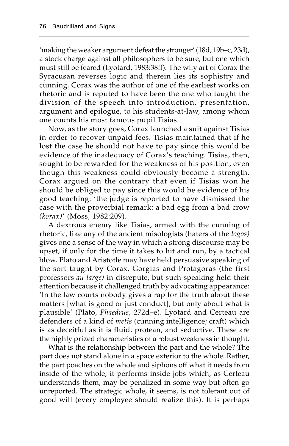'making the weaker argument defeat the stronger' (18d, 19b–c, 23d), a stock charge against all philosophers to be sure, but one which must still be feared (Lyotard, 1983:38ff). The wily art of Corax the Syracusan reverses logic and therein lies its sophistry and cunning. Corax was the author of one of the earliest works on rhetoric and is reputed to have been the one who taught the division of the speech into introduction, presentation, argument and epilogue, to his students-at-law, among whom one counts his most famous pupil Tisias.

Now, as the story goes, Corax launched a suit against Tisias in order to recover unpaid fees. Tisias maintained that if he lost the case he should not have to pay since this would be evidence of the inadequacy of Corax's teaching. Tisias, then, sought to be rewarded for the weakness of his position, even though this weakness could obviously become a strength. Corax argued on the contrary that even if Tisias won he should be obliged to pay since this would be evidence of his good teaching: 'the judge is reported to have dismissed the case with the proverbial remark: a bad egg from a bad crow *(korax)*' (Moss, 1982:209).

A dextrous enemy like Tisias, armed with the cunning of rhetoric, like any of the ancient misologists (haters of the *logos)* gives one a sense of the way in which a strong discourse may be upset, if only for the time it takes to hit and run, by a tactical blow. Plato and Aristotle may have held persuasive speaking of the sort taught by Corax, Gorgias and Protagoras (the first professors *au large)* in disrepute, but such speaking held their attention because it challenged truth by advocating appearance: 'In the law courts nobody gives a rap for the truth about these matters [what is good or just conduct], but only about what is plausible' (Plato, *Phaedrus,* 272d–e). Lyotard and Certeau are defenders of a kind of *metis* (cunning intelligence; craft) which is as deceitful as it is fluid, protean, and seductive. These are the highly prized characteristics of a robust weakness in thought.

What is the relationship between the part and the whole? The part does not stand alone in a space exterior to the whole. Rather, the part poaches on the whole and siphons off what it needs from inside of the whole; it performs inside jobs which, as Certeau understands them, may be penalized in some way but often go unreported. The strategic whole, it seems, is not tolerant out of good will (every employee should realize this). It is perhaps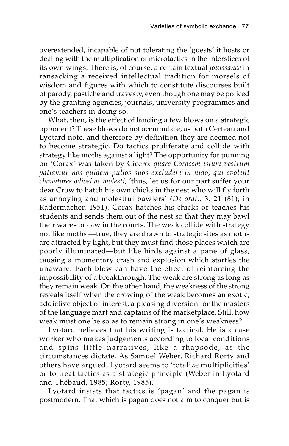overextended, incapable of not tolerating the 'guests' it hosts or dealing with the multiplication of microtactics in the interstices of its own wings. There is, of course, a certain textual *jouissance* in ransacking a received intellectual tradition for morsels of wisdom and figures with which to constitute discourses built of parody, pastiche and travesty, even though one may be policed by the granting agencies, journals, university programmes and one's teachers in doing so.

What, then, is the effect of landing a few blows on a strategic opponent? These blows do not accumulate, as both Certeau and Lyotard note, and therefore by definition they are deemed not to become strategic. Do tactics proliferate and collide with strategy like moths against a light? The opportunity for punning on 'Corax' was taken by Cicero: *quare Coracem istum vestrum patiamur nos quidem pullos suos excludere in nido, qui evolent clamatores odiosi ac molesti;* 'thus, let us for our part suffer your dear Crow to hatch his own chicks in the nest who will fly forth as annoying and molestful bawlers' (*De orat.,* 3. 21 (81); in Radermacher, 1951). Corax hatches his chicks or teaches his students and sends them out of the nest so that they may bawl their wares or caw in the courts. The weak collide with strategy not like moths —true, they are drawn to strategic sites as moths are attracted by light, but they must find those places which are poorly illuminated—but like birds against a pane of glass, causing a momentary crash and explosion which startles the unaware. Each blow can have the effect of reinforcing the impossibility of a breakthrough. The weak are strong as long as they remain weak. On the other hand, the weakness of the strong reveals itself when the crowing of the weak becomes an exotic, addictive object of interest, a pleasing diversion for the masters of the language mart and captains of the marketplace. Still, how weak must one be so as to remain strong in one's weakness?

Lyotard believes that his writing is tactical. He is a case worker who makes judgements according to local conditions and spins little narratives, like a rhapsode, as the circumstances dictate. As Samuel Weber, Richard Rorty and others have argued, Lyotard seems to 'totalize multiplicities' or to treat tactics as a strategic principle (Weber in Lyotard and Thébaud, 1985; Rorty, 1985).

Lyotard insists that tactics is 'pagan' and the pagan is postmodern. That which is pagan does not aim to conquer but is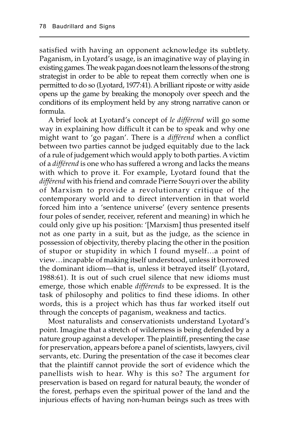satisfied with having an opponent acknowledge its subtlety. Paganism, in Lyotard's usage, is an imaginative way of playing in existing games. The weak pagan does not learn the lessons of the strong strategist in order to be able to repeat them correctly when one is permitted to do so (Lyotard, 1977:41). A brilliant riposte or witty aside opens up the game by breaking the monopoly over speech and the conditions of its employment held by any strong narrative canon or formula.

A brief look at Lyotard's concept of *le différend* will go some way in explaining how difficult it can be to speak and why one might want to 'go pagan'. There is a *différend* when a conflict between two parties cannot be judged equitably due to the lack of a rule of judgement which would apply to both parties. A victim of a *différend* is one who has suffered a wrong and lacks the means with which to prove it. For example, Lyotard found that the *différend* with his friend and comrade Pierre Souyri over the ability of Marxism to provide a revolutionary critique of the contemporary world and to direct intervention in that world forced him into a 'sentence universe' (every sentence presents four poles of sender, receiver, referent and meaning) in which he could only give up his position: '[Marxism] thus presented itself not as one party in a suit, but as the judge, as the science in possession of objectivity, thereby placing the other in the position of stupor or stupidity in which I found myself…a point of view…incapable of making itself understood, unless it borrowed the dominant idiom—that is, unless it betrayed itself' (Lyotard, 1988:61). It is out of such cruel silence that new idioms must emerge, those which enable *différends* to be expressed. It is the task of philosophy and politics to find these idioms. In other words, this is a project which has thus far worked itself out through the concepts of paganism, weakness and tactics.

Most naturalists and conservationists understand Lyotard's point. Imagine that a stretch of wilderness is being defended by a nature group against a developer. The plaintiff, presenting the case for preservation, appears before a panel of scientists, lawyers, civil servants, etc. During the presentation of the case it becomes clear that the plaintiff cannot provide the sort of evidence which the panellists wish to hear. Why is this so? The argument for preservation is based on regard for natural beauty, the wonder of the forest, perhaps even the spiritual power of the land and the injurious effects of having non-human beings such as trees with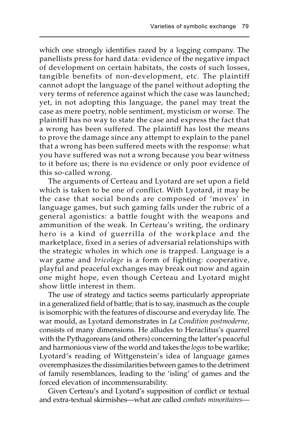which one strongly identifies razed by a logging company. The panellists press for hard data: evidence of the negative impact of development on certain habitats, the costs of such losses, tangible benefits of non-development, etc. The plaintiff cannot adopt the language of the panel without adopting the very terms of reference against which the case was launched; yet, in not adopting this language, the panel may treat the case as mere poetry, noble sentiment, mysticism or worse. The plaintiff has no way to state the case and express the fact that a wrong has been suffered. The plaintiff has lost the means to prove the damage since any attempt to explain to the panel that a wrong has been suffered meets with the response: what you have suffered was not a wrong because you bear witness to it before us; there is no evidence or only poor evidence of this so-called wrong.

The arguments of Certeau and Lyotard are set upon a field which is taken to be one of conflict. With Lyotard, it may be the case that social bonds are composed of 'moves' in language games, but such gaming falls under the rubric of a general agonistics: a battle fought with the weapons and ammunition of the weak. In Certeau's writing, the ordinary hero is a kind of guerrilla of the workplace and the marketplace, fixed in a series of adversarial relationships with the strategic wholes in which one is trapped. Language is a war game and *bricolage* is a form of fighting: cooperative, playful and peaceful exchanges may break out now and again one might hope, even though Certeau and Lyotard might show little interest in them.

The use of strategy and tactics seems particularly appropriate in a generalized field of battle; that is to say, inasmuch as the couple is isomorphic with the features of discourse and everyday life. The war mould, as Lyotard demonstrates in *La Condition postmoderne,* consists of many dimensions. He alludes to Heraclitus's quarrel with the Pythagoreans (and others) concerning the latter's peaceful and harmonious view of the world and takes the *logos* to be warlike; Lyotard's reading of Wittgenstein's idea of language games overemphasizes the dissimilarities between games to the detriment of family resemblances, leading to the 'isling' of games and the forced elevation of incommensurability.

Given Certeau's and Lyotard's supposition of conflict or textual and extra-textual skirmishes—what are called *combats minoritaires*—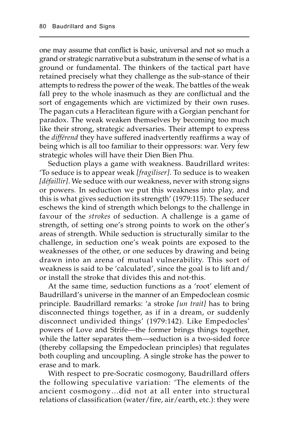one may assume that conflict is basic, universal and not so much a grand or strategic narrative but a substratum in the sense of what is a ground or fundamental. The thinkers of the tactical part have retained precisely what they challenge as the sub-stance of their attempts to redress the power of the weak. The battles of the weak fall prey to the whole inasmuch as they are conflictual and the sort of engagements which are victimized by their own ruses. The pagan cuts a Heraclitean figure with a Gorgian penchant for paradox. The weak weaken themselves by becoming too much like their strong, strategic adversaries. Their attempt to express the *différend* they have suffered inadvertently reaffirms a way of being which is all too familiar to their oppressors: war. Very few strategic wholes will have their Dien Bien Phu.

Seduction plays a game with weakness. Baudrillard writes: 'To seduce is to appear weak *[fragiliser]*. To seduce is to weaken *[défaillir]*. We seduce with our weakness, never with strong signs or powers. In seduction we put this weakness into play, and this is what gives seduction its strength' (1979:115). The seducer eschews the kind of strength which belongs to the challenge in favour of the *strokes* of seduction. A challenge is a game of strength, of setting one's strong points to work on the other's areas of strength. While seduction is structurally similar to the challenge, in seduction one's weak points are exposed to the weaknesses of the other, or one seduces by drawing and being drawn into an arena of mutual vulnerability. This sort of weakness is said to be 'calculated', since the goal is to lift and/ or install the stroke that divides this and not-this.

At the same time, seduction functions as a 'root' element of Baudrillard's universe in the manner of an Empedoclean cosmic principle. Baudrillard remarks: 'a stroke *[un trait]* has to bring disconnected things together, as if in a dream, or suddenly disconnect undivided things' (1979:142). Like Empedocles' powers of Love and Strife—the former brings things together, while the latter separates them—seduction is a two-sided force (thereby collapsing the Empedoclean principles) that regulates both coupling and uncoupling. A single stroke has the power to erase and to mark.

With respect to pre-Socratic cosmogony, Baudrillard offers the following speculative variation: 'The elements of the ancient cosmogony…did not at all enter into structural relations of classification (water/fire, air/earth, etc.): they were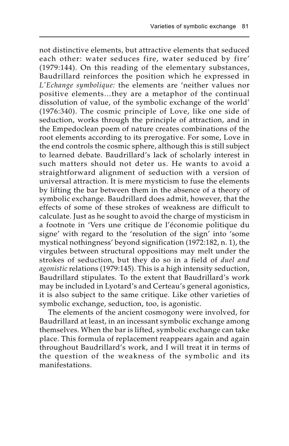not distinctive elements, but attractive elements that seduced each other: water seduces fire, water seduced by fire' (1979:144). On this reading of the elementary substances, Baudrillard reinforces the position which he expressed in *L'Echange symbolique:* the elements are 'neither values nor positive elements…they are a metaphor of the continual dissolution of value, of the symbolic exchange of the world' (1976:340). The cosmic principle of Love, like one side of seduction, works through the principle of attraction, and in the Empedoclean poem of nature creates combinations of the root elements according to its prerogative. For some, Love in the end controls the cosmic sphere, although this is still subject to learned debate. Baudrillard's lack of scholarly interest in such matters should not deter us. He wants to avoid a straightforward alignment of seduction with a version of universal attraction. It is mere mysticism to fuse the elements by lifting the bar between them in the absence of a theory of symbolic exchange. Baudrillard does admit, however, that the effects of some of these strokes of weakness are difficult to calculate. Just as he sought to avoid the charge of mysticism in a footnote in 'Vers une critique de l'économie politique du signe' with regard to the 'resolution of the sign' into 'some mystical nothingness' beyond signification (1972:182, n. 1), the virgules between structural oppositions may melt under the strokes of seduction, but they do so in a field of *duel and agonistic* relations (1979:145). This is a high intensity seduction, Baudrillard stipulates. To the extent that Baudrillard's work may be included in Lyotard's and Certeau's general agonistics, it is also subject to the same critique. Like other varieties of symbolic exchange, seduction, too, is agonistic.

The elements of the ancient cosmogony were involved, for Baudrillard at least, in an incessant symbolic exchange among themselves. When the bar is lifted, symbolic exchange can take place. This formula of replacement reappears again and again throughout Baudrillard's work, and I will treat it in terms of the question of the weakness of the symbolic and its manifestations.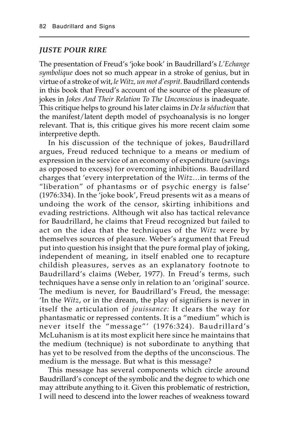#### *JUSTE POUR RIRE*

The presentation of Freud's 'joke book' in Baudrillard's *L'Echange symbolique* does not so much appear in a stroke of genius, but in virtue of a stroke of wit, *le Witz, un mot d'esprit*. Baudrillard contends in this book that Freud's account of the source of the pleasure of jokes in *Jokes And Their Relation To The Unconscious* is inadequate. This critique helps to ground his later claims in *De la séduction* that the manifest/latent depth model of psychoanalysis is no longer relevant. That is, this critique gives his more recent claim some interpretive depth.

In his discussion of the technique of jokes, Baudrillard argues, Freud reduced technique to a means or medium of expression in the service of an economy of expenditure (savings as opposed to excess) for overcoming inhibitions. Baudrillard charges that 'every interpretation of the *Witz*…in terms of the "liberation" of phantasms or of psychic energy is false' (1976:334). In the 'joke book', Freud presents wit as a means of undoing the work of the censor, skirting inhibitions and evading restrictions. Although wit also has tactical relevance for Baudrillard, he claims that Freud recognized but failed to act on the idea that the techniques of the *Witz* were by themselves sources of pleasure. Weber's argument that Freud put into question his insight that the pure formal play of joking, independent of meaning, in itself enabled one to recapture childish pleasures, serves as an explanatory footnote to Baudrillard's claims (Weber, 1977). In Freud's terms, such techniques have a sense only in relation to an 'original' source. The medium is never, for Baudrillard's Freud, the message: 'In the *Witz*, or in the dream, the play of signifiers is never in itself the articulation of *jouissance:* It clears the way for phantasmatic or repressed contents. It is a "medium" which is never itself the "message"' (1976:324). Baudrillard's McLuhanism is at its most explicit here since he maintains that the medium (technique) is not subordinate to anything that has yet to be resolved from the depths of the unconscious. The medium is the message. But what is this message?

This message has several components which circle around Baudrillard's concept of the symbolic and the degree to which one may attribute anything to it. Given this problematic of restriction, I will need to descend into the lower reaches of weakness toward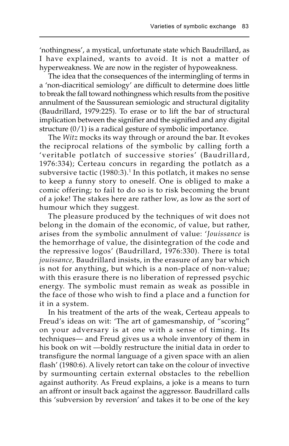'nothingness', a mystical, unfortunate state which Baudrillard, as I have explained, wants to avoid. It is not a matter of hyperweakness. We are now in the register of hypoweakness.

The idea that the consequences of the intermingling of terms in a 'non-diacritical semiology' are difficult to determine does little to break the fall toward nothingness which results from the positive annulment of the Saussurean semiologic and structural digitality (Baudrillard, 1979:225). To erase or to lift the bar of structural implication between the signifier and the signified and any digital structure (0/1) is a radical gesture of symbolic importance.

The *Witz* mocks its way through or around the bar. It evokes the reciprocal relations of the symbolic by calling forth a 'veritable potlatch of successive stories' (Baudrillard, 1976:334); Certeau concurs in regarding the potlatch as a subversive tactic (1980:3).<sup>1</sup> In this potlatch, it makes no sense to keep a funny story to oneself. One is obliged to make a comic offering; to fail to do so is to risk becoming the brunt of a joke! The stakes here are rather low, as low as the sort of humour which they suggest.

The pleasure produced by the techniques of wit does not belong in the domain of the economic, of value, but rather, arises from the symbolic annulment of value: '*Jouissance* is the hemorrhage of value, the disintegration of the code and the repressive logos' (Baudrillard, 1976:330). There is total *jouissance,* Baudrillard insists, in the erasure of any bar which is not for anything, but which is a non-place of non-value; with this erasure there is no liberation of repressed psychic energy. The symbolic must remain as weak as possible in the face of those who wish to find a place and a function for it in a system.

In his treatment of the arts of the weak, Certeau appeals to Freud's ideas on wit: 'The art of gamesmanship, of "scoring" on your adversary is at one with a sense of timing. Its techniques— and Freud gives us a whole inventory of them in his book on wit —boldly restructure the initial data in order to transfigure the normal language of a given space with an alien flash' (1980:6). A lively retort can take on the colour of invective by surmounting certain external obstacles to the rebellion against authority. As Freud explains, a joke is a means to turn an affront or insult back against the aggressor. Baudrillard calls this 'subversion by reversion' and takes it to be one of the key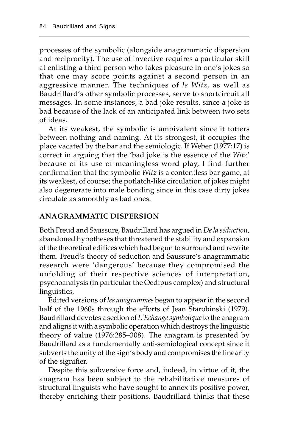processes of the symbolic (alongside anagrammatic dispersion and reciprocity). The use of invective requires a particular skill at enlisting a third person who takes pleasure in one's jokes so that one may score points against a second person in an aggressive manner. The techniques of *le Witz,* as well as Baudrillard's other symbolic processes, serve to shortcircuit all messages. In some instances, a bad joke results, since a joke is bad because of the lack of an anticipated link between two sets of ideas.

At its weakest, the symbolic is ambivalent since it totters between nothing and naming. At its strongest, it occupies the place vacated by the bar and the semiologic. If Weber (1977:17) is correct in arguing that the 'bad joke is the essence of the *Witz*' because of its use of meaningless word play, I find further confirmation that the symbolic *Witz* is a contentless bar game, at its weakest, of course; the potlatch-like circulation of jokes might also degenerate into male bonding since in this case dirty jokes circulate as smoothly as bad ones.

### **ANAGRAMMATIC DISPERSION**

Both Freud and Saussure, Baudrillard has argued in *De la séduction,* abandoned hypotheses that threatened the stability and expansion of the theoretical edifices which had begun to surround and rewrite them. Freud's theory of seduction and Saussure's anagrammatic research were 'dangerous' because they compromised the unfolding of their respective sciences of interpretation, psychoanalysis (in particular the Oedipus complex) and structural linguistics.

Edited versions of *les anagrammes* began to appear in the second half of the 1960s through the efforts of Jean Starobinski (1979). Baudrillard devotes a section of *L'Echange symbolique* to the anagram and aligns it with a symbolic operation which destroys the linguistic theory of value (1976:285–308). The anagram is presented by Baudrillard as a fundamentally anti-semiological concept since it subverts the unity of the sign's body and compromises the linearity of the signifier.

Despite this subversive force and, indeed, in virtue of it, the anagram has been subject to the rehabilitative measures of structural linguists who have sought to annex its positive power, thereby enriching their positions. Baudrillard thinks that these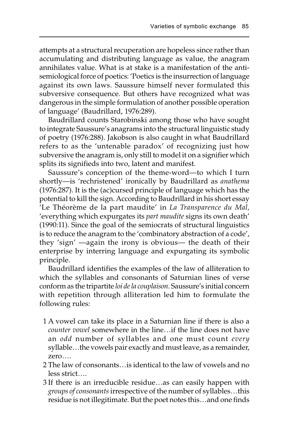attempts at a structural recuperation are hopeless since rather than accumulating and distributing language as value, the anagram annihilates value. What is at stake is a manifestation of the antisemiological force of poetics: 'Poetics is the insurrection of language against its own laws. Saussure himself never formulated this subversive consequence. But others have recognized what was dangerous in the simple formulation of another possible operation of language' (Baudrillard, 1976:289).

Baudrillard counts Starobinski among those who have sought to integrate Saussure's anagrams into the structural linguistic study of poetry (1976:288). Jakobson is also caught in what Baudrillard refers to as the 'untenable paradox' of recognizing just how subversive the anagram is, only still to model it on a signifier which splits its signifieds into two, latent and manifest.

Saussure's conception of the theme-word—to which I turn shortly—is 'rechristened' ironically by Baudrillard as *anathema* (1976:287). It is the (ac)cursed principle of language which has the potential to kill the sign. According to Baudrillard in his short essay 'Le Théorème de la part maudite' in *La Transparence du Mal,* 'everything which expurgates its *part maudite* signs its own death' (1990:11). Since the goal of the semiocrats of structural linguistics is to reduce the anagram to the 'combinatory abstraction of a code', they 'sign' —again the irony is obvious— the death of their enterprise by interring language and expurgating its symbolic principle.

Baudrillard identifies the examples of the law of alliteration to which the syllables and consonants of Saturnian lines of verse conform as the tripartite *loi de la couplaison*. Saussure's initial concern with repetition through alliteration led him to formulate the following rules:

- 1 A vowel can take its place in a Saturnian line if there is also a *counter vowel* somewhere in the line…if the line does not have an *odd* number of syllables and one must count *every* syllable…the vowels pair exactly and must leave, as a remainder, zero….
- 2 The law of consonants…is identical to the law of vowels and no less strict….
- 3 If there is an irreducible residue…as can easily happen with *groups of consonants* irrespective of the number of syllables…this residue is not illegitimate. But the poet notes this…and one finds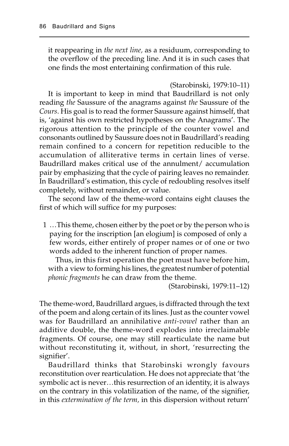it reappearing in *the next line,* as a residuum, corresponding to the overflow of the preceding line. And it is in such cases that one finds the most entertaining confirmation of this rule.

(Starobinski, 1979:10–11)

It is important to keep in mind that Baudrillard is not only reading *the* Saussure of the anagrams against *the* Saussure of the *Cours*. His goal is to read the former Saussure against himself, that is, 'against his own restricted hypotheses on the Anagrams'. The rigorous attention to the principle of the counter vowel and consonants outlined by Saussure does not in Baudrillard's reading remain confined to a concern for repetition reducible to the accumulation of alliterative terms in certain lines of verse. Baudrillard makes critical use of the annulment/ accumulation pair by emphasizing that the cycle of pairing leaves no remainder. In Baudrillard's estimation, this cycle of redoubling resolves itself completely, without remainder, or value.

The second law of the theme-word contains eight clauses the first of which will suffice for my purposes:

1 …This theme, chosen either by the poet or by the person who is paying for the inscription [an elogium] is composed of only a few words, either entirely of proper names or of one or two words added to the inherent function of proper names.

Thus, in this first operation the poet must have before him, with a view to forming his lines, the greatest number of potential *phonic fragments* he can draw from the theme.

(Starobinski, 1979:11–12)

The theme-word, Baudrillard argues, is diffracted through the text of the poem and along certain of its lines. Just as the counter vowel was for Baudrillard an annihilative *anti-vowel* rather than an additive double, the theme-word explodes into irreclaimable fragments. Of course, one may still rearticulate the name but without reconstituting it, without, in short, 'resurrecting the signifier'.

Baudrillard thinks that Starobinski wrongly favours reconstitution over rearticulation. He does not appreciate that 'the symbolic act is never…this resurrection of an identity, it is always on the contrary in this volatilization of the name, of the signifier, in this *extermination of the term,* in this dispersion without return'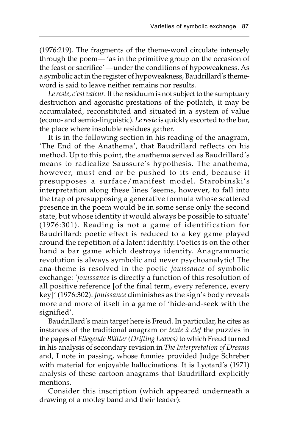(1976:219). The fragments of the theme-word circulate intensely through the poem— 'as in the primitive group on the occasion of the feast or sacrifice' —under the conditions of hypoweakness. As a symbolic act in the register of hypoweakness, Baudrillard's themeword is said to leave neither remains nor results.

*Le reste, c'est valeur*. If the residuum is not subject to the sumptuary destruction and agonistic prestations of the potlatch, it may be accumulated, reconstituted and situated in a system of value (econo- and semio-linguistic). *Le reste* is quickly escorted to the bar, the place where insoluble residues gather.

It is in the following section in his reading of the anagram, 'The End of the Anathema', that Baudrillard reflects on his method. Up to this point, the anathema served as Baudrillard's means to radicalize Saussure's hypothesis. The anathema, however, must end or be pushed to its end, because it presupposes a surface/manifest model. Starobinski's interpretation along these lines 'seems, however, to fall into the trap of presupposing a generative formula whose scattered presence in the poem would be in some sense only the second state, but whose identity it would always be possible to situate' (1976:301). Reading is not a game of identification for Baudrillard: poetic effect is reduced to a key game played around the repetition of a latent identity. Poetics is on the other hand a bar game which destroys identity. Anagrammatic revolution is always symbolic and never psychoanalytic! The ana-theme is resolved in the poetic *jouissance* of symbolic exchange: *'jouissance* is directly a function of this resolution of all positive reference [of the final term, every reference, every key]' (1976:302). *Jouissance* diminishes as the sign's body reveals more and more of itself in a game of 'hide-and-seek with the signified'.

Baudrillard's main target here is Freud. In particular, he cites as instances of the traditional anagram or *texte à clef* the puzzles in the pages of *Fliegende Blätter (Drifting Leaves)* to which Freud turned in his analysis of secondary revision in *The Interpretation of Dreams* and, I note in passing, whose funnies provided Judge Schreber with material for enjoyable hallucinations. It is Lyotard's (1971) analysis of these cartoon-anagrams that Baudrillard explicitly mentions.

Consider this inscription (which appeared underneath a drawing of a motley band and their leader):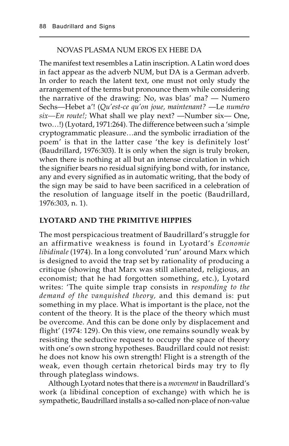### NOVAS PLASMA NUM EROS EX HEBE DA

The manifest text resembles a Latin inscription. A Latin word does in fact appear as the adverb NUM, but DA is a German adverb. In order to reach the latent text, one must not only study the arrangement of the terms but pronounce them while considering the narrative of the drawing: No, was blas' ma? — Numero Sechs—Hebet a'! (*Qu'est-ce qu'on joue, maintenant?* —Le *numéro six—En route!;* What shall we play next? —Number six— One, two…!) (Lyotard, 1971:264). The difference between such a 'simple cryptogrammatic pleasure…and the symbolic irradiation of the poem' is that in the latter case 'the key is definitely lost' (Baudrillard, 1976:303). It is only when the sign is truly broken, when there is nothing at all but an intense circulation in which the signifier bears no residual signifying bond with, for instance, any and every signified as in automatic writing, that the body of the sign may be said to have been sacrificed in a celebration of the resolution of language itself in the poetic (Baudrillard, 1976:303, n. 1).

## **LYOTARD AND THE PRIMITIVE HIPPIES**

The most perspicacious treatment of Baudrillard's struggle for an affirmative weakness is found in Lyotard's *Economie libidinale* (1974). In a long convoluted 'run' around Marx which is designed to avoid the trap set by rationality of producing a critique (showing that Marx was still alienated, religious, an economist; that he had forgotten something, etc.), Lyotard writes: 'The quite simple trap consists in *responding to the demand of the vanquished theory,* and this demand is: put something in my place. What is important is the place, not the content of the theory. It is the place of the theory which must be overcome. And this can be done only by displacement and flight' (1974: 129). On this view, one remains soundly weak by resisting the seductive request to occupy the space of theory with one's own strong hypotheses. Baudrillard could not resist: he does not know his own strength! Flight is a strength of the weak, even though certain rhetorical birds may try to fly through plateglass windows.

Although Lyotard notes that there is a *movement* in Baudrillard's work (a libidinal conception of exchange) with which he is sympathetic, Baudrillard installs a so-called non-place of non-value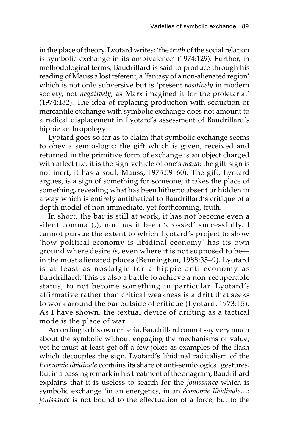in the place of theory. Lyotard writes: 'the *truth* of the social relation is symbolic exchange in its ambivalence' (1974:129). Further, in methodological terms, Baudrillard is said to produce through his reading of Mauss a lost referent, a 'fantasy of a non-alienated region' which is not only subversive but is 'present *positively* in modern society, not *negatively,* as Marx imagined it for the proletariat' (1974:132). The idea of replacing production with seduction or mercantile exchange with symbolic exchange does not amount to a radical displacement in Lyotard's assessment of Baudrillard's hippie anthropology.

Lyotard goes so far as to claim that symbolic exchange seems to obey a semio-logic: the gift which is given, received and returned in the primitive form of exchange is an object charged with affect (i.e. it is the sign-vehicle of one's *mana;* the gift-sign is not inert, it has a soul; Mauss, 1973:59–60). The gift, Lyotard argues, is a sign of something for someone; it takes the place of something, revealing what has been hitherto absent or hidden in a way which is entirely antithetical to Baudrillard's critique of a depth model of non-immediate, yet forthcoming, truth.

In short, the bar is still at work, it has not become even a silent comma (,), nor has it been 'crossed' successfully. I cannot pursue the extent to which Lyotard's project to show 'how political economy is libidinal economy' has its own ground where desire *is,* even where it is not supposed to be in the most alienated places (Bennington, 1988:35–9). Lyotard is at least as nostalgic for a hippie anti-economy as Baudrillard. This is also a battle to achieve a non-recuperable status, to not become something in particular. Lyotard's affirmative rather than critical weakness is a drift that seeks to work around the bar outside of critique (Lyotard, 1973:15). As I have shown, the textual device of drifting as a tactical mode is the place of war.

According to his own criteria, Baudrillard cannot say very much about the symbolic without engaging the mechanisms of value, yet he must at least get off a few jokes as examples of the flash which decouples the sign. Lyotard's libidinal radicalism of the *Economie libidinale* contains its share of anti-semiological gestures. But in a passing remark in his treatment of the anagram, Baudrillard explains that it is useless to search for the *jouissance* which is symbolic exchange 'in an energetics, in an *économie libidinale*…: *jouissance* is not bound to the effectuation of a force, but to the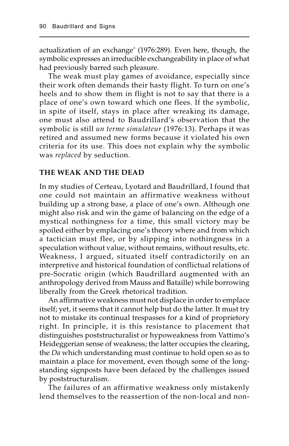actualization of an exchange' (1976:289). Even here, though, the symbolic expresses an irreducible exchangeability in place of what had previously barred such pleasure.

The weak must play games of avoidance, especially since their work often demands their hasty flight. To turn on one's heels and to show them in flight is not to say that there is a place of one's own toward which one flees. If the symbolic, in spite of itself, stays in place after wreaking its damage, one must also attend to Baudrillard's observation that the symbolic is still *un terme simulateur* (1976:13). Perhaps it was retired and assumed new forms because it violated his own criteria for its use. This does not explain why the symbolic was *replaced* by seduction.

#### **THE WEAK AND THE DEAD**

In my studies of Certeau, Lyotard and Baudrillard, I found that one could not maintain an affirmative weakness without building up a strong base, a place of one's own. Although one might also risk and win the game of balancing on the edge of a mystical nothingness for a time, this small victory may be spoiled either by emplacing one's theory where and from which a tactician must flee, or by slipping into nothingness in a speculation without value, without remains, without results, etc. Weakness, I argued, situated itself contradictorily on an interpretive and historical foundation of conflictual relations of pre-Socratic origin (which Baudrillard augmented with an anthropology derived from Mauss and Bataille) while borrowing liberally from the Greek rhetorical tradition.

An affirmative weakness must not displace in order to emplace itself; yet, it seems that it cannot help but do the latter. It must try not to mistake its continual trespasses for a kind of proprietory right. In principle, it is this resistance to placement that distinguishes poststructuralist or hypoweakness from Vattimo's Heideggerian sense of weakness; the latter occupies the clearing, the *Da* which understanding must continue to hold open so as to maintain a place for movement, even though some of the longstanding signposts have been defaced by the challenges issued by poststructuralism.

The failures of an affirmative weakness only mistakenly lend themselves to the reassertion of the non-local and non-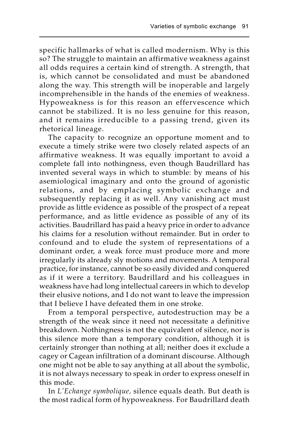specific hallmarks of what is called modernism. Why is this so? The struggle to maintain an affirmative weakness against all odds requires a certain kind of strength. A strength, that is, which cannot be consolidated and must be abandoned along the way. This strength will be inoperable and largely incomprehensible in the hands of the enemies of weakness. Hypoweakness is for this reason an effervescence which cannot be stabilized. It is no less genuine for this reason, and it remains irreducible to a passing trend, given its rhetorical lineage.

The capacity to recognize an opportune moment and to execute a timely strike were two closely related aspects of an affirmative weakness. It was equally important to avoid a complete fall into nothingness, even though Baudrillard has invented several ways in which to stumble: by means of his asemiological imaginary and onto the ground of agonistic relations, and by emplacing symbolic exchange and subsequently replacing it as well. Any vanishing act must provide as little evidence as possible of the prospect of a repeat performance, and as little evidence as possible of any of its activities. Baudrillard has paid a heavy price in order to advance his claims for a resolution without remainder. But in order to confound and to elude the system of representations of a dominant order, a weak force must produce more and more irregularly its already sly motions and movements. A temporal practice, for instance, cannot be so easily divided and conquered as if it were a territory. Baudrillard and his colleagues in weakness have had long intellectual careers in which to develop their elusive notions, and I do not want to leave the impression that I believe I have defeated them in one stroke.

From a temporal perspective, autodestruction may be a strength of the weak since it need not necessitate a definitive breakdown. Nothingness is not the equivalent of silence, nor is this silence more than a temporary condition, although it is certainly stronger than nothing at all; neither does it exclude a cagey or Cagean infiltration of a dominant discourse. Although one might not be able to say anything at all about the symbolic, it is not always necessary to speak in order to express oneself in this mode.

In *L'Echange symbolique,* silence equals death. But death is the most radical form of hypoweakness. For Baudrillard death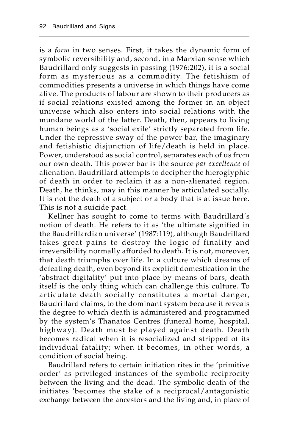is a *form* in two senses. First, it takes the dynamic form of symbolic reversibility and, second, in a Marxian sense which Baudrillard only suggests in passing (1976:202), it is a social form as mysterious as a commodity. The fetishism of commodities presents a universe in which things have come alive. The products of labour are shown to their producers as if social relations existed among the former in an object universe which also enters into social relations with the mundane world of the latter. Death, then, appears to living human beings as a 'social exile' strictly separated from life. Under the repressive sway of the power bar, the imaginary and fetishistic disjunction of life/death is held in place. Power, understood as social control, separates each of us from our own death. This power bar is the source *par excellence* of alienation. Baudrillard attempts to decipher the hieroglyphic of death in order to reclaim it as a non-alienated region. Death, he thinks, may in this manner be articulated socially. It is not the death of a subject or a body that is at issue here. This is not a suicide pact.

Kellner has sought to come to terms with Baudrillard's notion of death. He refers to it as 'the ultimate signified in the Baudrillardian universe' (1987:119), although Baudrillard takes great pains to destroy the logic of finality and irreversibility normally afforded to death. It is not, moreover, that death triumphs over life. In a culture which dreams of defeating death, even beyond its explicit domestication in the 'abstract digitality' put into place by means of bars, death itself is the only thing which can challenge this culture. To articulate death socially constitutes a mortal danger, Baudrillard claims, to the dominant system because it reveals the degree to which death is administered and programmed by the system's Thanatos Centres (funeral home, hospital, highway). Death must be played against death. Death becomes radical when it is resocialized and stripped of its individual fatality; when it becomes, in other words, a condition of social being.

Baudrillard refers to certain initiation rites in the 'primitive order' as privileged instances of the symbolic reciprocity between the living and the dead. The symbolic death of the initiates 'becomes the stake of a reciprocal/antagonistic exchange between the ancestors and the living and, in place of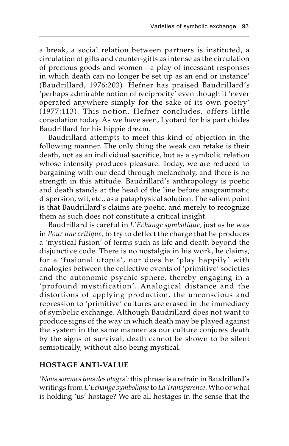a break, a social relation between partners is instituted, a circulation of gifts and counter-gifts as intense as the circulation of precious goods and women—a play of incessant responses in which death can no longer be set up as an end or instance' (Baudrillard, 1976:203). Hefner has praised Baudrillard's 'perhaps admirable notion of reciprocity' even though it 'never operated anywhere simply for the sake of its own poetry' (1977:113). This notion, Hefner concludes, offers little consolation today. As we have seen, Lyotard for his part chides Baudrillard for his hippie dream.

Baudrillard attempts to meet this kind of objection in the following manner. The only thing the weak can retake is their death, not as an individual sacrifice, but as a symbolic relation whose intensity produces pleasure. Today, we are reduced to bargaining with our dead through melancholy, and there is no strength in this attitude. Baudrillard's anthropology is poetic and death stands at the head of the line before anagrammatic dispersion, wit, etc., as a pataphysical solution. The salient point is that Baudrillard's claims are poetic, and merely to recognize them as such does not constitute a critical insight.

Baudrillard is careful in *L'Echange symbolique,* just as he was in *Pour une critique,* to try to deflect the charge that he produces a 'mystical fusion' of terms such as life and death beyond the disjunctive code. There is no nostalgia in his work, he claims, for a 'fusional utopia', nor does he 'play happily' with analogies between the collective events of 'primitive' societies and the autonomic psychic sphere, thereby engaging in a 'profound mystification'. Analogical distance and the distortions of applying production, the unconscious and repression to 'primitive' cultures are erased in the immediacy of symbolic exchange. Although Baudrillard does not want to produce signs of the way in which death may be played against the system in the same manner as our culture conjures death by the signs of survival, death cannot be shown to be silent semiotically, without also being mystical.

#### **HOSTAGE ANTI-VALUE**

*'Nous sommes tous des otages':* this phrase is a refrain in Baudrillard's writings from *L'Echange symbolique* to *La Transparence*. Who or what is holding 'us' hostage? We are all hostages in the sense that the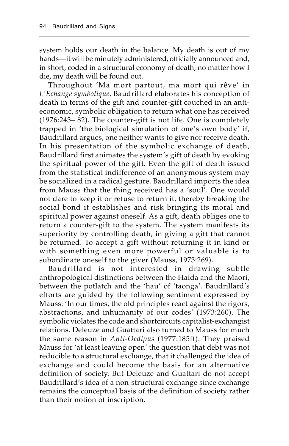system holds our death in the balance. My death is out of my hands—it will be minutely administered, officially announced and, in short, coded in a structural economy of death; no matter how I die, my death will be found out.

Throughout 'Ma mort partout, ma mort qui rêve' in *L'Echange symbolique,* Baudrillard elaborates his conception of death in terms of the gift and counter-gift couched in an antieconomic, symbolic obligation to return what one has received (1976:243– 82). The counter-gift is not life. One is completely trapped in 'the biological simulation of one's own body' if, Baudrillard argues, one neither wants to give nor receive death. In his presentation of the symbolic exchange of death, Baudrillard first animates the system's gift of death by evoking the spiritual power of the gift. Even the gift of death issued from the statistical indifference of an anonymous system may be socialized in a radical gesture. Baudrillard imports the idea from Mauss that the thing received has a 'soul'. One would not dare to keep it or refuse to return it, thereby breaking the social bond it establishes and risk bringing its moral and spiritual power against oneself. As a gift, death obliges one to return a counter-gift to the system. The system manifests its superiority by controlling death, in giving a gift that cannot be returned. To accept a gift without returning it in kind or with something even more powerful or valuable is to subordinate oneself to the giver (Mauss, 1973:269).

Baudrillard is not interested in drawing subtle anthropological distinctions between the Haida and the Maori, between the potlatch and the 'hau' of 'taonga'. Baudrillard's efforts are guided by the following sentiment expressed by Mauss: 'In our times, the old principles react against the rigors, abstractions, and inhumanity of our codes' (1973:260). The symbolic violates the code and shortcircuits capitalist-exchangist relations. Deleuze and Guattari also turned to Mauss for much the same reason in *Anti-Oedipus* (1977:185ff). They praised Mauss for 'at least leaving open' the question that debt was not reducible to a structural exchange, that it challenged the idea of exchange and could become the basis for an alternative definition of society. But Deleuze and Guattari do not accept Baudrillard's idea of a non-structural exchange since exchange remains the conceptual basis of the definition of society rather than their notion of inscription.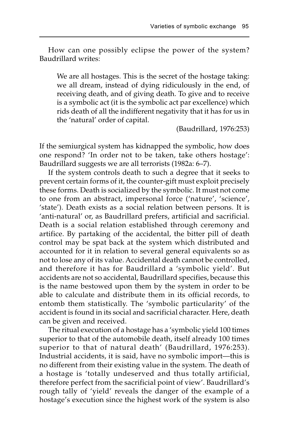How can one possibly eclipse the power of the system? Baudrillard writes:

We are all hostages. This is the secret of the hostage taking: we all dream, instead of dying ridiculously in the end, of receiving death, and of giving death. To give and to receive is a symbolic act (it is the symbolic act par excellence) which rids death of all the indifferent negativity that it has for us in the 'natural' order of capital.

(Baudrillard, 1976:253)

If the semiurgical system has kidnapped the symbolic, how does one respond? 'In order not to be taken, take others hostage': Baudrillard suggests we are all terrorists (1982a: 6–7).

If the system controls death to such a degree that it seeks to prevent certain forms of it, the counter-gift must exploit precisely these forms. Death is socialized by the symbolic. It must not come to one from an abstract, impersonal force ('nature', 'science', 'state'). Death exists as a social relation between persons. It is 'anti-natural' or, as Baudrillard prefers, artificial and sacrificial. Death is a social relation established through ceremony and artifice. By partaking of the accidental, the bitter pill of death control may be spat back at the system which distributed and accounted for it in relation to several general equivalents so as not to lose any of its value. Accidental death cannot be controlled, and therefore it has for Baudrillard a 'symbolic yield'. But accidents are not so accidental, Baudrillard specifies, because this is the name bestowed upon them by the system in order to be able to calculate and distribute them in its official records, to entomb them statistically. The 'symbolic particularity' of the accident is found in its social and sacrificial character. Here, death can be given and received.

The ritual execution of a hostage has a 'symbolic yield 100 times superior to that of the automobile death, itself already 100 times superior to that of natural death' (Baudrillard, 1976:253). Industrial accidents, it is said, have no symbolic import—this is no different from their existing value in the system. The death of a hostage is 'totally undeserved and thus totally artificial, therefore perfect from the sacrificial point of view'. Baudrillard's rough tally of 'yield' reveals the danger of the example of a hostage's execution since the highest work of the system is also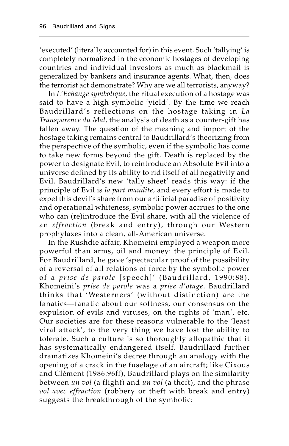'executed' (literally accounted for) in this event. Such 'tallying' is completely normalized in the economic hostages of developing countries and individual investors as much as blackmail is generalized by bankers and insurance agents. What, then, does the terrorist act demonstrate? Why are we all terrorists, anyway?

In *L'Echange symbolique,* the ritual execution of a hostage was said to have a high symbolic 'yield'. By the time we reach Baudrillard's reflections on the hostage taking in *La Transparence du Mal,* the analysis of death as a counter-gift has fallen away. The question of the meaning and import of the hostage taking remains central to Baudrillard's theorizing from the perspective of the symbolic, even if the symbolic has come to take new forms beyond the gift. Death is replaced by the power to designate Evil, to reintroduce an Absolute Evil into a universe defined by its ability to rid itself of all negativity and Evil. Baudrillard's new 'tally sheet' reads this way: if the principle of Evil is *la part maudite,* and every effort is made to expel this devil's share from our artificial paradise of positivity and operational whiteness, symbolic power accrues to the one who can (re)introduce the Evil share, with all the violence of an *effraction* (break and entry), through our Western prophylaxes into a clean, all-American universe.

In the Rushdie affair, Khomeini employed a weapon more powerful than arms, oil and money: the principle of Evil. For Baudrillard, he gave 'spectacular proof of the possibility of a reversal of all relations of force by the symbolic power of a *prise de parole* [speech]' (Baudrillard, 1990:88). Khomeini's *prise de parole* was a *prise d'otage*. Baudrillard thinks that 'Westerners' (without distinction) are the fanatics—fanatic about our softness, our consensus on the expulsion of evils and viruses, on the rights of 'man', etc. Our societies are for these reasons vulnerable to the 'least viral attack', to the very thing we have lost the ability to tolerate. Such a culture is so thoroughly allopathic that it has systematically endangered itself. Baudrillard further dramatizes Khomeini's decree through an analogy with the opening of a crack in the fuselage of an aircraft; like Cixous and Clément (1986:96ff), Baudrillard plays on the similarity between *un vol* (a flight) and *un vol* (a theft), and the phrase *vol avec effraction* (robbery or theft with break and entry) suggests the breakthrough of the symbolic: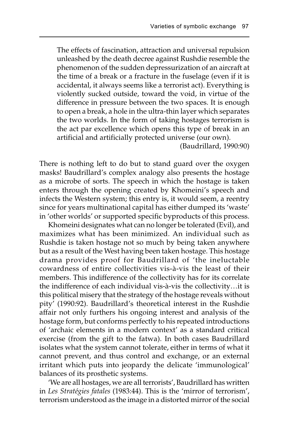The effects of fascination, attraction and universal repulsion unleashed by the death decree against Rushdie resemble the phenomenon of the sudden depressurization of an aircraft at the time of a break or a fracture in the fuselage (even if it is accidental, it always seems like a terrorist act). Everything is violently sucked outside, toward the void, in virtue of the difference in pressure between the two spaces. It is enough to open a break, a hole in the ultra-thin layer which separates the two worlds. In the form of taking hostages terrorism is the act par excellence which opens this type of break in an artificial and artificially protected universe (our own).

(Baudrillard, 1990:90)

There is nothing left to do but to stand guard over the oxygen masks! Baudrillard's complex analogy also presents the hostage as a microbe of sorts. The speech in which the hostage is taken enters through the opening created by Khomeini's speech and infects the Western system; this entry is, it would seem, a reentry since for years multinational capital has either dumped its 'waste' in 'other worlds' or supported specific byproducts of this process.

Khomeini designates what can no longer be tolerated (Evil), and maximizes what has been minimized. An individual such as Rushdie is taken hostage not so much by being taken anywhere but as a result of the West having been taken hostage. This hostage drama provides proof for Baudrillard of 'the ineluctable cowardness of entire collectivities vis-à-vis the least of their members. This indifference of the collectivity has for its correlate the indifference of each individual vis-à-vis the collectivity…it is this political misery that the strategy of the hostage reveals without pity' (1990:92). Baudrillard's theoretical interest in the Rushdie affair not only furthers his ongoing interest and analysis of the hostage form, but conforms perfectly to his repeated introductions of 'archaic elements in a modern context' as a standard critical exercise (from the gift to the fatwa). In both cases Baudrillard isolates what the system cannot tolerate, either in terms of what it cannot prevent, and thus control and exchange, or an external irritant which puts into jeopardy the delicate 'immunological' balances of its prosthetic systems.

'We are all hostages, we are all terrorists', Baudrillard has written in *Les Stratégies fatales* (1983:44). This is the 'mirror of terrorism', terrorism understood as the image in a distorted mirror of the social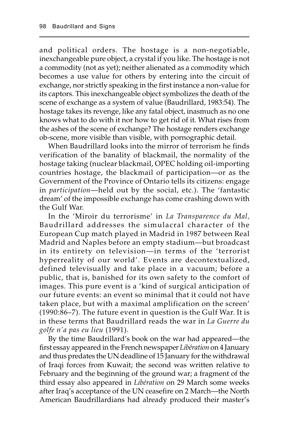and political orders. The hostage is a non-negotiable, inexchangeable pure object, a crystal if you like. The hostage is not a commodity (not as yet); neither alienated as a commodity which becomes a use value for others by entering into the circuit of exchange, nor strictly speaking in the first instance a non-value for its captors. This inexchangeable object symbolizes the death of the scene of exchange as a system of value (Baudrillard, 1983:54). The hostage takes its revenge, like any fatal object, inasmuch as no one knows what to do with it nor how to get rid of it. What rises from the ashes of the scene of exchange? The hostage renders exchange ob-scene, more visible than visible, with pornographic detail.

When Baudrillard looks into the mirror of terrorism he finds verification of the banality of blackmail, the normality of the hostage taking (nuclear blackmail, OPEC holding oil-importing countries hostage, the blackmail of participation—or as the Government of the Province of Ontario tells its citizens: engage in *participation*—held out by the social, etc.). The 'fantastic dream' of the impossible exchange has come crashing down with the Gulf War.

In the 'Miroir du terrorisme' in *La Transparence du Mal,* Baudrillard addresses the simulacral character of the European Cup match played in Madrid in 1987 between Real Madrid and Naples before an empty stadium—but broadcast in its entirety on television—in terms of the 'terrorist hyperreality of our world'. Events are decontextualized, defined televisually and take place in a vacuum; before a public, that is, banished for its own safety to the comfort of images. This pure event is a 'kind of surgical anticipation of our future events: an event so minimal that it could not have taken place, but with a maximal amplification on the screen' (1990:86–7). The future event in question is the Gulf War. It is in these terms that Baudrillard reads the war in *La Guerre du golfe n'a pas eu lieu* (1991).

By the time Baudrillard's book on the war had appeared—the first essay appeared in the French newspaper *Libération* on 4 January and thus predates the UN deadline of 15 January for the withdrawal of Iraqi forces from Kuwait; the second was written relative to February and the beginning of the ground war; a fragment of the third essay also appeared in *Libération* on 29 March some weeks after Iraq's acceptance of the UN ceasefire on 2 March—the North American Baudrillardians had already produced their master's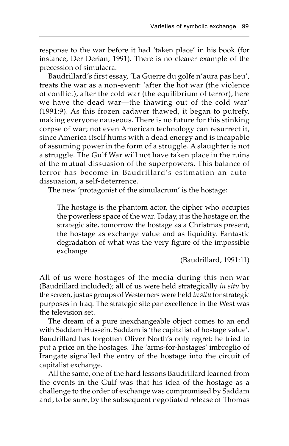response to the war before it had 'taken place' in his book (for instance, Der Derian, 1991). There is no clearer example of the precession of simulacra.

Baudrillard's first essay, 'La Guerre du golfe n'aura pas lieu', treats the war as a non-event: 'after the hot war (the violence of conflict), after the cold war (the equilibrium of terror), here we have the dead war—the thawing out of the cold war' (1991:9). As this frozen cadaver thawed, it began to putrefy, making everyone nauseous. There is no future for this stinking corpse of war; not even American technology can resurrect it, since America itself hums with a dead energy and is incapable of assuming power in the form of a struggle. A slaughter is not a struggle. The Gulf War will not have taken place in the ruins of the mutual dissuasion of the superpowers. This balance of terror has become in Baudrillard's estimation an autodissuasion, a self-deterrence.

The new 'protagonist of the simulacrum' is the hostage:

The hostage is the phantom actor, the cipher who occupies the powerless space of the war. Today, it is the hostage on the strategic site, tomorrow the hostage as a Christmas present, the hostage as exchange value and as liquidity. Fantastic degradation of what was the very figure of the impossible exchange.

(Baudrillard, 1991:11)

All of us were hostages of the media during this non-war (Baudrillard included); all of us were held strategically *in situ* by the screen, just as groups of Westerners were held *in situ* for strategic purposes in Iraq. The strategic site par excellence in the West was the television set.

The dream of a pure inexchangeable object comes to an end with Saddam Hussein. Saddam is 'the capitalist of hostage value'. Baudrillard has forgotten Oliver North's only regret: he tried to put a price on the hostages. The 'arms-for-hostages' imbroglio of Irangate signalled the entry of the hostage into the circuit of capitalist exchange.

All the same, one of the hard lessons Baudrillard learned from the events in the Gulf was that his idea of the hostage as a challenge to the order of exchange was compromised by Saddam and, to be sure, by the subsequent negotiated release of Thomas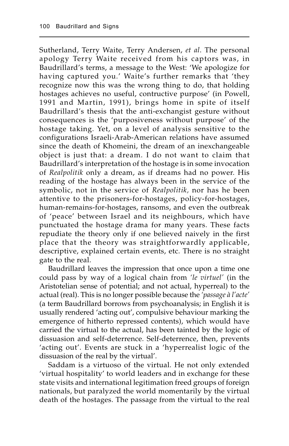Sutherland, Terry Waite, Terry Andersen, *et al*. The personal apology Terry Waite received from his captors was, in Baudrillard's terms, a message to the West: 'We apologize for having captured you.' Waite's further remarks that 'they recognize now this was the wrong thing to do, that holding hostages achieves no useful, contructive purpose' (in Powell, 1991 and Martin, 1991), brings home in spite of itself Baudrillard's thesis that the anti-exchangist gesture without consequences is the 'purposiveness without purpose' of the hostage taking. Yet, on a level of analysis sensitive to the configurations Israeli-Arab-American relations have assumed since the death of Khomeini, the dream of an inexchangeable object is just that: a dream. I do not want to claim that Baudrillard's interpretation of the hostage is in some invocation of *Realpolitik* only a dream, as if dreams had no power. His reading of the hostage has always been in the service of the symbolic, not in the service of *Realpolitik,* nor has he been attentive to the prisoners-for-hostages, policy-for-hostages, human-remains-for-hostages, ransoms, and even the outbreak of 'peace' between Israel and its neighbours, which have punctuated the hostage drama for many years. These facts repudiate the theory only if one believed naively in the first place that the theory was straightforwardly applicable, descriptive, explained certain events, etc. There is no straight gate to the real.

Baudrillard leaves the impression that once upon a time one could pass by way of a logical chain from *'le virtuel'* (in the Aristotelian sense of potential; and not actual, hyperreal) to the actual (real). This is no longer possible because the *'passage à l'acte'* (a term Baudrillard borrows from psychoanalysis; in English it is usually rendered 'acting out', compulsive behaviour marking the emergence of hitherto repressed contents), which would have carried the virtual to the actual, has been tainted by the logic of dissuasion and self-deterrence. Self-deterrence, then, prevents 'acting out'. Events are stuck in a 'hyperrealist logic of the dissuasion of the real by the virtual'.

Saddam is a virtuoso of the virtual. He not only extended 'virtual hospitality' to world leaders and in exchange for these state visits and international legitimation freed groups of foreign nationals, but paralyzed the world momentarily by the virtual death of the hostages. The passage from the virtual to the real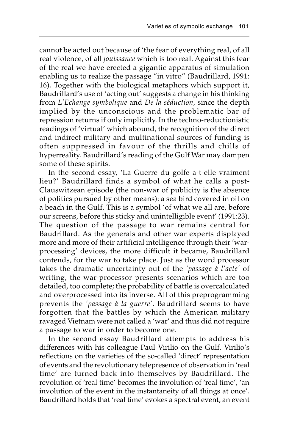cannot be acted out because of 'the fear of everything real, of all real violence, of all *jouissance* which is too real. Against this fear of the real we have erected a gigantic apparatus of simulation enabling us to realize the passage "in vitro" (Baudrillard, 1991: 16). Together with the biological metaphors which support it, Baudrillard's use of 'acting out' suggests a change in his thinking from *L'Echange symbolique* and *De la séduction,* since the depth implied by the unconscious and the problematic bar of repression returns if only implicitly. In the techno-reductionistic readings of 'virtual' which abound, the recognition of the direct and indirect military and multinational sources of funding is often suppressed in favour of the thrills and chills of hyperreality. Baudrillard's reading of the Gulf War may dampen some of these spirits.

In the second essay, 'La Guerre du golfe a-t-elle vraiment lieu?' Baudrillard finds a symbol of what he calls a post-Clauswitzean episode (the non-war of publicity is the absence of politics pursued by other means): a sea bird covered in oil on a beach in the Gulf. This is a symbol 'of what we all are, before our screens, before this sticky and unintelligible event' (1991:23). The question of the passage to war remains central for Baudrillard. As the generals and other war experts displayed more and more of their artificial intelligence through their 'warprocessing' devices, the more difficult it became, Baudrillard contends, for the war to take place. Just as the word processor takes the dramatic uncertainty out of the *'passage à l'acte'* of writing, the war-processor presents scenarios which are too detailed, too complete; the probability of battle is overcalculated and overprocessed into its inverse. All of this preprogramming prevents the *'passage à la guerre'*. Baudrillard seems to have forgotten that the battles by which the American military ravaged Vietnam were not called a 'war' and thus did not require a passage to war in order to become one.

In the second essay Baudrillard attempts to address his differences with his colleague Paul Virilio on the Gulf. Virilio's reflections on the varieties of the so-called 'direct' representation of events and the revolutionary telepresence of observation in 'real time' are turned back into themselves by Baudrillard. The revolution of 'real time' becomes the involution of 'real time', 'an involution of the event in the instantaneity of all things at once'. Baudrillard holds that 'real time' evokes a spectral event, an event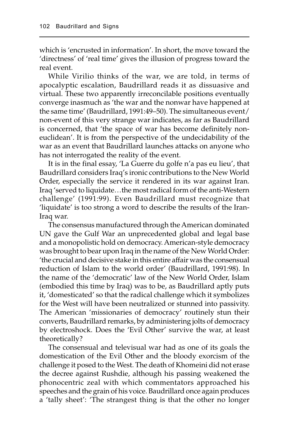which is 'encrusted in information'. In short, the move toward the 'directness' of 'real time' gives the illusion of progress toward the real event.

While Virilio thinks of the war, we are told, in terms of apocalyptic escalation, Baudrillard reads it as dissuasive and virtual. These two apparently irreconcilable positions eventually converge inasmuch as 'the war and the nonwar have happened at the same time' (Baudrillard, 1991:49–50). The simultaneous event/ non-event of this very strange war indicates, as far as Baudrillard is concerned, that 'the space of war has become definitely noneuclidean'. It is from the perspective of the undecidability of the war as an event that Baudrillard launches attacks on anyone who has not interrogated the reality of the event.

It is in the final essay, 'La Guerre du golfe n'a pas eu lieu', that Baudrillard considers Iraq's ironic contributions to the New World Order, especially the service it rendered in its war against Iran. Iraq 'served to liquidate…the most radical form of the anti-Western challenge' (1991:99). Even Baudrillard must recognize that 'liquidate' is too strong a word to describe the results of the Iran-Iraq war.

The consensus manufactured through the American dominated UN gave the Gulf War an unprecedented global and legal base and a monopolistic hold on democracy. American-style democracy was brought to bear upon Iraq in the name of the New World Order: 'the crucial and decisive stake in this entire affair was the consensual reduction of Islam to the world order' (Baudrillard, 1991:98). In the name of the 'democratic' law of the New World Order, Islam (embodied this time by Iraq) was to be, as Baudrillard aptly puts it, 'domesticated' so that the radical challenge which it symbolizes for the West will have been neutralized or stunned into passivity. The American 'missionaries of democracy' routinely stun their converts, Baudrillard remarks, by administering jolts of democracy by electroshock. Does the 'Evil Other' survive the war, at least theoretically?

The consensual and televisual war had as one of its goals the domestication of the Evil Other and the bloody exorcism of the challenge it posed to the West. The death of Khomeini did not erase the decree against Rushdie, although his passing weakened the phonocentric zeal with which commentators approached his speeches and the grain of his voice. Baudrillard once again produces a 'tally sheet': 'The strangest thing is that the other no longer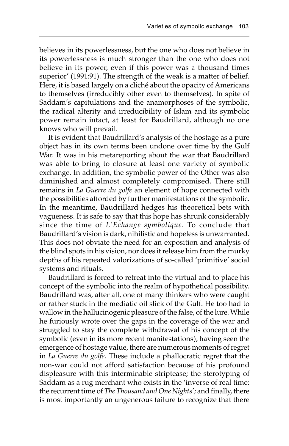believes in its powerlessness, but the one who does not believe in its powerlessness is much stronger than the one who does not believe in its power, even if this power was a thousand times superior' (1991:91). The strength of the weak is a matter of belief. Here, it is based largely on a cliché about the opacity of Americans to themselves (irreducibly other even to themselves). In spite of Saddam's capitulations and the anamorphoses of the symbolic, the radical alterity and irreducibility of Islam and its symbolic power remain intact, at least for Baudrillard, although no one knows who will prevail.

It is evident that Baudrillard's analysis of the hostage as a pure object has in its own terms been undone over time by the Gulf War. It was in his metareporting about the war that Baudrillard was able to bring to closure at least one variety of symbolic exchange. In addition, the symbolic power of the Other was also diminished and almost completely compromised. There still remains in *La Guerre du golfe* an element of hope connected with the possibilities afforded by further manifestations of the symbolic. In the meantime, Baudrillard hedges his theoretical bets with vagueness. It is safe to say that this hope has shrunk considerably since the time of *L'Echange symbolique*. To conclude that Baudrillard's vision is dark, nihilistic and hopeless is unwarranted. This does not obviate the need for an exposition and analysis of the blind spots in his vision, nor does it release him from the murky depths of his repeated valorizations of so-called 'primitive' social systems and rituals.

Baudrillard is forced to retreat into the virtual and to place his concept of the symbolic into the realm of hypothetical possibility. Baudrillard was, after all, one of many thinkers who were caught or rather stuck in the mediatic oil slick of the Gulf. He too had to wallow in the hallucinogenic pleasure of the false, of the lure. While he furiously wrote over the gaps in the coverage of the war and struggled to stay the complete withdrawal of his concept of the symbolic (even in its more recent manifestations), having seen the emergence of hostage value, there are numerous moments of regret in *La Guerre du golfe*. These include a phallocratic regret that the non-war could not afford satisfaction because of his profound displeasure with this interminable striptease; the sterotyping of Saddam as a rug merchant who exists in the 'inverse of real time: the recurrent time of *The Thousand and One Nights';* and finally, there is most importantly an ungenerous failure to recognize that there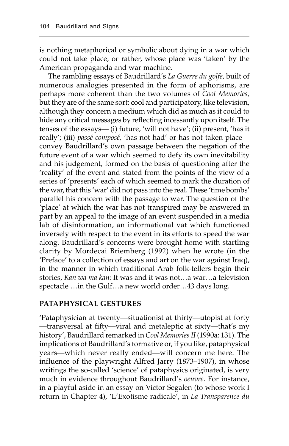is nothing metaphorical or symbolic about dying in a war which could not take place, or rather, whose place was 'taken' by the American propaganda and war machine.

The rambling essays of Baudrillard's *La Guerre du golfe,* built of numerous analogies presented in the form of aphorisms, are perhaps more coherent than the two volumes of *Cool Memories,* but they are of the same sort: cool and participatory, like television, although they concern a medium which did as much as it could to hide any critical messages by reflecting incessantly upon itself. The tenses of the essays— (i) future, 'will not have'; (ii) present, 'has it really'; (iii) *passé composé,* 'has not had' or has not taken place convey Baudrillard's own passage between the negation of the future event of a war which seemed to defy its own inevitability and his judgement, formed on the basis of questioning after the 'reality' of the event and stated from the points of the view of a series of 'presents' each of which seemed to mark the duration of the war, that this 'war' did not pass into the real. These 'time bombs' parallel his concern with the passage to war. The question of the 'place' at which the war has not transpired may be answered in part by an appeal to the image of an event suspended in a media lab of disinformation, an informational vat which functioned inversely with respect to the event in its efforts to speed the war along. Baudrillard's concerns were brought home with startling clarity by Mordecai Briemberg (1992) when he wrote (in the 'Preface' to a collection of essays and art on the war against Iraq), in the manner in which traditional Arab folk-tellers begin their stories, *Kan wa ma kan:* It was and it was not…a war…a television spectacle ...in the Gulf...a new world order...43 days long.

# **PATAPHYSICAL GESTURES**

'Pataphysician at twenty—situationist at thirty—utopist at forty —transversal at fifty—viral and metaleptic at sixty—that's my history', Baudrillard remarked in *Cool Memories II* (1990a: 131). The implications of Baudrillard's formative or, if you like, pataphysical years—which never really ended—will concern me here. The influence of the playwright Alfred Jarry (1873–1907), in whose writings the so-called 'science' of pataphysics originated, is very much in evidence throughout Baudrillard's *oeuvre*. For instance, in a playful aside in an essay on Victor Segalen (to whose work I return in Chapter 4), 'L'Exotisme radicale', in *La Transparence du*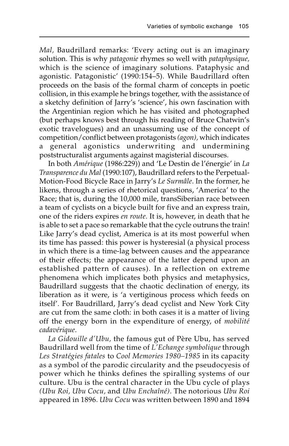*Mal,* Baudrillard remarks: 'Every acting out is an imaginary solution. This is why *patagonie* rhymes so well with *pataphysique,* which is the science of imaginary solutions. Pataphysic and agonistic. Patagonistic' (1990:154–5). While Baudrillard often proceeds on the basis of the formal charm of concepts in poetic collision, in this example he brings together, with the assistance of a sketchy definition of Jarry's 'science', his own fascination with the Argentinian region which he has visited and photographed (but perhaps knows best through his reading of Bruce Chatwin's exotic travelogues) and an unassuming use of the concept of competition/conflict between protagonists *(agon),* which indicates a general agonistics underwriting and undermining poststructuralist arguments against magisterial discourses.

In both *Amérique* (1986:229)) and 'Le Destin de l'énergie' in *La Transparence du Mal* (1990:107), Baudrillard refers to the Perpetual-Motion-Food Bicycle Race in Jarry's *Le Surmâle*. In the former, he likens, through a series of rhetorical questions, 'America' to the Race; that is, during the 10,000 mile, transSiberian race between a team of cyclists on a bicycle built for five and an express train, one of the riders expires *en route*. It is, however, in death that he is able to set a pace so remarkable that the cycle outruns the train! Like Jarry's dead cyclist, America is at its most powerful when its time has passed: this power is hysteresial (a physical process in which there is a time-lag between causes and the appearance of their effects; the appearance of the latter depend upon an established pattern of causes). In a reflection on extreme phenomena which implicates both physics and metaphysics, Baudrillard suggests that the chaotic declination of energy, its liberation as it were, is 'a vertiginous process which feeds on itself'. For Baudrillard, Jarry's dead cyclist and New York City are cut from the same cloth: in both cases it is a matter of living off the energy born in the expenditure of energy, of *mobilité cadavérique*.

*La Gidouille d'Ubu,* the famous gut of Père Ubu, has served Baudrillard well from the time of *L'Echange symbolique* through *Les Stratégies fatales* to *Cool Memories 1980–1985* in its capacity as a symbol of the parodic circularity and the pseudocyesis of power which he thinks defines the spiralling systems of our culture. Ubu is the central character in the Ubu cycle of plays *(Ubu Roi, Ubu Cocu,* and *Ubu Enchaîné)*. The notorious *Ubu Roi* appeared in 1896. *Ubu Cocu* was written between 1890 and 1894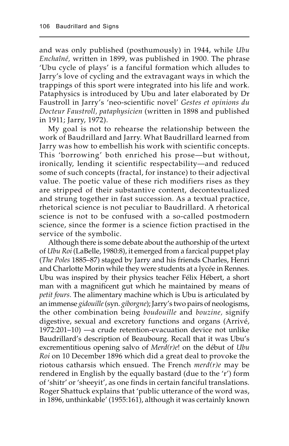and was only published (posthumously) in 1944, while *Ubu Enchaîné,* written in 1899, was published in 1900. The phrase 'Ubu cycle of plays' is a fanciful formation which alludes to Jarry's love of cycling and the extravagant ways in which the trappings of this sport were integrated into his life and work. Pataphysics is introduced by Ubu and later elaborated by Dr Faustroll in Jarry's 'neo-scientific novel' *Gestes et opinions du Docteur Faustroll, pataphysicien* (written in 1898 and published in 1911; Jarry, 1972).

My goal is not to rehearse the relationship between the work of Baudrillard and Jarry. What Baudrillard learned from Jarry was how to embellish his work with scientific concepts. This 'borrowing' both enriched his prose—but without, ironically, lending it scientific respectability—and reduced some of such concepts (fractal, for instance) to their adjectival value. The poetic value of these rich modifiers rises as they are stripped of their substantive content, decontextualized and strung together in fast succession. As a textual practice, rhetorical science is not peculiar to Baudrillard. A rhetorical science is not to be confused with a so-called postmodern science, since the former is a science fiction practised in the service of the symbolic.

Although there is some debate about the authorship of the urtext of *Ubu Roi* (LaBelle, 1980:8), it emerged from a farcical puppet play (*The Poles* 1885–87) staged by Jarry and his friends Charles, Henri and Charlotte Morin while they were students at a lycée in Rennes. Ubu was inspired by their physics teacher Félix Hébert, a short man with a magnificent gut which he maintained by means of *petit fours*. The alimentary machine which is Ubu is articulated by an immense *gidouille* (syn. *giborgne*); Jarry's two pairs of neologisms, the other combination being *boudouille* and *bouzine,* signify digestive, sexual and excretory functions and organs (Arrivé, 1972:201–10) —a crude retention-evacuation device not unlike Baudrillard's description of Beaubourg. Recall that it was Ubu's excrementitious opening salvo of *Merd(r)e*! on the début of *Ubu Roi* on 10 December 1896 which did a great deal to provoke the riotous catharsis which ensued. The French *merd(r)e* may be rendered in English by the equally bastard (due to the 'r') form of 'shitr' or 'sheeyit', as one finds in certain fanciful translations. Roger Shattuck explains that 'public utterance of the word was, in 1896, unthinkable' (1955:161), although it was certainly known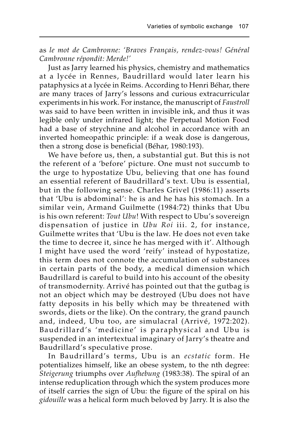as *le mot de Cambronne: 'Braves Français, rendez-vous! Général Cambronne répondit: Merde!'*

Just as Jarry learned his physics, chemistry and mathematics at a lycée in Rennes, Baudrillard would later learn his pataphysics at a lycée in Reims. According to Henri Béhar, there are many traces of Jarry's lessons and curious extracurricular experiments in his work. For instance, the manuscript of *Faustroll* was said to have been written in invisible ink, and thus it was legible only under infrared light; the Perpetual Motion Food had a base of strychnine and alcohol in accordance with an inverted homeopathic principle: if a weak dose is dangerous, then a strong dose is beneficial (Béhar, 1980:193).

We have before us, then, a substantial gut. But this is not the referent of a 'before' picture. One must not succumb to the urge to hypostatize  $\bar{U}$ bu, believing that one has found an essential referent of Baudrillard's text. Ubu is essential, but in the following sense. Charles Grivel (1986:11) asserts that 'Ubu is abdominal': he is and he has his stomach. In a similar vein, Armand Guilmette (1984:72) thinks that Ubu is his own referent: *Tout Ubu*! With respect to Ubu's sovereign dispensation of justice in *Ubu Roi* iii. 2, for instance, Guilmette writes that 'Ubu is the law. He does not even take the time to decree it, since he has merged with it'. Although I might have used the word 'reify' instead of hypostatize, this term does not connote the accumulation of substances in certain parts of the body, a medical dimension which Baudrillard is careful to build into his account of the obesity of transmodernity. Arrivé has pointed out that the gutbag is not an object which may be destroyed (Ubu does not have fatty deposits in his belly which may be threatened with swords, diets or the like). On the contrary, the grand paunch and, indeed, Ubu too, are simulacral (Arrivé, 1972:202). Baudrillard's 'medicine' is paraphysical and Ubu is suspended in an intertextual imaginary of Jarry's theatre and Baudrillard's speculative prose.

In Baudrillard's terms, Ubu is an *ecstatic* form. He potentializes himself, like an obese system, to the nth degree: *Steigerung* triumphs over *Aufhebung* (1983:38). The spiral of an intense reduplication through which the system produces more of itself carries the sign of Ubu: the figure of the spiral on his *gidouille* was a helical form much beloved by Jarry. It is also the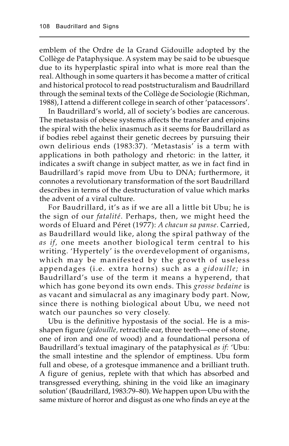emblem of the Ordre de la Grand Gidouille adopted by the Collège de Pataphysique. A system may be said to be ubuesque due to its hyperplastic spiral into what is more real than the real. Although in some quarters it has become a matter of critical and historical protocol to read poststructuralism and Baudrillard through the seminal texts of the Collège de Sociologie (Richman, 1988), I attend a different college in search of other 'patacessors'.

In Baudrillard's world, all of society's bodies are cancerous. The metastasis of obese systems affects the transfer and enjoins the spiral with the helix inasmuch as it seems for Baudrillard as if bodies rebel against their genetic decrees by pursuing their own delirious ends (1983:37). 'Metastasis' is a term with applications in both pathology and rhetoric: in the latter, it indicates a swift change in subject matter, as we in fact find in Baudrillard's rapid move from Ubu to DNA; furthermore, it connotes a revolutionary transformation of the sort Baudrillard describes in terms of the destructuration of value which marks the advent of a viral culture.

For Baudrillard, it's as if we are all a little bit Ubu; he is the sign of our *fatalité*. Perhaps, then, we might heed the words of Eluard and Péret (1977): *A chacun sa panse*. Carried, as Baudrillard would like, along the spiral pathway of the *as if,* one meets another biological term central to his writing. 'Hypertely' is the overdevelopment of organisms, which may be manifested by the growth of useless appendages (i.e. extra horns) such as a *gidouille;* in Baudrillard's use of the term it means a hyperend, that which has gone beyond its own ends. This *grosse bedaine* is as vacant and simulacral as any imaginary body part. Now, since there is nothing biological about Ubu, we need not watch our paunches so very closely.

Ubu is the definitive hypostasis of the social. He is a misshapen figure (*gidouille,* retractile ear, three teeth—one of stone, one of iron and one of wood) and a foundational persona of Baudrillard's textual imaginary of the pataphysical *as if:* 'Ubu: the small intestine and the splendor of emptiness. Ubu form full and obese, of a grotesque immanence and a brilliant truth. A figure of genius, replete with that which has absorbed and transgressed everything, shining in the void like an imaginary solution' (Baudrillard, 1983:79–80). We happen upon Ubu with the same mixture of horror and disgust as one who finds an eye at the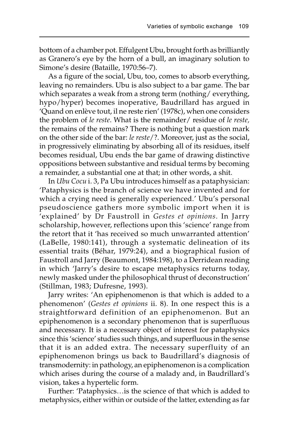bottom of a chamber pot. Effulgent Ubu, brought forth as brilliantly as Granero's eye by the horn of a bull, an imaginary solution to Simone's desire (Bataille, 1970:56–7).

As a figure of the social, Ubu, too, comes to absorb everything, leaving no remainders. Ubu is also subject to a bar game. The bar which separates a weak from a strong term (nothing/ everything, hypo/hyper) becomes inoperative, Baudrillard has argued in 'Quand on enlève tout, il ne reste rien' (1978c), when one considers the problem of *le reste*. What is the remainder/ residue of *le reste,* the remains of the remains? There is nothing but a question mark on the other side of the bar: *le reste*/?. Moreover, just as the social, in progressively eliminating by absorbing all of its residues, itself becomes residual, Ubu ends the bar game of drawing distinctive oppositions between substantive and residual terms by becoming a remainder, a substantial one at that; in other words, a shit.

In *Ubu Cocu* i. 3, Pa Ubu introduces himself as a pataphysician: 'Pataphysics is the branch of science we have invented and for which a crying need is generally experienced.' Ubu's personal pseudoscience gathers more symbolic import when it is 'explained' by Dr Faustroll in *Gestes et opinions*. In Jarry scholarship, however, reflections upon this 'science' range from the retort that it 'has received so much unwarranted attention' (LaBelle, 1980:141), through a systematic delineation of its essential traits (Béhar, 1979:24), and a biographical fusion of Faustroll and Jarry (Beaumont, 1984:198), to a Derridean reading in which 'Jarry's desire to escape metaphysics returns today, newly masked under the philosophical thrust of deconstruction' (Stillman, 1983; Dufresne, 1993).

Jarry writes: 'An epiphenomenon is that which is added to a phenomenon' (*Gestes et opinions* ii. 8). In one respect this is a straightforward definition of an epiphenomenon. But an epiphenomenon is a secondary phenomenon that is superfluous and necessary. It is a necessary object of interest for pataphysics since this 'science' studies such things, and superfluous in the sense that it is an added extra. The necessary superfluity of an epiphenomenon brings us back to Baudrillard's diagnosis of transmodernity: in pathology, an epiphenomenon is a complication which arises during the course of a malady and, in Baudrillard's vision, takes a hypertelic form.

Further: 'Pataphysics…is the science of that which is added to metaphysics, either within or outside of the latter, extending as far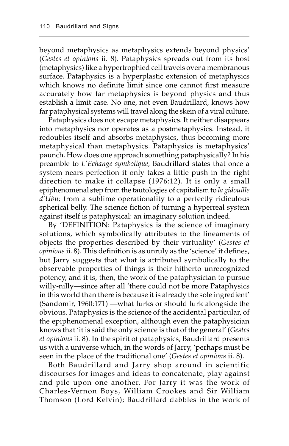beyond metaphysics as metaphysics extends beyond physics' (*Gestes et opinions* ii. 8). Pataphysics spreads out from its host (metaphysics) like a hypertrophied cell travels over a membranous surface. Pataphysics is a hyperplastic extension of metaphysics which knows no definite limit since one cannot first measure accurately how far metaphysics is beyond physics and thus establish a limit case. No one, not even Baudrillard, knows how far pataphysical systems will travel along the skein of a viral culture.

Pataphysics does not escape metaphysics. It neither disappears into metaphysics nor operates as a postmetaphysics. Instead, it redoubles itself and absorbs metaphysics, thus becoming more metaphysical than metaphysics. Pataphysics is metaphysics' paunch. How does one approach something pataphysically? In his preamble to *L'Echange symbolique,* Baudrillard states that once a system nears perfection it only takes a little push in the right direction to make it collapse (1976:12). It is only a small epiphenomenal step from the tautologies of capitalism to *la gidouille d'Ubu;* from a sublime operationality to a perfectly ridiculous spherical belly. The science fiction of turning a hyperreal system against itself is pataphysical: an imaginary solution indeed.

By 'DEFINITION: Pataphysics is the science of imaginary solutions, which symbolically attributes to the lineaments of objects the properties described by their virtuality' (*Gestes et opinions* ii. 8). This definition is as unruly as the 'science' it defines, but Jarry suggests that what is attributed symbolically to the observable properties of things is their hitherto unrecognized potency, and it is, then, the work of the pataphysician to pursue willy-nilly—since after all 'there could not be more Pataphysics in this world than there is because it is already the sole ingredient' (Sandomir, 1960:171) —what lurks or should lurk alongside the obvious. Pataphysics is the science of the accidental particular, of the epiphenomenal exception, although even the pataphysician knows that 'it is said the only science is that of the general' (*Gestes et opinions* ii. 8). In the spirit of pataphysics, Baudrillard presents us with a universe which, in the words of Jarry, 'perhaps must be seen in the place of the traditional one' (*Gestes et opinions* ii. 8).

Both Baudrillard and Jarry shop around in scientific discourses for images and ideas to concatenate, play against and pile upon one another. For Jarry it was the work of Charles-Vernon Boys, William Crookes and Sir William Thomson (Lord Kelvin); Baudrillard dabbles in the work of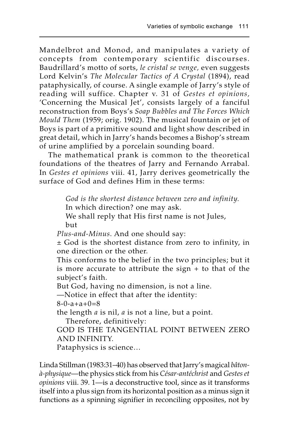Mandelbrot and Monod, and manipulates a variety of concepts from contemporary scientific discourses. Baudrillard's motto of sorts, *le cristal se venge,* even suggests Lord Kelvin's *The Molecular Tactics of A Crystal* (1894), read pataphysically, of course. A single example of Jarry's style of reading will suffice. Chapter v. 31 of *Gestes et opinions,* 'Concerning the Musical Jet', consists largely of a fanciful reconstruction from Boys's *Soap Bubbles and The Forces Which Mould Them* (1959; orig. 1902). The musical fountain or jet of Boys is part of a primitive sound and light show described in great detail, which in Jarry's hands becomes a Bishop's stream of urine amplified by a porcelain sounding board.

The mathematical prank is common to the theoretical foundations of the theatres of Jarry and Fernando Arrabal. In *Gestes et opinions* viii. 41, Jarry derives geometrically the surface of God and defines Him in these terms:

*God is the shortest distance between zero and infinity.* In which direction? one may ask. We shall reply that His first name is not Jules, but *Plus-and-Minus*. And one should say: ± God is the shortest distance from zero to infinity, in one direction or the other. This conforms to the belief in the two principles; but it is more accurate to attribute the sign + to that of the subject's faith. But God, having no dimension, is not a line. —Notice in effect that after the identity:  $8 - 0 - a + a + 0 = 8$ the length *a* is nil, *a* is not a line, but a point. Therefore, definitively: GOD IS THE TANGENTIAL POINT BETWEEN ZERO AND INFINITY.

Pataphysics is science…

Linda Stillman (1983:31–40) has observed that Jarry's magical *bâtonà-physique*—the physics stick from his *César-antéchrist* and *Gestes et opinions* viii. 39. 1—is a deconstructive tool, since as it transforms itself into a plus sign from its horizontal position as a minus sign it functions as a spinning signifier in reconciling opposites, not by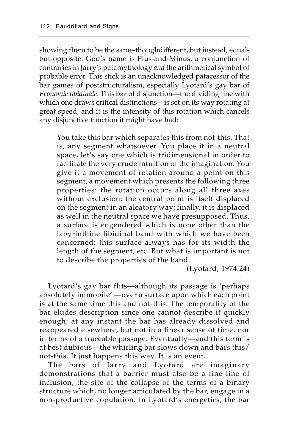showing them to be the same-thoughdifferent, but instead, equalbut-opposite. God's name is Plus-and-Minus, a conjunction of contraries in Jarry's patamythology *and* the arithmetical symbol of probable error. This stick is an unacknowledged patacessor of the bar games of poststructuralism, especially Lyotard's gay bar of *Economie libidinale*. This bar of disjunction—the dividing line with which one draws critical distinctions—is set on its way rotating at great speed, and it is the intensity of this rotation which cancels any disjunctive function it might have had:

You take this bar which separates this from not-this. That is, any segment whatsoever. You place it in a neutral space, let's say one which is tridimensional in order to facilitate the very crude intuition of the imagination. You give it a movement of rotation around a point on this segment, a movement which presents the following three properties: the rotation occurs along all three axes without exclusion; the central point is itself displaced on the segment in an aleatory way; finally, it is displaced as well in the neutral space we have presupposed. Thus, a surface is engendered which is none other than the labyrinthine libidinal band with which we have been concerned: this surface always has for its width the length of the segment, etc. But what is important is not to describe the properties of the band.

(Lyotard, 1974:24)

Lyotard's gay bar flits—although its passage is 'perhaps absolutely immobile' —over a surface upon which each point is at the same time this and not-this. The temporality of the bar eludes description since one cannot describe it quickly enough; at any instant the bar has already dissolved and reappeared elsewhere, but not in a linear sense of time, nor in terms of a traceable passage. Eventually—and this term is at best dubious—the whirling bar slows down and bars this/ not-this. It just happens this way. It is an event.

The bars of Jarry and Lyotard are imaginary demonstrations that a barrier must also be a fine line of inclusion, the site of the collapse of the terms of a binary structure which, no longer articulated by the bar, engage in a non-productive copulation. In Lyotard's energetics, the bar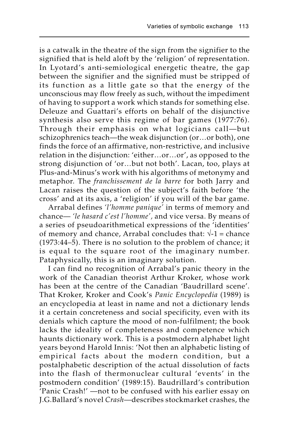is a catwalk in the theatre of the sign from the signifier to the signified that is held aloft by the 'religion' of representation. In Lyotard's anti-semiological energetic theatre, the gap between the signifier and the signified must be stripped of its function as a little gate so that the energy of the unconscious may flow freely as such, without the impediment of having to support a work which stands for something else. Deleuze and Guattari's efforts on behalf of the disjunctive synthesis also serve this regime of bar games (1977:76). Through their emphasis on what logicians call—but schizophrenics teach—the weak disjunction (or…or both), one finds the force of an affirmative, non-restrictive, and inclusive relation in the disjunction: 'either…or…or', as opposed to the strong disjunction of 'or…but not both'. Lacan, too, plays at Plus-and-Minus's work with his algorithms of metonymy and metaphor. The *franchissement de la barre* for both Jarry and Lacan raises the question of the subject's faith before 'the cross' and at its axis, a 'religion' if you will of the bar game.

Arrabal defines *'l'homme panique'* in terms of memory and chance— *'le hasard c'est l'homme',* and vice versa. By means of a series of pseudoarithmetical expressions of the 'identities' of memory and chance, Arrabal concludes that:  $\sqrt{-1}$  = chance (1973:44–5). There is no solution to the problem of chance; it is equal to the square root of the imaginary number. Pataphysically, this is an imaginary solution.

I can find no recognition of Arrabal's panic theory in the work of the Canadian theorist Arthur Kroker, whose work has been at the centre of the Canadian 'Baudrillard scene'. That Kroker, Kroker and Cook's *Panic Encyclopedia* (1989) is an encyclopedia at least in name and not a dictionary lends it a certain concreteness and social specificity, even with its denials which capture the mood of non-fulfilment; the book lacks the ideality of completeness and competence which haunts dictionary work. This is a postmodern alphabet light years beyond Harold Innis: 'Not then an alphabetic listing of empirical facts about the modern condition, but a postalphabetic description of the actual dissolution of facts into the flash of thermonuclear cultural 'events' in the postmodern condition' (1989:15). Baudrillard's contribution 'Panic Crash!' —not to be confused with his earlier essay on J.G.Ballard's novel *Crash*—describes stockmarket crashes, the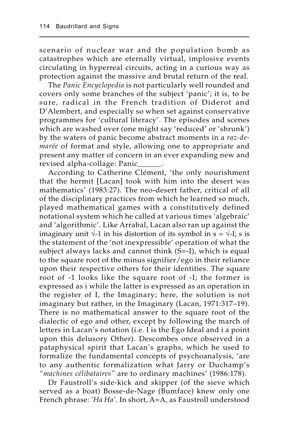scenario of nuclear war and the population bomb as catastrophes which are eternally virtual, implosive events circulating in hyperreal circuits, acting in a curious way as protection against the massive and brutal return of the real.

The *Panic Encyclopedia* is not particularly well rounded and covers only some branches of the subject 'panic'; it is, to be sure, radical in the French tradition of Diderot and D'Alembert, and especially so when set against conservative programmes for 'cultural literacy'. The episodes and scenes which are washed over (one might say 'reduced' or 'shrunk') by the waters of panic become abstract moments in a *raz-demarée* of format and style, allowing one to appropriate and present any matter of concern in an ever expanding new and revised alpha-collage: Panic\_\_\_\_\_\_.

According to Catherine Clément, 'the only nourishment that the hermit [Lacan] took with him into the desert was mathematics' (1983:27). The neo-desert father, critical of all of the disciplinary practices from which he learned so much, played mathematical games with a constitutively defined notational system which he called at various times 'algebraic' and 'algorithmic'. Like Arrabal, Lacan also ran up against the imaginary unit  $\sqrt{-1}$  in his distortion of its symbol in  $s = \sqrt{-1}$ ; s is the statement of the 'not inexpressible' operation of what the subject always lacks and cannot think  $(S=-I)$ , which is equal to the square root of the minus signifier/ego in their reliance upon their respective others for their identities. The square root of -1 looks like the square root of -I; the former is expressed as i while the latter is expressed as an operation in the register of I, the Imaginary; here, the solution is not imaginary but rather, in the Imaginary (Lacan, 1971:317–19). There is no mathematical answer to the square root of the dialectic of ego and other, except by following the march of letters in Lacan's notation (i.e. I is the Ego Ideal and i a point upon this delusory Other). Descombes once observed in a pataphysical spirit that Lacan's graphs, which he used to formalize the fundamental concepts of psychoanalysis, 'are to any authentic formalization what Jarry or Duchamp's *"machines célibataires"* are to ordinary machines' (1986:178).

Dr Faustroll's side-kick and skipper (of the sieve which served as a boat) Bosse-de-Nage (Bumface) knew only one French phrase: *'Ha Ha'*. In short, A=A, as Faustroll understood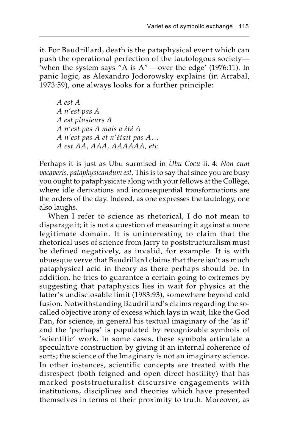it. For Baudrillard, death is the pataphysical event which can push the operational perfection of the tautologous society— 'when the system says "A is  $A$ " —over the edge' (1976:11). In panic logic, as Alexandro Jodorowsky explains (in Arrabal, 1973:59), one always looks for a further principle:

*A est A A n'est pas A A est plusieurs A A n'est pas A mais a été A A n'est pas A et n'était pas A*… *A est AA, AAA, AAAAAA, etc.*

Perhaps it is just as Ubu surmised in *Ubu Cocu* ii. 4: *Non cum vacaveris, pataphysicandum est*. This is to say that since you are busy you ought to pataphysicate along with your fellows at the Collège, where idle derivations and inconsequential transformations are the orders of the day. Indeed, as one expresses the tautology, one also laughs.

When I refer to science as rhetorical, I do not mean to disparage it; it is not a question of measuring it against a more legitimate domain. It is uninteresting to claim that the rhetorical uses of science from Jarry to poststructuralism must be defined negatively, as invalid, for example. It is with ubuesque verve that Baudrillard claims that there isn't as much pataphysical acid in theory as there perhaps should be. In addition, he tries to guarantee a certain going to extremes by suggesting that pataphysics lies in wait for physics at the latter's undisclosable limit (1983:93), somewhere beyond cold fusion. Notwithstanding Baudrillard's claims regarding the socalled objective irony of excess which lays in wait, like the God Pan, for science, in general his textual imaginary of the 'as if' and the 'perhaps' is populated by recognizable symbols of 'scientific' work. In some cases, these symbols articulate a speculative construction by giving it an internal coherence of sorts; the science of the Imaginary is not an imaginary science. In other instances, scientific concepts are treated with the disrespect (both feigned and open direct hostility) that has marked poststructuralist discursive engagements with institutions, disciplines and theories which have presented themselves in terms of their proximity to truth. Moreover, as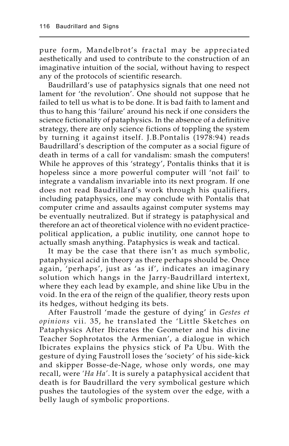pure form, Mandelbrot's fractal may be appreciated aesthetically and used to contribute to the construction of an imaginative intuition of the social, without having to respect any of the protocols of scientific research.

Baudrillard's use of pataphysics signals that one need not lament for 'the revolution'. One should not suppose that he failed to tell us what is to be done. It is bad faith to lament and thus to hang this 'failure' around his neck if one considers the science fictionality of pataphysics. In the absence of a definitive strategy, there are only science fictions of toppling the system by turning it against itself. J.B.Pontalis (1978:94) reads Baudrillard's description of the computer as a social figure of death in terms of a call for vandalism: smash the computers! While he approves of this 'strategy', Pontalis thinks that it is hopeless since a more powerful computer will 'not fail' to integrate a vandalism invariable into its next program. If one does not read Baudrillard's work through his qualifiers, including pataphysics, one may conclude with Pontalis that computer crime and assaults against computer systems may be eventually neutralized. But if strategy is pataphysical and therefore an act of theoretical violence with no evident practicepolitical application, a public inutility, one cannot hope to actually smash anything. Pataphysics is weak and tactical.

It may be the case that there isn't as much symbolic, pataphysical acid in theory as there perhaps should be. Once again, 'perhaps', just as 'as if', indicates an imaginary solution which hangs in the Jarry-Baudrillard intertext, where they each lead by example, and shine like Ubu in the void. In the era of the reign of the qualifier, theory rests upon its hedges, without hedging its bets.

After Faustroll 'made the gesture of dying' in *Gestes et opinions* vii. 35, he translated the 'Little Sketches on Pataphysics After Ibicrates the Geometer and his divine Teacher Sophrotatos the Armenian', a dialogue in which Ibicrates explains the physics stick of Pa Ubu. With the gesture of dying Faustroll loses the 'society' of his side-kick and skipper Bosse-de-Nage, whose only words, one may recall, were *'Ha Ha'*. It is surely a pataphysical accident that death is for Baudrillard the very symbolical gesture which pushes the tautologies of the system over the edge, with a belly laugh of symbolic proportions.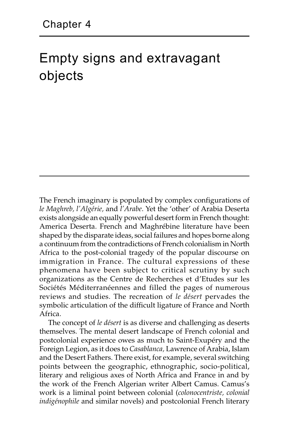# Empty signs and extravagant objects

The French imaginary is populated by complex configurations of *le Maghreb, l'Algérie,* and *l'Arabe*. Yet the 'other' of Arabia Deserta exists alongside an equally powerful desert form in French thought: America Deserta. French and Maghrébine literature have been shaped by the disparate ideas, social failures and hopes borne along a continuum from the contradictions of French colonialism in North Africa to the post-colonial tragedy of the popular discourse on immigration in France. The cultural expressions of these phenomena have been subject to critical scrutiny by such organizations as the Centre de Recherches et d'Etudes sur les Sociétés Méditerranéennes and filled the pages of numerous reviews and studies. The recreation of *le désert* pervades the symbolic articulation of the difficult ligature of France and North Africa.

The concept of *le désert* is as diverse and challenging as deserts themselves. The mental desert landscape of French colonial and postcolonial experience owes as much to Saint-Exupéry and the Foreign Legion, as it does to *Casablanca,* Lawrence of Arabia, Islam and the Desert Fathers. There exist, for example, several switching points between the geographic, ethnographic, socio-political, literary and religious axes of North Africa and France in and by the work of the French Algerian writer Albert Camus. Camus's work is a liminal point between colonial (*colonocentriste, colonial indigénophile* and similar novels) and postcolonial French literary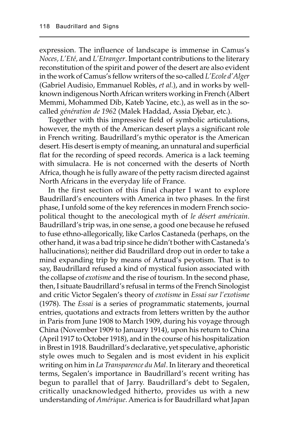expression. The influence of landscape is immense in Camus's *Noces, L'Eté,* and *L'Etranger*. Important contributions to the literary reconstitution of the spirit and power of the desert are also evident in the work of Camus's fellow writers of the so-called *L'Ecole d'Alger* (Gabriel Audisio, Emmanuel Roblès, *et al.*), and in works by wellknown indigenous North African writers working in French (Albert Memmi, Mohammed Dib, Kateb Yacine, etc.), as well as in the socalled *génération de 1962* (Malek Haddad, Assia Djebar, etc.).

Together with this impressive field of symbolic articulations, however, the myth of the American desert plays a significant role in French writing. Baudrillard's mythic operator is the American desert. His desert is empty of meaning, an unnatural and superficial flat for the recording of speed records. America is a lack teeming with simulacra. He is not concerned with the deserts of North Africa, though he is fully aware of the petty racism directed against North Africans in the everyday life of France.

In the first section of this final chapter I want to explore Baudrillard's encounters with America in two phases. In the first phase, I unfold some of the key references in modern French sociopolitical thought to the anecological myth of *le désert américain*. Baudrillard's trip was, in one sense, a good one because he refused to fuse ethno-allegorically, like Carlos Castaneda (perhaps, on the other hand, it was a bad trip since he didn't bother with Castaneda's hallucinations); neither did Baudrillard drop out in order to take a mind expanding trip by means of Artaud's peyotism. That is to say, Baudrillard refused a kind of mystical fusion associated with the collapse of *exotisme* and the rise of tourism. In the second phase, then, I situate Baudrillard's refusal in terms of the French Sinologist and critic Victor Segalen's theory of *exotisme* in *Essai sur l'exotisme* (1978). The *Essai* is a series of programmatic statements, journal entries, quotations and extracts from letters written by the author in Paris from June 1908 to March 1909, during his voyage through China (November 1909 to January 1914), upon his return to China (April 1917 to October 1918), and in the course of his hospitalization in Brest in 1918. Baudrillard's declarative, yet speculative, aphoristic style owes much to Segalen and is most evident in his explicit writing on him in *La Transparence du Mal*. In literary and theoretical terms, Segalen's importance in Baudrillard's recent writing has begun to parallel that of Jarry. Baudrillard's debt to Segalen, critically unacknowledged hitherto, provides us with a new understanding of *Amérique*. America is for Baudrillard what Japan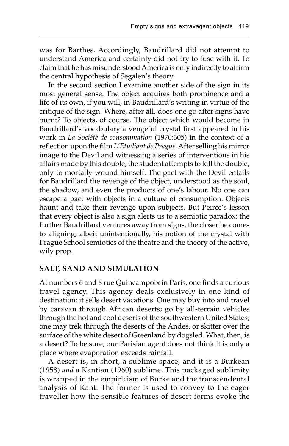was for Barthes. Accordingly, Baudrillard did not attempt to understand America and certainly did not try to fuse with it. To claim that he has misunderstood America is only indirectly to affirm the central hypothesis of Segalen's theory.

In the second section I examine another side of the sign in its most general sense. The object acquires both prominence and a life of its own, if you will, in Baudrillard's writing in virtue of the critique of the sign. Where, after all, does one go after signs have burnt? To objects, of course. The object which would become in Baudrillard's vocabulary a vengeful crystal first appeared in his work in *La Société de consommation* (1970:305) in the context of a reflection upon the film *L'Etudiant de Prague*. After selling his mirror image to the Devil and witnessing a series of interventions in his affairs made by this double, the student attempts to kill the double, only to mortally wound himself. The pact with the Devil entails for Baudrillard the revenge of the object, understood as the soul, the shadow, and even the products of one's labour. No one can escape a pact with objects in a culture of consumption. Objects haunt and take their revenge upon subjects. But Peirce's lesson that every object is also a sign alerts us to a semiotic paradox: the further Baudrillard ventures away from signs, the closer he comes to aligning, albeit unintentionally, his notion of the crystal with Prague School semiotics of the theatre and the theory of the active, wily prop.

# **SALT, SAND AND SIMULATION**

At numbers 6 and 8 rue Quincampoix in Paris, one finds a curious travel agency. This agency deals exclusively in one kind of destination: it sells desert vacations. One may buy into and travel by caravan through African deserts; go by all-terrain vehicles through the hot and cool deserts of the southwestern United States; one may trek through the deserts of the Andes, or skitter over the surface of the white desert of Greenland by dogsled. What, then, is a desert? To be sure, our Parisian agent does not think it is only a place where evaporation exceeds rainfall.

A desert is, in short, a sublime space, and it is a Burkean (1958) *and* a Kantian (1960) sublime. This packaged sublimity is wrapped in the empiricism of Burke and the transcendental analysis of Kant. The former is used to convey to the eager traveller how the sensible features of desert forms evoke the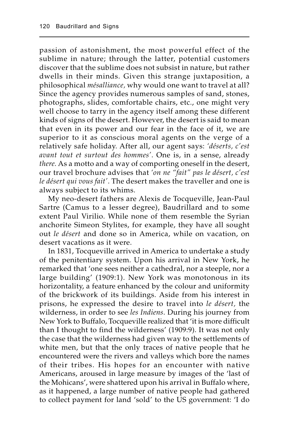passion of astonishment, the most powerful effect of the sublime in nature; through the latter, potential customers discover that the sublime does not subsist in nature, but rather dwells in their minds. Given this strange juxtaposition, a philosophical *mésalliance,* why would one want to travel at all? Since the agency provides numerous samples of sand, stones, photographs, slides, comfortable chairs, etc., one might very well choose to tarry in the agency itself among these different kinds of signs of the desert. However, the desert is said to mean that even in its power and our fear in the face of it, we are superior to it as conscious moral agents on the verge of a relatively safe holiday. After all, our agent says: *'déserts, c'est avant tout et surtout des hommes'*. One is, in a sense, already *there.* As a motto and a way of comporting oneself in the desert, our travel brochure advises that *'on ne "fait" pas le désert, c'est le désert qui vous fait'*. The desert makes the traveller and one is always subject to its whims.

My neo-desert fathers are Alexis de Tocqueville, Jean-Paul Sartre (Camus to a lesser degree), Baudrillard and to some extent Paul Virilio. While none of them resemble the Syrian anchorite Simeon Stylites, for example, they have all sought out *le désert* and done so in America, while on vacation, on desert vacations as it were.

In 1831, Tocqueville arrived in America to undertake a study of the penitentiary system. Upon his arrival in New York, he remarked that 'one sees neither a cathedral, nor a steeple, nor a large building' (1909:1). New York was monotonous in its horizontality, a feature enhanced by the colour and uniformity of the brickwork of its buildings. Aside from his interest in prisons, he expressed the desire to travel into *le désert,* the wilderness, in order to see *les Indiens*. During his journey from New York to Buffalo, Tocqueville realized that 'it is more difficult than I thought to find the wilderness' (1909:9). It was not only the case that the wilderness had given way to the settlements of white men, but that the only traces of native people that he encountered were the rivers and valleys which bore the names of their tribes. His hopes for an encounter with native Americans, aroused in large measure by images of the 'last of the Mohicans', were shattered upon his arrival in Buffalo where, as it happened, a large number of native people had gathered to collect payment for land 'sold' to the US government: 'I do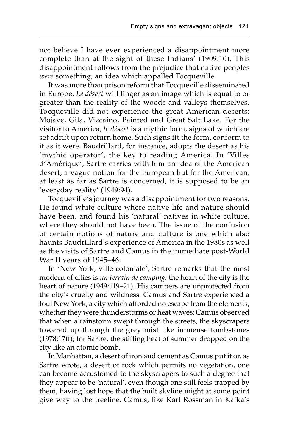not believe I have ever experienced a disappointment more complete than at the sight of these Indians' (1909:10). This disappointment follows from the prejudice that native peoples *were* something, an idea which appalled Tocqueville.

It was more than prison reform that Tocqueville disseminated in Europe. *Le désert* will linger as an image which is equal to or greater than the reality of the woods and valleys themselves. Tocqueville did not experience the great American deserts: Mojave, Gila, Vizcaino, Painted and Great Salt Lake. For the visitor to America, *le désert* is a mythic form, signs of which are set adrift upon return home. Such signs fit the form, conform to it as it were. Baudrillard, for instance, adopts the desert as his 'mythic operator', the key to reading America. In 'Villes d'Amérique', Sartre carries with him an idea of the American desert, a vague notion for the European but for the American, at least as far as Sartre is concerned, it is supposed to be an 'everyday reality' (1949:94).

Tocqueville's journey was a disappointment for two reasons. He found white culture where native life and nature should have been, and found his 'natural' natives in white culture, where they should not have been. The issue of the confusion of certain notions of nature and culture is one which also haunts Baudrillard's experience of America in the 1980s as well as the visits of Sartre and Camus in the immediate post-World War II years of 1945–46.

In 'New York, ville coloniale', Sartre remarks that the most modern of cities is *un terrain de camping:* the heart of the city is the heart of nature (1949:119–21). His campers are unprotected from the city's cruelty and wildness. Camus and Sartre experienced a foul New York, a city which afforded no escape from the elements, whether they were thunderstorms or heat waves; Camus observed that when a rainstorm swept through the streets, the skyscrapers towered up through the grey mist like immense tombstones (1978:17ff); for Sartre, the stifling heat of summer dropped on the city like an atomic bomb.

In Manhattan, a desert of iron and cement as Camus put it or, as Sartre wrote, a desert of rock which permits no vegetation, one can become accustomed to the skyscrapers to such a degree that they appear to be 'natural', even though one still feels trapped by them, having lost hope that the built skyline might at some point give way to the treeline. Camus, like Karl Rossman in Kafka's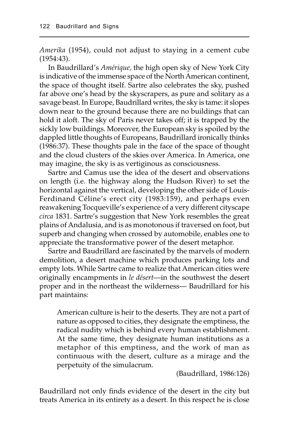*Amerika* (1954), could not adjust to staying in a cement cube (1954:43).

In Baudrillard's *Amérique,* the high open sky of New York City is indicative of the immense space of the North American continent, the space of thought itself. Sartre also celebrates the sky, pushed far above one's head by the skyscrapers, as pure and solitary as a savage beast. In Europe, Baudrillard writes, the sky is tame: it slopes down near to the ground because there are no buildings that can hold it aloft. The sky of Paris never takes off; it is trapped by the sickly low buildings. Moreover, the European sky is spoiled by the dappled little thoughts of Europeans, Baudrillard ironically thinks (1986:37). These thoughts pale in the face of the space of thought and the cloud clusters of the skies over America. In America, one may imagine, the sky is as vertiginous as consciousness.

Sartre and Camus use the idea of the desert and observations on length (i.e. the highway along the Hudson River) to set the horizontal against the vertical, developing the other side of Louis-Ferdinand Céline's erect city (1983:159), and perhaps even reawakening Tocqueville's experience of a very different cityscape *circa* 1831. Sartre's suggestion that New York resembles the great plains of Andalusia, and is as monotonous if traversed on foot, but superb and changing when crossed by automobile, enables one to appreciate the transformative power of the desert metaphor.

Sartre and Baudrillard are fascinated by the marvels of modern demolition, a desert machine which produces parking lots and empty lots. While Sartre came to realize that American cities were originally encampments in *le désert*—in the southwest the desert proper and in the northeast the wilderness— Baudrillard for his part maintains:

American culture is heir to the deserts. They are not a part of nature as opposed to cities, they designate the emptiness, the radical nudity which is behind every human establishment. At the same time, they designate human institutions as a metaphor of this emptiness, and the work of man as continuous with the desert, culture as a mirage and the perpetuity of the simulacrum.

(Baudrillard, 1986:126)

Baudrillard not only finds evidence of the desert in the city but treats America in its entirety as a desert. In this respect he is close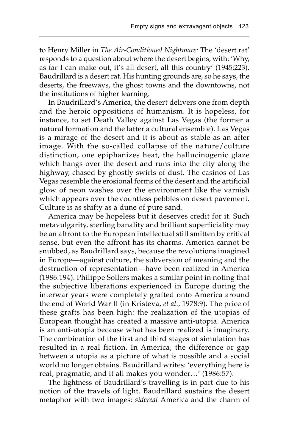to Henry Miller in *The Air-Conditioned Nightmare:* The 'desert rat' responds to a question about where the desert begins, with: 'Why, as far I can make out, it's all desert, all this country' (1945:223). Baudrillard is a desert rat. His hunting grounds are, so he says, the deserts, the freeways, the ghost towns and the downtowns, not the institutions of higher learning.

In Baudrillard's America, the desert delivers one from depth and the heroic oppositions of humanism. It is hopeless, for instance, to set Death Valley against Las Vegas (the former a natural formation and the latter a cultural ensemble). Las Vegas is a mirage of the desert and it is about as stable as an after image. With the so-called collapse of the nature/culture distinction, one epiphanizes heat, the hallucinogenic glaze which hangs over the desert and runs into the city along the highway, chased by ghostly swirls of dust. The casinos of Las Vegas resemble the erosional forms of the desert and the artificial glow of neon washes over the environment like the varnish which appears over the countless pebbles on desert pavement. Culture is as shifty as a dune of pure sand.

America may be hopeless but it deserves credit for it. Such metavulgarity, sterling banality and brilliant superficiality may be an affront to the European intellectual still smitten by critical sense, but even the affront has its charms. America cannot be snubbed, as Baudrillard says, because the revolutions imagined in Europe—against culture, the subversion of meaning and the destruction of representation—have been realized in America (1986:194). Philippe Sollers makes a similar point in noting that the subjective liberations experienced in Europe during the interwar years were completely grafted onto America around the end of World War II (in Kristeva, *et al.,* 1978:9). The price of these grafts has been high: the realization of the utopias of European thought has created a massive anti-utopia. America is an anti-utopia because what has been realized is imaginary. The combination of the first and third stages of simulation has resulted in a real fiction. In America, the difference or gap between a utopia as a picture of what is possible and a social world no longer obtains. Baudrillard writes: 'everything here is real, pragmatic, and it all makes you wonder…' (1986:57).

The lightness of Baudrillard's travelling is in part due to his notion of the travels of light. Baudrillard sustains the desert metaphor with two images: *sidereal* America and the charm of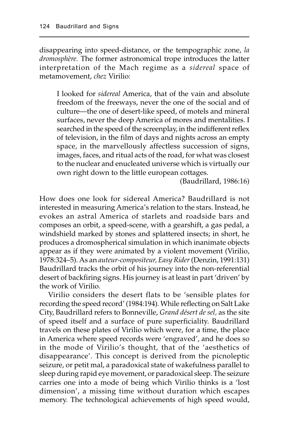disappearing into speed-distance, or the tempographic zone, *la dromosphère.* The former astronomical trope introduces the latter interpretation of the Mach regime as a *sidereal* space of metamovement, *chez* Virilio:

I looked for *sidereal* America, that of the vain and absolute freedom of the freeways, never the one of the social and of culture—the one of desert-like speed, of motels and mineral surfaces, never the deep America of mores and mentalities. I searched in the speed of the screenplay, in the indifferent reflex of television, in the film of days and nights across an empty space, in the marvellously affectless succession of signs, images, faces, and ritual acts of the road, for what was closest to the nuclear and enucleated universe which is virtually our own right down to the little european cottages.

(Baudrillard, 1986:16)

How does one look for sidereal America? Baudrillard is not interested in measuring America's relation to the stars. Instead, he evokes an astral America of starlets and roadside bars and composes an orbit, a speed-scene, with a gearshift, a gas pedal, a windshield marked by stones and splattered insects; in short, he produces a dromospherical simulation in which inanimate objects appear as if they were animated by a violent movement (Virilio, 1978:324–5). As an *auteur-compositeur, Easy Rider* (Denzin, 1991:131) Baudrillard tracks the orbit of his journey into the non-referential desert of backfiring signs. His journey is at least in part 'driven' by the work of Virilio.

Virilio considers the desert flats to be 'sensible plates for recording the speed record' (1984:194). While reflecting on Salt Lake City, Baudrillard refers to Bonneville, *Grand désert de sel,* as the site of speed itself and a surface of pure superficiality. Baudrillard travels on these plates of Virilio which were, for a time, the place in America where speed records were 'engraved', and he does so in the mode of Virilio's thought, that of the 'aesthetics of disappearance'. This concept is derived from the picnoleptic seizure, or petit mal, a paradoxical state of wakefulness parallel to sleep during rapid eye movement, or paradoxical sleep. The seizure carries one into a mode of being which Virilio thinks is a 'lost dimension', a missing time without duration which escapes memory. The technological achievements of high speed would,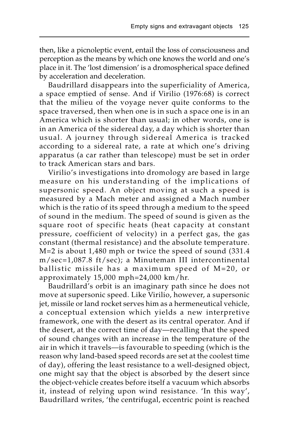then, like a picnoleptic event, entail the loss of consciousness and perception as the means by which one knows the world and one's place in it. The 'lost dimension' is a dromospherical space defined by acceleration and deceleration.

Baudrillard disappears into the superficiality of America, a space emptied of sense. And if Virilio (1976:68) is correct that the milieu of the voyage never quite conforms to the space traversed, then when one is in such a space one is in an America which is shorter than usual; in other words, one is in an America of the sidereal day, a day which is shorter than usual. A journey through sidereal America is tracked according to a sidereal rate, a rate at which one's driving apparatus (a car rather than telescope) must be set in order to track American stars and bars.

Virilio's investigations into dromology are based in large measure on his understanding of the implications of supersonic speed. An object moving at such a speed is measured by a Mach meter and assigned a Mach number which is the ratio of its speed through a medium to the speed of sound in the medium. The speed of sound is given as the square root of specific heats (heat capacity at constant pressure, coefficient of velocity) in a perfect gas, the gas constant (thermal resistance) and the absolute temperature. M=2 is about 1,480 mph or twice the speed of sound (331.4 m/sec=1,087.8 ft/sec); a Minuteman III intercontinental ballistic missile has a maximum speed of M=20, or approximately 15,000 mph=24,000 km/hr.

Baudrillard's orbit is an imaginary path since he does not move at supersonic speed. Like Virilio, however, a supersonic jet, missile or land rocket serves him as a hermeneutical vehicle, a conceptual extension which yields a new interpretive framework, one with the desert as its central operator. And if the desert, at the correct time of day—recalling that the speed of sound changes with an increase in the temperature of the air in which it travels—is favourable to speeding (which is the reason why land-based speed records are set at the coolest time of day), offering the least resistance to a well-designed object, one might say that the object is absorbed by the desert since the object-vehicle creates before itself a vacuum which absorbs it, instead of relying upon wind resistance. 'In this way', Baudrillard writes, 'the centrifugal, eccentric point is reached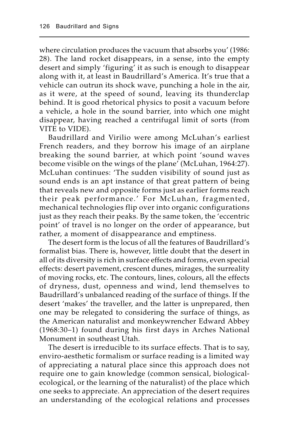where circulation produces the vacuum that absorbs you' (1986: 28). The land rocket disappears, in a sense, into the empty desert and simply 'figuring' it as such is enough to disappear along with it, at least in Baudrillard's America. It's true that a vehicle can outrun its shock wave, punching a hole in the air, as it were, at the speed of sound, leaving its thunderclap behind. It is good rhetorical physics to posit a vacuum before a vehicle, a hole in the sound barrier, into which one might disappear, having reached a centrifugal limit of sorts (from VITE to VIDE).

Baudrillard and Virilio were among McLuhan's earliest French readers, and they borrow his image of an airplane breaking the sound barrier, at which point 'sound waves become visible on the wings of the plane' (McLuhan, 1964:27). McLuhan continues: 'The sudden visibility of sound just as sound ends is an apt instance of that great pattern of being that reveals new and opposite forms just as earlier forms reach their peak performance.' For McLuhan, fragmented, mechanical technologies flip over into organic configurations just as they reach their peaks. By the same token, the 'eccentric point' of travel is no longer on the order of appearance, but rather, a moment of disappearance and emptiness.

The desert form is the locus of all the features of Baudrillard's formalist bias. There is, however, little doubt that the desert in all of its diversity is rich in surface effects and forms, even special effects: desert pavement, crescent dunes, mirages, the surreality of moving rocks, etc. The contours, lines, colours, all the effects of dryness, dust, openness and wind, lend themselves to Baudrillard's unbalanced reading of the surface of things. If the desert 'makes' the traveller, and the latter is unprepared, then one may be relegated to considering the surface of things, as the American naturalist and monkeywrencher Edward Abbey (1968:30–1) found during his first days in Arches National Monument in southeast Utah.

The desert is irreducible to its surface effects. That is to say, enviro-aesthetic formalism or surface reading is a limited way of appreciating a natural place since this approach does not require one to gain knowledge (common sensical, biologicalecological, or the learning of the naturalist) of the place which one seeks to appreciate. An appreciation of the desert requires an understanding of the ecological relations and processes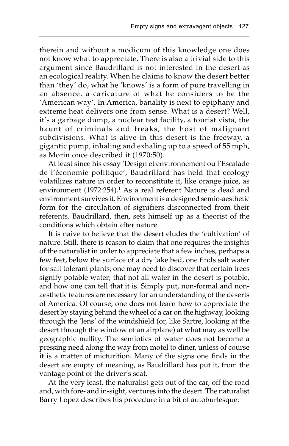therein and without a modicum of this knowledge one does not know what to appreciate. There is also a trivial side to this argument since Baudrillard is not interested in the desert as an ecological reality. When he claims to know the desert better than 'they' do, what he 'knows' is a form of pure travelling in an absence, a caricature of what he considers to be the 'American way'. In America, banality is next to epiphany and extreme heat delivers one from sense. What is a desert? Well, it's a garbage dump, a nuclear test facility, a tourist vista, the haunt of criminals and freaks, the host of malignant subdivisions. What is alive in this desert is the freeway, a gigantic pump, inhaling and exhaling up to a speed of 55 mph, as Morin once described it (1970:50).

At least since his essay 'Design et environnement ou l'Escalade de l'économie politique', Baudrillard has held that ecology volatilizes nature in order to reconstitute it, like orange juice, as environment (1972:254).<sup>1</sup> As a real referent Nature is dead and environment survives it. Environment is a designed semio-aesthetic form for the circulation of signifiers disconnected from their referents. Baudrillard, then, sets himself up as a theorist of the conditions which obtain after nature.

It is naive to believe that the desert eludes the 'cultivation' of nature. Still, there is reason to claim that one requires the insights of the naturalist in order to appreciate that a few inches, perhaps a few feet, below the surface of a dry lake bed, one finds salt water for salt tolerant plants; one may need to discover that certain trees signify potable water; that not all water in the desert is potable, and how one can tell that it is. Simply put, non-formal and nonaesthetic features are necessary for an understanding of the deserts of America. Of course, one does not learn how to appreciate the desert by staying behind the wheel of a car on the highway, looking through the 'lens' of the windshield (or, like Sartre, looking at the desert through the window of an airplane) at what may as well be geographic nullity. The semiotics of water does not become a pressing need along the way from motel to diner, unless of course it is a matter of micturition. Many of the signs one finds in the desert are empty of meaning, as Baudrillard has put it, from the vantage point of the driver's seat.

At the very least, the naturalist gets out of the car, off the road and, with fore- and in-sight, ventures into the desert. The naturalist Barry Lopez describes his procedure in a bit of autoburlesque: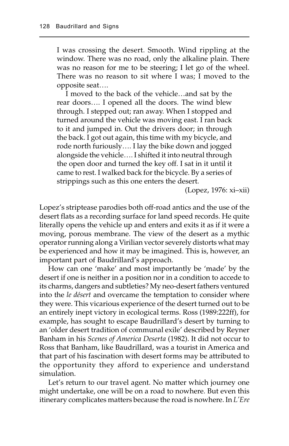I was crossing the desert. Smooth. Wind rippling at the window. There was no road, only the alkaline plain. There was no reason for me to be steering; I let go of the wheel. There was no reason to sit where I was; I moved to the opposite seat….

I moved to the back of the vehicle…and sat by the rear doors…. I opened all the doors. The wind blew through. I stepped out; ran away. When I stopped and turned around the vehicle was moving east. I ran back to it and jumped in. Out the drivers door; in through the back. I got out again, this time with my bicycle, and rode north furiously…. I lay the bike down and jogged alongside the vehicle…. I shifted it into neutral through the open door and turned the key off. I sat in it until it came to rest. I walked back for the bicycle. By a series of strippings such as this one enters the desert.

(Lopez, 1976: xi–xii)

Lopez's striptease parodies both off-road antics and the use of the desert flats as a recording surface for land speed records. He quite literally opens the vehicle up and enters and exits it as if it were a moving, porous membrane. The view of the desert as a mythic operator running along a Virilian vector severely distorts what may be experienced and how it may be imagined. This is, however, an important part of Baudrillard's approach.

How can one 'make' and most importantly be 'made' by the desert if one is neither in a position nor in a condition to accede to its charms, dangers and subtleties? My neo-desert fathers ventured into the *le désert* and overcame the temptation to consider where they were. This vicarious experience of the desert turned out to be an entirely inept victory in ecological terms. Ross (1989:222ff), for example, has sought to escape Baudrillard's desert by turning to an 'older desert tradition of communal exile' described by Reyner Banham in his *Scenes of America Deserta* (1982). It did not occur to Ross that Banham, like Baudrillard, was a tourist in America and that part of his fascination with desert forms may be attributed to the opportunity they afford to experience and understand simulation.

Let's return to our travel agent. No matter which journey one might undertake, one will be on a road to nowhere. But even this itinerary complicates matters because the road is nowhere. In *L'Ere*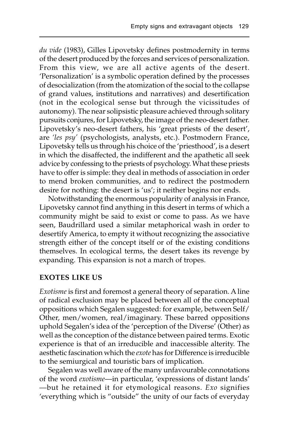*du vide* (1983), Gilles Lipovetsky defines postmodernity in terms of the desert produced by the forces and services of personalization. From this view, we are all active agents of the desert. 'Personalization' is a symbolic operation defined by the processes of desocialization (from the atomization of the social to the collapse of grand values, institutions and narratives) and desertification (not in the ecological sense but through the vicissitudes of autonomy). The near solipsistic pleasure achieved through solitary pursuits conjures, for Lipovetsky, the image of the neo-desert father. Lipovetsky's neo-desert fathers, his 'great priests of the desert', are *'les psy'* (psychologists, analysts, etc.). Postmodern France, Lipovetsky tells us through his choice of the 'priesthood', is a desert in which the disaffected, the indifferent and the apathetic all seek advice by confessing to the priests of psychology. What these priests have to offer is simple: they deal in methods of association in order to mend broken communities, and to redirect the postmodern desire for nothing: the desert is 'us'; it neither begins nor ends.

Notwithstanding the enormous popularity of analysis in France, Lipovetsky cannot find anything in this desert in terms of which a community might be said to exist or come to pass. As we have seen, Baudrillard used a similar metaphorical wash in order to desertify America, to empty it without recognizing the associative strength either of the concept itself or of the existing conditions themselves. In ecological terms, the desert takes its revenge by expanding. This expansion is not a march of tropes.

## **EXOTES LIKE US**

*Exotisme* is first and foremost a general theory of separation. A line of radical exclusion may be placed between all of the conceptual oppositions which Segalen suggested: for example, between Self/ Other, men/women, real/imaginary. These barred oppositions uphold Segalen's idea of the 'perception of the Diverse' (Other) as well as the conception of the distance between paired terms. Exotic experience is that of an irreducible and inaccessible alterity. The aesthetic fascination which the *exote* has for Difference is irreducible to the semiurgical and touristic bars of implication.

Segalen was well aware of the many unfavourable connotations of the word *exotisme*—in particular, 'expressions of distant lands' —but he retained it for etymological reasons. *Exo* signifies 'everything which is "outside" the unity of our facts of everyday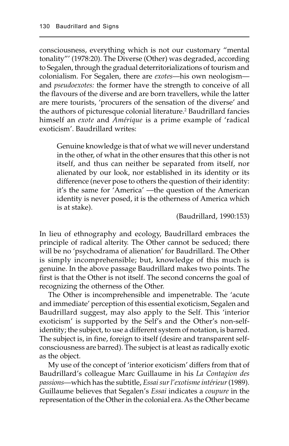consciousness, everything which is not our customary "mental tonality"' (1978:20). The Diverse (Other) was degraded, according to Segalen, through the gradual deterritorializations of tourism and colonialism. For Segalen, there are *exotes*—his own neologism and *pseudoexotes:* the former have the strength to conceive of all the flavours of the diverse and are born travellers, while the latter are mere tourists, 'procurers of the sensation of the diverse' and the authors of picturesque colonial literature.<sup>2</sup> Baudrillard fancies himself an *exote* and *Amérique* is a prime example of 'radical exoticism'. Baudrillard writes:

Genuine knowledge is that of what we will never understand in the other, of what in the other ensures that this other is not itself, and thus can neither be separated from itself, nor alienated by our look, nor established in its identity or its difference (never pose to others the question of their identity: it's the same for 'America' —the question of the American identity is never posed, it is the otherness of America which is at stake).

(Baudrillard, 1990:153)

In lieu of ethnography and ecology, Baudrillard embraces the principle of radical alterity. The Other cannot be seduced; there will be no 'psychodrama of alienation' for Baudrillard. The Other is simply incomprehensible; but, knowledge of this much is genuine. In the above passage Baudrillard makes two points. The first is that the Other is not itself. The second concerns the goal of recognizing the otherness of the Other.

The Other is incomprehensible and impenetrable. The 'acute and immediate' perception of this essential exoticism, Segalen and Baudrillard suggest, may also apply to the Self. This 'interior exoticism' is supported by the Self's and the Other's non-selfidentity; the subject, to use a different system of notation, is barred. The subject is, in fine, foreign to itself (desire and transparent selfconsciousness are barred). The subject is at least as radically exotic as the object.

My use of the concept of 'interior exoticism' differs from that of Baudrillard's colleague Marc Guillaume in his *La Contagion des passions*—which has the subtitle, *Essai sur l'exotisme intérieur* (1989). Guillaume believes that Segalen's *Essai* indicates a *coupure* in the representation of the Other in the colonial era. As the Other became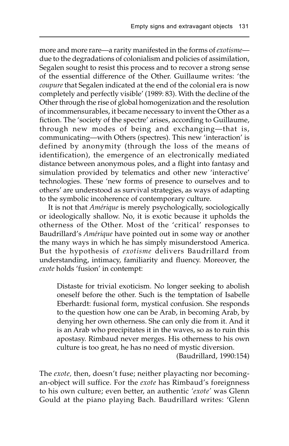more and more rare—a rarity manifested in the forms of *exotisme* due to the degradations of colonialism and policies of assimilation, Segalen sought to resist this process and to recover a strong sense of the essential difference of the Other. Guillaume writes: 'the *coupure* that Segalen indicated at the end of the colonial era is now completely and perfectly visible' (1989: 83). With the decline of the Other through the rise of global homogenization and the resolution of incommensurables, it became necessary to invent the Other as a fiction. The 'society of the spectre' arises, according to Guillaume, through new modes of being and exchanging—that is, communicating—with Others (spectres). This new 'interaction' is defined by anonymity (through the loss of the means of identification), the emergence of an electronically mediated distance between anonymous poles, and a flight into fantasy and simulation provided by telematics and other new 'interactive' technologies. These 'new forms of presence to ourselves and to others' are understood as survival strategies, as ways of adapting to the symbolic incoherence of contemporary culture.

It is not that *Amérique* is merely psychologically, sociologically or ideologically shallow. No, it is exotic because it upholds the otherness of the Other. Most of the 'critical' responses to Baudrillard's *Amérique* have pointed out in some way or another the many ways in which he has simply misunderstood America. But the hypothesis of *exotisme* delivers Baudrillard from understanding, intimacy, familiarity and fluency. Moreover, the *exote* holds 'fusion' in contempt:

Distaste for trivial exoticism. No longer seeking to abolish oneself before the other. Such is the temptation of Isabelle Eberhardt: fusional form, mystical confusion. She responds to the question how one can be Arab, in becoming Arab, by denying her own otherness. She can only die from it. And it is an Arab who precipitates it in the waves, so as to ruin this apostasy. Rimbaud never merges. His otherness to his own culture is too great, he has no need of mystic diversion.

(Baudrillard, 1990:154)

The *exote,* then, doesn't fuse; neither playacting nor becomingan-object will suffice. For the *exote* has Rimbaud's foreignness to his own culture; even better, an authentic *'exote'* was Glenn Gould at the piano playing Bach. Baudrillard writes: 'Glenn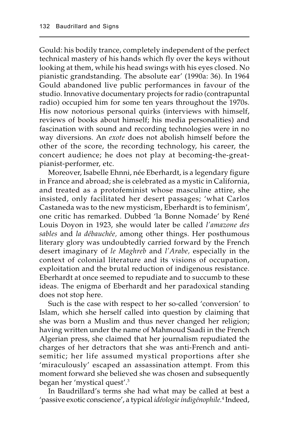Gould: his bodily trance, completely independent of the perfect technical mastery of his hands which fly over the keys without looking at them, while his head swings with his eyes closed. No pianistic grandstanding. The absolute ear' (1990a: 36). In 1964 Gould abandoned live public performances in favour of the studio. Innovative documentary projects for radio (contrapuntal radio) occupied him for some ten years throughout the 1970s. His now notorious personal quirks (interviews with himself, reviews of books about himself; his media personalities) and fascination with sound and recording technologies were in no way diversions. An *exote* does not abolish himself before the other of the score, the recording technology, his career, the concert audience; he does not play at becoming-the-greatpianist-performer, etc.

Moreover, Isabelle Ehnni, née Eberhardt, is a legendary figure in France and abroad; she is celebrated as a mystic in California, and treated as a protofeminist whose masculine attire, she insisted, only facilitated her desert passages; 'what Carlos Castaneda was to the new mysticism, Eberhardt is to feminism', one critic has remarked. Dubbed 'la Bonne Nomade' by René Louis Doyon in 1923, she would later be called *l'amazone des sables* and *la débauchée,* among other things. Her posthumous literary glory was undoubtedly carried forward by the French desert imaginary of *le Maghreb* and *l'Arabe,* especially in the context of colonial literature and its visions of occupation, exploitation and the brutal reduction of indigenous resistance. Eberhardt at once seemed to repudiate and to succumb to these ideas. The enigma of Eberhardt and her paradoxical standing does not stop here.

Such is the case with respect to her so-called 'conversion' to Islam, which she herself called into question by claiming that she was born a Muslim and thus never changed her religion; having written under the name of Mahmoud Saadi in the French Algerian press, she claimed that her journalism repudiated the charges of her detractors that she was anti-French and antisemitic; her life assumed mystical proportions after she 'miraculously' escaped an assassination attempt. From this moment forward she believed she was chosen and subsequently began her 'mystical quest'.3

In Baudrillard's terms she had what may be called at best a 'passive exotic conscience', a typical *idéologie indigénophile.*<sup>4</sup> Indeed,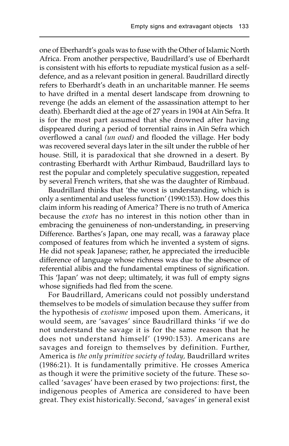one of Eberhardt's goals was to fuse with the Other of Islamic North Africa. From another perspective, Baudrillard's use of Eberhardt is consistent with his efforts to repudiate mystical fusion as a selfdefence, and as a relevant position in general. Baudrillard directly refers to Eberhardt's death in an uncharitable manner. He seems to have drifted in a mental desert landscape from drowning to revenge (he adds an element of the assassination attempt to her death). Eberhardt died at the age of 27 years in 1904 at Aïn Sefra. It is for the most part assumed that she drowned after having disppeared during a period of torrential rains in Aïn Sefra which overflowed a canal *(un oued)* and flooded the village. Her body was recovered several days later in the silt under the rubble of her house. Still, it is paradoxical that she drowned in a desert. By contrasting Eberhardt with Arthur Rimbaud, Baudrillard lays to rest the popular and completely speculative suggestion, repeated by several French writers, that she was the daughter of Rimbaud.

Baudrillard thinks that 'the worst is understanding, which is only a sentimental and useless function' (1990:153). How does this claim inform his reading of America? There is no truth of America because the *exote* has no interest in this notion other than in embracing the genuineness of non-understanding, in preserving Difference. Barthes's Japan, one may recall, was a faraway place composed of features from which he invented a system of signs. He did not speak Japanese; rather, he appreciated the irreducible difference of language whose richness was due to the absence of referential alibis and the fundamental emptiness of signification. This 'Japan' was not deep; ultimately, it was full of empty signs whose signifieds had fled from the scene.

For Baudrillard, Americans could not possibly understand themselves to be models of simulation because they suffer from the hypothesis of *exotisme* imposed upon them. Americans, it would seem, are 'savages' since Baudrillard thinks 'if we do not understand the savage it is for the same reason that he does not understand himself' (1990:153). Americans are savages and foreign to themselves by definition. Further, America is *the only primitive society of today,* Baudrillard writes (1986:21). It is fundamentally primitive. He crosses America as though it were the primitive society of the future. These socalled 'savages' have been erased by two projections: first, the indigenous peoples of America are considered to have been great. They exist historically. Second, 'savages' in general exist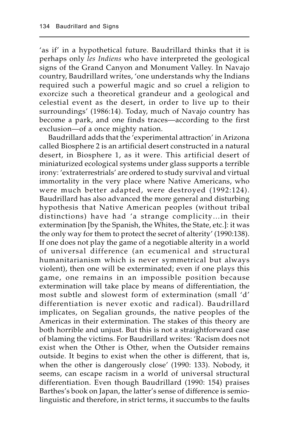'as if' in a hypothetical future. Baudrillard thinks that it is perhaps only *les Indiens* who have interpreted the geological signs of the Grand Canyon and Monument Valley. In Navajo country, Baudrillard writes, 'one understands why the Indians required such a powerful magic and so cruel a religion to exorcize such a theoretical grandeur and a geological and celestial event as the desert, in order to live up to their surroundings' (1986:14). Today, much of Navajo country has become a park, and one finds traces—according to the first exclusion—of a once mighty nation.

Baudrillard adds that the 'experimental attraction' in Arizona called Biosphere 2 is an artificial desert constructed in a natural desert, in Biosphere 1, as it were. This artificial desert of miniaturized ecological systems under glass supports a terrible irony: 'extraterrestrials' are ordered to study survival and virtual immortality in the very place where Native Americans, who were much better adapted, were destroyed (1992:124). Baudrillard has also advanced the more general and disturbing hypothesis that Native American peoples (without tribal distinctions) have had 'a strange complicity…in their extermination [by the Spanish, the Whites, the State, etc.]: it was the only way for them to protect the secret of alterity' (1990:138). If one does not play the game of a negotiable alterity in a world of universal difference (an ecumenical and structural humanitarianism which is never symmetrical but always violent), then one will be exterminated; even if one plays this game, one remains in an impossible position because extermination will take place by means of differentiation, the most subtle and slowest form of extermination (small 'd' differentiation is never exotic and radical). Baudrillard implicates, on Segalian grounds, the native peoples of the Americas in their extermination. The stakes of this theory are both horrible and unjust. But this is not a straightforward case of blaming the victims. For Baudrillard writes: 'Racism does not exist when the Other is Other, when the Outsider remains outside. It begins to exist when the other is different, that is, when the other is dangerously close' (1990: 133). Nobody, it seems, can escape racism in a world of universal structural differentiation. Even though Baudrillard (1990: 154) praises Barthes's book on Japan, the latter's sense of difference is semiolinguistic and therefore, in strict terms, it succumbs to the faults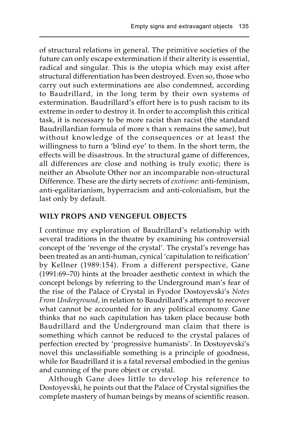of structural relations in general. The primitive societies of the future can only escape extermination if their alterity is essential, radical and singular. This is the utopia which may exist after structural differentiation has been destroyed. Even so, those who carry out such exterminations are also condemned, according to Baudrillard, in the long term by their own systems of extermination. Baudrillard's effort here is to push racism to its extreme in order to destroy it. In order to accomplish this critical task, it is necessary to be more racist than racist (the standard Baudrillardian formula of more x than x remains the same), but without knowledge of the consequences or at least the willingness to turn a 'blind eye' to them. In the short term, the effects will be disastrous. In the structural game of differences, all differences are close and nothing is truly exotic; there is neither an Absolute Other nor an incomparable non-structural Difference. These are the dirty secrets of *exotisme:* anti-feminism, anti-egalitarianism, hyperracism and anti-colonialism, but the last only by default.

## **WILY PROPS AND VENGEFUL OBJECTS**

I continue my exploration of Baudrillard's relationship with several traditions in the theatre by examining his controversial concept of the 'revenge of the crystal'. The crystal's revenge has been treated as an anti-human, cynical 'capitulation to reification' by Kellner (1989:154). From a different perspective, Gane (1991:69–70) hints at the broader aesthetic context in which the concept belongs by referring to the Underground man's fear of the rise of the Palace of Crystal in Fyodor Dostoyevski's *Notes From Underground,* in relation to Baudrillard's attempt to recover what cannot be accounted for in any political economy. Gane thinks that no such capitulation has taken place because both Baudrillard and the Underground man claim that there is something which cannot be reduced to the crystal palaces of perfection erected by 'progressive humanists'. In Dostoyevski's novel this unclassifiable something is a principle of goodness, while for Baudrillard it is a fatal reversal embodied in the genius and cunning of the pure object or crystal.

Although Gane does little to develop his reference to Dostoyevski, he points out that the Palace of Crystal signifies the complete mastery of human beings by means of scientific reason.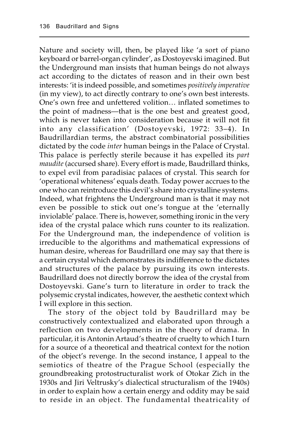Nature and society will, then, be played like 'a sort of piano keyboard or barrel-organ cylinder', as Dostoyevski imagined. But the Underground man insists that human beings do not always act according to the dictates of reason and in their own best interests: 'it is indeed possible, and sometimes *positively imperative* (in my view), to act directly contrary to one's own best interests. One's own free and unfettered volition… inflated sometimes to the point of madness—that is the one best and greatest good, which is never taken into consideration because it will not fit into any classification' (Dostoyevski, 1972: 33–4). In Baudrillardian terms, the abstract combinatorial possibilities dictated by the code *inter* human beings in the Palace of Crystal. This palace is perfectly sterile because it has expelled its *part maudite* (accursed share). Every effort is made, Baudrillard thinks, to expel evil from paradisiac palaces of crystal. This search for 'operational whiteness' equals death. Today power accrues to the one who can reintroduce this devil's share into crystalline systems. Indeed, what frightens the Underground man is that it may not even be possible to stick out one's tongue at the 'eternally inviolable' palace. There is, however, something ironic in the very idea of the crystal palace which runs counter to its realization. For the Underground man, the independence of volition is irreducible to the algorithms and mathematical expressions of human desire, whereas for Baudrillard one may say that there is a certain crystal which demonstrates its indifference to the dictates and structures of the palace by pursuing its own interests. Baudrillard does not directly borrow the idea of the crystal from Dostoyevski. Gane's turn to literature in order to track the polysemic crystal indicates, however, the aesthetic context which I will explore in this section.

The story of the object told by Baudrillard may be constructively contextualized and elaborated upon through a reflection on two developments in the theory of drama. In particular, it is Antonin Artaud's theatre of cruelty to which I turn for a source of a theoretical and theatrical context for the notion of the object's revenge. In the second instance, I appeal to the semiotics of theatre of the Prague School (especially the groundbreaking protostructuralist work of Otokar Zich in the 1930s and Jiri Veltrusky's dialectical structuralism of the 1940s) in order to explain how a certain energy and oddity may be said to reside in an object. The fundamental theatricality of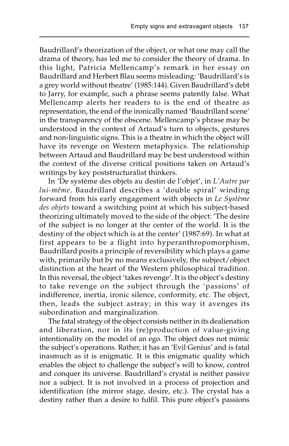Baudrillard's theorization of the object, or what one may call the drama of theory, has led me to consider the theory of drama. In this light, Patricia Mellencamp's remark in her essay on Baudrillard and Herbert Blau seems misleading: 'Baudrillard's is a grey world without theatre' (1985:144). Given Baudrillard's debt to Jarry, for example, such a phrase seems patently false. What Mellencamp alerts her readers to is the end of theatre as representation, the end of the ironically named 'Baudrillard scene' in the transparency of the obscene. Mellencamp's phrase may be understood in the context of Artaud's turn to objects, gestures and non-linguistic signs. This is a theatre in which the object will have its revenge on Western metaphysics. The relationship between Artaud and Baudrillard may be best understood within the context of the diverse critical positions taken on Artaud's writings by key poststructuralist thinkers.

In 'De système des objets au destin de l'objet', in *L'Autre par lui-même,* Baudrillard describes a 'double spiral' winding forward from his early engagement with objects in *Le Système des objets* toward a switching point at which his subject-based theorizing ultimately moved to the side of the object: 'The desire of the subject is no longer at the center of the world. It is the destiny of the object which is at the center' (1987:69). In what at first appears to be a flight into hyperanthropomorphism, Baudrillard posits a principle of reversibility which plays a game with, primarily but by no means exclusively, the subject/object distinction at the heart of the Western philosophical tradition. In this reversal, the object 'takes revenge'. It is the object's destiny to take revenge on the subject through the 'passions' of indifference, inertia, ironic silence, conformity, etc. The object, then, leads the subject astray; in this way it avenges its subordination and marginalization.

The fatal strategy of the object consists neither in its dealienation and liberation, nor in its (re)production of value-giving intentionality on the model of an ego. The object does not mimic the subject's operations. Rather, it has an 'Evil Genius' and is fatal inasmuch as it is enigmatic. It is this enigmatic quality which enables the object to challenge the subject's will to know, control and conquer its universe. Baudrillard's crystal is neither passive nor a subject. It is not involved in a process of projection and identification (the mirror stage, desire, etc.). The crystal has a destiny rather than a desire to fulfil. This pure object's passions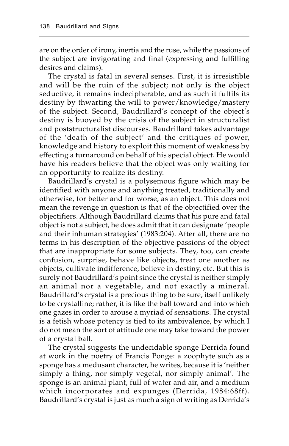are on the order of irony, inertia and the ruse, while the passions of the subject are invigorating and final (expressing and fulfilling desires and claims).

The crystal is fatal in several senses. First, it is irresistible and will be the ruin of the subject; not only is the object seductive, it remains indecipherable, and as such it fulfils its destiny by thwarting the will to power/knowledge/mastery of the subject. Second, Baudrillard's concept of the object's destiny is buoyed by the crisis of the subject in structuralist and poststructuralist discourses. Baudrillard takes advantage of the 'death of the subject' and the critiques of power, knowledge and history to exploit this moment of weakness by effecting a turnaround on behalf of his special object. He would have his readers believe that the object was only waiting for an opportunity to realize its destiny.

Baudrillard's crystal is a polysemous figure which may be identified with anyone and anything treated, traditionally and otherwise, for better and for worse, as an object. This does not mean the revenge in question is that of the objectified over the objectifiers. Although Baudrillard claims that his pure and fatal object is not a subject, he does admit that it can designate 'people and their inhuman strategies' (1983:204). After all, there are no terms in his description of the objective passions of the object that are inappropriate for some subjects. They, too, can create confusion, surprise, behave like objects, treat one another as objects, cultivate indifference, believe in destiny, etc. But this is surely not Baudrillard's point since the crystal is neither simply an animal nor a vegetable, and not exactly a mineral. Baudrillard's crystal is a precious thing to be sure, itself unlikely to be crystalline; rather, it is like the ball toward and into which one gazes in order to arouse a myriad of sensations. The crystal is a fetish whose potency is tied to its ambivalence, by which I do not mean the sort of attitude one may take toward the power of a crystal ball.

The crystal suggests the undecidable sponge Derrida found at work in the poetry of Francis Ponge: a zoophyte such as a sponge has a medusant character, he writes, because it is 'neither simply a thing, nor simply vegetal, nor simply animal'. The sponge is an animal plant, full of water and air, and a medium which incorporates and expunges (Derrida, 1984:68ff). Baudrillard's crystal is just as much a sign of writing as Derrida's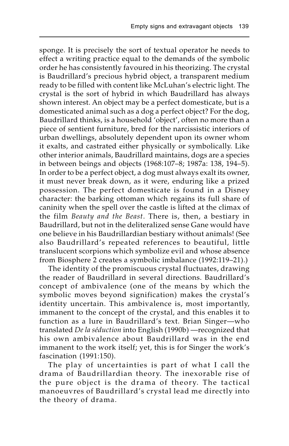sponge. It is precisely the sort of textual operator he needs to effect a writing practice equal to the demands of the symbolic order he has consistently favoured in his theorizing. The crystal is Baudrillard's precious hybrid object, a transparent medium ready to be filled with content like McLuhan's electric light. The crystal is the sort of hybrid in which Baudrillard has always shown interest. An object may be a perfect domesticate, but is a domesticated animal such as a dog a perfect object? For the dog, Baudrillard thinks, is a household 'object', often no more than a piece of sentient furniture, bred for the narcissistic interiors of urban dwellings, absolutely dependent upon its owner whom it exalts, and castrated either physically or symbolically. Like other interior animals, Baudrillard maintains, dogs are a species in between beings and objects (1968:107–8; 1987a: 138, 194–5). In order to be a perfect object, a dog must always exalt its owner, it must never break down, as it were, enduring like a prized possession. The perfect domesticate is found in a Disney character: the barking ottoman which regains its full share of caninity when the spell over the castle is lifted at the climax of the film *Beauty and the Beast*. There is, then, a bestiary in Baudrillard, but not in the deliteralized sense Gane would have one believe in his Baudrillardian bestiary without animals! (See also Baudrillard's repeated references to beautiful, little translucent scorpions which symbolize evil and whose absence from Biosphere 2 creates a symbolic imbalance (1992:119–21).)

The identity of the promiscuous crystal fluctuates, drawing the reader of Baudrillard in several directions. Baudrillard's concept of ambivalence (one of the means by which the symbolic moves beyond signification) makes the crystal's identity uncertain. This ambivalence is, most importantly, immanent to the concept of the crystal, and this enables it to function as a lure in Baudrillard's text. Brian Singer—who translated *De la séduction* into English (1990b) —recognized that his own ambivalence about Baudrillard was in the end immanent to the work itself; yet, this is for Singer the work's fascination (1991:150).

The play of uncertainties is part of what I call the drama of Baudrillardian theory. The inexorable rise of the pure object is the drama of theory. The tactical manoeuvres of Baudrillard's crystal lead me directly into the theory of drama.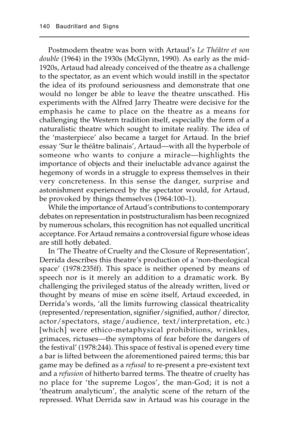Postmodern theatre was born with Artaud's *Le Théâtre et son double* (1964) in the 1930s (McGlynn, 1990). As early as the mid-1920s, Artaud had already conceived of the theatre as a challenge to the spectator, as an event which would instill in the spectator the idea of its profound seriousness and demonstrate that one would no longer be able to leave the theatre unscathed. His experiments with the Alfred Jarry Theatre were decisive for the emphasis he came to place on the theatre as a means for challenging the Western tradition itself, especially the form of a naturalistic theatre which sought to imitate reality. The idea of the 'masterpiece' also became a target for Artaud. In the brief essay 'Sur le théâtre balinais', Artaud—with all the hyperbole of someone who wants to conjure a miracle—highlights the importance of objects and their ineluctable advance against the hegemony of words in a struggle to express themselves in their very concreteness. In this sense the danger, surprise and astonishment experienced by the spectator would, for Artaud, be provoked by things themselves (1964:100–1).

While the importance of Artaud's contributions to contemporary debates on representation in poststructuralism has been recognized by numerous scholars, this recognition has not equalled uncritical acceptance. For Artaud remains a controversial figure whose ideas are still hotly debated.

In 'The Theatre of Cruelty and the Closure of Representation', Derrida describes this theatre's production of a 'non-theological space' (1978:235ff). This space is neither opened by means of speech nor is it merely an addition to a dramatic work. By challenging the privileged status of the already written, lived or thought by means of mise en scène itself, Artaud exceeded, in Derrida's words, 'all the limits furrowing classical theatricality (represented/representation, signifier/signified, author/ director, actor/spectators, stage/audience, text/interpretation, etc.) [which] were ethico-metaphysical prohibitions, wrinkles, grimaces, rictuses—the symptoms of fear before the dangers of the festival' (1978:244). This space of festival is opened every time a bar is lifted between the aforementioned paired terms; this bar game may be defined as a *refusal* to re-present a pre-existent text and a *refusion* of hitherto barred terms. The theatre of cruelty has no place for 'the supreme Logos', the man-God; it is not a 'theatrum analyticum', the analytic scene of the return of the repressed. What Derrida saw in Artaud was his courage in the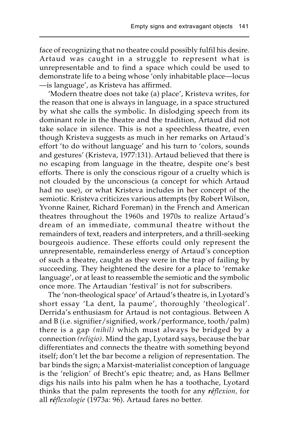face of recognizing that no theatre could possibly fulfil his desire. Artaud was caught in a struggle to represent what is unrepresentable and to find a space which could be used to demonstrate life to a being whose 'only inhabitable place—locus —is language', as Kristeva has affirmed.

'Modern theatre does not take (a) place', Kristeva writes, for the reason that one is always in language, in a space structured by what she calls the symbolic. In dislodging speech from its dominant role in the theatre and the tradition, Artaud did not take solace in silence. This is not a speechless theatre, even though Kristeva suggests as much in her remarks on Artaud's effort 'to do without language' and his turn to 'colors, sounds and gestures' (Kristeva, 1977:131). Artaud believed that there is no escaping from language in the theatre, despite one's best efforts. There is only the conscious rigour of a cruelty which is not clouded by the unconscious (a concept for which Artaud had no use), or what Kristeva includes in her concept of the semiotic. Kristeva criticizes various attempts (by Robert Wilson, Yvonne Rainer, Richard Foreman) in the French and American theatres throughout the 1960s and 1970s to realize Artaud's dream of an immediate, communal theatre without the remainders of text, readers and interpreters, and a thrill-seeking bourgeois audience. These efforts could only represent the unrepresentable, remainderless energy of Artaud's conception of such a theatre, caught as they were in the trap of failing by succeeding. They heightened the desire for a place to 'remake language', or at least to reassemble the semiotic and the symbolic once more. The Artaudian 'festival' is not for subscribers.

The 'non-theological space' of Artaud's theatre is, in Lyotard's short essay 'La dent, la paume', thoroughly 'theological'. Derrida's enthusiasm for Artaud is not contagious. Between A and B (i.e. signifier/signified, work/performance, tooth/palm) there is a gap *(nihil)* which must always be bridged by a connection *(religio)*. Mind the gap, Lyotard says, because the bar differentiates and connects the theatre with something beyond itself; don't let the bar become a religion of representation. The bar binds the sign; a Marxist-materialist conception of language is the 'religion' of Brecht's epic theatre; and, as Hans Bellmer digs his nails into his palm when he has a toothache, Lyotard thinks that the palm represents the tooth for any *réflexion,* for all *réflexologie* (1973a: 96). Artaud fares no better.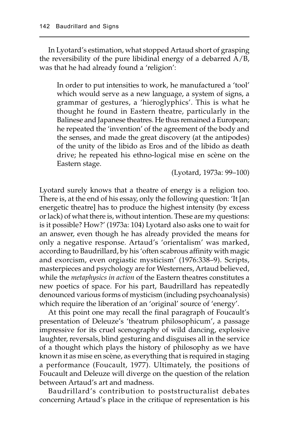In Lyotard's estimation, what stopped Artaud short of grasping the reversibility of the pure libidinal energy of a debarred A/B, was that he had already found a 'religion':

In order to put intensities to work, he manufactured a 'tool' which would serve as a new language, a system of signs, a grammar of gestures, a 'hieroglyphics'. This is what he thought he found in Eastern theatre, particularly in the Balinese and Japanese theatres. He thus remained a European; he repeated the 'invention' of the agreement of the body and the senses, and made the great discovery (at the antipodes) of the unity of the libido as Eros and of the libido as death drive; he repeated his ethno-logical mise en scène on the Eastern stage.

(Lyotard, 1973a: 99–100)

Lyotard surely knows that a theatre of energy is a religion too. There is, at the end of his essay, only the following question: 'It [an energetic theatre] has to produce the highest intensity (by excess or lack) of what there is, without intention. These are my questions: is it possible? How?' (1973a: 104) Lyotard also asks one to wait for an answer, even though he has already provided the means for only a negative response. Artaud's 'orientalism' was marked, according to Baudrillard, by his 'often scabrous affinity with magic and exorcism, even orgiastic mysticism' (1976:338–9). Scripts, masterpieces and psychology are for Westerners, Artaud believed, while the *metaphysics in action* of the Eastern theatres constitutes a new poetics of space. For his part, Baudrillard has repeatedly denounced various forms of mysticism (including psychoanalysis) which require the liberation of an 'original' source of 'energy'.

At this point one may recall the final paragraph of Foucault's presentation of Deleuze's 'theatrum philosophicum', a passage impressive for its cruel scenography of wild dancing, explosive laughter, reversals, blind gesturing and disguises all in the service of a thought which plays the history of philosophy as we have known it as mise en scène, as everything that is required in staging a performance (Foucault, 1977). Ultimately, the positions of Foucault and Deleuze will diverge on the question of the relation between Artaud's art and madness.

Baudrillard's contribution to poststructuralist debates concerning Artaud's place in the critique of representation is his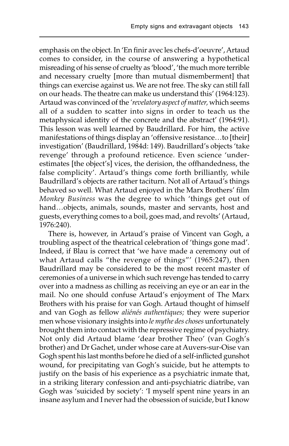emphasis on the object. In 'En finir avec les chefs-d'oeuvre', Artaud comes to consider, in the course of answering a hypothetical misreading of his sense of cruelty as 'blood', 'the much more terrible and necessary cruelty [more than mutual dismemberment] that things can exercise against us. We are not free. The sky can still fall on our heads. The theatre can make us understand this' (1964:123). Artaud was convinced of the *'revelatory aspect of matter,* which seems all of a sudden to scatter into signs in order to teach us the metaphysical identity of the concrete and the abstract' (1964:91). This lesson was well learned by Baudrillard. For him, the active manifestations of things display an 'offensive resistance…to [their] investigation' (Baudrillard, 1984d: 149). Baudrillard's objects 'take revenge' through a profound reticence. Even science 'underestimates [the object's] vices, the derision, the offhandedness, the false complicity'. Artaud's things come forth brilliantly, while Baudrillard's objects are rather taciturn. Not all of Artaud's things behaved so well. What Artaud enjoyed in the Marx Brothers' film *Monkey Business* was the degree to which 'things get out of hand…objects, animals, sounds, master and servants, host and guests, everything comes to a boil, goes mad, and revolts' (Artaud, 1976:240).

There is, however, in Artaud's praise of Vincent van Gogh, a troubling aspect of the theatrical celebration of 'things gone mad'. Indeed, if Blau is correct that 'we have made a ceremony out of what Artaud calls "the revenge of things"' (1965:247), then Baudrillard may be considered to be the most recent master of ceremonies of a universe in which such revenge has tended to carry over into a madness as chilling as receiving an eye or an ear in the mail. No one should confuse Artaud's enjoyment of The Marx Brothers with his praise for van Gogh. Artaud thought of himself and van Gogh as fellow *aliénés authentiques;* they were superior men whose visionary insights into *le mythe des choses* unfortunately brought them into contact with the repressive regime of psychiatry. Not only did Artaud blame 'dear brother Theo' (van Gogh's brother) and Dr Gachet, under whose care at Auvers-sur-Oise van Gogh spent his last months before he died of a self-inflicted gunshot wound, for precipitating van Gogh's suicide, but he attempts to justify on the basis of his experience as a psychiatric inmate that, in a striking literary confession and anti-psychiatric diatribe, van Gogh was 'suicided by society': 'I myself spent nine years in an insane asylum and I never had the obsession of suicide, but I know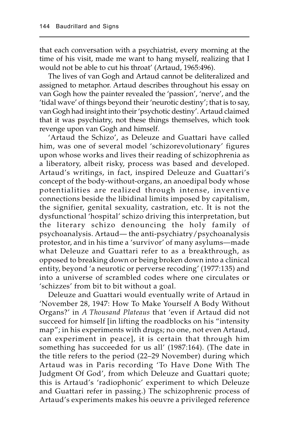that each conversation with a psychiatrist, every morning at the time of his visit, made me want to hang myself, realizing that I would not be able to cut his throat' (Artaud, 1965:496).

The lives of van Gogh and Artaud cannot be deliteralized and assigned to metaphor. Artaud describes throughout his essay on van Gogh how the painter revealed the 'passion', 'nerve', and the 'tidal wave' of things beyond their 'neurotic destiny'; that is to say, van Gogh had insight into their 'psychotic destiny'. Artaud claimed that it was psychiatry, not these things themselves, which took revenge upon van Gogh and himself.

'Artaud the Schizo', as Deleuze and Guattari have called him, was one of several model 'schizorevolutionary' figures upon whose works and lives their reading of schizophrenia as a liberatory, albeit risky, process was based and developed. Artaud's writings, in fact, inspired Deleuze and Guattari's concept of the body-without-organs, an anoedipal body whose potentialities are realized through intense, inventive connections beside the libidinal limits imposed by capitalism, the signifier, genital sexuality, castration, etc. It is not the dysfunctional 'hospital' schizo driving this interpretation, but the literary schizo denouncing the holy family of psychoanalysis. Artaud— the anti-psychiatry/psychoanalysis protestor, and in his time a 'survivor' of many asylums—made what Deleuze and Guattari refer to as a breakthrough, as opposed to breaking down or being broken down into a clinical entity, beyond 'a neurotic or perverse recoding' (1977:135) and into a universe of scrambled codes where one circulates or 'schizzes' from bit to bit without a goal.

Deleuze and Guattari would eventually write of Artaud in 'November 28, 1947: How To Make Yourself A Body Without Organs?' in *A Thousand Plateaus* that 'even if Artaud did not succeed for himself [in lifting the roadblocks on his "intensity map"; in his experiments with drugs; no one, not even Artaud, can experiment in peace], it is certain that through him something has succeeded for us all' (1987:164). (The date in the title refers to the period (22–29 November) during which Artaud was in Paris recording 'To Have Done With The Judgment Of God', from which Deleuze and Guattari quote; this is Artaud's 'radiophonic' experiment to which Deleuze and Guattari refer in passing.) The schizophrenic process of Artaud's experiments makes his oeuvre a privileged reference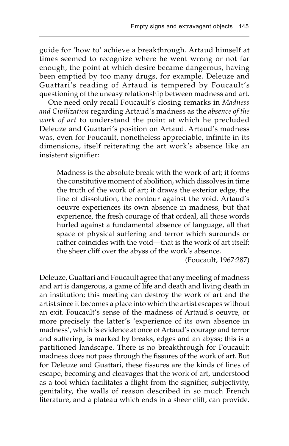guide for 'how to' achieve a breakthrough. Artaud himself at times seemed to recognize where he went wrong or not far enough, the point at which desire became dangerous, having been emptied by too many drugs, for example. Deleuze and Guattari's reading of Artaud is tempered by Foucault's questioning of the uneasy relationship between madness and art.

One need only recall Foucault's closing remarks in *Madness and Civilization* regarding Artaud's madness as the *absence of the work of art* to understand the point at which he precluded Deleuze and Guattari's position on Artaud. Artaud's madness was, even for Foucault, nonetheless appreciable, infinite in its dimensions, itself reiterating the art work's absence like an insistent signifier:

Madness is the absolute break with the work of art; it forms the constitutive moment of abolition, which dissolves in time the truth of the work of art; it draws the exterior edge, the line of dissolution, the contour against the void. Artaud's oeuvre experiences its own absence in madness, but that experience, the fresh courage of that ordeal, all those words hurled against a fundamental absence of language, all that space of physical suffering and terror which surounds or rather coincides with the void—that is the work of art itself: the sheer cliff over the abyss of the work's absence.

(Foucault, 1967:287)

Deleuze, Guattari and Foucault agree that any meeting of madness and art is dangerous, a game of life and death and living death in an institution; this meeting can destroy the work of art and the artist since it becomes a place into which the artist escapes without an exit. Foucault's sense of the madness of Artaud's oeuvre, or more precisely the latter's 'experience of its own absence in madness', which is evidence at once of Artaud's courage and terror and suffering, is marked by breaks, edges and an abyss; this is a partitioned landscape. There is no breakthrough for Foucault: madness does not pass through the fissures of the work of art. But for Deleuze and Guattari, these fissures are the kinds of lines of escape, becoming and cleavages that the work of art, understood as a tool which facilitates a flight from the signifier, subjectivity, genitality, the walls of reason described in so much French literature, and a plateau which ends in a sheer cliff, can provide.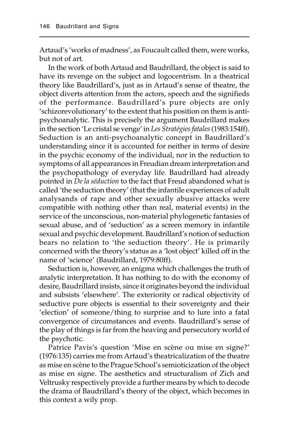Artaud's 'works of madness', as Foucault called them, were works, but not of art.

In the work of both Artaud and Baudrillard, the object is said to have its revenge on the subject and logocentrism. In a theatrical theory like Baudrillard's, just as in Artaud's sense of theatre, the object diverts attention from the actors, speech and the signifieds of the performance. Baudrillard's pure objects are only 'schizorevolutionary' to the extent that his position on them is antipsychoanalytic. This is precisely the argument Baudrillard makes in the section 'Le cristal se venge' in *Les Stratégies fatales* (1983:154ff). Seduction is an anti-psychoanalytic concept in Baudrillard's understanding since it is accounted for neither in terms of desire in the psychic economy of the individual, nor in the reduction to symptoms of all appearances in Freudian dream interpretation and the psychopathology of everyday life. Baudrillard had already pointed in *De la séduction* to the fact that Freud abandoned what is called 'the seduction theory' (that the infantile experiences of adult analysands of rape and other sexually abusive attacks were compatible with nothing other than real, material events) in the service of the unconscious, non-material phylogenetic fantasies of sexual abuse, and of 'seduction' as a screen memory in infantile sexual and psychic development. Baudrillard's notion of seduction bears no relation to 'the seduction theory'. He is primarily concerned with the theory's status as a 'lost object' killed off in the name of 'science' (Baudrillard, 1979:80ff).

Seduction is, however, an enigma which challenges the truth of analytic interpretation. It has nothing to do with the economy of desire, Baudrillard insists, since it originates beyond the individual and subsists 'elsewhere'. The exteriority or radical objectivity of seductive pure objects is essential to their sovereignty and their 'election' of someone/thing to surprise and to lure into a fatal convergence of circumstances and events. Baudrillard's sense of the play of things is far from the heaving and persecutory world of the psychotic.

Patrice Pavis's question 'Mise en scène ou mise en signe?' (1976:135) carries me from Artaud's theatricalization of the theatre as mise en scène to the Prague School's semioticization of the object as mise en signe. The aesthetics and structuralism of Zich and Veltrusky respectively provide a further means by which to decode the drama of Baudrillard's theory of the object, which becomes in this context a wily prop.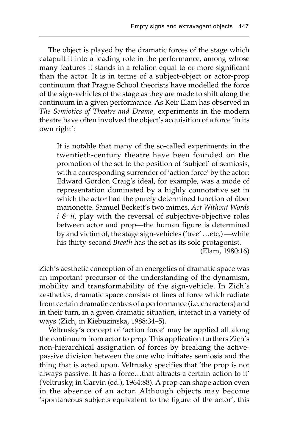The object is played by the dramatic forces of the stage which catapult it into a leading role in the performance, among whose many features it stands in a relation equal to or more significant than the actor. It is in terms of a subject-object or actor-prop continuum that Prague School theorists have modelled the force of the sign-vehicles of the stage as they are made to shift along the continuum in a given performance. As Keir Elam has observed in *The Semiotics of Theatre and Drama,* experiments in the modern theatre have often involved the object's acquisition of a force 'in its own right':

It is notable that many of the so-called experiments in the twentieth-century theatre have been founded on the promotion of the set to the position of 'subject' of semiosis, with a corresponding surrender of 'action force' by the actor: Edward Gordon Craig's ideal, for example, was a mode of representation dominated by a highly connotative set in which the actor had the purely determined function of über marionette. Samuel Beckett's two mimes, *Act Without Words i & ii,* play with the reversal of subjective-objective roles between actor and prop—the human figure is determined by and victim of, the stage sign-vehicles ('tree' …etc.) —while his thirty-second *Breath* has the set as its sole protagonist.

(Elam, 1980:16)

Zich's aesthetic conception of an energetics of dramatic space was an important precursor of the understanding of the dynamism, mobility and transformability of the sign-vehicle. In Zich's aesthetics, dramatic space consists of lines of force which radiate from certain dramatic centres of a performance (i.e. characters) and in their turn, in a given dramatic situation, interact in a variety of ways (Zich, in Kiebuzinska, 1988:34–5).

Veltrusky's concept of 'action force' may be applied all along the continuum from actor to prop. This application furthers Zich's non-hierarchical assignation of forces by breaking the activepassive division between the one who initiates semiosis and the thing that is acted upon. Veltrusky specifies that 'the prop is not always passive. It has a force…that attracts a certain action to it' (Veltrusky, in Garvin (ed.), 1964:88). A prop can shape action even in the absence of an actor. Although objects may become 'spontaneous subjects equivalent to the figure of the actor', this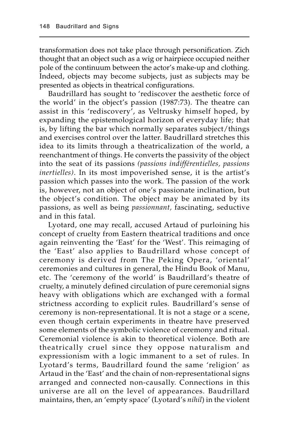transformation does not take place through personification. Zich thought that an object such as a wig or hairpiece occupied neither pole of the continuum between the actor's make-up and clothing. Indeed, objects may become subjects, just as subjects may be presented as objects in theatrical configurations.

Baudrillard has sought to 'rediscover the aesthetic force of the world' in the object's passion (1987:73). The theatre can assist in this 'rediscovery', as Veltrusky himself hoped, by expanding the epistemological horizon of everyday life; that is, by lifting the bar which normally separates subject/things and exercises control over the latter. Baudrillard stretches this idea to its limits through a theatricalization of the world, a reenchantment of things. He converts the passivity of the object into the seat of its passions *(passions indifférentielles, passions inertielles)*. In its most impoverished sense, it is the artist's passion which passes into the work. The passion of the work is, however, not an object of one's passionate inclination, but the object's condition. The object may be animated by its passions, as well as being *passionnant,* fascinating, seductive and in this fatal.

Lyotard, one may recall, accused Artaud of purloining his concept of cruelty from Eastern theatrical traditions and once again reinventing the 'East' for the 'West'. This reimaging of the 'East' also applies to Baudrillard whose concept of ceremony is derived from The Peking Opera, 'oriental' ceremonies and cultures in general, the Hindu Book of Manu, etc. The 'ceremony of the world' is Baudrillard's theatre of cruelty, a minutely defined circulation of pure ceremonial signs heavy with obligations which are exchanged with a formal strictness according to explicit rules. Baudrillard's sense of ceremony is non-representational. It is not a stage or a scene, even though certain experiments in theatre have preserved some elements of the symbolic violence of ceremony and ritual. Ceremonial violence is akin to theoretical violence. Both are theatrically cruel since they oppose naturalism and expressionism with a logic immanent to a set of rules. In Lyotard's terms, Baudrillard found the same 'religion' as Artaud in the 'East' and the chain of non-representational signs arranged and connected non-causally. Connections in this universe are all on the level of appearances. Baudrillard maintains, then, an 'empty space' (Lyotard's *nihil*) in the violent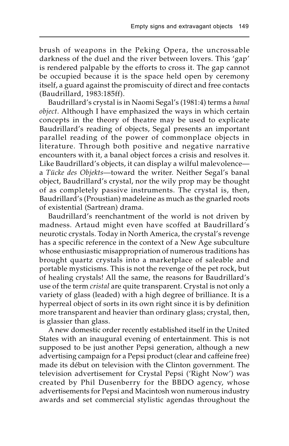brush of weapons in the Peking Opera, the uncrossable darkness of the duel and the river between lovers. This 'gap' is rendered palpable by the efforts to cross it. The gap cannot be occupied because it is the space held open by ceremony itself, a guard against the promiscuity of direct and free contacts (Baudrillard, 1983:185ff).

Baudrillard's crystal is in Naomi Segal's (1981:4) terms a *banal object*. Although I have emphasized the ways in which certain concepts in the theory of theatre may be used to explicate Baudrillard's reading of objects, Segal presents an important parallel reading of the power of commonplace objects in literature. Through both positive and negative narrative encounters with it, a banal object forces a crisis and resolves it. Like Baudrillard's objects, it can display a wilful malevolence a *Tücke des Objekts*—toward the writer. Neither Segal's banal object, Baudrillard's crystal, nor the wily prop may be thought of as completely passive instruments. The crystal is, then, Baudrillard's (Proustian) madeleine as much as the gnarled roots of existential (Sartrean) drama.

Baudrillard's reenchantment of the world is not driven by madness. Artaud might even have scoffed at Baudrillard's neurotic crystals. Today in North America, the crystal's revenge has a specific reference in the context of a New Age subculture whose enthusiastic misappropriation of numerous traditions has brought quartz crystals into a marketplace of saleable and portable mysticisms. This is not the revenge of the pet rock, but of healing crystals! All the same, the reasons for Baudrillard's use of the term *cristal* are quite transparent. Crystal is not only a variety of glass (leaded) with a high degree of brilliance. It is a hyperreal object of sorts in its own right since it is by definition more transparent and heavier than ordinary glass; crystal, then, is glassier than glass.

A new domestic order recently established itself in the United States with an inaugural evening of entertainment. This is not supposed to be just another Pepsi generation, although a new advertising campaign for a Pepsi product (clear and caffeine free) made its début on television with the Clinton government. The television advertisement for Crystal Pepsi ('Right Now') was created by Phil Dusenberry for the BBDO agency, whose advertisements for Pepsi and Macintosh won numerous industry awards and set commercial stylistic agendas throughout the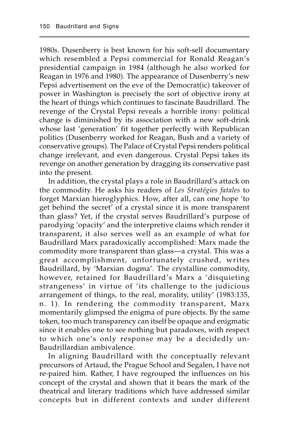1980s. Dusenberry is best known for his soft-sell documentary which resembled a Pepsi commercial for Ronald Reagan's presidential campaign in 1984 (although he also worked for Reagan in 1976 and 1980). The appearance of Dusenberry's new Pepsi advertisement on the eve of the Democrat(ic) takeover of power in Washington is precisely the sort of objective irony at the heart of things which continues to fascinate Baudrillard. The revenge of the Crystal Pepsi reveals a horrible irony: political change is diminished by its association with a new soft-drink whose last 'generation' fit together perfectly with Republican politics (Dusenberry worked for Reagan, Bush and a variety of conservative groups). The Palace of Crystal Pepsi renders political change irrelevant, and even dangerous. Crystal Pepsi takes its revenge on another generation by dragging its conservative past into the present.

In addition, the crystal plays a role in Baudrillard's attack on the commodity. He asks his readers of *Les Stratégies fatales* to forget Marxian hieroglyphics. How, after all, can one hope 'to get behind the secret' of a crystal since it is more transparent than glass? Yet, if the crystal serves Baudrillard's purpose of parodying 'opacity' and the interpretive claims which render it transparent, it also serves well as an example of what for Baudrillard Marx paradoxically accomplished: Marx made the commodity more transparent than glass—a crystal. This was a great accomplishment, unfortunately crushed, writes Baudrillard, by 'Marxian dogma'. The crystalline commodity, however, retained for Baudrillard's Marx a 'disquieting strangeness' in virtue of 'its challenge to the judicious arrangement of things, to the real, morality, utility' (1983:135, n. 1). In rendering the commodity transparent, Marx momentarily glimpsed the enigma of pure objects. By the same token, too much transparency can itself be opaque and enigmatic since it enables one to see nothing but paradoxes, with respect to which one's only response may be a decidedly un-Baudrillardian ambivalence.

In aligning Baudrillard with the conceptually relevant precursors of Artaud, the Prague School and Segalen, I have not re-paired him. Rather, I have regrouped the influences on his concept of the crystal and shown that it bears the mark of the theatrical and literary traditions which have addressed similar concepts but in different contexts and under different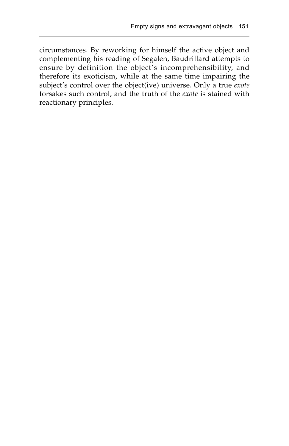circumstances. By reworking for himself the active object and complementing his reading of Segalen, Baudrillard attempts to ensure by definition the object's incomprehensibility, and therefore its exoticism, while at the same time impairing the subject's control over the object(ive) universe. Only a true *exote* forsakes such control, and the truth of the *exote* is stained with reactionary principles.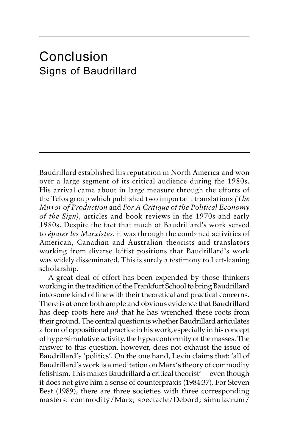## Conclusion Signs of Baudrillard

Baudrillard established his reputation in North America and won over a large segment of its critical audience during the 1980s. His arrival came about in large measure through the efforts of the Telos group which published two important translations *(The Mirror of Production* and *For A Critique ot the Political Economy of the Sign),* articles and book reviews in the 1970s and early 1980s. Despite the fact that much of Baudrillard's work served to *épater les Marxistes,* it was through the combined activities of American, Canadian and Australian theorists and translators working from diverse leftist positions that Baudrillard's work was widely disseminated. This is surely a testimony to Left-leaning scholarship.

A great deal of effort has been expended by those thinkers working in the tradition of the Frankfurt School to bring Baudrillard into some kind of line with their theoretical and practical concerns. There is at once both ample and obvious evidence that Baudrillard has deep roots here *and* that he has wrenched these roots from their ground. The central question is whether Baudrillard articulates a form of oppositional practice in his work, especially in his concept of hypersimulative activity, the hyperconformity of the masses. The answer to this question, however, does not exhaust the issue of Baudrillard's 'politics'. On the one hand, Levin claims that: 'all of Baudrillard's work is a meditation on Marx's theory of commodity fetishism. This makes Baudrillard a critical theorist' —even though it does not give him a sense of counterpraxis (1984:37). For Steven Best (1989), there are three societies with three corresponding masters: commodity/Marx; spectacle/Debord; simulacrum/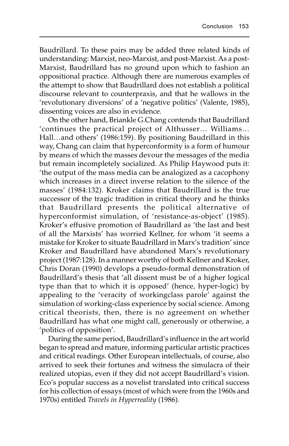Baudrillard. To these pairs may be added three related kinds of understanding: Marxist, neo-Marxist, and post-Marxist. As a post-Marxist, Baudrillard has no ground upon which to fashion an oppositional practice. Although there are numerous examples of the attempt to show that Baudrillard does not establish a political discourse relevant to counterpraxis, and that he wallows in the 'revolutionary diversions' of a 'negative politics' (Valente, 1985), dissenting voices are also in evidence.

On the other hand, Briankle G.Chang contends that Baudrillard 'continues the practical project of Althusser… Williams… Hall…and others' (1986:159). By positioning Baudrillard in this way, Chang can claim that hyperconformity is a form of humour by means of which the masses devour the messages of the media but remain incompletely socialized. As Philip Haywood puts it: 'the output of the mass media can be analogized as a cacophony which increases in a direct inverse relation to the silence of the masses' (1984:132). Kroker claims that Baudrillard is the true successor of the tragic tradition in critical theory and he thinks that Baudrillard presents the political alternative of hyperconformist simulation, of 'resistance-as-object' (1985). Kroker's effusive promotion of Baudrillard as 'the last and best of all the Marxists' has worried Kellner, for whom 'it seems a mistake for Kroker to situate Baudrillard in Marx's tradition' since Kroker and Baudrillard have abandoned Marx's revolutionary project (1987:128). In a manner worthy of both Kellner and Kroker, Chris Doran (1990) develops a pseudo-formal demonstration of Baudrillard's thesis that 'all dissent must be of a higher logical type than that to which it is opposed' (hence, hyper-logic) by appealing to the 'veracity of workingclass parole' against the simulation of working-class experience by social science. Among critical theorists, then, there is no agreement on whether Baudrillard has what one might call, generously or otherwise, a 'politics of opposition'.

During the same period, Baudrillard's influence in the art world began to spread and mature, informing particular artistic practices and critical readings. Other European intellectuals, of course, also arrived to seek their fortunes and witness the simulacra of their realized utopias, even if they did not accept Baudrillard's vision. Eco's popular success as a novelist translated into critical success for his collection of essays (most of which were from the 1960s and 1970s) entitled *Travels in Hyperreality* (1986).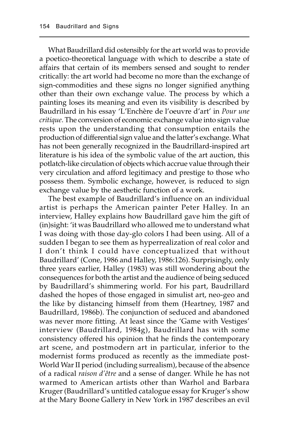What Baudrillard did ostensibly for the art world was to provide a poetico-theoretical language with which to describe a state of affairs that certain of its members sensed and sought to render critically: the art world had become no more than the exchange of sign-commodities and these signs no longer signified anything other than their own exchange value. The process by which a painting loses its meaning and even its visibility is described by Baudrillard in his essay 'L'Enchère de l'oeuvre d'art' in *Pour une critique*. The conversion of economic exchange value into sign value rests upon the understanding that consumption entails the production of differential sign value and the latter's exchange. What has not been generally recognized in the Baudrillard-inspired art literature is his idea of the symbolic value of the art auction, this potlatch-like circulation of objects which accrue value through their very circulation and afford legitimacy and prestige to those who possess them. Symbolic exchange, however, is reduced to sign exchange value by the aesthetic function of a work.

The best example of Baudrillard's influence on an individual artist is perhaps the American painter Peter Halley. In an interview, Halley explains how Baudrillard gave him the gift of (in)sight: 'it was Baudrillard who allowed me to understand what I was doing with those day-glo colors I had been using. All of a sudden I began to see them as hyperrealization of real color and I don't think I could have conceptualized that without Baudrillard' (Cone, 1986 and Halley, 1986:126). Surprisingly, only three years earlier, Halley (1983) was still wondering about the consequences for both the artist and the audience of being seduced by Baudrillard's shimmering world. For his part, Baudrillard dashed the hopes of those engaged in simulist art, neo-geo and the like by distancing himself from them (Heartney, 1987 and Baudrillard, 1986b). The conjunction of seduced and abandoned was never more fitting. At least since the 'Game with Vestiges' interview (Baudrillard, 1984g), Baudrillard has with some consistency offered his opinion that he finds the contemporary art scene, and postmodern art in particular, inferior to the modernist forms produced as recently as the immediate post-World War II period (including surrealism), because of the absence of a radical *raison d'être* and a sense of danger. While he has not warmed to American artists other than Warhol and Barbara Kruger (Baudrillard's untitled catalogue essay for Kruger's show at the Mary Boone Gallery in New York in 1987 describes an evil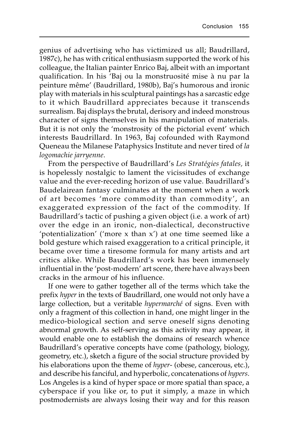genius of advertising who has victimized us all; Baudrillard, 1987c), he has with critical enthusiasm supported the work of his colleague, the Italian painter Enrico Baj, albeit with an important qualification. In his 'Baj ou la monstruosité mise à nu par la peinture même' (Baudrillard, 1980b), Baj's humorous and ironic play with materials in his sculptural paintings has a sarcastic edge to it which Baudrillard appreciates because it transcends surrealism. Baj displays the brutal, derisory and indeed monstrous character of signs themselves in his manipulation of materials. But it is not only the 'monstrosity of the pictorial event' which interests Baudrillard. In 1963, Baj cofounded with Raymond Queneau the Milanese Pataphysics Institute and never tired of *la logomachie jarryenne*.

From the perspective of Baudrillard's *Les Stratégies fatales,* it is hopelessly nostalgic to lament the vicissitudes of exchange value and the ever-receding horizon of use value. Baudrillard's Baudelairean fantasy culminates at the moment when a work of art becomes 'more commodity than commodity', an exaggerated expression of the fact of the commodity. If Baudrillard's tactic of pushing a given object (i.e. a work of art) over the edge in an ironic, non-dialectical, deconstructive 'potentialization' ('more x than x') at one time seemed like a bold gesture which raised exaggeration to a critical principle, it became over time a tiresome formula for many artists and art critics alike. While Baudrillard's work has been immensely influential in the 'post-modern' art scene, there have always been cracks in the armour of his influence.

If one were to gather together all of the terms which take the prefix *hyper* in the texts of Baudrillard, one would not only have a large collection, but a veritable *hypermarché* of signs. Even with only a fragment of this collection in hand, one might linger in the medico-biological section and serve oneself signs denoting abnormal growth. As self-serving as this activity may appear, it would enable one to establish the domains of research whence Baudrillard's operative concepts have come (pathology, biology, geometry, etc.), sketch a figure of the social structure provided by his elaborations upon the theme of *hyper*- (obese, cancerous, etc.), and describe his fanciful, and hyperbolic, concatenations of *hypers*. Los Angeles is a kind of hyper space or more spatial than space, a cyberspace if you like or, to put it simply, a maze in which postmodernists are always losing their way and for this reason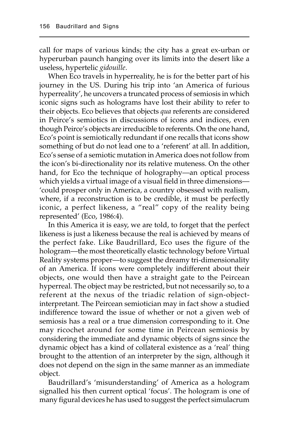call for maps of various kinds; the city has a great ex-urban or hyperurban paunch hanging over its limits into the desert like a useless, hypertelic *gidouille*.

When Eco travels in hyperreality, he is for the better part of his journey in the US. During his trip into 'an America of furious hyperreality', he uncovers a truncated process of semiosis in which iconic signs such as holograms have lost their ability to refer to their objects. Eco believes that objects *qua* referents are considered in Peirce's semiotics in discussions of icons and indices, even though Peirce's objects are irreducible to referents. On the one hand, Eco's point is semiotically redundant if one recalls that icons show something of but do not lead one to a 'referent' at all. In addition, Eco's sense of a semiotic mutation in America does not follow from the icon's bi-directionality nor its relative muteness. On the other hand, for Eco the technique of holography—an optical process which yields a virtual image of a visual field in three dimensions— 'could prosper only in America, a country obsessed with realism, where, if a reconstruction is to be credible, it must be perfectly iconic, a perfect likeness, a "real" copy of the reality being represented' (Eco, 1986:4).

In this America it is easy, we are told, to forget that the perfect likeness is just a likeness because the real is achieved by means of the perfect fake. Like Baudrillard, Eco uses the figure of the hologram—the most theoretically elastic technology before Virtual Reality systems proper—to suggest the dreamy tri-dimensionality of an America. If icons were completely indifferent about their objects, one would then have a straight gate to the Peircean hyperreal. The object may be restricted, but not necessarily so, to a referent at the nexus of the triadic relation of sign-objectinterpretant. The Peircean semiotician may in fact show a studied indifference toward the issue of whether or not a given web of semiosis has a real or a true dimension corresponding to it. One may ricochet around for some time in Peircean semiosis by considering the immediate and dynamic objects of signs since the dynamic object has a kind of collateral existence as a 'real' thing brought to the attention of an interpreter by the sign, although it does not depend on the sign in the same manner as an immediate object.

Baudrillard's 'misunderstanding' of America as a hologram signalled his then current optical 'focus'. The hologram is one of many figural devices he has used to suggest the perfect simulacrum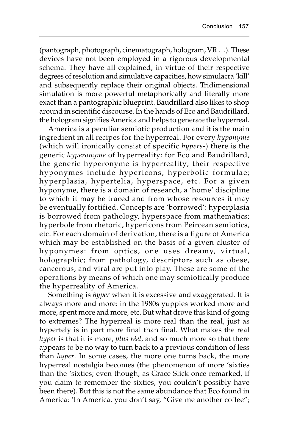(pantograph, photograph, cinematograph, hologram, VR …). These devices have not been employed in a rigorous developmental schema. They have all explained, in virtue of their respective degrees of resolution and simulative capacities, how simulacra 'kill' and subsequently replace their original objects. Tridimensional simulation is more powerful metaphorically and literally more exact than a pantographic blueprint. Baudrillard also likes to shop around in scientific discourse. In the hands of Eco and Baudrillard, the hologram signifies America and helps to generate the hyperreal.

America is a peculiar semiotic production and it is the main ingredient in all recipes for the hyperreal. For every *hyponyme* (which will ironically consist of specific *hypers*-) there is the generic *hyperonyme* of hyperreality: for Eco and Baudrillard, the generic hyperonyme is hyperreality; their respective hyponymes include hypericons, hyperbolic formulae; hyperplasia, hypertelia, hyperspace, etc. For a given hyponyme, there is a domain of research, a 'home' discipline to which it may be traced and from whose resources it may be eventually fortified. Concepts are 'borrowed': hyperplasia is borrowed from pathology, hyperspace from mathematics; hyperbole from rhetoric, hypericons from Peircean semiotics, etc. For each domain of derivation, there is a figure of America which may be established on the basis of a given cluster of hyponymes: from optics, one uses dreamy, virtual, holographic; from pathology, descriptors such as obese, cancerous, and viral are put into play. These are some of the operations by means of which one may semiotically produce the hyperreality of America.

Something is *hyper* when it is excessive and exaggerated. It is always more and more: in the 1980s yuppies worked more and more, spent more and more, etc. But what drove this kind of going to extremes? The hyperreal is more real than the real, just as hypertely is in part more final than final. What makes the real *hyper* is that it is more, *plus réel,* and so much more so that there appears to be no way to turn back to a previous condition of less than *hyper*. In some cases, the more one turns back, the more hyperreal nostalgia becomes (the phenomenon of more 'sixties than the 'sixties; even though, as Grace Slick once remarked, if you claim to remember the sixties, you couldn't possibly have been there). But this is not the same abundance that Eco found in America: 'In America, you don't say, "Give me another coffee";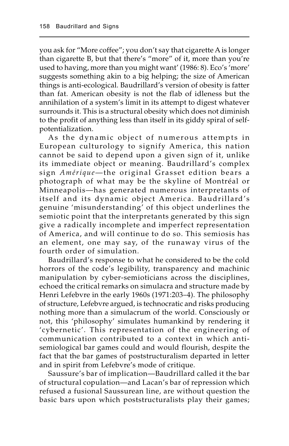you ask for "More coffee"; you don't say that cigarette A is longer than cigarette B, but that there's "more" of it, more than you're used to having, more than you might want' (1986: 8). Eco's 'more' suggests something akin to a big helping; the size of American things is anti-ecological. Baudrillard's version of obesity is fatter than fat. American obesity is not the flab of idleness but the annihilation of a system's limit in its attempt to digest whatever surrounds it. This is a structural obesity which does not diminish to the profit of anything less than itself in its giddy spiral of selfpotentialization.

As the dynamic object of numerous attempts in European culturology to signify America, this nation cannot be said to depend upon a given sign of it, unlike its immediate object or meaning. Baudrillard's complex sign *Amérique*—the original Grasset edition bears a photograph of what may be the skyline of Montréal or Minneapolis—has generated numerous interpretants of itself and its dynamic object America. Baudrillard's genuine 'misunderstanding' of this object underlines the semiotic point that the interpretants generated by this sign give a radically incomplete and imperfect representation of America, and will continue to do so. This semiosis has an element, one may say, of the runaway virus of the fourth order of simulation.

Baudrillard's response to what he considered to be the cold horrors of the code's legibility, transparency and machinic manipulation by cyber-semioticians across the disciplines, echoed the critical remarks on simulacra and structure made by Henri Lefebvre in the early 1960s (1971:203–4). The philosophy of structure, Lefebvre argued, is technocratic and risks producing nothing more than a simulacrum of the world. Consciously or not, this 'philosophy' simulates humankind by rendering it 'cybernetic'. This representation of the engineering of communication contributed to a context in which antisemiological bar games could and would flourish, despite the fact that the bar games of poststructuralism departed in letter and in spirit from Lefebvre's mode of critique.

Saussure's bar of implication—Baudrillard called it the bar of structural copulation—and Lacan's bar of repression which refused a fusional Saussurean line, are without question the basic bars upon which poststructuralists play their games;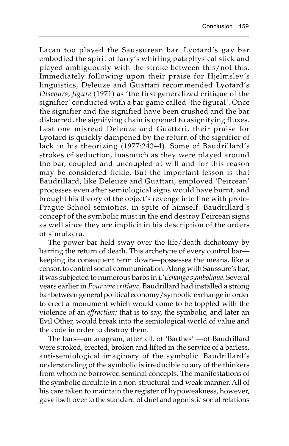Lacan too played the Saussurean bar. Lyotard's gay bar embodied the spirit of Jarry's whirling pataphysical stick and played ambiguously with the stroke between this/not-this. Immediately following upon their praise for Hjelmslev's linguistics, Deleuze and Guattari recommended Lyotard's *Discours, figure* (1971) as 'the first generalized critique of the signifier' conducted with a bar game called 'the figural'. Once the signifier and the signified have been crushed and the bar disbarred, the signifying chain is opened to asignifying fluxes. Lest one misread Deleuze and Guattari, their praise for Lyotard is quickly dampened by the return of the signifier of lack in his theorizing (1977:243–4). Some of Baudrillard's strokes of seduction, inasmuch as they were played around the bar, coupled and uncoupled at will and for this reason may be considered fickle. But the important lesson is that Baudrillard, like Deleuze and Guattari, employed 'Peircean' processes even after semiological signs would have burnt, and brought his theory of the object's revenge into line with proto-Prague School semiotics, in spite of himself. Baudrillard's concept of the symbolic must in the end destroy Peircean signs as well since they are implicit in his description of the orders of simulacra.

The power bar held sway over the life/death dichotomy by barring the return of death. This archetype of every control bar keeping its consequent term down—possesses the means, like a censor, to control social communication. Along with Saussure's bar, it was subjected to numerous barbs in *L'Echange symbolique*. Several years earlier in *Pour une critique,* Baudrillard had installed a strong bar between general political economy/symbolic exchange in order to erect a monument which would come to be toppled with the violence of an *effraction;* that is to say, the symbolic, and later an Evil Other, would break into the semiological world of value and the code in order to destroy them.

The bars—an anagram, after all, of 'Barthes' —of Baudrillard were stroked, erected, broken and lifted in the service of a barless, anti-semiological imaginary of the symbolic. Baudrillard's understanding of the symbolic is irreducible to any of the thinkers from whom he borrowed seminal concepts. The manifestations of the symbolic circulate in a non-structural and weak manner. All of his care taken to maintain the register of hypoweakness, however, gave itself over to the standard of duel and agonistic social relations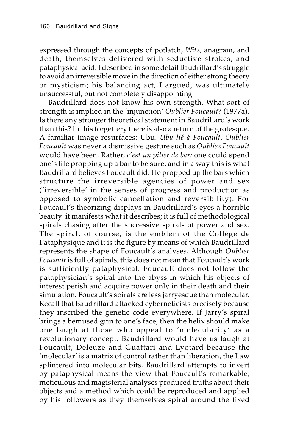expressed through the concepts of potlatch, *Witz,* anagram, and death, themselves delivered with seductive strokes, and pataphysical acid. I described in some detail Baudrillard's struggle to avoid an irreversible move in the direction of either strong theory or mysticism; his balancing act, I argued, was ultimately unsuccessful, but not completely disappointing.

Baudrillard does not know his own strength. What sort of strength is implied in the 'injunction' *Oublier Foucault*? (1977a). Is there any stronger theoretical statement in Baudrillard's work than this? In this forgettery there is also a return of the grotesque. A familiar image resurfaces: Ubu. *Ubu lié à Foucault*. *Oublier Foucault* was never a dismissive gesture such as *Oubliez Foucault* would have been. Rather, *c'est un pilier de bar:* one could spend one's life propping up a bar to be sure, and in a way this is what Baudrillard believes Foucault did. He propped up the bars which structure the irreversible agencies of power and sex ('irreversible' in the senses of progress and production as opposed to symbolic cancellation and reversibility). For Foucault's theorizing displays in Baudrillard's eyes a horrible beauty: it manifests what it describes; it is full of methodological spirals chasing after the successive spirals of power and sex. The spiral, of course, is the emblem of the Collège de Pataphysique and it is the figure by means of which Baudrillard represents the shape of Foucault's analyses. Although *Oublier Foucault* is full of spirals, this does not mean that Foucault's work is sufficiently pataphysical. Foucault does not follow the pataphysician's spiral into the abyss in which his objects of interest perish and acquire power only in their death and their simulation. Foucault's spirals are less jarryesque than molecular. Recall that Baudrillard attacked cyberneticists precisely because they inscribed the genetic code everywhere. If Jarry's spiral brings a bemused grin to one's face, then the helix should make one laugh at those who appeal to 'molecularity' as a revolutionary concept. Baudrillard would have us laugh at Foucault, Deleuze and Guattari and Lyotard because the 'molecular' is a matrix of control rather than liberation, the Law splintered into molecular bits. Baudrillard attempts to invert by pataphysical means the view that Foucault's remarkable, meticulous and magisterial analyses produced truths about their objects and a method which could be reproduced and applied by his followers as they themselves spiral around the fixed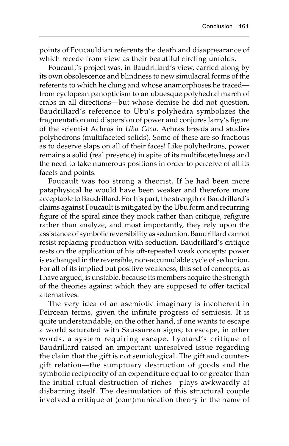points of Foucauldian referents the death and disappearance of which recede from view as their beautiful circling unfolds.

Foucault's project was, in Baudrillard's view, carried along by its own obsolescence and blindness to new simulacral forms of the referents to which he clung and whose anamorphoses he traced from cyclopean panopticism to an ubuesque polyhedral march of crabs in all directions—but whose demise he did not question. Baudrillard's reference to Ubu's polyhedra symbolizes the fragmentation and dispersion of power and conjures Jarry's figure of the scientist Achras in *Ubu Cocu*. Achras breeds and studies polyhedrons (multifaceted solids). Some of these are so fractious as to deserve slaps on all of their faces! Like polyhedrons, power remains a solid (real presence) in spite of its multifacetedness and the need to take numerous positions in order to perceive of all its facets and points.

Foucault was too strong a theorist. If he had been more pataphysical he would have been weaker and therefore more acceptable to Baudrillard. For his part, the strength of Baudrillard's claims against Foucault is mitigated by the Ubu form and recurring figure of the spiral since they mock rather than critique, refigure rather than analyze, and most importantly, they rely upon the assistance of symbolic reversibility as seduction. Baudrillard cannot resist replacing production with seduction. Baudrillard's critique rests on the application of his oft-repeated weak concepts: power is exchanged in the reversible, non-accumulable cycle of seduction. For all of its implied but positive weakness, this set of concepts, as I have argued, is unstable, because its members acquire the strength of the theories against which they are supposed to offer tactical alternatives.

The very idea of an asemiotic imaginary is incoherent in Peircean terms, given the infinite progress of semiosis. It is quite understandable, on the other hand, if one wants to escape a world saturated with Saussurean signs; to escape, in other words, a system requiring escape. Lyotard's critique of Baudrillard raised an important unresolved issue regarding the claim that the gift is not semiological. The gift and countergift relation—the sumptuary destruction of goods and the symbolic reciprocity of an expenditure equal to or greater than the initial ritual destruction of riches—plays awkwardly at disbarring itself. The desimulation of this structural couple involved a critique of (com)munication theory in the name of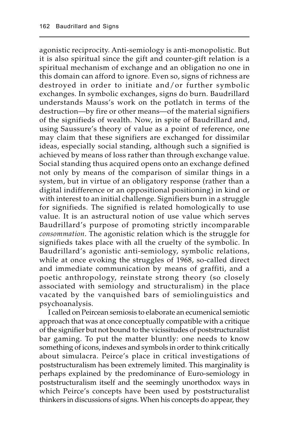agonistic reciprocity. Anti-semiology is anti-monopolistic. But it is also spiritual since the gift and counter-gift relation is a spiritual mechanism of exchange and an obligation no one in this domain can afford to ignore. Even so, signs of richness are destroyed in order to initiate and/or further symbolic exchanges. In symbolic exchanges, signs do burn. Baudrillard understands Mauss's work on the potlatch in terms of the destruction—by fire or other means—of the material signifiers of the signifieds of wealth. Now, in spite of Baudrillard and, using Saussure's theory of value as a point of reference, one may claim that these signifiers are exchanged for dissimilar ideas, especially social standing, although such a signified is achieved by means of loss rather than through exchange value. Social standing thus acquired opens onto an exchange defined not only by means of the comparison of similar things in a system, but in virtue of an obligatory response (rather than a digital indifference or an oppositional positioning) in kind or with interest to an initial challenge. Signifiers burn in a struggle for signifieds. The signified is related homologically to use value. It is an astructural notion of use value which serves Baudrillard's purpose of promoting strictly incomparable *consommation*. The agonistic relation which is the struggle for signifieds takes place with all the cruelty of the symbolic. In Baudrillard's agonistic anti-semiology, symbolic relations, while at once evoking the struggles of 1968, so-called direct and immediate communication by means of graffiti, and a poetic anthropology, reinstate strong theory (so closely associated with semiology and structuralism) in the place vacated by the vanquished bars of semiolinguistics and psychoanalysis.

I called on Peircean semiosis to elaborate an ecumenical semiotic approach that was at once conceptually compatible with a critique of the signifier but not bound to the vicissitudes of poststructuralist bar gaming. To put the matter bluntly: one needs to know something of icons, indexes and symbols in order to think critically about simulacra. Peirce's place in critical investigations of poststructuralism has been extremely limited. This marginality is perhaps explained by the predominance of Euro-semiology in poststructuralism itself and the seemingly unorthodox ways in which Peirce's concepts have been used by poststructuralist thinkers in discussions of signs. When his concepts do appear, they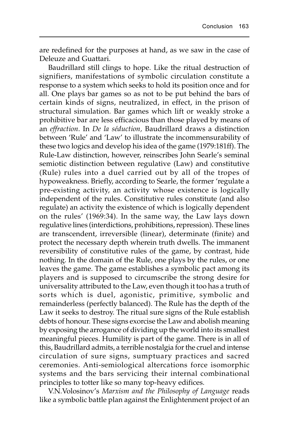are redefined for the purposes at hand, as we saw in the case of Deleuze and Guattari.

Baudrillard still clings to hope. Like the ritual destruction of signifiers, manifestations of symbolic circulation constitute a response to a system which seeks to hold its position once and for all. One plays bar games so as not to be put behind the bars of certain kinds of signs, neutralized, in effect, in the prison of structural simulation. Bar games which lift or weakly stroke a prohibitive bar are less efficacious than those played by means of an *effraction*. In *De la séduction,* Baudrillard draws a distinction between 'Rule' and 'Law' to illustrate the incommensurability of these two logics and develop his idea of the game (1979:181ff). The Rule-Law distinction, however, reinscribes John Searle's seminal semiotic distinction between regulative (Law) and constitutive (Rule) rules into a duel carried out by all of the tropes of hypoweakness. Briefly, according to Searle, the former 'regulate a pre-existing activity, an activity whose existence is logically independent of the rules. Constitutive rules constitute (and also regulate) an activity the existence of which is logically dependent on the rules' (1969:34). In the same way, the Law lays down regulative lines (interdictions, prohibitions, repression). These lines are transcendent, irreversible (linear), determinate (finite) and protect the necessary depth wherein truth dwells. The immanent reversibility of constitutive rules of the game, by contrast, hide nothing. In the domain of the Rule, one plays by the rules, or one leaves the game. The game establishes a symbolic pact among its players and is supposed to circumscribe the strong desire for universality attributed to the Law, even though it too has a truth of sorts which is duel, agonistic, primitive, symbolic and remainderless (perfectly balanced). The Rule has the depth of the Law it seeks to destroy. The ritual sure signs of the Rule establish debts of honour. These signs exorcise the Law and abolish meaning by exposing the arrogance of dividing up the world into its smallest meaningful pieces. Humility is part of the game. There is in all of this, Baudrillard admits, a terrible nostalgia for the cruel and intense circulation of sure signs, sumptuary practices and sacred ceremonies. Anti-semiological altercations force isomorphic systems and the bars servicing their internal combinational principles to totter like so many top-heavy edifices.

V.N.Volosinov's *Marxism and the Philosophy of Language* reads like a symbolic battle plan against the Enlightenment project of an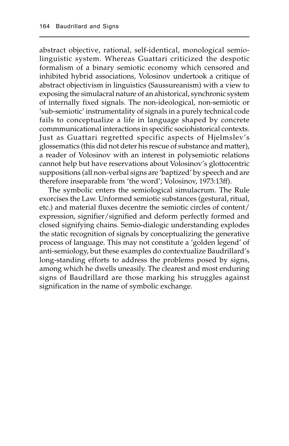abstract objective, rational, self-identical, monological semiolinguistic system. Whereas Guattari criticized the despotic formalism of a binary semiotic economy which censored and inhibited hybrid associations, Volosinov undertook a critique of abstract objectivism in linguistics (Saussureanism) with a view to exposing the simulacral nature of an ahistorical, synchronic system of internally fixed signals. The non-ideological, non-semiotic or 'sub-semiotic' instrumentality of signals in a purely technical code fails to conceptualize a life in language shaped by concrete commmunicational interactions in specific sociohistorical contexts. Just as Guattari regretted specific aspects of Hjelmslev's glossematics (this did not deter his rescue of substance and matter), a reader of Volosinov with an interest in polysemiotic relations cannot help but have reservations about Volosinov's glottocentric suppositions (all non-verbal signs are 'baptized' by speech and are therefore inseparable from 'the word'; Volosinov, 1973:13ff).

The symbolic enters the semiological simulacrum. The Rule exorcises the Law. Unformed semiotic substances (gestural, ritual, etc.) and material fluxes decentre the semiotic circles of content/ expression, signifier/signified and deform perfectly formed and closed signifying chains. Semio-dialogic understanding explodes the static recognition of signals by conceptualizing the generative process of language. This may not constitute a 'golden legend' of anti-semiology, but these examples do contextualize Baudrillard's long-standing efforts to address the problems posed by signs, among which he dwells uneasily. The clearest and most enduring signs of Baudrillard are those marking his struggles against signification in the name of symbolic exchange.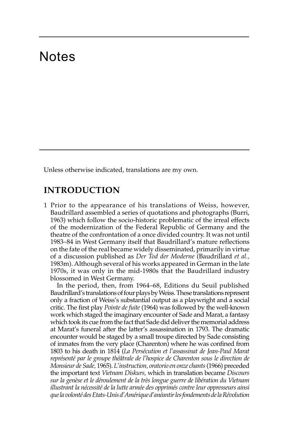### Notes

Unless otherwise indicated, translations are my own.

#### **INTRODUCTION**

1 Prior to the appearance of his translations of Weiss, however, Baudrillard assembled a series of quotations and photographs (Burri, 1963) which follow the socio-historic problematic of the irreal effects of the modernization of the Federal Republic of Germany and the theatre of the confrontation of a once divided country. It was not until 1983–84 in West Germany itself that Baudrillard's mature reflections on the fate of the real became widely disseminated, primarily in virtue of a discussion published as *Der Tod der Moderne* (Baudrillard *et al.,* 1983m). Although several of his works appeared in German in the late 1970s, it was only in the mid-1980s that the Baudrillard industry blossomed in West Germany.

In the period, then, from 1964–68, Editions du Seuil published Baudrillard's translations of four plays by Weiss. These translations represent only a fraction of Weiss's substantial output as a playwright and a social critic. The first play *Pointe de fuite* (1964) was followed by the well-known work which staged the imaginary encounter of Sade and Marat, a fantasy which took its cue from the fact that Sade did deliver the memorial address at Marat's funeral after the latter's assassination in 1793. The dramatic encounter would be staged by a small troupe directed by Sade consisting of inmates from the very place (Charenton) where he was confined from 1803 to his death in 1814 (*La Persécution et l'assassinat de Jean-Paul Marat représenté par le groupe théâtrale de l'hospice de Charenton sous le direction de Monsieur de Sade,* 1965). *L'instruction, oratorio en onze chants* (1966) preceded the important text *Vietnam Diskurs,* which in translation became *Discours sur la genèse et le déroulement de la très longue guerre de libération du Vietnam illustrant la nécessité de la lutte armée des opprimés contre leur oppresseurs ainsi que la volonté des Etats-Unis d'Amérique d'anéantir les fondements de la Révolution*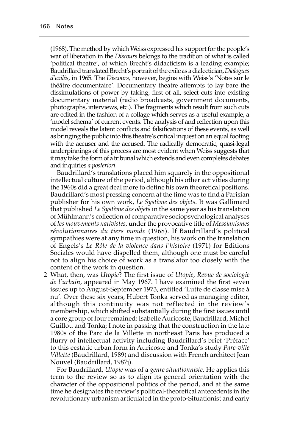(1968). The method by which Weiss expressed his support for the people's war of liberation in the *Discours* belongs to the tradition of what is called 'political theatre', of which Brecht's didacticism is a leading example; Baudrillard translated Brecht's portrait of the exile as a dialectician, *Dialogues d'exilés,* in 1965. The *Discours,* however, begins with Weiss's 'Notes sur le théâtre documentaire'. Documentary theatre attempts to lay bare the dissimulations of power by taking, first of all, select cuts into existing documentary material (radio broadcasts, government documents, photographs, interviews, etc.). The fragments which result from such cuts are edited in the fashion of a collage which serves as a useful example, a 'model schema' of current events. The analysis of and reflection upon this model reveals the latent conflicts and falsifications of these events, as well as bringing the public into this theatre's critical inquest on an equal footing with the accuser and the accused. The radically democratic, quasi-legal underpinnings of this process are most evident when Weiss suggests that it may take the form of a tribunal which extends and even completes debates and inquiries *a posteriori*.

Baudrillard's translations placed him squarely in the oppositional intellectual culture of the period, although his other activities during the 1960s did a great deal more to define his own theoretical positions. Baudrillard's most pressing concern at the time was to find a Parisian publisher for his own work, *Le Système des objets*. It was Gallimard that published *Le Système des objets* in the same year as his translation of Mühlmann's collection of comparative sociopsychological analyses of *les mouvements nativistes,* under the provocative title of *Messianismes révolutionnaires du tiers monde* (1968). If Baudrillard's political sympathies were at any time in question, his work on the translation of Engels's *Le Rôle de la violence dans l'histoire* (1971) for Editions Sociales would have dispelled them, although one must be careful not to align his choice of work as a translator too closely with the content of the work in question.

2 What, then, was *Utopie*? The first issue of *Utopie, Revue de sociologie de l'urbain,* appeared in May 1967. I have examined the first seven issues up to August-September 1973, entitled 'Lutte de classe mise à nu'. Over these six years, Hubert Tonka served as managing editor, although this continuity was not reflected in the review's membership, which shifted substantially during the first issues until a core group of four remained: Isabelle Auricoste, Baudrillard, Michel Guillou and Tonka; I note in passing that the construction in the late 1980s of the Parc de la Villette in northeast Paris has produced a flurry of intellectual activity including Baudrillard's brief 'Préface' to this ecstatic urban form in Auricoste and Tonka's study *Parc-ville Villette* (Baudrillard, 1989) and discussion with French architect Jean Nouvel (Baudrillard, 1987j).

For Baudrillard, *Utopie* was of a *genre situationniste*. He applies this term to the review so as to align its general orientation with the character of the oppositional politics of the period, and at the same time he designates the review's political-theoretical antecedents in the revolutionary urbanism articulated in the proto-Situationist and early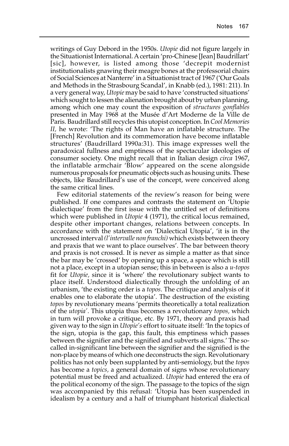writings of Guy Debord in the 1950s. *Utopie* did not figure largely in the Situationist International. A certain 'pro-Chinese [Jean] Baudrillart' [sic], however, is listed among those 'decrepit modernist institutionalists gnawing their meagre bones at the professorial chairs of Social Sciences at Nanterre' in a Situationist tract of 1967 ('Our Goals and Methods in the Strasbourg Scandal', in Knabb (ed.), 1981: 211). In a very general way, *Utopie* may be said to have 'constructed situations' which sought to lessen the alienation brought about by urban planning, among which one may count the exposition of *structures gonflables* presented in May 1968 at the Musée d'Art Moderne de la Ville de Paris. Baudrillard still recycles this utopist conception. In *Cool Memories II,* he wrote: 'The rights of Man have an inflatable structure. The [French] Revolution and its commemoration have become inflatable structures' (Baudrillard 1990a:31). This image expresses well the paradoxical fullness and emptiness of the spectacular ideologies of consumer society. One might recall that in Italian design *circa* 1967, the inflatable armchair 'Blow' appeared on the scene alongside numerous proposals for pneumatic objects such as housing units. These objects, like Baudrillard's use of the concept, were conceived along the same critical lines.

Few editorial statements of the review's reason for being were published. If one compares and contrasts the statement on 'Utopie dialectique' from the first issue with the untitled set of definitions which were published in *Utopie* 4 (1971), the critical locus remained, despite other important changes, relations between concepts. In accordance with the statement on 'Dialectical Utopia', 'it is in the uncrossed interval *(l'intervalle non franchi)* which exists between theory and praxis that we want to place ourselves'. The bar between theory and praxis is not crossed. It is never as simple a matter as that since the bar may be 'crossed' by opening up a space, a space which is still not a place, except in a utopian sense; this in between is also a *u-topos* fit for *Utopie,* since it is 'where' the revolutionary subject wants to place itself. Understood dialectically through the unfolding of an urbanism, 'the existing order is a *topos*. The critique and analysis of it enables one to elaborate the utopia'. The destruction of the existing *topos* by revolutionary means 'permits theoretically a total realization of the *utopia'*. This utopia thus becomes a revolutionary *topos,* which in turn will provoke a critique, etc. By 1971, theory and praxis had given way to the sign in *Utopie's* effort to situate itself: 'In the topics of the sign, utopia is the gap, this fault, this emptiness which passes between the signifier and the signified and subverts all signs.' The socalled in-significant line between the signifier and the signified is the non-place by means of which one deconstructs the sign. Revolutionary politics has not only been supplanted by anti-semiology, but the *topos* has become a *topics,* a general domain of signs whose revolutionary potential must be freed and actualized. *Utopie* had entered the era of the political economy of the sign. The passage to the topics of the sign was accompanied by this refusal: 'Utopia has been suspended in idealism by a century and a half of triumphant historical dialectical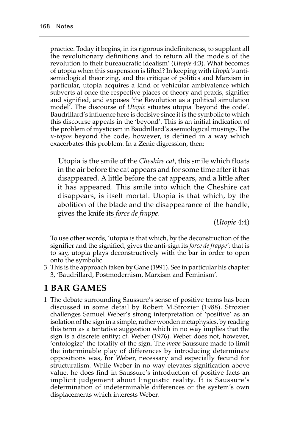practice. Today it begins, in its rigorous indefiniteness, to supplant all the revolutionary definitions and to return all the models of the revolution to their bureaucratic idealism' (*Utopie* 4:3). What becomes of utopia when this suspension is lifted? In keeping with *Utopie's* antisemiological theorizing, and the critique of politics and Marxism in particular, utopia acquires a kind of vehicular ambivalence which subverts at once the respective places of theory and praxis, signifier and signified, and exposes 'the Revolution as a political simulation model'. The discourse of *Utopie* situates utopia 'beyond the code'. Baudrillard's influence here is decisive since it is the symbolic to which this discourse appeals in the 'beyond'. This is an initial indication of the problem of mysticism in Baudrillard's asemiological musings. The *u-topos* beyond the code, however, is defined in a way which exacerbates this problem. In a Zenic digression, then:

Utopia is the smile of the *Cheshire cat,* this smile which floats in the air before the cat appears and for some time after it has disappeared. A little before the cat appears, and a little after it has appeared. This smile into which the Cheshire cat disappears, is itself mortal. Utopia is that which, by the abolition of the blade and the disappearance of the handle, gives the knife its *force de frappe*.

(*Utopie* 4:4)

To use other words, 'utopia is that which, by the deconstruction of the signifier and the signified, gives the anti-sign its *force de frappe';* that is to say, utopia plays deconstructively with the bar in order to open onto the symbolic.

3 This is the approach taken by Gane (1991). See in particular his chapter 3, 'Baudrillard, Postmodernism, Marxism and Feminism'.

#### **1 BAR GAMES**

1 The debate surrounding Saussure's sense of positive terms has been discussed in some detail by Robert M.Strozier (1988). Strozier challenges Samuel Weber's strong interpretation of 'positive' as an isolation of the sign in a simple, rather wooden metaphysics, by reading this term as a tentative suggestion which in no way implies that the sign is a discrete entity; cf. Weber (1976). Weber does not, however, 'ontologize' the totality of the sign. The *move* Saussure made to limit the interminable play of differences by introducing determinate oppositions was, for Weber, necessary and especially fecund for structuralism. While Weber in no way elevates signification above value, he does find in Saussure's introduction of positive facts an implicit judgement about linguistic reality. It is Saussure's determination of indeterminable differences or the system's own displacements which interests Weber.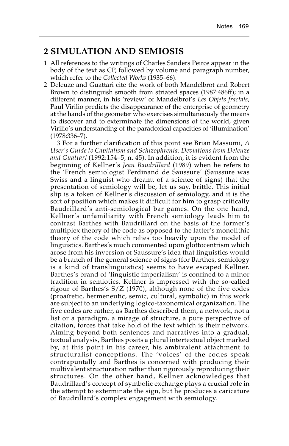#### **2 SIMULATION AND SEMIOSIS**

- 1 All references to the writings of Charles Sanders Peirce appear in the body of the text as CP, followed by volume and paragraph number, which refer to the *Collected Works* (1935–66).
- 2 Deleuze and Guattari cite the work of both Mandelbrot and Robert Brown to distinguish smooth from striated spaces (1987:486ff); in a different manner, in his 'review' of Mandelbrot's *Les Objets fractals,* Paul Virilio predicts the disappearance of the enterprise of geometry at the hands of the geometer who exercises simultaneously the means to discover and to exterminate the dimensions of the world, given Virilio's understanding of the paradoxical capacities of 'illumination' (1978:336–7).

3 For a further clarification of this point see Brian Massumi, *A User's Guide to Capitalism and Schizophrenia: Deviations from Deleuze and Guattari* (1992:154–5, n. 45). In addition, it is evident from the beginning of Kellner's *Jean Baudrillard* (1989) when he refers to the 'French semiologist Ferdinand de Saussure' (Saussure was Swiss and a linguist who dreamt of a science of signs) that the presentation of semiology will be, let us say, brittle. This initial slip is a token of Kellner's discussion of semiology, and it is the sort of position which makes it difficult for him to grasp critically Baudrillard's anti-semiological bar games. On the one hand, Kellner's unfamiliarity with French semiology leads him to contrast Barthes with Baudrillard on the basis of the former's multiplex theory of the code as opposed to the latter's monolithic theory of the code which relies too heavily upon the model of linguistics. Barthes's much commented upon glottocentrism which arose from his inversion of Saussure's idea that linguistics would be a branch of the general science of signs (for Barthes, semiology is a kind of translinguistics) seems to have escaped Kellner. Barthes's brand of 'linguistic imperialism' is confined to a minor tradition in semiotics. Kellner is impressed with the so-called rigour of Barthes's S/Z (1970), although none of the five codes (proaïretic, hermeneutic, semic, cultural, symbolic) in this work are subject to an underlying logico-taxonomical organization. The five codes are rather, as Barthes described them, a network, not a list or a paradigm, a mirage of structure, a pure perspective of citation, forces that take hold of the text which is their network. Aiming beyond both sentences and narratives into a gradual, textual analysis, Barthes posits a plural intertextual object marked by, at this point in his career, his ambivalent attachment to structuralist conceptions. The 'voices' of the codes speak contrapuntally and Barthes is concerned with producing their multivalent structuration rather than rigorously reproducing their structures. On the other hand, Kellner acknowledges that Baudrillard's concept of symbolic exchange plays a crucial role in the attempt to exterminate the sign, but he produces a caricature of Baudrillard's complex engagement with semiology.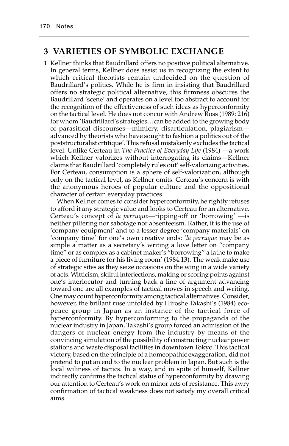#### **3 VARIETIES OF SYMBOLIC EXCHANGE**

1 Kellner thinks that Baudrillard offers no positive political alternative. In general terms, Kellner does assist us in recognizing the extent to which critical theorists remain undecided on the question of Baudrillard's politics. While he is firm in insisting that Baudrillard offers no strategic political alternative, this firmness obscures the Baudrillard 'scene' and operates on a level too abstract to account for the recognition of the effectiveness of such ideas as hyperconformity on the tactical level. He does not concur with Andrew Ross (1989: 216) for whom 'Baudrillard's strategies…can be added to the growing body of parasitical discourses—mimicry, disarticulation, plagiarism advanced by theorists who have sought to fashion a politics out of the poststructuralist crtitique'. This refusal mistakenly excludes the tactical level. Unlike Certeau in *The Practice of Everyday Life* (1984) —a work which Kellner valorizes without interrogating its claims—Kellner claims that Baudrillard 'completely rules out' self-valorizing activities. For Certeau, consumption is a sphere of self-valorization, although only on the tactical level, as Kellner omits. Certeau's concern is with the anonymous heroes of popular culture and the oppositional character of certain everyday practices.

When Kellner comes to consider hyperconformity, he rightly refuses to afford it any strategic value and looks to Certeau for an alternative. Certeau's concept of *la perruque*—ripping-off or 'borrowing' —is neither pilfering nor sabotage nor absenteeism. Rather, it is the use of 'company equipment' and to a lesser degree 'company materials' on 'company time' for one's own creative ends: '*la perruque* may be as simple a matter as a secretary's writing a love letter on "company time" or as complex as a cabinet maker's "borrowing" a lathe to make a piece of furniture for his living room' (1984:13). The weak make use of strategic sites as they seize occasions on the wing in a wide variety of acts. Witticism, skilful interjections, making or scoring points against one's interlocutor and turning back a line of argument advancing toward one are all examples of tactical moves in speech and writing. One may count hyperconformity among tactical alternatives. Consider, however, the brillant ruse unfolded by Hiroshe Takashi's (1984) ecopeace group in Japan as an instance of the tactical force of hyperconformity. By hyperconforming to the propaganda of the nuclear industry in Japan, Takashi's group forced an admission of the dangers of nuclear energy from the industry by means of the convincing simulation of the possibility of constructing nuclear power stations and waste disposal facilities in downtown Tokyo. This tactical victory, based on the principle of a homeopathic exaggeration, did not pretend to put an end to the nuclear problem in Japan. But such is the local wiliness of tactics. In a way, and in spite of himself, Kellner indirectly confirms the tactical status of hyperconformity by drawing our attention to Certeau's work on minor acts of resistance. This awry confirmation of tactical weakness does not satisfy my overall critical aims.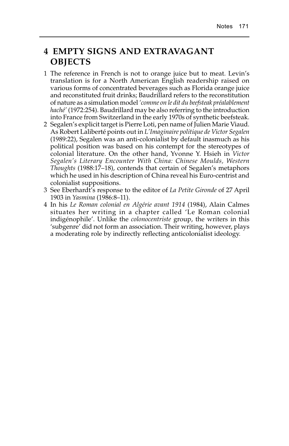### **4 EMPTY SIGNS AND EXTRAVAGANT OBJECTS**

- 1 The reference in French is not to orange juice but to meat. Levin's translation is for a North American English readership raised on various forms of concentrated beverages such as Florida orange juice and reconstituted fruit drinks; Baudrillard refers to the reconstitution of nature as a simulation model *'comme on le dit du beefsteak préalablement haché'* (1972:254). Baudrillard may be also referring to the introduction into France from Switzerland in the early 1970s of synthetic beefsteak.
- 2 Segalen's explicit target is Pierre Loti, pen name of Julien Marie Viaud. As Robert Laliberté points out in *L'Imaginaire politique de Victor Segalen* (1989:22), Segalen was an anti-colonialist by default inasmuch as his political position was based on his contempt for the stereotypes of colonial literature. On the other hand, Yvonne Y. Hsieh in *Victor Segalen's Literary Encounter With China: Chinese Moulds, Western Thoughts* (1988:17–18), contends that certain of Segalen's metaphors which he used in his description of China reveal his Euro-centrist and colonialist suppositions.
- 3 See Eberhardt's response to the editor of *La Petite Gironde* of 27 April 1903 in *Yasmina* (1986:8–11).
- 4 In his *Le Roman colonial en Algérie avant 1914* (1984), Alain Calmes situates her writing in a chapter called 'Le Roman colonial indigénophile'. Unlike the *colonocentriste* group, the writers in this 'subgenre' did not form an association. Their writing, however, plays a moderating role by indirectly reflecting anticolonialist ideology.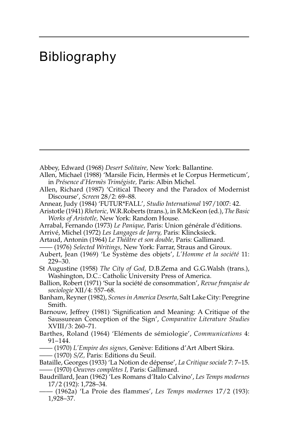# Bibliography

- Abbey, Edward (1968) *Desert Solitaire,* New York: Ballantine.
- Allen, Michael (1988) 'Marsile Ficin, Hermès et le Corpus Hermeticum', in *Présence d'Hermès Trimégiste,* Paris: Albin Michel.
- Allen, Richard (1987) 'Critical Theory and the Paradox of Modernist Discourse', *Screen* 28/2: 69–88.
- Annear, Judy (1984) 'FUTUR\*FALL', *Studio International* 197/1007: 42.
- Aristotle (1941) *Rhetoric,* W.R.Roberts (trans.), in R.McKeon (ed.), *The Basic Works of Aristotle,* New York: Random House.
- Arrabal, Fernando (1973) *Le Panique,* Paris: Union générale d'éditions.
- Arrivé, Michel (1972) *Les Langages de Jarry,* Paris: Klincksieck.
- Artaud, Antonin (1964) *Le Théâtre et son double,* Paris: Gallimard.
- —— (1976) *Selected Writings,* New York: Farrar, Straus and Giroux.
- Aubert, Jean (1969) 'Le Système des objets', *L'Homme et la société* 11: 229–30.
- St Augustine (1958) *The City of God,* D.B.Zema and G.G.Walsh (trans.), Washington, D.C.: Catholic University Press of America.
- Ballion, Robert (1971) 'Sur la société de consommation', *Revue française de sociologie* XII/4: 557–68.
- Banham, Reyner (1982), *Scenes in America Deserta,* Salt Lake City: Peregrine Smith.
- Barnouw, Jeffrey (1981) 'Signification and Meaning: A Critique of the Saussurean Conception of the Sign', *Comparative Literature Studies* XVIII/3: 260–71.
- Barthes, Roland (1964) 'Eléments de sémiologie', *Communications* 4: 91–144.
- —— (1970) *L'Empire des signes,* Genève: Editions d'Art Albert Skira.
- —— (1970) *S/Z,* Paris: Editions du Seuil.
- Bataille, Georges (1933) 'La Notion de dépense', *La Critique sociale* 7: 7–15. —— (1970) *Oeuvres complètes I,* Paris: Gallimard.
- Baudrillard, Jean (1962) 'Les Romans d'Italo Calvino', *Les Temps modernes* 17/2 (192): 1,728–34.
- —— (1962a) 'La Proie des flammes', *Les Temps modernes* 17/2 (193): 1,928–37.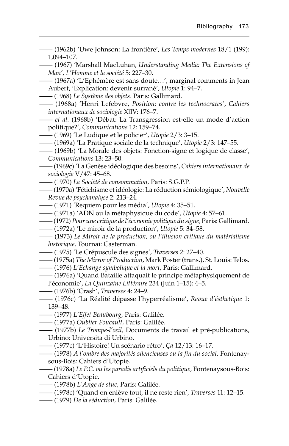—— (1962b) 'Uwe Johnson: La frontière', *Les Temps modernes* 18/1 (199): 1,094–107.

—— (1967) 'Marshall MacLuhan, *Understanding Media: The Extensions of Man', L'Homme et la société* 5: 227–30.

- —— (1967a) 'L'Ephémère est sans doute…', marginal comments in Jean Aubert, 'Explication: devenir surrané', *Utopie* 1: 94–7.
- —— (1968) *Le Système des objets*. Paris: Gallimard.
- —— (1968a) 'Henri Lefebvre, *Position: contre les technocrates', Cahiers internationaux de sociologie* XlIV: 176–7.
- —— *et al.* (1968b) 'Débat: La Transgression est-elle un mode d'action politique?', *Communications* 12: 159–74.
- —— (1969) 'Le Ludique et le policier', *Utopie* 2/3: 3–15.
- —— (1969a) 'La Pratique sociale de la technique', *Utopie* 2/3: 147–55.
- —— (1969b) 'La Morale des objets: Fonction-signe et logique de classe', *Communications* 13: 23–50.
- —— (1969c) 'La Genèse idéologique des besoins', *Cahiers internationaux de sociologie* V/47: 45–68.
- —— (1970) *La Société de consommation,* Paris: S.G.P.P.
- —— (1970a) 'Fétichisme et idéologie: La réduction sémiologique', *Nouvelle Revue de psychanalyse* 2: 213–24.
- —— (1971) 'Requiem pour les média', *Utopie* 4: 35–51.
- —— (1971a) 'ADN ou la métaphysique du code', *Utopie* 4: 57–61.
- —— (1972) *Pour une critique de l'économie politique du signe,* Paris: Gallimard.
- —— (1972a) 'Le miroir de la production', *Utopie* 5: 34–58.
- —— (1973) *Le Miroir de la production, ou l'illusion critique du matérialisme historique,* Tournai: Casterman.
- —— (1975) 'Le Crépuscule des signes', *Traverses* 2: 27–40.
- —— (1975a) *The Mirror of Production*, Mark Poster (trans.), St. Louis: Telos.
- —— (1976) *L'Echange symbolique et la mort,* Paris: Gallimard.
- —— (1976a) 'Quand Bataille attaquait le principe métaphysiquement de l'économie', *La Quinzaine Littéraire* 234 (Juin 1–15): 4–5.
- —— (1976b) 'Crash', *Traverses* 4: 24–9.
- —— (1976c) 'La Réalité dépasse l'hyperréalisme', *Revue d'ésthetique* 1: 139–48.
- —— (1977) *L'Effet Beaubourg,* Paris: Galilée.
- —— (1977a) *Oublier Foucault,* Paris: Galilée.
- —— (1977b) *Le Trompe-l'oeil,* Documents de travail et pré-publications, Urbino: Universita di Urbino.
- —— (1977c) 'L'Histoire! Un scénario rétro', *Ça* 12/13: 16–17.
- —— (1978) *A l'ombre des majorités silencieuses ou la fin du social,* Fontenaysous-Bois: Cahiers d'Utopie.
- —— (1978a) *Le P.C. ou les paradis artificiels du politique,* Fontenaysous-Bois: Cahiers d'Utopie.
- —— (1978b) *L'Ange de stuc,* Paris: Galilée.
- —— (1978c) 'Quand on enlève tout, il ne reste rien', *Traverses* 11: 12–15.
- —— (1979) *De la séduction,* Paris: Galilée.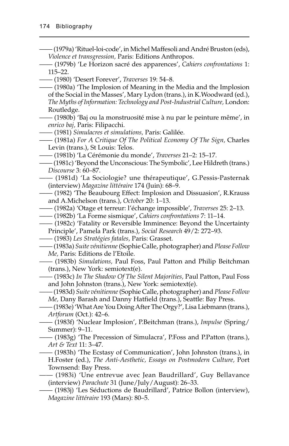—— (1979a) 'Rituel-loi-code', in Michel Maffesoli and André Bruston (eds), *Violence et transgression,* Paris: Editions Anthropos.

- —— (1980) 'Desert Forever', *Traverses* 19: 54–8.
- —— (1980a) 'The Implosion of Meaning in the Media and the Implosion of the Social in the Masses', Mary Lydon (trans.), in K.Woodward (ed.), *The Myths of Information: Technology and Post-Industrial Culture,* London: Routledge.
	- —— (1980b) 'Baj ou la monstruosité mise à nu par le peinture même', in *enrico baj,* Paris: Filipacchi.
- —— (1981) *Simulacres et simulations,* Paris: Galilée.
- —— (1981a) *For A Critique Of The Political Economy Of The Sign,* Charles Levin (trans.), St Louis: Telos.
- —— (1981b) 'La Cérémonie du monde', *Traverses* 21–2: 15–17.
- —— (1981c) 'Beyond the Unconscious: The Symbolic', Lee Hildreth (trans.) *Discourse* 3: 60–87.
- —— (1981d) 'La Sociologie? une thérapeutique', G.Pessis-Pasternak (interview) *Magazine littéraire* 174 (Juin): 68–9.
- —— (1982) 'The Beaubourg Effect: Implosion and Dissuasion', R.Krauss and A.Michelson (trans.), *October* 20: 1–13.
- —— (1982a) 'Otage et terreur: l'échange impossible', *Traverses* 25: 2–13.
- —— (1982b) 'La Forme sismique', *Cahiers confrontations* 7: 11–14.
- —— (1982c) 'Fatality or Reversible Imminence: Beyond the Uncertainty Principle', Pamela Park (trans.), *Social Research* 49/2: 272–93.
	- —— (1983) *Les Stratégies fatales,* Paris: Grasset.
- —— (1983a) *Suite vénitienne* (Sophie Calle, photographer) and *Please Follow Me,* Paris: Editions de l'Etoile.
- —— (1983b) *Simulations,* Paul Foss, Paul Patton and Philip Beitchman (trans.), New York: semiotext(e).
	- —— (1983c) *In The Shadow Of The Silent Majorities,* Paul Patton, Paul Foss and John Johnston (trans.), New York: semiotext(e).
	- —— (1983d) *Suite vénitienne* (Sophie Calle, photographer) and *Please Follow Me,* Dany Barash and Danny Hatfield (trans.), Seattle: Bay Press.
- —— (1983e) 'What Are You Doing After The Orgy?', Lisa Liebmann (trans.), *Artforum* (Oct.): 42–6.
- —— (1983f) 'Nuclear Implosion', P.Beitchman (trans.), *Impulse* (Spring/ Summer): 9–11.
- —— (1983g) 'The Precession of Simulacra', P.Foss and P.Patton (trans.), *Art & Text* 11: 3–47.
- —— (1983h) 'The Ecstasy of Communication', John Johnston (trans.), in H.Foster (ed.), *The Anti-Aesthetic, Essays on Postmodern Culture,* Port Townsend: Bay Press.
	- —— (1983i) 'Une entrevue avec Jean Baudrillard', Guy Bellavance (interview) *Parachute* 31 (June/July/August): 26–33.
	- —— (1983j) 'Les Séductions de Baudrillard', Patrice Bollon (interview), *Magazine littéraire* 193 (Mars): 80–5.

<sup>—— (1979</sup>b) 'Le Horizon sacré des apparences', *Cahiers confrontations* 1: 115–22.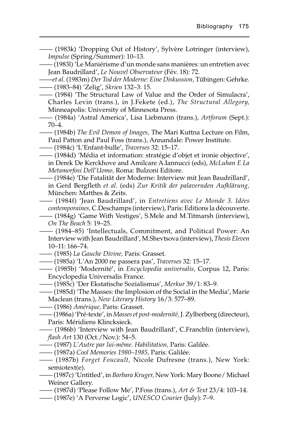- —— (1983k) 'Dropping Out of History', Sylvère Lotringer (interview), *Impulse* (Spring/Summer): 10–13.
- —— (1983l) 'Le Maniérisme d'un monde sans manières: un entretien avec Jean Baudrillard', *Le Nouvel Observateur* (Fév. 18): 72.
- ——*et al.* (1983m) *Der Tod der Moderne: Eine Diskussion,* Tübingen: Gehrke. —— (1983–84) 'Zelig', *Skrien* 132–3: 15.
- —— (1984) 'The Structural Law of Value and the Order of Simulacra', Charles Levin (trans.), in J.Fekete (ed.), *The Structural Allegory,* Minneapolis: University of Minnesota Press.
	- —— (1984a) 'Astral America', Lisa Liebmann (trans.), *Artforum* (Sept.): 70–4.
- —— (1984b) *The Evil Demon of Images,* The Mari Kuttna Lecture on Film, Paul Patton and Paul Foss (trans.), Annandale: Power Institute.
- —— (1984c) 'L'Enfant-bulle', *Traverses* 32: 15–17.
- —— (1984d) 'Média et information: stratégie d'objet et ironie objective', in Derek De Kerckhove and Amilcare A.Iannucci (eds), *McLuhan E La Metamorfosi Dell'Uomo,* Roma: Bulzoni Editore.
	- —— (1984e) 'Die Fatalität der Moderne: Interview mit Jean Baudrillard', in Gerd Bergfleth *et al.* (eds) *Zur Kritik der palavernden Aufklärung,* München: Matthes & Zeits.
- —— (1984f) 'Jean Baudrillard', in *Entretiens avec Le Monde 3. Idées contemporaines,* C.Deschamps (interview), Paris: Editions la découverte.
- —— (1984g) 'Game With Vestiges', S.Mele and M.Titmarsh (interview), *On The Beach* 5: 19–25.
	- —— (1984–85) 'Intellectuals, Commitment, and Political Power: An Interview with Jean Baudrillard', M.Shevtsova (interview), *Thesis Eleven* 10–11: 166–74.
- —— (1985) *La Gauche Divine,* Paris: Grasset.
- —— (1985a) 'L'An 2000 ne passera pas', *Traverses* 32: 15–17.
- —— (1985b) 'Modernité', in *Encyclopedia universalis,* Corpus 12, Paris: Encyclopedia Universalis France.
- —— (1985c) 'Der Ekstatische Sozialismus', *Merkur* 39/1: 83–9.
- —— (1985d) 'The Masses: the Implosion of the Social in the Media', Marie Maclean (trans.), *New Literary History* 16/3: 577–89.
- —— (1986) *Amérique,* Paris: Grasset.
- —— (1986a) 'Pré-texte', in *Masses et post-modernité,* J. Zylberberg (directeur), Paris: Méridiens Klincksieck.
- —— (1986b) 'Interview with Jean Baudrillard', C.Francblin (interview), *flash Art* 130 (Oct./Nov.): 54–5.
- —— (1987) *L'Autre par lui-même. Habilitation,* Paris: Galilée.
- —— (1987a) *Cool Memories 1980–1985,* Paris: Galilée.
- —— (1987b) *Forget Foucault,* Nicole Dufresne (trans.), New York: semiotext(e).
- —— (1987c) 'Untitled', in *Barbara Kruger,* New York: Mary Boone/ Michael Weiner Gallery.
- —— (1987d) 'Please Follow Me', P.Foss (trans.), *Art & Text* 23/4: 103–14.
- —— (1987e) 'A Perverse Logic', *UNESCO Courier* (July): 7–9.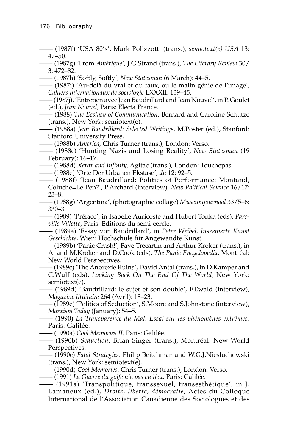- —— (1987f) 'USA 80's', Mark Polizzotti (trans.), *semiotext(e) USA* 13: 47–50.
- —— (1987g) 'From *Amérique*', J.G.Strand (trans.), *The Literary Review* 30/ 3: 472–82.
- —— (1987h) 'Softly, Softly', *New Statesman* (6 March): 44–5.
- —— (1987i) 'Au-delà du vrai et du faux, ou le malin génie de l'image', *Cahiers internationaux de sociologie* LXXXII: 139–45.
	- —— (1987j). 'Entretien avec Jean Baudrillard and Jean Nouvel', in P. Goulet (ed.), *Jean Nouvel,* Paris: Electa France.
- —— (1988) *The Ecstasy of Communication,* Bernard and Caroline Schutze (trans.), New York: semiotext(e).

—— (1988a) *Jean Baudrillard: Selected Writings,* M.Poster (ed.), Stanford: Stanford University Press.

- —— (1988b) *America,* Chris Turner (trans.), London: Verso.
- —— (1988c) 'Hunting Nazis and Losing Reality', *New Statesman* (19 February): 16–17.
- —— (1988d) *Xerox and Infinity,* Agitac (trans.), London: Touchepas.
- —— (1988e) 'Orte Der Urbanen Ekstase', *du* 12: 92–5.
- —— (1988f) 'Jean Baudrillard: Politics of Performance: Montand, Coluche=Le Pen?', P.Archard (interview), *New Political Science* 16/17: 23–8.
- —— (1988g) 'Argentina', (photographie collage) *Museumjournaal* 33/5–6: 330–3.
- —— (1989) 'Préface', in Isabelle Auricoste and Hubert Tonka (eds), *Parcville Villette,* Paris: Editions du semi-cercle.

—— (1989a) 'Essay von Baudrillard', in *Peter Weibel, Inszenierte Kunst Geschichte,* Wien: Hochschule für Angewandte Kunst.

—— (1989b) 'Panic Crash!', Faye Trecartin and Arthur Kroker (trans.), in A. and M.Kroker and D.Cook (eds), *The Panic Encyclopedia,* Montréal: New World Perspectives.

—— (1989c) 'The Anorexie Ruins', David Antal (trans.), in D.Kamper and C.Wulf (eds), *Looking Back On The End Of The World,* New York: semiotext(e).

—— (1989d) 'Baudrillard: le sujet et son double', F.Ewald (interview), *Magazine littéraire* 264 (Avril): 18–23.

—— (1989e) 'Politics of Seduction', S.Moore and S.Johnstone (interview), *Marxism Today* (January): 54–5.

- —— (1990) *La Transparence du Mal. Essai sur les phénomènes extrêmes,* Paris: Galilée.
- —— (1990a) *Cool Memories II,* Paris: Galilée.
- —— (1990b) *Seduction,* Brian Singer (trans.), Montréal: New World Perspectives.

—— (1990c) *Fatal Strategies,* Philip Beitchman and W.G.J.Niesluchowski (trans.), New York: semiotext(e).

- —— (1990d) *Cool Memories,* Chris Turner (trans.), London: Verso.
- —— (1991) *La Guerre du golfe n'a pas eu lieu,* Paris: Galilée.

—— (1991a) 'Transpolitique, transsexuel, transesthétique', in J. Lamaneux (ed.), *Droits, liberté, démocratie,* Actes du Colloque International de l'Association Canadienne des Sociologues et des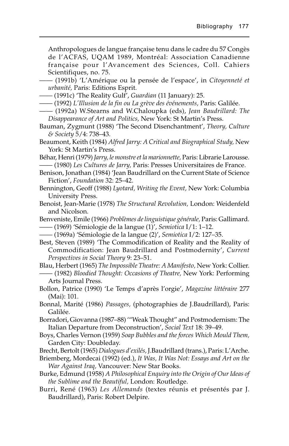Anthropologues de langue française tenu dans le cadre du 57 Congès de l'ACFAS, UQAM 1989, Montréal: Association Canadienne française pour l'Avancement des Sciences, Coll. Cahiers Scientifiques, no. 75.

—— (1991b) 'L'Amérique ou la pensée de l'espace', in *Citoyenneté et urbanité,* Paris: Editions Esprit.

- —— (1991c) 'The Reality Gulf', *Guardian* (11 January): 25.
- —— (1992) *L'Illusion de la fin ou La grève des événements,* Paris: Galilée.
- —— (1992a) W.Stearns and W.Chaloupka (eds), *Jean Baudrillard: The Disappearance of Art and Politics,* New York: St Martin's Press.
- Bauman, Zygmunt (1988) 'The Second Disenchantment', *Theory, Culture & Society* 5/4: 738–43.
- Beaumont, Keith (1984) *Alfred Jarry: A Critical and Biographical Study,* New York: St Martin's Press.
- Béhar, Henri (1979) *Jarry, le monstre et la marionnette,* Paris: Librarie Larousse. —— (1980) *Les Cultures de Jarry,* Paris: Presses Universitaires de France.
- Benison, Jonathan (1984) 'Jean Baudrillard on the Current State of Science Fiction', *Foundation* 32: 25–42.
- Bennington, Geoff (1988) *Lyotard, Writing the Event,* New York: Columbia University Press.
- Benoist, Jean-Marie (1978) *The Structural Revolution,* London: Weidenfeld and Nicolson.
- Benveniste, Emile (1966) *Problèmes de linguistique générale,* Paris: Gallimard.
- —— (1969) 'Sémiologie de la langue (1)', *Semiotica* I/1: 1–12.
- —— (1969a) 'Sémiologie de la langue (2)', *Semiotica* I/2: 127–35.

Best, Steven (1989) 'The Commodification of Reality and the Reality of Commodification: Jean Baudrillard and Postmodernity', *Current Perspectives in Social Theory* 9: 23–51.

- Blau, Herbert (1965) *The Impossible Theatre: A Manifesto,* New York: Collier. —— (1982) *Bloodied Thought: Occasions of Theatre,* New York: Performing
- Arts Journal Press.
- Bollon, Patrice (1990) 'Le Temps d'après l'orgie', *Magazine littéraire* 277 (Mai): 101.
- Bonnal, Marité (1986) *Passages,* (photographies de J.Baudrillard), Paris: Galilée.
- Borradori, Giovanna (1987–88) '"Weak Thought" and Postmodernism: The Italian Departure from Deconstruction', *Social Text* 18: 39–49.
- Boys, Charles Vernon (1959) *Soap Bubbles and the forces Which Mould Them,* Garden City: Doubleday.
- Brecht, Bertolt (1965) *Dialogues d'exilés,* J.Baudrillard (trans.), Paris: L'Arche.
- Briemberg, Mordecai (1992) (ed.), *It Was, It Was Not: Essays and Art on the War Against Iraq,* Vancouver: New Star Books.
- Burke, Edmund (1958) *A Philosophical Enquiry into the Origin of Our Ideas of the Sublime and the Beautiful,* London: Routledge.
- Burri, René (1963) *Les Allemands* (textes réunis et présentés par J. Baudrillard), Paris: Robert Delpire.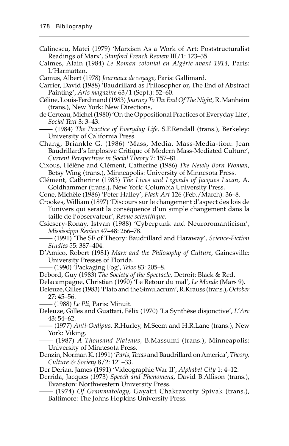- Calinescu, Matei (1979) 'Marxism As a Work of Art: Poststructuralist Readings of Marx', *Stanford French Review* III/1: 123–35.
- Calmes, Alain (1984) *Le Roman colonial en Algérie avant 1914,* Paris: L'Harmattan.

Camus, Albert (1978) *Journaux de voyage,* Paris: Gallimard.

Carrier, David (1988) 'Baudrillard as Philosopher or, The End of Abstract Painting', *Arts magazine* 63/1 (Sept.): 52–60.

Céline, Louis-Ferdinand (1983) *Journey To The End Of The Night,* R. Manheim (trans.), New York: New Directions,

de Certeau, Michel (1980) 'On the Oppositional Practices of Everyday Life', *Social Text* 3: 3–43.

—— (1984) *The Practice of Everyday Life,* S.F.Rendall (trans.), Berkeley: University of California Press.

Chang, Briankle G. (1986) 'Mass, Media, Mass-Media-tion: Jean Baudrillard's Implosive Critique of Modern Mass-Mediated Culture', *Current Perspectives in Social Theory* 7: 157–81.

Cixous, Hélène and Clément, Catherine (1986) *The Newly Born Woman,* Betsy Wing (trans.), Minneapolis: University of Minnesota Press.

Clément, Catherine (1983) *The Lives and Legends of Jacques Lacan,* A. Goldhammer (trans.), New York: Columbia University Press.

Cone, Michèle (1986) 'Peter Halley', *Flash Art* 126 (Feb./March): 36–8.

Crookes, William (1897) 'Discours sur le changement d'aspect des lois de l'univers qui serait la conséquence d'un simple changement dans la taille de l'observateur', *Revue scientifique*.

Csicsery-Ronay, Istvan (1988) 'Cyberpunk and Neuroromanticism', *Mississippi Review* 47–48: 266–78.

—— (1991) 'The SF of Theory: Baudrillard and Haraway'*, Science-Fiction Studies* 55: 387–404.

D'Amico, Robert (1981) *Marx and the Philosophy of Culture,* Gainesville: University Presses of Florida.

—— (1990) 'Packaging Fog', *Telos* 83: 205–8.

Debord, Guy (1983) *The Society of the Spectacle,* Detroit: Black & Red.

Delacampagne, Christian (1990) 'Le Retour du mal', *Le Monde* (Mars 9).

Deleuze, Gilles (1983) 'Plato and the Simulacrum', R.Krauss (trans.), *October* 27: 45–56.

—— (1988) *Le Pli,* Paris: Minuit.

- Deleuze, Gilles and Guattari, Félix (1970) 'La Synthèse disjonctive', *L'Arc* 43: 54–62.
- —— (1977) *Anti-Oedipus,* R.Hurley, M.Seem and H.R.Lane (trans.), New York: Viking.

—— (1987) *A Thousand Plateaus,* B.Massumi (trans.), Minneapolis: University of Minnesota Press.

Denzin, Norman K. (1991) *'Paris, Texas* and Baudrillard on America', *Theory, Culture & Society* 8/2: 121–33.

Der Derian, James (1991) 'Videographic War II', *Alphabet City* 1: 4–12.

Derrida, Jacques (1973) *Speech and Phenomena,* David B.Allison (trans.), Evanston: Northwestern University Press.

—— (1974) *Of Grammatology,* Gayatri Chakravorty Spivak (trans.), Baltimore: The Johns Hopkins University Press.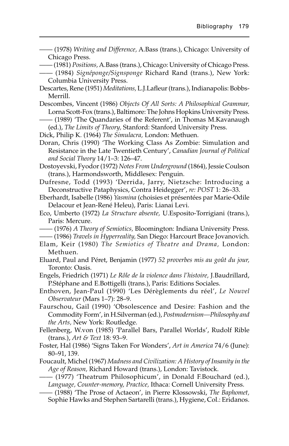- —— (1978) *Writing and Difference,* A.Bass (trans.), Chicago: University of Chicago Press.
- —— (1981) *Positions,* A.Bass (trans.), Chicago: University of Chicago Press.
- —— (1984) *Signéponge/Signsponge* Richard Rand (trans.), New York: Columbia University Press.

Descartes, Rene (1951) *Meditations,* L.J.Lafleur (trans.), Indianapolis: Bobbs-Merrill.

Descombes, Vincent (1986) *Objects Of All Sorts: A Philosophical Grammar,* Lorna Scott-Fox (trans.), Baltimore: The Johns Hopkins University Press. —— (1989) 'The Quandaries of the Referent', in Thomas M.Kavanaugh

(ed.), *The Limits of Theory,* Stanford: Stanford University Press.

- Dick, Philip K. (1964) *The Simulacra,* London: Methuen.
- Doran, Chris (1990) 'The Working Class As Zombie: Simulation and Resistance in the Late Twentieth Century', *Canadian Journal of Political and Social Theory* 14/1–3: 126–47.
- Dostoyevski, Fyodor (1972) *Notes From Underground* (1864), Jessie Coulson (trans.), Harmondsworth, Middlesex: Penguin.
- Dufresne, Todd (1993) 'Derrida, Jarry, Nietzsche: Introducing a Deconstructive Pataphysics, Contra Heidegger', *re: POST* 1: 26–33.
- Eberhardt, Isabelle (1986) *Yasmina* (choisies et présentées par Marie-Odile Delacour et Jean-René Heleu), Paris: Lianai Levi.
- Eco, Umberto (1972) *La Structure absente,* U.Esposito-Torrigiani (trans.), Paris: Mercure.
- —— (1976) *A Theory of Semiotics,* Bloomington: Indiana University Press.
- —— (1986) *Travels in Hyperreality,* San Diego: Harcourt Brace Jovanovich.
- Elam, Keir (1980) *The Semiotics of Theatre and Drama,* London: Methuen.
- Eluard, Paul and Péret, Benjamin (1977) *52 proverbes mis au goût du jour,* Toronto: Oasis.
- Engels, Friedrich (1971) *Le Rôle de la violence dans l'histoire,* J.Baudrillard, P.Stéphane and E.Bottigelli (trans.), Paris: Editions Sociales.
- Enthoven, Jean-Paul (1990) 'Les Dérèglements du réel', *Le Nouvel Observateur* (Mars 1–7): 28–9.
- Faurschou, Gail (1990) 'Obsolescence and Desire: Fashion and the Commodity Form', in H.Silverman (ed.), *Postmodernism—Philosophy and the Arts,* New York: Routledge.
- Fellenberg, W.von (1985) 'Parallel Bars, Parallel Worlds', Rudolf Rible (trans.), *Art & Text* 18: 93–9.
- Foster, Hal (1986) 'Signs Taken For Wonders', *Art in America* 74/6 (June): 80–91, 139.
- Foucault, Michel (1967) *Madness and Civilization: A History of Insanity in the Age of Reason,* Richard Howard (trans.), London: Tavistock.
- —— (1977) 'Theatrum Philosophicum', in Donald F.Bouchard (ed.), *Language, Counter-memory, Practice,* Ithaca: Cornell University Press.
	- —— (1988) 'The Prose of Actaeon', in Pierre Klossowski, *The Baphomet,* Sophie Hawks and Stephen Sartarelli (trans.), Hygiene, Col.: Eridanos.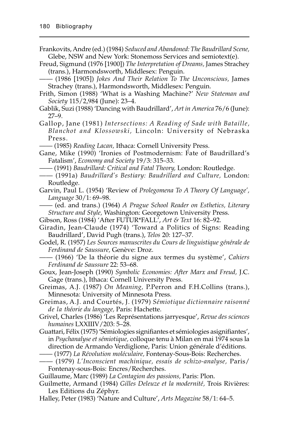- Frankovits, Andre (ed.) (1984) *Seduced and Abandoned: The Baudrillard Scene,* Glebe, NSW and New York: Stonemoss Services and semiotext(e).
- Freud, Sigmund (1976 [1900]) *The Interpretation of Dreams,* James Strachey (trans.), Harmondsworth, Middlesex: Penguin.
- —— (1986 [1905]) *Jokes And Their Relation To The Unconscious,* James Strachey (trans.), Harmondsworth, Middlesex: Penguin.
- Frith, Simon (1988) 'What is a Washing Machine?' *New Stateman and Society* 115/2,984 (June): 23–4.
- Gablik, Suzi (1988) 'Dancing with Baudrillard', *Art in America* 76/6 (June): 27–9.
- Gallop, Jane (1981) *Intersections: A Reading of Sade with Bataille, Blanchot and Klossowski,* Lincoln: University of Nebraska Press.
- —— (1985) *Reading Lacan,* Ithaca: Cornell University Press.
- Gane, Mike (1990) 'Ironies of Postmodernism: Fate of Baudrillard's Fatalism', *Economy and Society* 19/3: 315–33.
- —— (1991) *Baudrillard: Critical and Fatal Theory,* London: Routledge.
- —— (1991a) *Baudrillard's Bestiary: Baudrillard and Culture,* London: Routledge.
- Garvin, Paul L. (1954) 'Review of *Prolegomena To A Theory Of Language', Language* 30/1: 69–98.

—— (ed. and trans.) (1964) *A Prague School Reader on Esthetics, Literary Structure and Style,* Washington: Georgetown University Press.

- Gibson, Ross (1984) 'After FUTUR\*FALL', *Art & Text* 16: 82–92.
- Giradin, Jean-Claude (1974) 'Toward a Politics of Signs: Reading Baudrillard', David Pugh (trans.), *Telos* 20: 127–37.
- Godel, R. (1957) *Les Sources manuscrites du Cours de linguistique générale de Ferdinand de Saussure,* Genève: Droz.
- —— (1966) 'De la théorie du signe aux termes du système', *Cahiers Ferdinand de Saussure* 22: 53–68.
- Goux, Jean-Joseph (1990) *Symbolic Economies: After Marx and Freud,* J.C. Gage (trans.), Ithaca: Cornell University Press.

Greimas, A.J. (1987) *On Meaning,* P.Perron and F.H.Collins (trans.), Minnesota: University of Minnesota Press.

Greimas, A.J. and Courtés, J. (1979) *Sémiotique dictionnaire raisonné de la théorie du langage,* Paris: Hachette.

- Grivel, Charles (1986) 'Les Représentations jarryesque', *Revue des sciences humaines* LXXIIIV/203: 5–28.
- Guattari, Félix (1975) 'Sémiologies signifiantes et sémiologies asignifiantes', in *Psychanalyse et sémiotique,* colloque tenu à Milan en mai 1974 sous la direction de Armando Verdiglione, Paris: Union générale d'éditions.
	- —— (1977) *La Révolution moléculaire,* Fontenay-Sous-Bois: Recherches.
	- —— (1979) *L'Inconscient machinique, essais de schizo-analyse,* Paris/ Fontenay-sous-Bois: Encres/Recherches.

Guillaume, Marc (1989) *La Contagion des passions,* Paris: Plon.

- Guilmette, Armand (1984) *Gilles Deleuze et la modernité,* Trois Rivières: Les Editions du Zéphyr.
- Halley, Peter (1983) 'Nature and Culture', *Arts Magazine* 58/1: 64–5.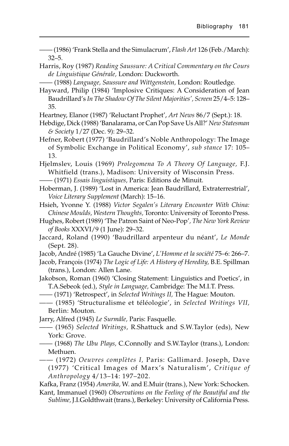—— (1986) 'Frank Stella and the Simulacrum', *Flash Art* 126 (Feb./March): 32–5.

Harris, Roy (1987) *Reading Saussure: A Critical Commentary on the Cours de Linguistique Générale,* London: Duckworth.

—— (1988) *Language, Saussure and Wittgenstein,* London: Routledge.

Hayward, Philip (1984) 'Implosive Critiques: A Consideration of Jean Baudrillard's *In The Shadow Of The Silent Majorities', Screen* 25/4–5: 128– 35.

Heartney, Elanor (1987) 'Reluctant Prophet', *Art News* 86/7 (Sept.): 18.

- Hebdige, Dick (1988) 'Banalarama, or Can Pop Save Us All?' *New Statesman & Society* 1/27 (Dec. 9): 29–32.
- Hefner, Robert (1977) 'Baudrillard's Noble Anthropology: The Image of Symbolic Exchange in Political Economy', *sub stance* 17: 105– 13.

Hjelmslev, Louis (1969) *Prolegomena To A Theory Of Language,* F.J. Whitfield (trans.), Madison: University of Wisconsin Press.

—— (1971) *Essais linguistiques,* Paris: Editions de Minuit.

- Hoberman, J. (1989) 'Lost in America: Jean Baudrillard, Extraterrestrial', *Voice Literary Supplement* (March): 15–16.
- Hsieh, Yvonne Y. (1988) *Victor Segalen's Literary Encounter With China: Chinese Moulds, Western Thoughts,* Toronto: University of Toronto Press.
- Hughes, Robert (1989) 'The Patron Saint of Neo-Pop'*, The New York Review of Books* XXXVI/9 (1 June): 29–32.
- Jaccard, Roland (1990) 'Baudrillard arpenteur du néant', *Le Monde* (Sept. 28).
- Jacob, André (1985) 'La Gauche Divine', *L'Homme et la société* 75–6: 266–7.
- Jacob, François (1974) *The Logic of Life: A History of Heredity,* B.E. Spillman (trans.), London: Allen Lane.
- Jakobson, Roman (1960) 'Closing Statement: Linguistics and Poetics', in T.A.Sebeok (ed.), *Style in Language,* Cambridge: The M.I.T. Press.
	- —— (1971) 'Retrospect', in *Selected Writings II,* The Hague: Mouton.
- —— (1985) 'Structuralisme et téléologie', in *Selected Writings VII,* Berlin: Mouton.
- Jarry, Alfred (1945) *Le Surmâle,* Paris: Fasquelle.
- —— (1965) *Selected Writings,* R.Shattuck and S.W.Taylor (eds), New York: Grove.
	- —— (1968) *The Ubu Plays,* C.Connolly and S.W.Taylor (trans.), London: Methuen.

—— (1972) *Oeuvres complètes I,* Paris: Gallimard. Joseph, Dave (1977) 'Critical Images of Marx's Naturalism', *Critique of Anthropology* 4/13–14: 197–202.

Kafka, Franz (1954) *Amerika,* W. and E.Muir (trans.), New York: Schocken.

Kant, Immanuel (1960) *Observations on the Feeling of the Beautiful and the Sublime,* J.I.Goldthwait (trans.), Berkeley: University of California Press.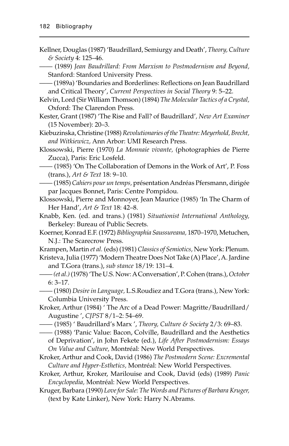- Kellner, Douglas (1987) 'Baudrillard, Semiurgy and Death', *Theory, Culture & Society* 4: 125–46.
- —— (1989) *Jean Baudrillard: From Marxism to Postmodernism and Beyond,* Stanford: Stanford University Press.
- —— (1989a) 'Boundaries and Borderlines: Reflections on Jean Baudrillard and Critical Theory', *Current Perspectives in Social Theory* 9: 5–22.
- Kelvin, Lord (Sir William Thomson) (1894) *The Molecular Tactics of a Crystal,* Oxford: The Clarendon Press.
- Kester, Grant (1987) 'The Rise and Fall? of Baudrillard'*, New Art Examiner* (15 November): 20–3.
- Kiebuzinska, Christine (1988) *Revolutionaries of the Theatre: Meyerhold, Brecht, and Witkiewicz,* Ann Arbor: UMI Research Press.
- Klossowski, Pierre (1970) *La Monnaie vivante,* (photographies de Pierre Zucca), Paris: Eric Losfeld.
- —— (1985) 'On The Collaboration of Demons in the Work of Art', P. Foss (trans.), *Art & Text* 18: 9–10.
- —— (1985) *Cahiers pour un temps,* présentation Andréas Pfersmann, dirigée par Jacques Bonnet, Paris: Centre Pompidou.
- Klossowski, Pierre and Monnoyer, Jean Maurice (1985) 'In The Charm of Her Hand', *Art & Text* 18: 42–8.
- Knabb, Ken. (ed. and trans.) (1981) *Situationist International Anthology,* Berkeley: Bureau of Public Secrets.
- Koerner, Konrad E.F. (1972) *Bibliographia Saussureana,* 1870–1970, Metuchen, N.J.: The Scarecrow Press.
- Krampen, Martin *et al.* (eds) (1981) *Classics of Semiotics,* New York: Plenum.
- Kristeva, Julia (1977) 'Modern Theatre Does Not Take (A) Place', A. Jardine and T.Gora (trans.), *sub stance* 18/19: 131–4.
- —— *(et al.)* (1978) 'The U.S. Now: A Conversation', P. Cohen (trans.), *October* 6: 3–17.
- —— (1980) *Desire in Language,* L.S.Roudiez and T.Gora (trans.), New York: Columbia University Press.
- Kroker, Arthur (1984) ' The Arc of a Dead Power: Magritte/Baudrillard/ Augustine ', *CJPST* 8/1–2: 54–69.
- —— (1985) ' Baudrillard's Marx ', *Theory, Culture & Society* 2/3: 69–83.
- —— (1988) 'Panic Value: Bacon, Colville, Baudrillard and the Aesthetics of Deprivation', in John Fekete (ed.), *Life After Postmodernism: Essays On Value and Culture,* Montréal: New World Perspectives.
- Kroker, Arthur and Cook, David (1986) *The Postmodern Scene: Excremental Culture and Hyper-Esthetics,* Montréal: New World Perspectives.
- Kroker, Arthur, Kroker, Marilouise and Cook, David (eds) (1989) *Panic Encyclopedia,* Montréal: New World Perspectives.
- Kruger, Barbara (1990) *Love for Sale: The Words and Pictures of Barbara Kruger,* (text by Kate Linker), New York: Harry N.Abrams.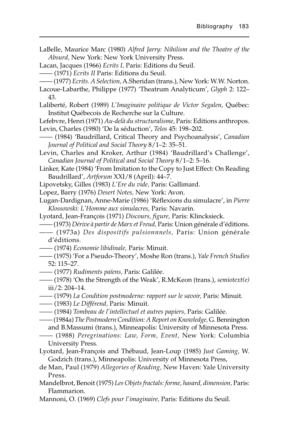- LaBelle, Maurice Marc (1980) *Alfred Jarry: Nihilism and the Theatre of the Absurd,* New York: New York University Press.
- Lacan, Jacques (1966) *Ecrits I,* Paris: Editions du Seuil.
- —— (1971) *Ecrits II* Paris: Editions du Seuil.
- —— (1977) *Ecrits. A Selection,* A.Sheridan (trans.), New York: W.W. Norton.
- Lacoue-Labarthe, Philippe (1977) 'Theatrum Analyticum', *Glyph* 2: 122– 43.
- Laliberté, Robert (1989) *L'Imaginaire politique de Victor Segalen,* Québec: Institut Québecois de Recherche sur la Culture.
- Lefebvre, Henri (1971) *Au-delà du structuralisme,* Paris: Editions anthropos.
- Levin, Charles (1980) 'De la séduction', *Telos* 45: 198–202.
- —— (1984) 'Baudrillard, Critical Theory and Psychoanalysis', *Canadian Journal of Political and Social Theory* 8/1–2: 35–51.
- Levin, Charles and Kroker, Arthur (1984) 'Baudrillard's Challenge', *Canadian Journal of Political and Social Theory* 8/1–2: 5–16.
- Linker, Kate (1984) 'From Imitation to the Copy to Just Effect: On Reading Baudrillard', *Artforum* XXI/8 (April): 44–7.
- Lipovetsky, Gilles (1983) *L'Ere du vide,* Paris: Gallimard.
- Lopez, Barry (1976) *Desert Notes,* New York: Avon.
- Lugan-Dardignan, Anne-Marie (1986) 'Réflexions du simulacre', in *Pierre Klossowski: L'Homme aux simulacres,* Paris: Navarin.
- Lyotard, Jean-François (1971) *Discours, figure,* Paris: Klincksieck.
- —— (1973) *Dérive à partir de Marx et Freud,* Paris: Union générale d'éditions.
- —— (1973a) *Des dispositifs pulsionnnels,* Paris: Union générale d'éditions.
- —— (1974) *Economie libidinale,* Paris: Minuit.
- —— (1975) 'For a Pseudo-Theory', Moshe Ron (trans.), *Yale French Studies* 52: 115–27.
- —— (1977) *Rudiments païens,* Paris: Galilée.
- —— (1978) 'On the Strength of the Weak', R.McKeon (trans.), *semiotext(e)* iii/2: 204–14.
- —— (1979) *La Condition postmoderne: rapport sur le savoir,* Paris: Minuit.
- —— (1983) *Le Différend,* Paris: Minuit.
- —— (1984) *Tombeau de l'intellectuel et autres papiers,* Paris: Galilée.
- —— (1984a) *The Postmodern Condition: A Report on Knowledge,* G. Bennington and B.Massumi (trans.), Minneapolis: University of Minnesota Press.
- —— (1988) *Peregrinations: Law, Form, Event,* New York: Columbia University Press.
- Lyotard, Jean-François and Thébaud, Jean-Loup (1985) *Just Gaming,* W. Godzich (trans.), Minneapolis: University of Minnesota Press,
- de Man, Paul (1979) *Allegories of Reading,* New Haven: Yale University Press.
- Mandelbrot, Benoit (1975) *Les Objets fractals: forme, hasard, dimension,* Paris: Flammarion.
- Mannoni, O. (1969) *Clefs pour l'imaginaire,* Paris: Editions du Seuil.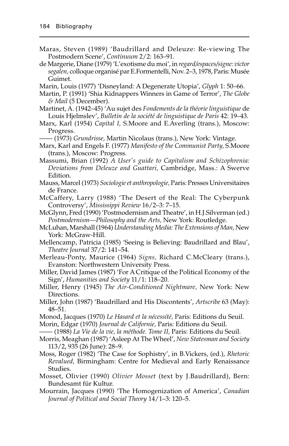- Maras, Steven (1989) 'Baudrillard and Deleuze: Re-viewing The Postmodern Scene', *Continuum* 2/2: 163–91.
- de Margerie, Diane (1979) 'L'exotisme du moi', in *regard/espaces/signe: victor segalen,* colloque organisé par E.Formentelli, Nov. 2–3, 1978, Paris: Musée Guimet.

Marin, Louis (1977) 'Disneyland: A Degenerate Utopia', *Glyph* 1: 50–66.

- Martin, P. (1991) 'Shia Kidnappers Winners in Game of Terror', *The Globe & Mail* (5 December).
- Martinet, A. (1942–45) 'Au sujet des *Fondements de la théorie linguistique* de Louis Hjelmslev', *Bulletin de la société de linguistique de Paris* 42: 19–43.
- Marx, Karl (1954) *Capital I,* S.Moore and E.Averling (trans.), Moscow: Progress.
- —— (1973) *Grundrisse,* Martin Nicolaus (trans.), New York: Vintage.
- Marx, Karl and Engels F. (1977) *Manifesto of the Communist Party,* S.Moore (trans.), Moscow: Progress.
- Massumi, Brian (1992) *A User's guide to Capitalism and Schizophrenia: Deviations from Deleuze and Guattari,* Cambridge, Mass.: A Swerve Edition.
- Mauss, Marcel (1973) *Sociologie et anthropologie,* Paris: Presses Universitaires de France.
- McCaffery, Larry (1988) 'The Desert of the Real: The Cyberpunk Controversy', *Mississippi Review* 16/2–3: 7–15.
- McGlynn, Fred (1990) 'Postmodernism and Theatre', in H.J.Silverman (ed.) *Postmodernism—Philosophy and the Arts,* New York: Routledge.
- McLuhan, Marshall (1964) *Understanding Media: The Extensions of Man,* New York: McGraw-Hill.
- Mellencamp, Patricia (1985) 'Seeing is Believing: Baudrillard and Blau', *Theatre Journal* 37/2: 141–54.
- Merleau-Ponty, Maurice (1964) *Signs,* Richard C.McCleary (trans.), Evanston: Northwestern University Press.
- Miller, David James (1987) 'For A Critique of the Political Economy of the Sign', *Humanities and Society* 11/1: 118–20.
- Miller, Henry (1945) *The Air-Conditioned Nightmare,* New York: New Directions.
- Miller, John (1987) 'Baudrillard and His Discontents', *Artscribe* 63 (May): 48–51.
- Monod, Jacques (1970) *Le Hasard et la nécessité,* Paris: Editions du Seuil.
- Morin, Edgar (1970) *Journal de Californie,* Paris: Editions du Seuil.
- —— (1988) *La Vie de la vie, la méthode. Tome II,* Paris: Editions du Seuil.
- Morris, Meaghan (1987) 'Asleep At The Wheel', *New Statesman and Society* 113/2, 935 (26 June): 28–9.
- Moss, Roger (1982) 'The Case for Sophistry', in B.Vickers, (ed.), *Rhetoric Revalued,* Birmingham: Centre for Medieval and Early Renaissance Studies.
- Mosset, Olivier (1990) *Olivier Mosset* (text by J.Baudrillard), Bern: Bundesamt für Kultur.
- Mourrain, Jacques (1990) 'The Homogenization of America', *Canadian Journal of Political and Social Theory* 14/1–3: 120–5.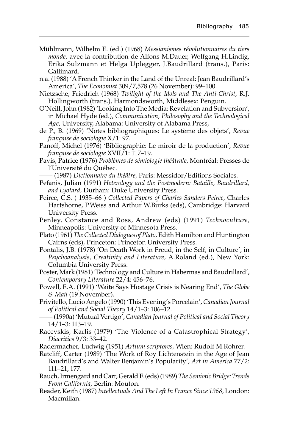- Mühlmann, Wilhelm E. (ed.) (1968) *Messianismes révolutionnaires du tiers monde,* avec la contribution de Alfons M.Dauer, Wolfgang H.Lindig, Erika Sulzmann et Helga Uplegger, J.Baudrillard (trans.), Paris: Gallimard.
- n.a. (1988) 'A French Thinker in the Land of the Unreal: Jean Baudrillard's America', *The Economist* 309/7,578 (26 November): 99–100.
- Nietzsche, Friedrich (1968) *Twilight of the Idols and The Anti-Christ,* R.J. Hollingworth (trans.), Harmondsworth, Middlesex: Penguin.
- O'Neill, John (1982) 'Looking Into The Media: Revelation and Subversion', in Michael Hyde (ed.), *Communication, Philosophy and the Technological Age,* University, Alabama: University of Alabama Press,
- de P., B. (1969) 'Notes bibliographiques: Le système des objets', *Revue française de sociologie* X/1: 97.
- Panoff, Michel (1976) 'Bibliographie: Le miroir de la production', *Revue française de sociologie* XVII/1: 117–19.
- Pavis, Patrice (1976) *Problèmes de sémiologie théâtrale,* Montréal: Presses de l'Université du Québec.
- —— (1987) *Dictionnaire du théâtre,* Paris: Messidor/Editions Sociales.
- Pefanis, Julian (1991) *Heterology and the Postmodern: Bataille, Baudrillard, and Lyotard,* Durham: Duke University Press.
- Peirce, C.S. ( 1935–66 ) *Collected Papers of Charles Sanders Peirce,* Charles Hartshorne, P.Weiss and Arthur W.Burks (eds), Cambridge: Harvard University Press.
- Penley, Constance and Ross, Andrew (eds) (1991) *Technoculture,* Minneapolis: University of Minnesota Press.
- Plato (1961) *The Collected Dialogues of Plato,* Edith Hamilton and Huntington Cairns (eds), Princeton: Princeton University Press.
- Pontalis, J.B. (1978) 'On Death Work in Freud, in the Self, in Culture', in *Psychoanalysis, Creativity and Literature,* A.Roland (ed.), New York: Columbia University Press.
- Poster, Mark (1981) 'Technology and Culture in Habermas and Baudrillard', *Contemporary Literature* 22/4: 456–76.
- Powell, E.A. (1991) 'Waite Says Hostage Crisis is Nearing End', *The Globe & Mail* (19 November).
- Privitello, Lucio Angelo (1990) 'This Evening's Porcelain', *Canadian Journal of Political and Social Theory* 14/1–3: 106–12.
- —— (1990a) 'Mutual Vertigo', *Canadian Journal of Political and Social Theory* 14/1–3: 113–19.
- Racevskis, Karlis (1979) 'The Violence of a Catastrophical Strategy', *Diacritics* 9/3: 33–42.
- Radermacher, Ludwig (1951) *Artium scriptores,* Wien: Rudolf M.Rohrer.
- Ratcliff, Carter (1989) 'The Work of Roy Lichtenstein in the Age of Jean Baudrillard's and Walter Benjamin's Popularity', *Art in America* 77/2: 111–21, 177.
- Rauch, Irmengard and Carr, Gerald F. (eds) (1989) *The Semiotic Bridge: Trends From California,* Berlin: Mouton.
- Reader, Keith (1987) *Intellectuals And The Left In France Since 1968,* London: Macmillan.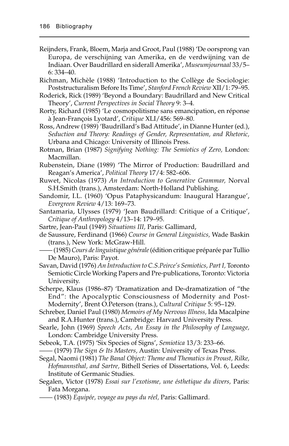- Reijnders, Frank, Bloem, Marja and Groot, Paul (1988) 'De oorsprong van Europa, de verschijning van Amerika, en de verdwijning van de Indiaan. Over Baudrillard en siderall Amerika', *Museumjournaal* 33/5– 6: 334–40.
- Richman, Michèle (1988) 'Introduction to the Collège de Sociologie: Poststructuralism Before Its Time', *Stanford French Review* XII/1: 79–95.
- Roderick, Rick (1989) 'Beyond a Boundary: Baudrillard and New Critical Theory', *Current Perspectives in Social Theory* 9: 3–4.
- Rorty, Richard (1985) 'Le cosmopolitisme sans emancipation, en réponse à Jean-François Lyotard', *Critique* XLI/456: 569–80.
- Ross, Andrew (1989) 'Baudrillard's Bad Attitude', in Dianne Hunter (ed.), *Seduction and Theory: Readings of Gender, Representation, and Rhetoric,* Urbana and Chicago: University of Illinois Press.
- Rotman, Brian (1987) *Signifying Nothing: The Semiotics of Zero,* London: Macmillan.
- Rubenstein, Diane (1989) 'The Mirror of Production: Baudrillard and Reagan's America', *Political Theory* 17/4: 582–606.
- Ruwet, Nicolas (1973) *An Introduction to Generative Grammar,* Norval S.H.Smith (trans.), Amsterdam: North-Holland Publishing.
- Sandomir, I.L. (1960) 'Opus Pataphysicandum: Inaugural Harangue', *Evergreen Review* 4/13: 169–73.
- Santamaria, Ulysses (1979) 'Jean Baudrillard: Critique of a Critique', *Critique of Anthropology* 4/13–14: 179–95.
- Sartre, Jean-Paul (1949) *Situations III,* Paris: Gallimard,
- de Saussure, Ferdinand (1966) *Course in General Linguistics,* Wade Baskin (trans.), New York: McGraw-Hill.
- —— (1985) *Cours de linguistique générale* (édition critique préparée par Tullio De Mauro), Paris: Payot.
- Savan, David (1976) *An Introduction to C.S.Peirce's Semiotics, Part I,* Toronto Semiotic Circle Working Papers and Pre-publications, Toronto: Victoria University.
- Scherpe, Klaus (1986–87) 'Dramatization and De-dramatization of "the End": the Apocalyptic Consciousness of Modernity and Post-Modernity', Brent O.Peterson (trans.), *Cultural Critique* 5: 95–129.
- Schreber, Daniel Paul (1980) *Memoirs of My Nervous Illness,* Ida Macalpine and R.A.Hunter (trans.), Cambridge: Harvard University Press.
- Searle, John (1969) *Speech Acts, An Essay in the Philosophy of Language,* London: Cambridge University Press.
- Sebeok, T.A. (1975) 'Six Species of Signs', *Semiotica* 13/3: 233–66.
- —— (1979) *The Sign & Its Masters,* Austin: University of Texas Press.
- Segal, Naomi (1981) *The Banal Object: Theme and Thematics in Proust, Rilke, Hofmannsthal, and Sartre,* Bithell Series of Dissertations, Vol. 6, Leeds: Institute of Germanic Studies.
- Segalen, Victor (1978) *Essai sur l'exotisme, une ésthetique du divers,* Paris: Fata Morgana.
- —— (1983) *Equipée, voyage au pays du réel,* Paris: Gallimard.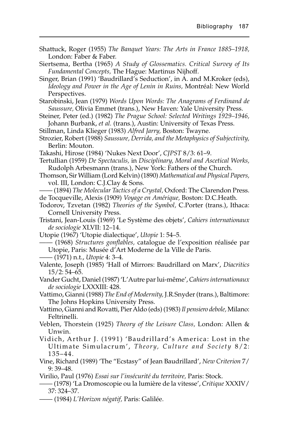- Shattuck, Roger (1955) *The Banquet Years: The Arts in France 1885–1918,* London: Faber & Faber.
- Siertsema, Bertha (1965) *A Study of Glossematics. Critical Survey of Its Fundamental Concepts,* The Hague: Martinus Nijhoff.
- Singer, Brian (1991) 'Baudrillard's Seduction', in A. and M.Kroker (eds), *Ideology and Power in the Age of Lenin in Ruins,* Montréal: New World Perspectives.
- Starobinski, Jean (1979) *Words Upon Words: The Anagrams of Ferdinand de Saussure,* Olivia Emmet (trans.), New Haven: Yale University Press.
- Steiner, Peter (ed.) (1982) *The Prague School: Selected Writings 1929–1946,* Johann Burbank, *et al.* (trans.), Austin: University of Texas Press.
- Stillman, Linda Klieger (1983) *Alfred Jarry,* Boston: Twayne.
- Strozier, Robert (1988) *Saussure, Derrida, and the Metaphysics of Subjectivity,* Berlin: Mouton.
- Takashi, Hirose (1984) 'Nukes Next Door', *CJPST* 8/3: 61–9.
- Tertullian (1959) *De Spectaculis,* in *Disciplinary, Moral and Ascetical Works,* Rudolph Arbesmann (trans.), New York: Fathers of the Church.
- Thomson, Sir William (Lord Kelvin) (1890) *Mathematical and Physical Papers,* vol. III, London: C.J.Clay & Sons.
- —— (1894) *The Molecular Tactics of a Crystal,* Oxford: The Clarendon Press. de Tocqueville, Alexis (1909) *Voyage en Amérique,* Boston: D.C.Heath.
- Todorov, Tzvetan (1982) *Theories of the Symbol,* C.Porter (trans.), Ithaca: Cornell University Press.
- Tristani, Jean-Louis (1969) 'Le Système des objets', *Cahiers internationaux de sociologie* XLVII: 12–14.
- Utopie (1967) 'Utopie dialectique', *Utopie* 1: 54–5.
- —— (1968) *Structures gonflables,* catalogue de l'exposition réalisée par Utopie, Paris: Musée d'Art Moderne de la Ville de Paris.

- Valente, Joseph (1985) 'Hall of Mirrors: Baudrillard on Marx', *Diacritics* 15/2: 54–65.
- Vander Gucht, Daniel (1987) 'L'Autre par lui-même', *Cahiers internationaux de sociologie* LXXXIII: 428.
- Vattimo, Gianni (1988) *The End of Modernity,* J.R.Snyder (trans.), Baltimore: The Johns Hopkins University Press.
- Vattimo, Gianni and Rovatti, Pier Aldo (eds) (1983) *Il pensiero debole,* Milano: Feltrinelli.
- Veblen, Thorstein (1925) *Theory of the Leisure Class,* London: Allen & Unwin.
- Vidich, Arthur J. (1991) 'Baudrillard's America: Lost in the Ultimate Simulacrum', *Theory, Culture and Society* 8/2: 135–44.
- Vine, Richard (1989) 'The "Ecstasy" of Jean Baudrillard', *New Criterion* 7/ 9: 39–48.
- Virilio, Paul (1976) *Essai sur l'insécurité du territoire,* Paris: Stock.
- —— (1978) 'La Dromoscopie ou la lumière de la vitesse', *Critique* XXXIV/ 37: 324–37.
- —— (1984) *L'Horizon négatif,* Paris: Galilée.

<sup>—— (1971)</sup> n.t., *Utopie* 4: 3–4.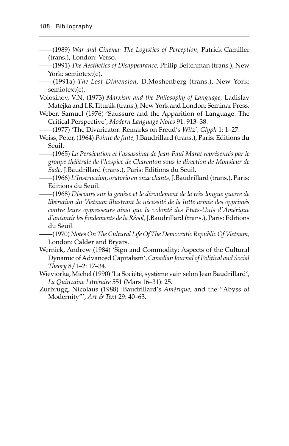- ——(1989) *War and Cinema: The Logistics of Perception,* Patrick Camiller (trans.), London: Verso.
- ——(1991) *The Aesthetics of Disappearance,* Philip Beitchman (trans.), New York: semiotext(e).
- ——(1991a) *The Lost Dimension,* D.Moshenberg (trans.), New York: semiotext(e).
- Volosinov, V.N. (1973) *Marxism and the Philosophy of Language,* Ladislav Matejka and I.R.Titunik (trans.), New York and London: Seminar Press.
- Weber, Samuel (1976) 'Saussure and the Apparition of Language: The Critical Perspective', *Modern Language Notes* 91: 913–38.
- ——(1977) 'The Divaricator: Remarks on Freud's *Witz', Glyph* 1: 1–27.
- Weiss, Peter, (1964) *Pointe de fuite,* J.Baudrillard (trans.), Paris: Editions du Seuil.
- ——(1965) *La Persécution et l'assassinat de Jean-Paul Marat représentés par le groupe théâtrale de l'hospice de Charenton sous le direction de Monsieur de Sade,* J.Baudrillard (trans.), Paris: Editions du Seuil.
- ——(1966) *L'Instruction, oratorio en onze chants,* J.Baudrillard (trans.), Paris: Editions du Seuil.
	- ——(1968) *Discours sur la genèse et le déroulement de la très longue guerre de libération du Vietnam illustrant la nécessité de la lutte armée des opprimés contre leurs oppresseurs ainsi que la volonté des Etats-Unis d'Amérique d'anéantir les fondements de la Révol,* J.Baudrillard (trans.), Paris: Editions du Seuil.
- ——(1970) *Notes On The Cultural Life Of The Democratic Republic Of Vietnam,* London: Calder and Bryars.
- Wernick, Andrew (1984) 'Sign and Commodity: Aspects of the Cultural Dynamic of Advanced Capitalism', *Canadian Journal of Political and Social Theory* 8/1–2: 17–34.
- Wieviorka, Michel (1990) 'La Société, système vain selon Jean Baudrillard', *La Quinzaine Littéraire* 551 (Mars 16–31): 25.
- Zurbrugg, Nicolaus (1988) 'Baudrillard's *Amérique,* and the "Abyss of Modernity"', *Art & Text* 29: 40–63.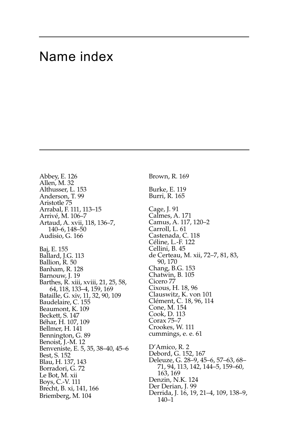## Name index

Abbey, E. 126 Allen, M. 32 Althusser, L. 153 Anderson, T. 99 Aristotle 75 Arrabal, F. 111, 113–15 Arrivé, M. 106–7 Artaud, A. xvii, 118, 136–7, 140–6, 148–50 Audisio, G. 166 Baj, E. 155 Ballard, J.G. 113 Ballion, R. 50 Banham, R. 128 Barnouw, J. 19 Barthes, R. xiii, xviii, 21, 25, 58, 64, 118, 133–4, 159, 169 Bataille, G. xiv, 11, 32, 90, 109 Baudelaire, C. 155 Beaumont, K. 109 Beckett, S. 147 Béhar, H. 107, 109 Bellmer, H. 141 Bennington, G. 89 Benoist, J.-M. 12 Benveniste, E. 5, 35, 38–40, 45–6 Best, S. 152 Blau, H. 137, 143 Borradori, G. 72 Le Bot, M. xii Boys, C.-V. 111 Brecht, B. xi, 141, 166 Briemberg, M. 104

Brown, R. 169 Burke, E. 119 Burri, R. 165 Cage, J. 91 Calmes, A. 171 Camus, A. 117, 120–2 Carroll, L. 61 Castenada, C. 118 Céline, L.-F. 122 Cellini, B. 45 de Certeau, M. xii, 72–7, 81, 83, 90, 170 Chang, B.G. 153 Chatwin, B. 105 Cicero 77 Cixous, H. 18, 96 Clauswitz, K. von 101 Clément, C. 18, 96, 114 Cone, M. 154 Cook, D. 113 Corax 75–7 Crookes, W. 111 cummings, e. e. 61 D'Amico, R. 2 Debord, G. 152, 167 Deleuze, G. 28–9, 45–6, 57–63, 68– 71, 94, 113, 142, 144–5, 159–60, 163, 169 Denzin, N.K. 124 Der Derian, J. 99 Derrida, J. 16, 19, 21–4, 109, 138–9, 140–1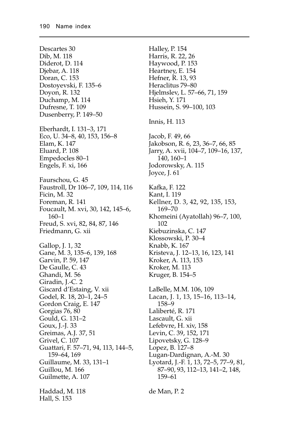Descartes 30 Dib, M. 118 Diderot, D. 114 Djebar, A. 118 Doran, C. 153 Dostoyevski, F. 135–6 Doyon, R. 132 Duchamp, M. 114 Dufresne, T. 109 Dusenberry, P. 149–50 Eberhardt, I. 131–3, 171 Eco, U. 34–8, 40, 153, 156–8 Elam, K. 147 Eluard, P. 108 Empedocles 80–1 Engels, F. xi, 166 Faurschou, G. 45 Faustroll, Dr 106–7, 109, 114, 116 Ficin, M. 32 Foreman, R. 141 Foucault, M. xvi, 30, 142, 145–6, 160–1 Freud, S. xvi, 82, 84, 87, 146 Friedmann, G. xii Gallop, J. 1, 32 Gane, M. 3, 135–6, 139, 168 Garvin, P. 59, 147 De Gaulle, C. 43 Ghandi, M. 56 Giradin, J.-C. 2 Giscard d'Estaing, V. xii Godel, R. 18, 20–1, 24–5 Gordon Craig, E. 147 Gorgias 76, 80 Gould, G. 131–2 Goux, J.-J. 33 Greimas, A.J. 37, 51 Grivel, C. 107 Guattari, F. 57–71, 94, 113, 144–5, 159–64, 169 Guillaume, M. 33, 131–1 Guillou, M. 166 Guilmette, A. 107 Haddad, M. 118 Hall, S. 153

Halley, P. 154 Harris, R. 22, 26 Haywood, P. 153 Heartney, E. 154 Hefner, R. 13, 93 Heraclitus 79–80 Hjelmslev, L. 57–66, 71, 159 Hsieh, Y. 171 Hussein, S. 99–100, 103 Innis, H. 113 Jacob, F. 49, 66 Jakobson, R. 6, 23, 36–7, 66, 85 Jarry, A. xvii, 104–7, 109–16, 137, 140, 160–1 Jodorowsky, A. 115 Joyce, J. 61 Kafka, F. 122 Kant, I. 119 Kellner, D. 3, 42, 92, 135, 153, 169–70 Khomeini (Ayatollah) 96–7, 100, 102 Kiebuzinska, C. 147 Klossowski, P. 30–4 Knabb, K. 167 Kristeva, J. 12–13, 16, 123, 141 Kroker, A. 113, 153 Kroker, M. 113 Kruger, B. 154–5 LaBelle, M.M. 106, 109 Lacan, J. 1, 13, 15–16, 113–14, 158–9 Laliberté, R. 171 Lascault, G. xii Lefebvre, H. xiv, 158 Levin, C. 39, 152, 171 Lipovetsky, G. 128–9 Lopez, B. 127–8 Lugan-Dardignan, A.-M. 30 Lyotard, J.-F. 1, 13, 72–5, 77–9, 81, 87–90, 93, 112–13, 141–2, 148, 159–61

de Man, P. 2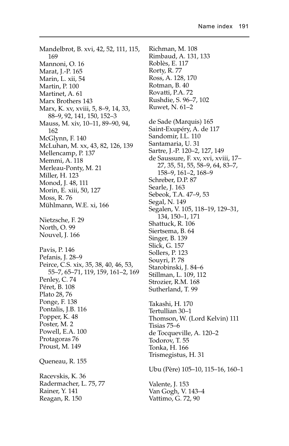Mandelbrot, B. xvi, 42, 52, 111, 115, 169 Mannoni, O. 16 Marat, J.-P. 165 Marin, L. xii, 54 Martin, P. 100 Martinet, A. 61 Marx Brothers 143 Marx, K. xv, xviii, 5, 8–9, 14, 33, 88–9, 92, 141, 150, 152–3 Mauss, M. xiv, 10–11, 89–90, 94, 162 McGlynn, F. 140 McLuhan, M. xx, 43, 82, 126, 139 Mellencamp, P. 137 Memmi, A. 118 Merleau-Ponty, M. 21 Miller, H. 123 Monod, J. 48, 111 Morin, E. xiii, 50, 127 Moss, R. 76 Mühlmann, W.E. xi, 166 Nietzsche, F. 29 North, O. 99 Nouvel, J. 166 Pavis, P. 146 Pefanis, J. 28–9 Peirce, C.S. xix, 35, 38, 40, 46, 53, 55–7, 65–71, 119, 159, 161–2, 169 Penley, C. 74 Péret, B. 108 Plato 28, 76 Ponge, F. 138 Pontalis, J.B. 116 Popper, K. 48 Poster, M. 2 Powell, E.A. 100 Protagoras 76 Proust, M. 149 Queneau, R. 155 Racevskis, K. 36 Radermacher, L. 75, 77 Rainer, Y. 141 Reagan, R. 150

Richman, M. 108 Rimbaud, A. 131, 133 Roblès, E. 117 Rorty, R. 77 Ross, A. 128, 170 Rotman, B. 40 Rovatti, P.A. 72 Rushdie, S. 96–7, 102 Ruwet, N. 61–2 de Sade (Marquis) 165 Saint-Exupéry, A. de 117 Sandomir, I.L. 110 Santamaria, U. 31 Sartre, J.-P. 120–2, 127, 149 de Saussure, F. xv, xvi, xviii, 17– 27, 35, 51, 55, 58–9, 64, 83–7, 158–9, 161–2, 168–9 Schreber, D.P. 87 Searle, J. 163 Sebeok, T.A. 47–9, 53 Segal, N. 149 Segalen, V. 105, 118–19, 129–31, 134, 150–1, 171 Shattuck, R. 106 Siertsema, B. 64 Singer, B. 139 Slick, G. 157 Sollers, P. 123 Souyri, P. 78 Starobinski, J. 84–6 Stillman, L. 109, 112 Strozier, R.M. 168 Sutherland, T. 99 Takashi, H. 170 Tertullian 30–1 Thomson, W. (Lord Kelvin) 111 Tisias 75–6 de Tocqueville, A. 120–2 Todorov, T. 55 Tonka, H. 166 Trismegistus, H. 31 Ubu (Père) 105–10, 115–16, 160–1 Valente, J. 153 Van Gogh, V. 143–4 Vattimo, G. 72, 90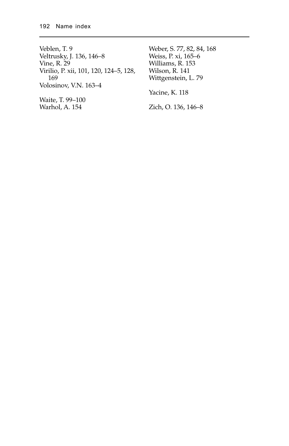Veblen, T. 9 Veltrusky, J. 136, 146–8 Vine, R. 29 Virilio, P. xii, 101, 120, 124–5, 128, 169 Volosinov, V.N. 163–4

Waite, T. 99–100 Warhol, A. 154

Weber, S. 77, 82, 84, 168 Weiss, P. xi, 165–6 Williams, R. 153 Wilson, R. 141 Wittgenstein, L. 79

Yacine, K. 118

Zich, O. 136, 146–8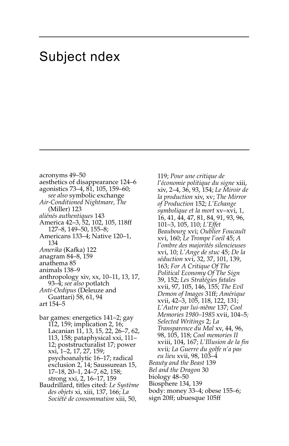## Subject ndex

- acronyms 49–50 aesthetics of disappearance 124–6 agonistics 73–4, 81, 105, 159–60; *see also* symbolic exchange *Air-Conditioned Nightmare, The* (Miller) 123 *aliénés authentiques* 143 America 42–3, 52, 102, 105, 118ff 127–8, 149–50, 155–8; Americans 133–4; Native 120–1, 134 *Amerika* (Kafka) 122 anagram 84–8, 159 anathema 85 animals 138–9 anthropology xiv, xx, 10–11, 13, 17, 93–4; *see also* potlatch *Anti-Oedipus* (Deleuze and Guattari) 58, 61, 94 art 154–5
- bar games: energetics 141–2; gay 112, 159; implication 2, 16; Lacanian 11, 13, 15, 22, 26–7, 62, 113, 158; pataphysical xxi, 111– 12; poststructuralist 17; power xxi, 1–2, 17, 27, 159; psychoanalytic 16–17; radical exclusion 2, 14; Saussurean 15, 17–18, 20–1, 24–7, 62, 158; strong xxi, 2, 16–17, 159
- Baudrillard, titles cited: *Le Système des objets* xi, xiii, 137, 166; *La Société de consommation* xiii, 50,

119; *Pour une critique de l'économie politique du signe* xiii, xiv, 2–4, 36, 93, 154; *Le Miroir de la production* xiv, xv; *The Mirror of Production* 152; *L'Echange symbolique et la mort* xv–xvi, 1, 16, 41, 44, 47, 81, 84, 91, 93, 96, 101–3, 105, 110; *L'Effet Beaubourg* xvi; *Oublier Foucault* xvi, 160; *Le Trompe l'oeil* 45; *A l'ombre des majorités silencieuses* xvi, 10; *L'Ange de stuc* 45; *De la séduction* xvi, 32, 37, 101, 139, 163; *For A Critique Of The Political Economy Of The Sign* 39, 152; *Les Stratégies fatales* xvii, 97, 105, 146, 155; *The Evil Demon of Images* 31ff; *Amérique* xvii, 42–3, 105, 118, 122, 131; *L'Autre par lui-même* 137; *Cool Memories 1980–1985* xvii, 104–5*; Selected Writings* 2; *La Transparence du Mal* xv, 44, 96, 98, 105, 118; *Cool memories II* xviii, 104, 167; *L'Illusion de la fin* xvii*; La Guerre du golfe n'a pas eu lieu* xvii, 98, 103–4 *Beauty and the Beast* 139 *Bel and the Dragon* 30 biology 48–50 Biosphere 134, 139 body: money 33–4; obese 155–6;

sign 20ff; ubuesque 105ff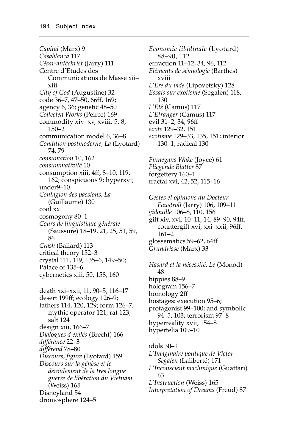*Capital* (Marx) 9 *Casablanca* 117 *César-antéchrist* (Jarry) 111 Centre d'Etudes des Communications de Masse xii– xiii *City of God* (Augustine) 32 code 36–7, 47–50, 66ff, 169; agency 6, 36; genetic 48–50 *Collected Works* (Peirce) 169 commodity xiv–xv, xviii, 5, 8, 150–2 communication model 6, 36–8 *Condition postmoderne, La* (Lyotard) 74, 79 *consumation* 10, 162 *consummativité* 10 consumption xiii, 4ff, 8–10, 119, 162; conspicuous 9; hyperxvi; under9–10 *Contagion des passions, La* (Guillaume) 130 cool xx cosmogony 80–1 *Cours de linguistique générale* (Saussure) 18–19, 21, 25, 51, 59, 86 *Crash* (Ballard) 113 critical theory 152–3 crystal 111, 119, 135–6, 149–50; Palace of 135–6 cybernetics xiii, 50, 158, 160 death xxi–xxii, 11, 90–5, 116–17 desert 199ff; ecology 126–9; fathers 114, 120, 129; form 126–7; mythic operator 121; rat 123; salt 124 design xiii, 166–7 *Dialogues d'exilés* (Brecht) 166 *différance* 22–3 *différend* 78–80 *Discours, figure* (Lyotard) 159 *Discours sur la génèse et le déroulement de la très longue guerre de libération du Vietnam* (Weiss) 165 Disneyland 54 dromosphere 124–5

*Economie libidinale* (Lyotard) 88–90, 112 effraction 11–12, 34, 96, 112 *Eléments de sémiologie* (Barthes) xviii *L'Ere du vide* (Lipovetsky) 128 *Essais sur exotisme* (Segalen) 118, 130 *L'Eté* (Camus) 117 *L'Etranger* (Camus) 117 evil 31–2, 34, 96ff *exote* 129–32, 151 *exotisme* 129–33, 135, 151; interior 130–1; radical 130 *Finnegans Wake* (Joyce) 61 *Fliegende Blätter* 87 forgettery 160–1 fractal xvi, 42, 52, 115–16 *Gestes et opinions du Docteur Faustroll* (Jarry) 106, 109–11 *gidouille* 106–8, 110, 156 gift xiv, xvi, 10–11, 14, 89–90, 94ff; countergift xvi, xxi–xxii, 96ff, 161–2 glossematics 59–62, 64ff *Grundrisse* (Marx) 33

*Hasard et la nécessité, Le* (Monod) 48 hippies 88–9 hologram 156–7 homology 2ff hostages: execution 95–6; protagonist 99–100; and symbolic 94–5, 103; terrorism 97–8 hyperreality xvii, 154–8 hypertelia 109–10

idols 30–1 *L'Imaginaire politique de Victor Segalen* (Laliberté) 171 *L'Inconscient machinique* (Guattari) 63 *L'Instruction* (Weiss) 165 *Interpretation of Dreams* (Freud) 87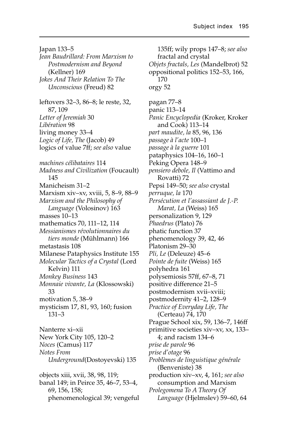Japan 133–5 *Jean Baudrillard: From Marxism to Postmodernism and Beyond* (Kellner) 169 *Jokes And Their Relation To The Unconscious* (Freud) 82 leftovers 32–3, 86–8; le reste, 32, 87, 109 *Letter of Jeremiah* 30 *Libération* 98 living money 33–4 *Logic of Life, The* (Jacob) 49 logics of value 7ff; *see also* value *machines célibataires* 114 *Madness and Civilization* (Foucault) 145 Manicheism 31–2 Marxism xiv–xv, xviii, 5, 8–9, 88–9 *Marxism and the Philosophy of Language* (Volosinov) 163 masses 10–13 mathematics 70, 111–12, 114 *Messianismes révolutionnaires du tiers monde* (Mühlmann) 166 metastasis 108 Milanese Pataphysics Institute 155 *Molecular Tactics of a Crystal* (Lord Kelvin) 111 *Monkey Business* 143 *Monnaie vivante, La* (Klossowski) 33 motivation 5, 38–9 mysticism 17, 81, 93, 160; fusion 131–3 Nanterre xi–xii New York City 105, 120–2 *Noces* (Camus) 117 *Notes From Underground*(Dostoyevski) 135 objects xiii, xvii, 38, 98, 119; banal 149; in Peirce 35, 46–7, 53–4, 69, 156, 158; phenomenological 39; vengeful

135ff; wily props 147–8; *see also* fractal and crystal *Objets fractals, Les* (Mandelbrot) 52 oppositional politics 152–53, 166, 170 orgy 52 pagan 77–8 panic 113–14 *Panic Encyclopedia* (Kroker, Kroker and Cook) 113–14 *part maudite, la* 85, 96, 136 *passage à l'acte* 100–1 *passage à la guerre* 101 pataphysics 104–16, 160–1 Peking Opera 148–9 *pensiero debole, Il* (Vattimo and Rovatti) 72 Pepsi 149–50; *see also* crystal *perruque, la* 170 *Persécution et l'assassiant de J.-P. Marat, La* (Weiss) 165 personalization 9, 129 *Phaedrus* (Plato) 76 phatic function 37 phenomenology 39, 42, 46 Platonism 29–30 *Pli, Le* (Deleuze) 45–6 *Pointe de fuite* (Weiss) 165 polyhedra 161 polysemiosis 57ff, 67–8, 71 positive difference 21–5 postmodernism xvii–xviii; postmodernity 41–2, 128–9 *Practice of Everyday Life, The* (Certeau) 74, 170 Prague School xix, 59, 136–7, 146ff primitive societies xiv–xv, xx, 133– 4; and racism 134–6 *prise de parole* 96 *prise d'otage* 96 *Problèmes de linguistique générale* (Benveniste) 38 production xiv–xv, 4, 161; *see also* consumption and Marxism *Prolegomena To A Theory Of Language* (Hjelmslev) 59–60, 64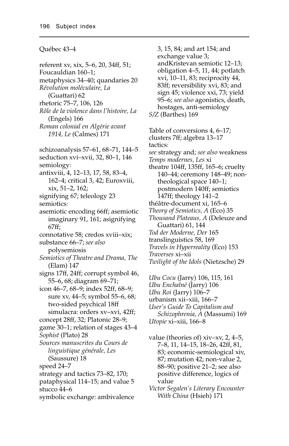Québec 43–4

referent xv, xix, 5–6, 20, 34ff, 51; Foucauldian 160–1; metaphysics 34–40; quandaries 20 *Révolution moléculaire, La* (Guattari) 62 rhetoric 75–7, 106, 126 *Rôle de la violence dans l'histoire, La* (Engels) 166 *Roman colonial en Algérie avant 1914, Le* (Calmes) 171 schizoanalysis 57–61, 68–71, 144–5 seduction xvi–xvii, 32, 80–1, 146 semiology: antixviii, 4, 12–13, 17, 58, 83–4, 162–4; critical 3, 42; Euroxviii, xix, 51–2, 162; signifying 67; teleology 23 semiotics: asemiotic encoding 66ff; asemiotic imaginary 91, 161; asignifying 67ff; connotative 58; credos xviii–xix; substance 66–7; *see also* polysemiosis *Semiotics of Theatre and Drama, The* (Elam) 147 signs 17ff, 24ff; corrupt symbol 46, 55–6, 68; diagram 69–71; icon 46–7, 68–9; index 52ff, 68–9; sure xv, 44–5; symbol 55–6, 68; two-sided psychical 18ff simulacra: orders xv–xvi, 42ff; concept 28ff, 32; Platonic 28–9; game 30–1; relation of stages 43–4 *Sophist* (Plato) 28 *Sources manuscrites du Cours de linguistique générale, Les* (Saussure) 18 speed 24–7 strategy and tactics 73–82, 170; pataphysical 114–15; and value 5 stucco 44–6 symbolic exchange: ambivalence

3, 15, 84; and art 154; and exchange value 3; andKristevan semiotic 12–13; obligation 4–5, 11, 44; potlatch xvi, 10–11, 83; reciprocity 44, 83ff; reversibility xvi, 83; and sign 45; violence xxi, 73; yield 95–6; *see also* agonistics, death, hostages, anti-semiology *S/Z* (Barthes) 169 Table of conversions 4, 6–17; clusters 7ff; algebra 13–17 tactics: *see* strategy and; *see also* weakness *Temps modernes, Les* xi theatre 104ff, 135ff, 165–6; cruelty 140–44; ceremony 148–49; nontheological space 140–1; postmodern 140ff; semiotics 147ff; theology 141–2 théâtre-document xi, 165–6 *Theory of Semiotics, A* (Eco) 35 *Thousand Plateaus, A* (Deleuze and Guattari) 61, 144 *Tod der Moderne, Der* 165 translinguistics 58, 169 *Travels in Hyperreality* (Eco) 153 *Traverses* xi–xii *Twilight of the Idols* (Nietzsche) 29 *Ubu Cocu* (Jarry) 106, 115, 161 *Ubu Enchaîné* (Jarry) 106 *Ubu Roi* (Jarry) 106–7 urbanism xii–xiii, 166–7

*User's Guide To Capitalism and Schizophrenia, A* (Massumi) 169 *Utopie* xi–xiii, 166–8

- value (theories of) xiv–xv, 2, 4–5, 7–8, 11, 14–15, 18–26, 42ff, 81, 83; economic-semiological xiv, 87; mutation 42; non-value 2, 88–90; positive 21–2; see also positive difference, logics of value
- *Victor Segalen's Literary Encounter With China* (Hsieh) 171